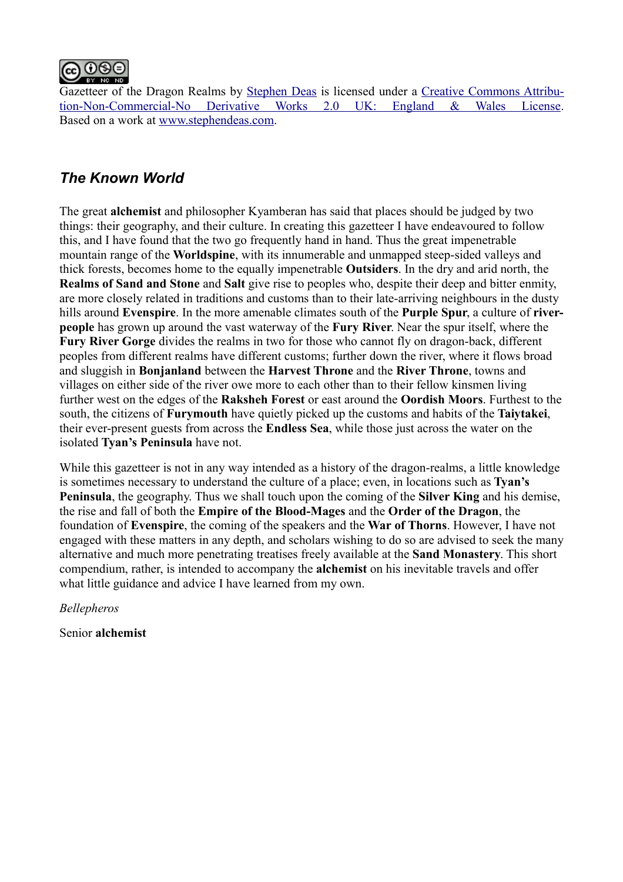

Gazetteer of the Dragon Realms by [Stephen Deas](http://www.stephendeas.com/wp-admin/www.stephendeas.com) is licensed under a [Creative Commons Attribu](http://creativecommons.org/licenses/by-nc-nd/2.0/uk/)[tion-Non-Commercial-No Derivative Works 2.0 UK: England & Wales License.](http://creativecommons.org/licenses/by-nc-nd/2.0/uk/) Based on a work at [www.stephendeas.com.](http://www.stephendeas.com/wp-admin/www.stephendeas.com)

# *The Known World*

The great **alchemist** and philosopher Kyamberan has said that places should be judged by two things: their geography, and their culture. In creating this gazetteer I have endeavoured to follow this, and I have found that the two go frequently hand in hand. Thus the great impenetrable mountain range of the **Worldspine**, with its innumerable and unmapped steep-sided valleys and thick forests, becomes home to the equally impenetrable **Outsiders**. In the dry and arid north, the **Realms of Sand and Stone** and **Salt** give rise to peoples who, despite their deep and bitter enmity, are more closely related in traditions and customs than to their late-arriving neighbours in the dusty hills around **Evenspire**. In the more amenable climates south of the **Purple Spur**, a culture of **riverpeople** has grown up around the vast waterway of the **Fury River**. Near the spur itself, where the **Fury River Gorge** divides the realms in two for those who cannot fly on dragon-back, different peoples from different realms have different customs; further down the river, where it flows broad and sluggish in **Bonjanland** between the **Harvest Throne** and the **River Throne**, towns and villages on either side of the river owe more to each other than to their fellow kinsmen living further west on the edges of the **Raksheh Forest** or east around the **Oordish Moors**. Furthest to the south, the citizens of **Furymouth** have quietly picked up the customs and habits of the **Taiytakei**, their ever-present guests from across the **Endless Sea**, while those just across the water on the isolated **Tyan's Peninsula** have not.

While this gazetteer is not in any way intended as a history of the dragon-realms, a little knowledge is sometimes necessary to understand the culture of a place; even, in locations such as **Tyan's Peninsula**, the geography. Thus we shall touch upon the coming of the **Silver King** and his demise, the rise and fall of both the **Empire of the Blood-Mages** and the **Order of the Dragon**, the foundation of **Evenspire**, the coming of the speakers and the **War of Thorns**. However, I have not engaged with these matters in any depth, and scholars wishing to do so are advised to seek the many alternative and much more penetrating treatises freely available at the **Sand Monastery**. This short compendium, rather, is intended to accompany the **alchemist** on his inevitable travels and offer what little guidance and advice I have learned from my own.

*Bellepheros*

Senior **alchemist**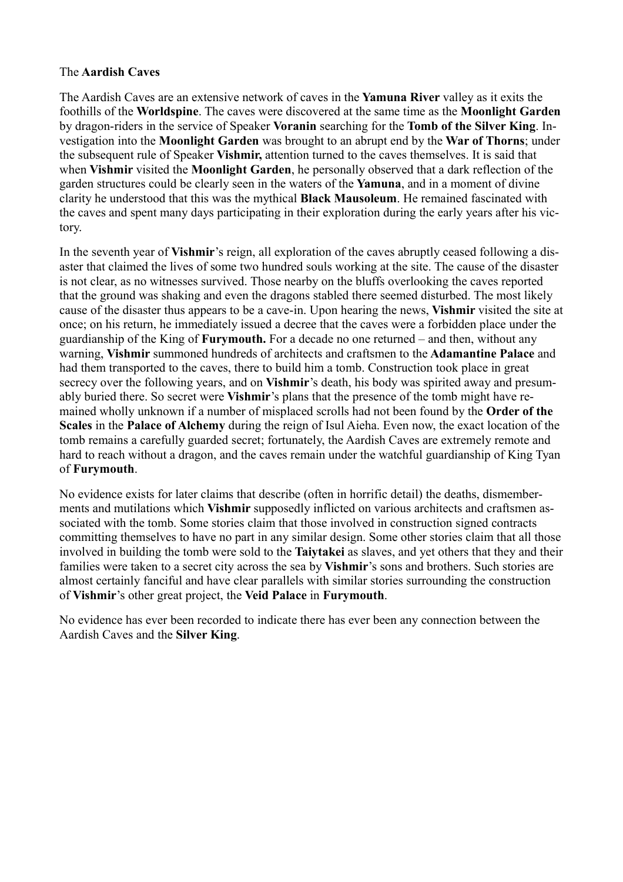### The **Aardish Caves**

The Aardish Caves are an extensive network of caves in the **Yamuna River** valley as it exits the foothills of the **Worldspine**. The caves were discovered at the same time as the **Moonlight Garden** by dragon-riders in the service of Speaker **Voranin** searching for the **Tomb of the Silver King**. Investigation into the **Moonlight Garden** was brought to an abrupt end by the **War of Thorns**; under the subsequent rule of Speaker **Vishmir,** attention turned to the caves themselves. It is said that when **Vishmir** visited the **Moonlight Garden**, he personally observed that a dark reflection of the garden structures could be clearly seen in the waters of the **Yamuna**, and in a moment of divine clarity he understood that this was the mythical **Black Mausoleum**. He remained fascinated with the caves and spent many days participating in their exploration during the early years after his victory.

In the seventh year of **Vishmir**'s reign, all exploration of the caves abruptly ceased following a disaster that claimed the lives of some two hundred souls working at the site. The cause of the disaster is not clear, as no witnesses survived. Those nearby on the bluffs overlooking the caves reported that the ground was shaking and even the dragons stabled there seemed disturbed. The most likely cause of the disaster thus appears to be a cave-in. Upon hearing the news, **Vishmir** visited the site at once; on his return, he immediately issued a decree that the caves were a forbidden place under the guardianship of the King of **Furymouth.** For a decade no one returned – and then, without any warning, **Vishmir** summoned hundreds of architects and craftsmen to the **Adamantine Palace** and had them transported to the caves, there to build him a tomb. Construction took place in great secrecy over the following years, and on **Vishmir**'s death, his body was spirited away and presumably buried there. So secret were **Vishmir**'s plans that the presence of the tomb might have remained wholly unknown if a number of misplaced scrolls had not been found by the **Order of the Scales** in the **Palace of Alchemy** during the reign of Isul Aieha. Even now, the exact location of the tomb remains a carefully guarded secret; fortunately, the Aardish Caves are extremely remote and hard to reach without a dragon, and the caves remain under the watchful guardianship of King Tyan of **Furymouth**.

No evidence exists for later claims that describe (often in horrific detail) the deaths, dismemberments and mutilations which **Vishmir** supposedly inflicted on various architects and craftsmen associated with the tomb. Some stories claim that those involved in construction signed contracts committing themselves to have no part in any similar design. Some other stories claim that all those involved in building the tomb were sold to the **Taiytakei** as slaves, and yet others that they and their families were taken to a secret city across the sea by **Vishmir**'s sons and brothers. Such stories are almost certainly fanciful and have clear parallels with similar stories surrounding the construction of **Vishmir**'s other great project, the **Veid Palace** in **Furymouth**.

No evidence has ever been recorded to indicate there has ever been any connection between the Aardish Caves and the **Silver King**.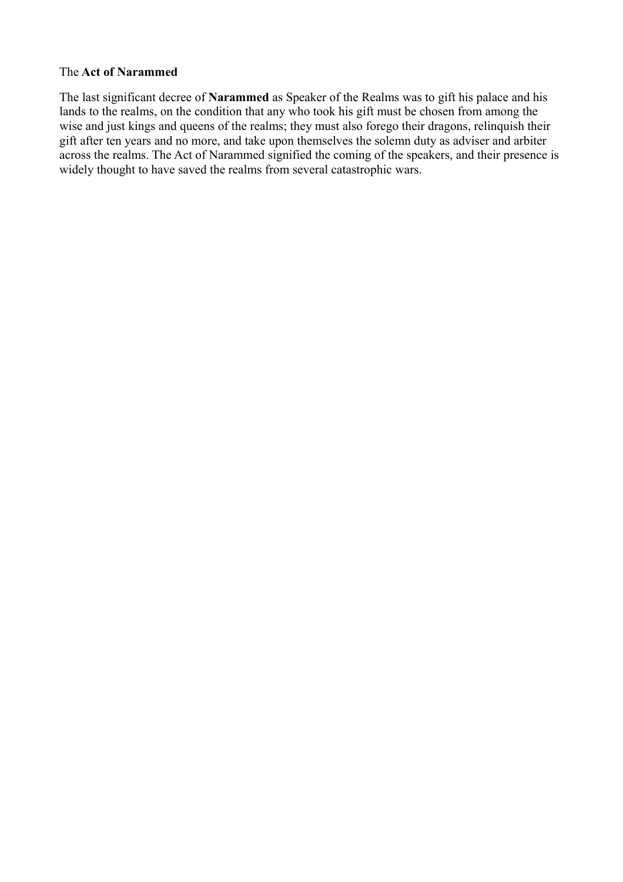#### The **Act of Narammed**

The last significant decree of **Narammed** as Speaker of the Realms was to gift his palace and his lands to the realms, on the condition that any who took his gift must be chosen from among the wise and just kings and queens of the realms; they must also forego their dragons, relinquish their gift after ten years and no more, and take upon themselves the solemn duty as adviser and arbiter across the realms. The Act of Narammed signified the coming of the speakers, and their presence is widely thought to have saved the realms from several catastrophic wars.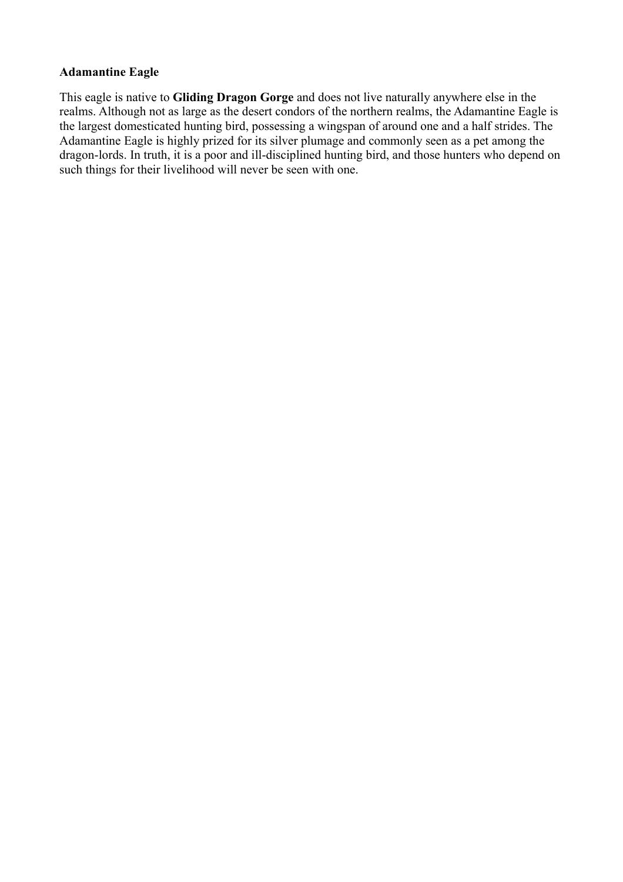### **Adamantine Eagle**

This eagle is native to **Gliding Dragon Gorge** and does not live naturally anywhere else in the realms. Although not as large as the desert condors of the northern realms, the Adamantine Eagle is the largest domesticated hunting bird, possessing a wingspan of around one and a half strides. The Adamantine Eagle is highly prized for its silver plumage and commonly seen as a pet among the dragon-lords. In truth, it is a poor and ill-disciplined hunting bird, and those hunters who depend on such things for their livelihood will never be seen with one.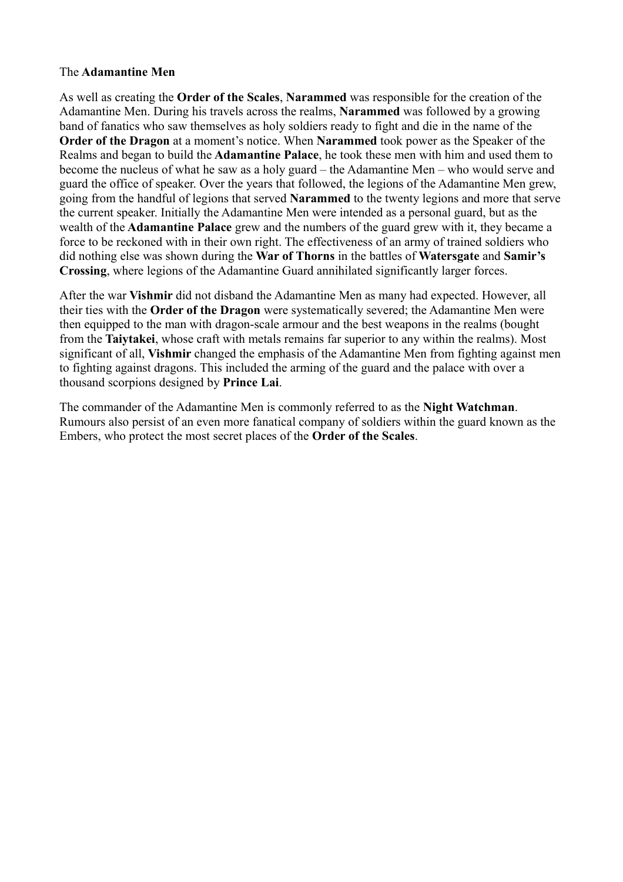### The **Adamantine Men**

As well as creating the **Order of the Scales**, **Narammed** was responsible for the creation of the Adamantine Men. During his travels across the realms, **Narammed** was followed by a growing band of fanatics who saw themselves as holy soldiers ready to fight and die in the name of the **Order of the Dragon** at a moment's notice. When **Narammed** took power as the Speaker of the Realms and began to build the **Adamantine Palace**, he took these men with him and used them to become the nucleus of what he saw as a holy guard – the Adamantine Men – who would serve and guard the office of speaker. Over the years that followed, the legions of the Adamantine Men grew, going from the handful of legions that served **Narammed** to the twenty legions and more that serve the current speaker. Initially the Adamantine Men were intended as a personal guard, but as the wealth of the **Adamantine Palace** grew and the numbers of the guard grew with it, they became a force to be reckoned with in their own right. The effectiveness of an army of trained soldiers who did nothing else was shown during the **War of Thorns** in the battles of **Watersgate** and **Samir's Crossing**, where legions of the Adamantine Guard annihilated significantly larger forces.

After the war **Vishmir** did not disband the Adamantine Men as many had expected. However, all their ties with the **Order of the Dragon** were systematically severed; the Adamantine Men were then equipped to the man with dragon-scale armour and the best weapons in the realms (bought from the **Taiytakei**, whose craft with metals remains far superior to any within the realms). Most significant of all, **Vishmir** changed the emphasis of the Adamantine Men from fighting against men to fighting against dragons. This included the arming of the guard and the palace with over a thousand scorpions designed by **Prince Lai**.

The commander of the Adamantine Men is commonly referred to as the **Night Watchman**. Rumours also persist of an even more fanatical company of soldiers within the guard known as the Embers, who protect the most secret places of the **Order of the Scales**.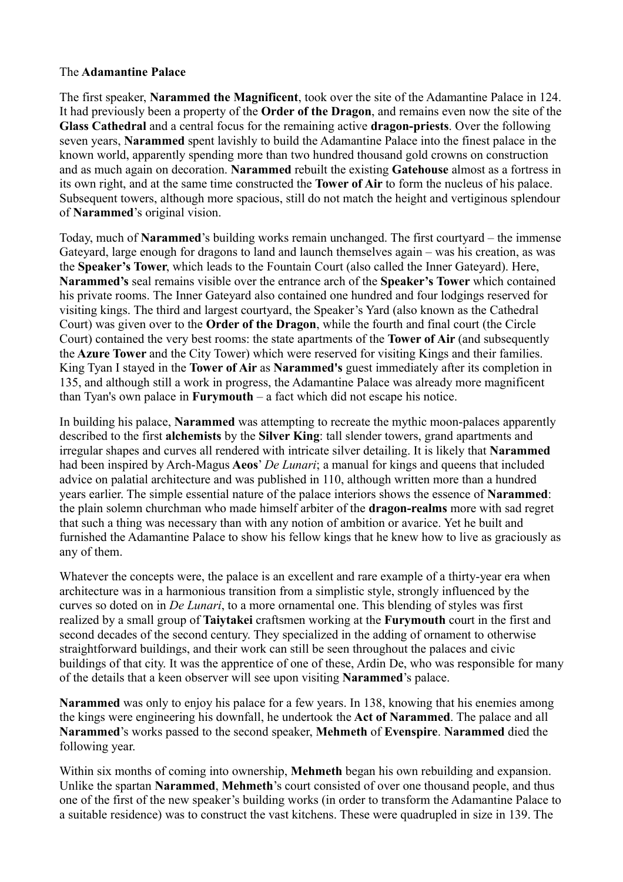# The **Adamantine Palace**

The first speaker, **Narammed the Magnificent**, took over the site of the Adamantine Palace in 124. It had previously been a property of the **Order of the Dragon**, and remains even now the site of the **Glass Cathedral** and a central focus for the remaining active **dragon-priests**. Over the following seven years, **Narammed** spent lavishly to build the Adamantine Palace into the finest palace in the known world, apparently spending more than two hundred thousand gold crowns on construction and as much again on decoration. **Narammed** rebuilt the existing **Gatehouse** almost as a fortress in its own right, and at the same time constructed the **Tower of Air** to form the nucleus of his palace. Subsequent towers, although more spacious, still do not match the height and vertiginous splendour of **Narammed**'s original vision.

Today, much of **Narammed**'s building works remain unchanged. The first courtyard – the immense Gateyard, large enough for dragons to land and launch themselves again – was his creation, as was the **Speaker's Tower**, which leads to the Fountain Court (also called the Inner Gateyard). Here, **Narammed's** seal remains visible over the entrance arch of the **Speaker's Tower** which contained his private rooms. The Inner Gateyard also contained one hundred and four lodgings reserved for visiting kings. The third and largest courtyard, the Speaker's Yard (also known as the Cathedral Court) was given over to the **Order of the Dragon**, while the fourth and final court (the Circle Court) contained the very best rooms: the state apartments of the **Tower of Air** (and subsequently the **Azure Tower** and the City Tower) which were reserved for visiting Kings and their families. King Tyan I stayed in the **Tower of Air** as **Narammed's** guest immediately after its completion in 135, and although still a work in progress, the Adamantine Palace was already more magnificent than Tyan's own palace in **Furymouth** – a fact which did not escape his notice.

In building his palace, **Narammed** was attempting to recreate the mythic moon-palaces apparently described to the first **alchemists** by the **Silver King**: tall slender towers, grand apartments and irregular shapes and curves all rendered with intricate silver detailing. It is likely that **Narammed** had been inspired by Arch-Magus **Aeos**' *De Lunari*; a manual for kings and queens that included advice on palatial architecture and was published in 110, although written more than a hundred years earlier. The simple essential nature of the palace interiors shows the essence of **Narammed**: the plain solemn churchman who made himself arbiter of the **dragon-realms** more with sad regret that such a thing was necessary than with any notion of ambition or avarice. Yet he built and furnished the Adamantine Palace to show his fellow kings that he knew how to live as graciously as any of them.

Whatever the concepts were, the palace is an excellent and rare example of a thirty-year era when architecture was in a harmonious transition from a simplistic style, strongly influenced by the curves so doted on in *De Lunari*, to a more ornamental one. This blending of styles was first realized by a small group of **Taiytakei** craftsmen working at the **Furymouth** court in the first and second decades of the second century. They specialized in the adding of ornament to otherwise straightforward buildings, and their work can still be seen throughout the palaces and civic buildings of that city. It was the apprentice of one of these, Ardin De, who was responsible for many of the details that a keen observer will see upon visiting **Narammed**'s palace.

**Narammed** was only to enjoy his palace for a few years. In 138, knowing that his enemies among the kings were engineering his downfall, he undertook the **Act of Narammed**. The palace and all **Narammed**'s works passed to the second speaker, **Mehmeth** of **Evenspire**. **Narammed** died the following year.

Within six months of coming into ownership, **Mehmeth** began his own rebuilding and expansion. Unlike the spartan **Narammed**, **Mehmeth**'s court consisted of over one thousand people, and thus one of the first of the new speaker's building works (in order to transform the Adamantine Palace to a suitable residence) was to construct the vast kitchens. These were quadrupled in size in 139. The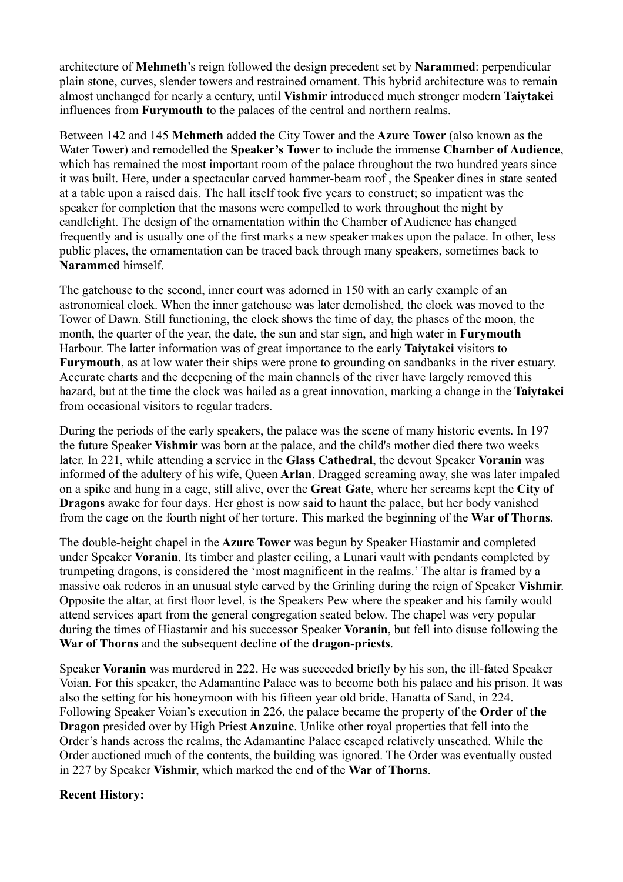architecture of **Mehmeth**'s reign followed the design precedent set by **Narammed**: perpendicular plain stone, curves, slender towers and restrained ornament. This hybrid architecture was to remain almost unchanged for nearly a century, until **Vishmir** introduced much stronger modern **Taiytakei** influences from **Furymouth** to the palaces of the central and northern realms.

Between 142 and 145 **Mehmeth** added the City Tower and the **Azure Tower** (also known as the Water Tower) and remodelled the **Speaker's Tower** to include the immense **Chamber of Audience**, which has remained the most important room of the palace throughout the two hundred years since it was built. Here, under a spectacular carved hammer-beam roof , the Speaker dines in state seated at a table upon a raised dais. The hall itself took five years to construct; so impatient was the speaker for completion that the masons were compelled to work throughout the night by candlelight. The design of the ornamentation within the Chamber of Audience has changed frequently and is usually one of the first marks a new speaker makes upon the palace. In other, less public places, the ornamentation can be traced back through many speakers, sometimes back to **Narammed** himself.

The gatehouse to the second, inner court was adorned in 150 with an early example of an astronomical clock. When the inner gatehouse was later demolished, the clock was moved to the Tower of Dawn. Still functioning, the clock shows the time of day, the phases of the moon, the month, the quarter of the year, the date, the sun and star sign, and high water in **Furymouth** Harbour. The latter information was of great importance to the early **Taiytakei** visitors to **Furymouth**, as at low water their ships were prone to grounding on sandbanks in the river estuary. Accurate charts and the deepening of the main channels of the river have largely removed this hazard, but at the time the clock was hailed as a great innovation, marking a change in the **Taiytakei** from occasional visitors to regular traders.

During the periods of the early speakers, the palace was the scene of many historic events. In 197 the future Speaker **Vishmir** was born at the palace, and the child's mother died there two weeks later. In 221, while attending a service in the **Glass Cathedral**, the devout Speaker **Voranin** was informed of the adultery of his wife, Queen **Arlan**. Dragged screaming away, she was later impaled on a spike and hung in a cage, still alive, over the **Great Gate**, where her screams kept the **City of Dragons** awake for four days. Her ghost is now said to haunt the palace, but her body vanished from the cage on the fourth night of her torture. This marked the beginning of the **War of Thorns**.

The double-height chapel in the **Azure Tower** was begun by Speaker Hiastamir and completed under Speaker **Voranin**. Its timber and plaster ceiling, a Lunari vault with pendants completed by trumpeting dragons, is considered the 'most magnificent in the realms.' The altar is framed by a massive oak rederos in an unusual style carved by the Grinling during the reign of Speaker **Vishmir**. Opposite the altar, at first floor level, is the Speakers Pew where the speaker and his family would attend services apart from the general congregation seated below. The chapel was very popular during the times of Hiastamir and his successor Speaker **Voranin**, but fell into disuse following the **War of Thorns** and the subsequent decline of the **dragon-priests**.

Speaker **Voranin** was murdered in 222. He was succeeded briefly by his son, the ill-fated Speaker Voian. For this speaker, the Adamantine Palace was to become both his palace and his prison. It was also the setting for his honeymoon with his fifteen year old bride, Hanatta of Sand, in 224. Following Speaker Voian's execution in 226, the palace became the property of the **Order of the Dragon** presided over by High Priest **Anzuine**. Unlike other royal properties that fell into the Order's hands across the realms, the Adamantine Palace escaped relatively unscathed. While the Order auctioned much of the contents, the building was ignored. The Order was eventually ousted in 227 by Speaker **Vishmir**, which marked the end of the **War of Thorns**.

# **Recent History:**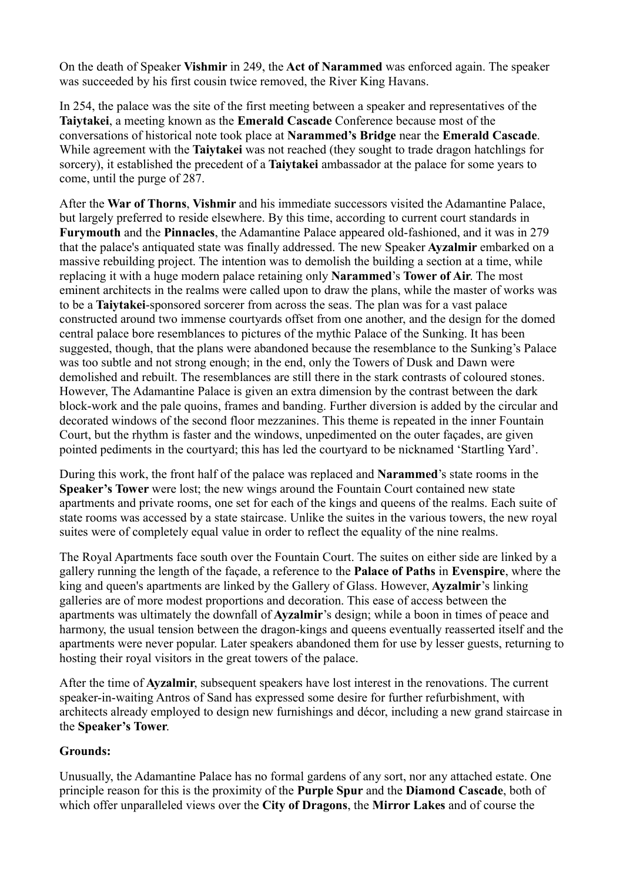On the death of Speaker **Vishmir** in 249, the **Act of Narammed** was enforced again. The speaker was succeeded by his first cousin twice removed, the River King Havans.

In 254, the palace was the site of the first meeting between a speaker and representatives of the **Taiytakei**, a meeting known as the **Emerald Cascade** Conference because most of the conversations of historical note took place at **Narammed's Bridge** near the **Emerald Cascade**. While agreement with the **Taiytakei** was not reached (they sought to trade dragon hatchlings for sorcery), it established the precedent of a **Taiytakei** ambassador at the palace for some years to come, until the purge of 287.

After the **War of Thorns**, **Vishmir** and his immediate successors visited the Adamantine Palace, but largely preferred to reside elsewhere. By this time, according to current court standards in **Furymouth** and the **Pinnacles**, the Adamantine Palace appeared old-fashioned, and it was in 279 that the palace's antiquated state was finally addressed. The new Speaker **Ayzalmir** embarked on a massive rebuilding project. The intention was to demolish the building a section at a time, while replacing it with a huge modern palace retaining only **Narammed**'s **Tower of Air**. The most eminent architects in the realms were called upon to draw the plans, while the master of works was to be a **Taiytakei**-sponsored sorcerer from across the seas. The plan was for a vast palace constructed around two immense courtyards offset from one another, and the design for the domed central palace bore resemblances to pictures of the mythic Palace of the Sunking. It has been suggested, though, that the plans were abandoned because the resemblance to the Sunking's Palace was too subtle and not strong enough; in the end, only the Towers of Dusk and Dawn were demolished and rebuilt. The resemblances are still there in the stark contrasts of coloured stones. However, The Adamantine Palace is given an extra dimension by the contrast between the dark block-work and the pale quoins, frames and banding. Further diversion is added by the circular and decorated windows of the second floor mezzanines. This theme is repeated in the inner Fountain Court, but the rhythm is faster and the windows, unpedimented on the outer façades, are given pointed pediments in the courtyard; this has led the courtyard to be nicknamed 'Startling Yard'.

During this work, the front half of the palace was replaced and **Narammed**'s state rooms in the **Speaker's Tower** were lost; the new wings around the Fountain Court contained new state apartments and private rooms, one set for each of the kings and queens of the realms. Each suite of state rooms was accessed by a state staircase. Unlike the suites in the various towers, the new royal suites were of completely equal value in order to reflect the equality of the nine realms.

The Royal Apartments face south over the Fountain Court. The suites on either side are linked by a gallery running the length of the façade, a reference to the **Palace of Paths** in **Evenspire**, where the king and queen's apartments are linked by the Gallery of Glass. However, **Ayzalmir**'s linking galleries are of more modest proportions and decoration. This ease of access between the apartments was ultimately the downfall of **Ayzalmir**'s design; while a boon in times of peace and harmony, the usual tension between the dragon-kings and queens eventually reasserted itself and the apartments were never popular. Later speakers abandoned them for use by lesser guests, returning to hosting their royal visitors in the great towers of the palace.

After the time of **Ayzalmir**, subsequent speakers have lost interest in the renovations. The current speaker-in-waiting Antros of Sand has expressed some desire for further refurbishment, with architects already employed to design new furnishings and décor, including a new grand staircase in the **Speaker's Tower**.

# **Grounds:**

Unusually, the Adamantine Palace has no formal gardens of any sort, nor any attached estate. One principle reason for this is the proximity of the **Purple Spur** and the **Diamond Cascade**, both of which offer unparalleled views over the **City of Dragons**, the **Mirror Lakes** and of course the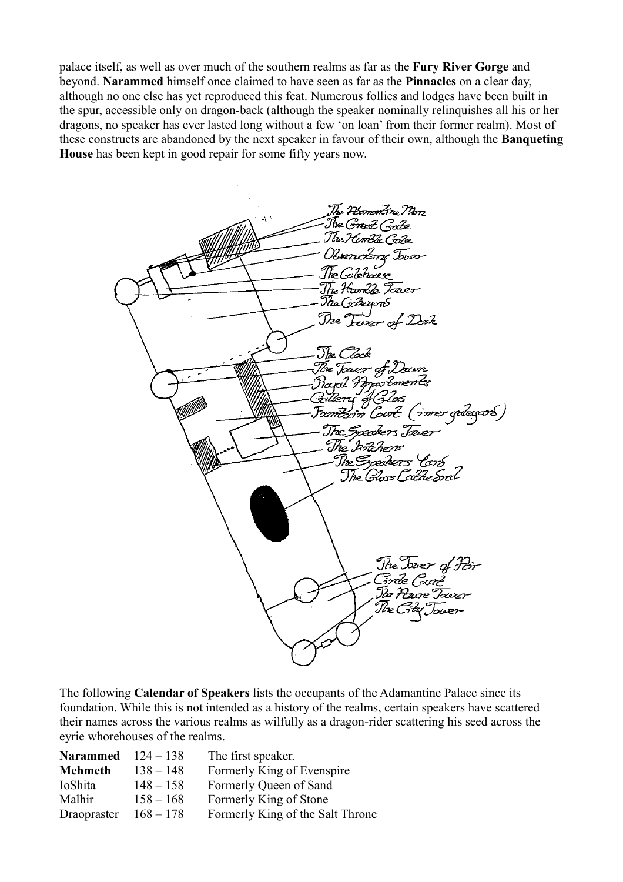palace itself, as well as over much of the southern realms as far as the **Fury River Gorge** and beyond. **Narammed** himself once claimed to have seen as far as the **Pinnacles** on a clear day, although no one else has yet reproduced this feat. Numerous follies and lodges have been built in the spur, accessible only on dragon-back (although the speaker nominally relinquishes all his or her dragons, no speaker has ever lasted long without a few 'on loan' from their former realm). Most of these constructs are abandoned by the next speaker in favour of their own, although the **Banqueting House** has been kept in good repair for some fifty years now.



The following **Calendar of Speakers** lists the occupants of the Adamantine Palace since its foundation. While this is not intended as a history of the realms, certain speakers have scattered their names across the various realms as wilfully as a dragon-rider scattering his seed across the eyrie whorehouses of the realms.

| Narammed $124-138$ |             | The first speaker.               |
|--------------------|-------------|----------------------------------|
| <b>Mehmeth</b>     | $138 - 148$ | Formerly King of Evenspire       |
| IoShita            | $148 - 158$ | Formerly Queen of Sand           |
| Malhir             | $158 - 168$ | Formerly King of Stone           |
| Draopraster        | $168 - 178$ | Formerly King of the Salt Throne |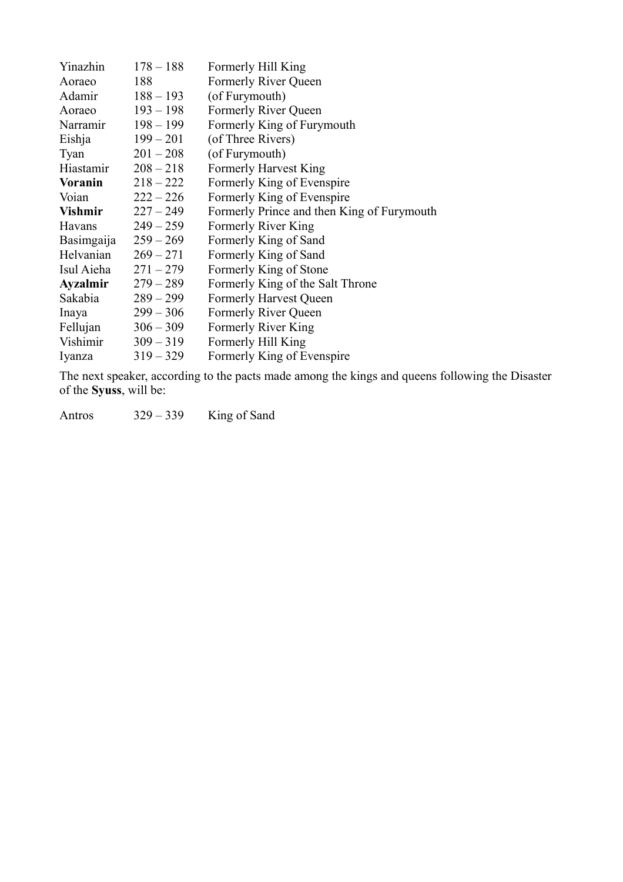| $178 - 188$ | Formerly Hill King                                                           |
|-------------|------------------------------------------------------------------------------|
| 188         | Formerly River Queen                                                         |
| $188 - 193$ | (of Furymouth)                                                               |
| $193 - 198$ | Formerly River Queen                                                         |
| $198 - 199$ | Formerly King of Furymouth                                                   |
| $199 - 201$ | (of Three Rivers)                                                            |
| $201 - 208$ | (of Furymouth)                                                               |
| $208 - 218$ | <b>Formerly Harvest King</b>                                                 |
| $218 - 222$ | Formerly King of Evenspire                                                   |
| $222 - 226$ | Formerly King of Evenspire                                                   |
| $227 - 249$ | Formerly Prince and then King of Furymouth                                   |
| $249 - 259$ | Formerly River King                                                          |
| $259 - 269$ | Formerly King of Sand                                                        |
| $269 - 271$ | Formerly King of Sand                                                        |
| $271 - 279$ | Formerly King of Stone                                                       |
| $279 - 289$ | Formerly King of the Salt Throne                                             |
| $289 - 299$ | <b>Formerly Harvest Queen</b>                                                |
| $299 - 306$ | Formerly River Queen                                                         |
| $306 - 309$ | Formerly River King                                                          |
| $309 - 319$ | Formerly Hill King                                                           |
| $319 - 329$ | Formerly King of Evenspire                                                   |
|             | Adamir<br>Aoraeo<br>Narramir<br>Hiastamir<br>Vishmir<br>Fellujan<br>Vishimir |

The next speaker, according to the pacts made among the kings and queens following the Disaster of the **Syuss**, will be:

Antros 329 – 339 King of Sand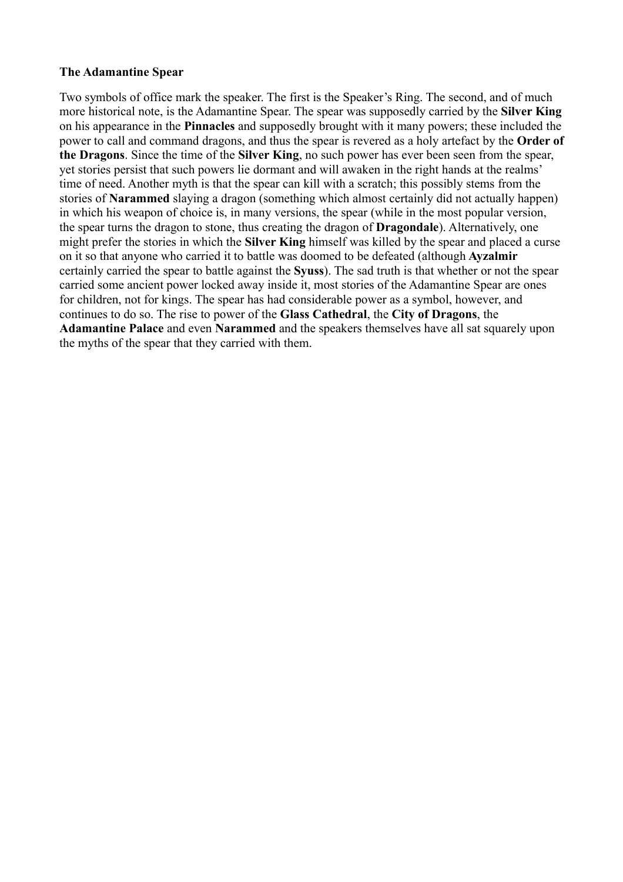#### **The Adamantine Spear**

Two symbols of office mark the speaker. The first is the Speaker's Ring. The second, and of much more historical note, is the Adamantine Spear. The spear was supposedly carried by the **Silver King** on his appearance in the **Pinnacles** and supposedly brought with it many powers; these included the power to call and command dragons, and thus the spear is revered as a holy artefact by the **Order of the Dragons**. Since the time of the **Silver King**, no such power has ever been seen from the spear, yet stories persist that such powers lie dormant and will awaken in the right hands at the realms' time of need. Another myth is that the spear can kill with a scratch; this possibly stems from the stories of **Narammed** slaying a dragon (something which almost certainly did not actually happen) in which his weapon of choice is, in many versions, the spear (while in the most popular version, the spear turns the dragon to stone, thus creating the dragon of **Dragondale**). Alternatively, one might prefer the stories in which the **Silver King** himself was killed by the spear and placed a curse on it so that anyone who carried it to battle was doomed to be defeated (although **Ayzalmir** certainly carried the spear to battle against the **Syuss**). The sad truth is that whether or not the spear carried some ancient power locked away inside it, most stories of the Adamantine Spear are ones for children, not for kings. The spear has had considerable power as a symbol, however, and continues to do so. The rise to power of the **Glass Cathedral**, the **City of Dragons**, the **Adamantine Palace** and even **Narammed** and the speakers themselves have all sat squarely upon the myths of the spear that they carried with them.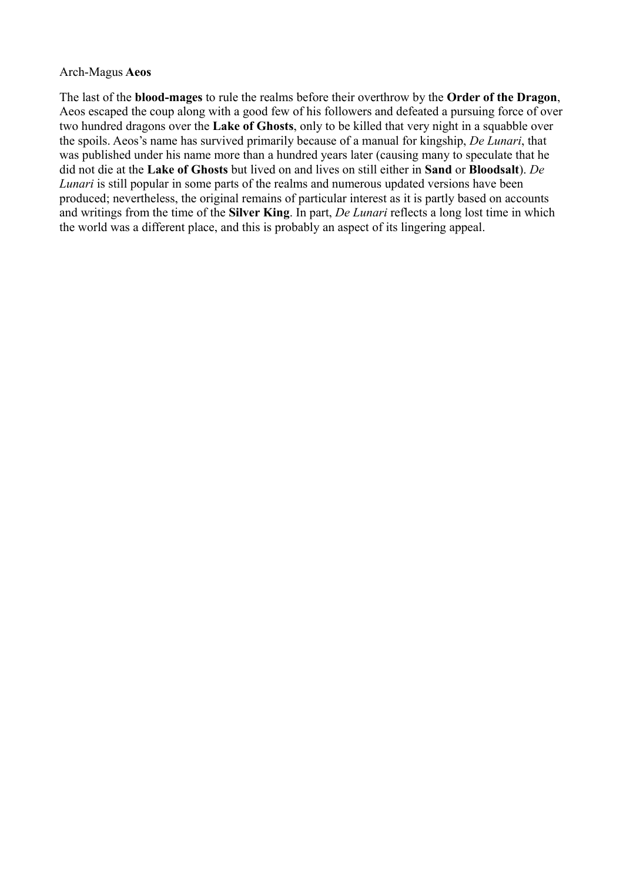#### Arch-Magus **Aeos**

The last of the **blood-mages** to rule the realms before their overthrow by the **Order of the Dragon**, Aeos escaped the coup along with a good few of his followers and defeated a pursuing force of over two hundred dragons over the **Lake of Ghosts**, only to be killed that very night in a squabble over the spoils. Aeos's name has survived primarily because of a manual for kingship, *De Lunari*, that was published under his name more than a hundred years later (causing many to speculate that he did not die at the **Lake of Ghosts** but lived on and lives on still either in **Sand** or **Bloodsalt**). *De Lunari* is still popular in some parts of the realms and numerous updated versions have been produced; nevertheless, the original remains of particular interest as it is partly based on accounts and writings from the time of the **Silver King**. In part, *De Lunari* reflects a long lost time in which the world was a different place, and this is probably an aspect of its lingering appeal.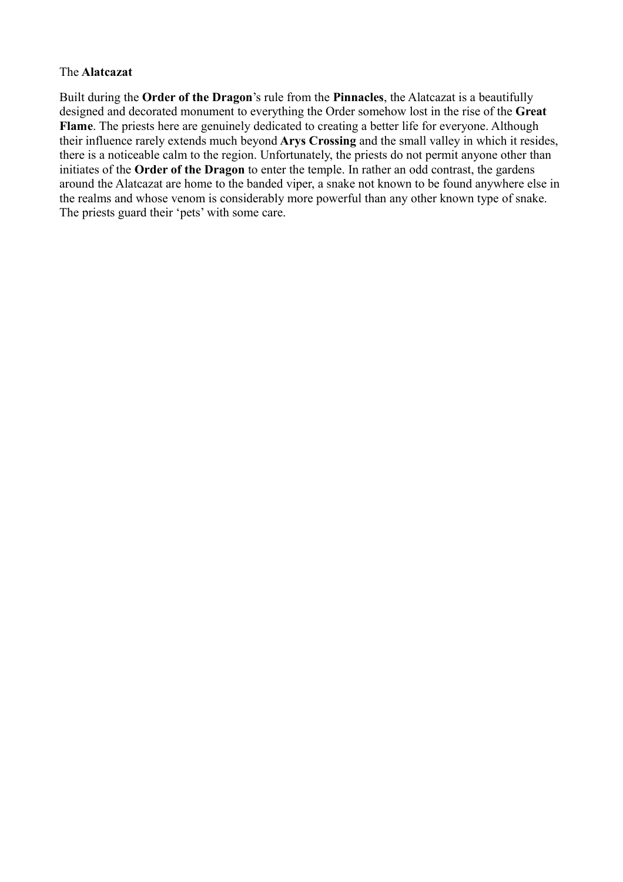#### The **Alatcazat**

Built during the **Order of the Dragon**'s rule from the **Pinnacles**, the Alatcazat is a beautifully designed and decorated monument to everything the Order somehow lost in the rise of the **Great Flame**. The priests here are genuinely dedicated to creating a better life for everyone. Although their influence rarely extends much beyond **Arys Crossing** and the small valley in which it resides, there is a noticeable calm to the region. Unfortunately, the priests do not permit anyone other than initiates of the **Order of the Dragon** to enter the temple. In rather an odd contrast, the gardens around the Alatcazat are home to the banded viper, a snake not known to be found anywhere else in the realms and whose venom is considerably more powerful than any other known type of snake. The priests guard their 'pets' with some care.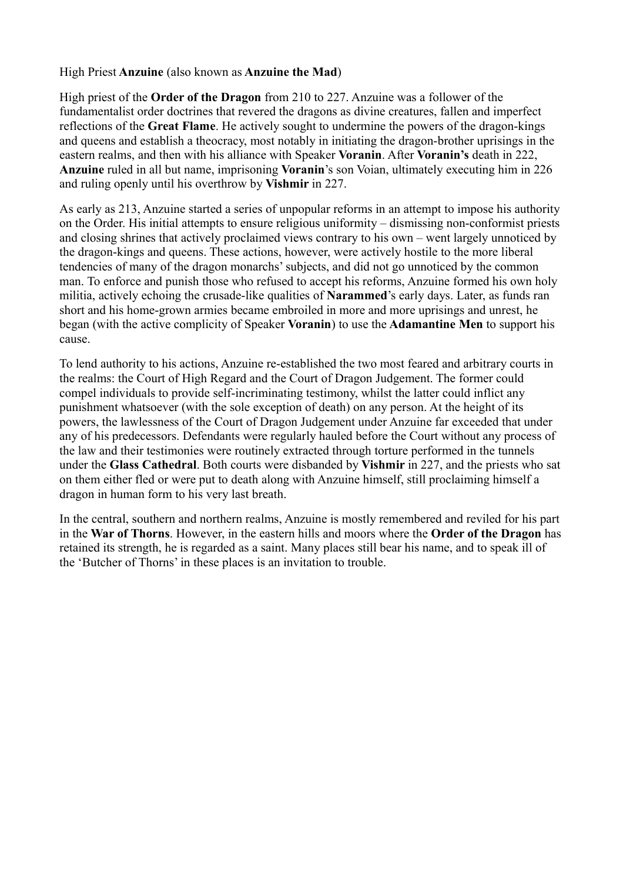#### High Priest **Anzuine** (also known as **Anzuine the Mad**)

High priest of the **Order of the Dragon** from 210 to 227. Anzuine was a follower of the fundamentalist order doctrines that revered the dragons as divine creatures, fallen and imperfect reflections of the **Great Flame**. He actively sought to undermine the powers of the dragon-kings and queens and establish a theocracy, most notably in initiating the dragon-brother uprisings in the eastern realms, and then with his alliance with Speaker **Voranin**. After **Voranin's** death in 222, **Anzuine** ruled in all but name, imprisoning **Voranin**'s son Voian, ultimately executing him in 226 and ruling openly until his overthrow by **Vishmir** in 227.

As early as 213, Anzuine started a series of unpopular reforms in an attempt to impose his authority on the Order. His initial attempts to ensure religious uniformity – dismissing non-conformist priests and closing shrines that actively proclaimed views contrary to his own – went largely unnoticed by the dragon-kings and queens. These actions, however, were actively hostile to the more liberal tendencies of many of the dragon monarchs' subjects, and did not go unnoticed by the common man. To enforce and punish those who refused to accept his reforms, Anzuine formed his own holy militia, actively echoing the crusade-like qualities of **Narammed**'s early days. Later, as funds ran short and his home-grown armies became embroiled in more and more uprisings and unrest, he began (with the active complicity of Speaker **Voranin**) to use the **Adamantine Men** to support his cause.

To lend authority to his actions, Anzuine re-established the two most feared and arbitrary courts in the realms: the Court of High Regard and the Court of Dragon Judgement. The former could compel individuals to provide self-incriminating testimony, whilst the latter could inflict any punishment whatsoever (with the sole exception of death) on any person. At the height of its powers, the lawlessness of the Court of Dragon Judgement under Anzuine far exceeded that under any of his predecessors. Defendants were regularly hauled before the Court without any process of the law and their testimonies were routinely extracted through torture performed in the tunnels under the **Glass Cathedral**. Both courts were disbanded by **Vishmir** in 227, and the priests who sat on them either fled or were put to death along with Anzuine himself, still proclaiming himself a dragon in human form to his very last breath.

In the central, southern and northern realms, Anzuine is mostly remembered and reviled for his part in the **War of Thorns**. However, in the eastern hills and moors where the **Order of the Dragon** has retained its strength, he is regarded as a saint. Many places still bear his name, and to speak ill of the 'Butcher of Thorns' in these places is an invitation to trouble.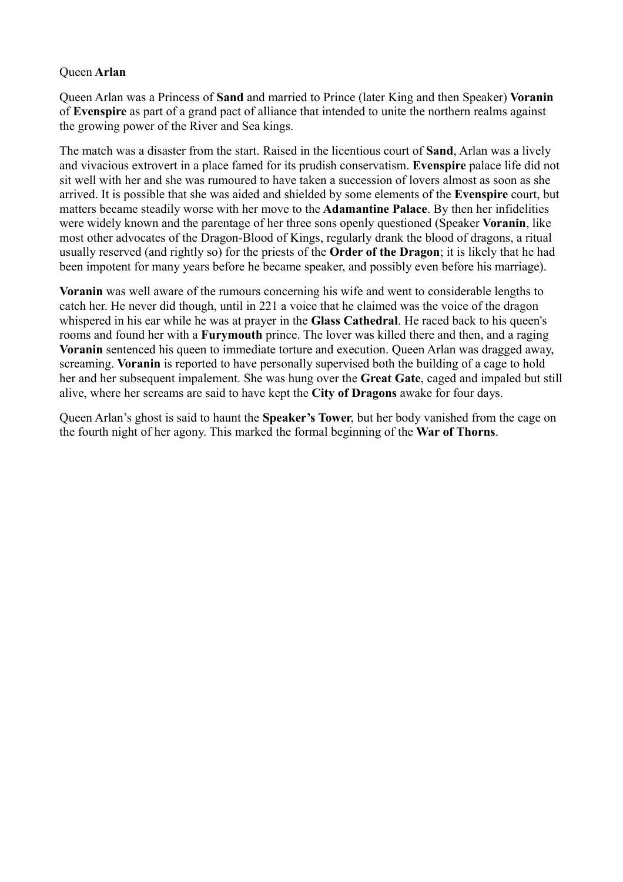#### Queen **Arlan**

Queen Arlan was a Princess of **Sand** and married to Prince (later King and then Speaker) **Voranin** of **Evenspire** as part of a grand pact of alliance that intended to unite the northern realms against the growing power of the River and Sea kings.

The match was a disaster from the start. Raised in the licentious court of **Sand**, Arlan was a lively and vivacious extrovert in a place famed for its prudish conservatism. **Evenspire** palace life did not sit well with her and she was rumoured to have taken a succession of lovers almost as soon as she arrived. It is possible that she was aided and shielded by some elements of the **Evenspire** court, but matters became steadily worse with her move to the **Adamantine Palace**. By then her infidelities were widely known and the parentage of her three sons openly questioned (Speaker **Voranin**, like most other advocates of the Dragon-Blood of Kings, regularly drank the blood of dragons, a ritual usually reserved (and rightly so) for the priests of the **Order of the Dragon**; it is likely that he had been impotent for many years before he became speaker, and possibly even before his marriage).

**Voranin** was well aware of the rumours concerning his wife and went to considerable lengths to catch her. He never did though, until in 221 a voice that he claimed was the voice of the dragon whispered in his ear while he was at prayer in the **Glass Cathedral**. He raced back to his queen's rooms and found her with a **Furymouth** prince. The lover was killed there and then, and a raging **Voranin** sentenced his queen to immediate torture and execution. Queen Arlan was dragged away, screaming. **Voranin** is reported to have personally supervised both the building of a cage to hold her and her subsequent impalement. She was hung over the **Great Gate**, caged and impaled but still alive, where her screams are said to have kept the **City of Dragons** awake for four days.

Queen Arlan's ghost is said to haunt the **Speaker's Tower**, but her body vanished from the cage on the fourth night of her agony. This marked the formal beginning of the **War of Thorns**.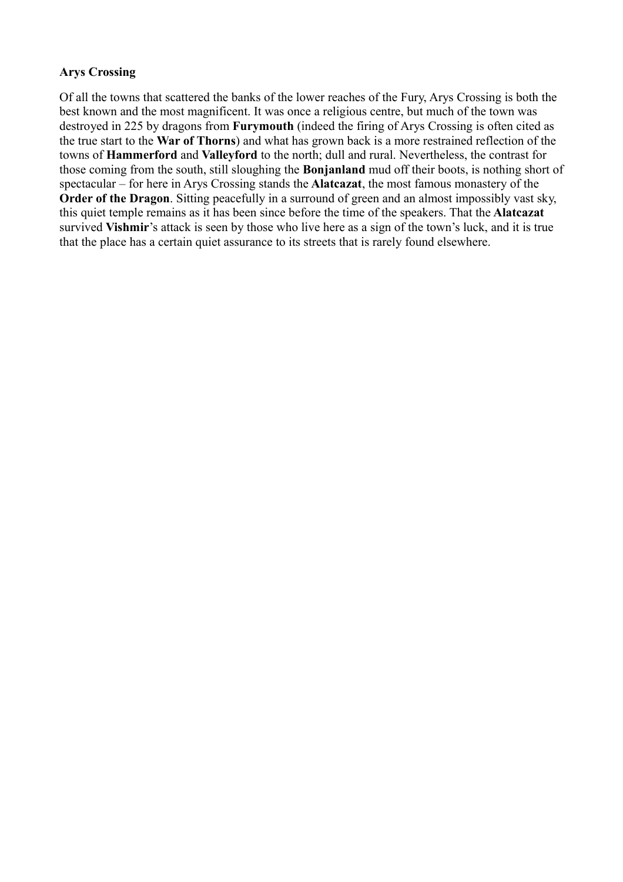# **Arys Crossing**

Of all the towns that scattered the banks of the lower reaches of the Fury, Arys Crossing is both the best known and the most magnificent. It was once a religious centre, but much of the town was destroyed in 225 by dragons from **Furymouth** (indeed the firing of Arys Crossing is often cited as the true start to the **War of Thorns**) and what has grown back is a more restrained reflection of the towns of **Hammerford** and **Valleyford** to the north; dull and rural. Nevertheless, the contrast for those coming from the south, still sloughing the **Bonjanland** mud off their boots, is nothing short of spectacular – for here in Arys Crossing stands the **Alatcazat**, the most famous monastery of the **Order of the Dragon**. Sitting peacefully in a surround of green and an almost impossibly vast sky, this quiet temple remains as it has been since before the time of the speakers. That the **Alatcazat** survived **Vishmir**'s attack is seen by those who live here as a sign of the town's luck, and it is true that the place has a certain quiet assurance to its streets that is rarely found elsewhere.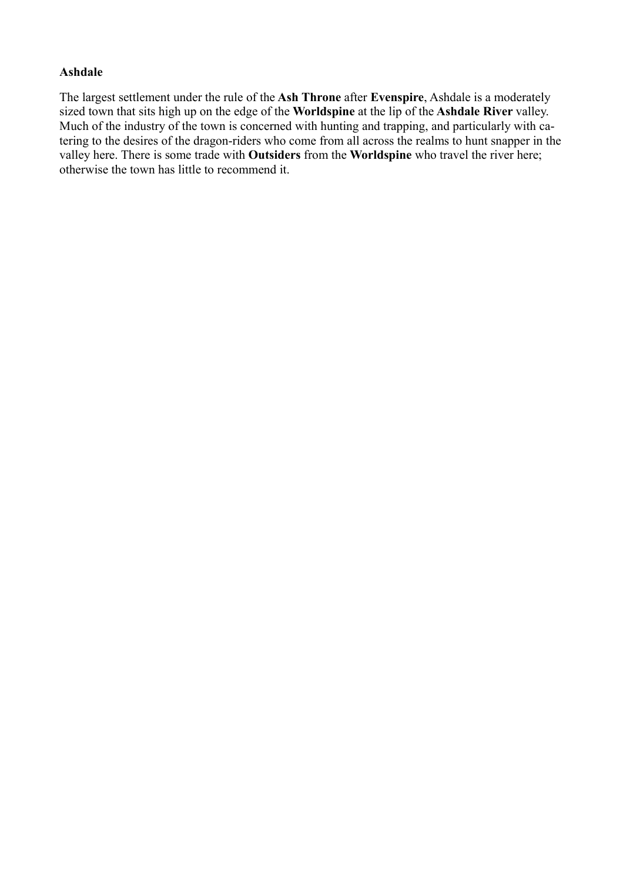# **Ashdale**

The largest settlement under the rule of the **Ash Throne** after **Evenspire**, Ashdale is a moderately sized town that sits high up on the edge of the **Worldspine** at the lip of the **Ashdale River** valley. Much of the industry of the town is concerned with hunting and trapping, and particularly with catering to the desires of the dragon-riders who come from all across the realms to hunt snapper in the valley here. There is some trade with **Outsiders** from the **Worldspine** who travel the river here; otherwise the town has little to recommend it.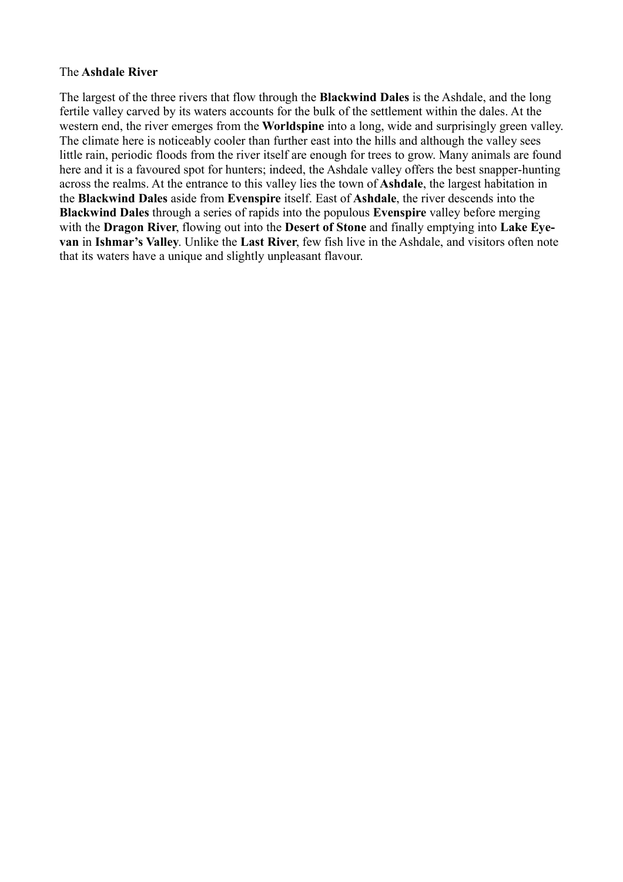#### The **Ashdale River**

The largest of the three rivers that flow through the **Blackwind Dales** is the Ashdale, and the long fertile valley carved by its waters accounts for the bulk of the settlement within the dales. At the western end, the river emerges from the **Worldspine** into a long, wide and surprisingly green valley. The climate here is noticeably cooler than further east into the hills and although the valley sees little rain, periodic floods from the river itself are enough for trees to grow. Many animals are found here and it is a favoured spot for hunters; indeed, the Ashdale valley offers the best snapper-hunting across the realms. At the entrance to this valley lies the town of **Ashdale**, the largest habitation in the **Blackwind Dales** aside from **Evenspire** itself. East of **Ashdale**, the river descends into the **Blackwind Dales** through a series of rapids into the populous **Evenspire** valley before merging with the **Dragon River**, flowing out into the **Desert of Stone** and finally emptying into **Lake Eyevan** in **Ishmar's Valley**. Unlike the **Last River**, few fish live in the Ashdale, and visitors often note that its waters have a unique and slightly unpleasant flavour.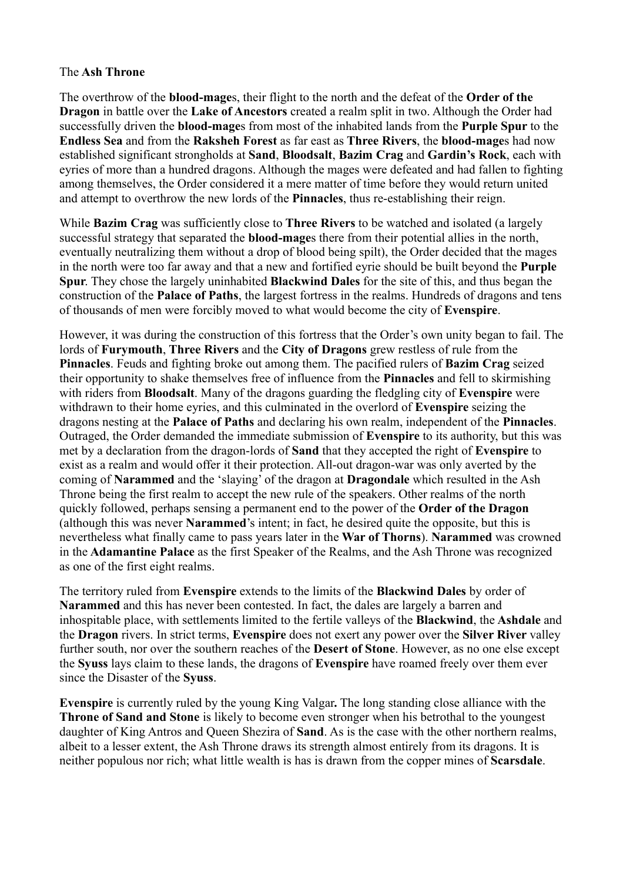#### The **Ash Throne**

The overthrow of the **blood-mage**s, their flight to the north and the defeat of the **Order of the Dragon** in battle over the **Lake of Ancestors** created a realm split in two. Although the Order had successfully driven the **blood-mage**s from most of the inhabited lands from the **Purple Spur** to the **Endless Sea** and from the **Raksheh Forest** as far east as **Three Rivers**, the **blood-mage**s had now established significant strongholds at **Sand**, **Bloodsalt**, **Bazim Crag** and **Gardin's Rock**, each with eyries of more than a hundred dragons. Although the mages were defeated and had fallen to fighting among themselves, the Order considered it a mere matter of time before they would return united and attempt to overthrow the new lords of the **Pinnacles**, thus re-establishing their reign.

While **Bazim Crag** was sufficiently close to **Three Rivers** to be watched and isolated (a largely successful strategy that separated the **blood-mage**s there from their potential allies in the north, eventually neutralizing them without a drop of blood being spilt), the Order decided that the mages in the north were too far away and that a new and fortified eyrie should be built beyond the **Purple Spur**. They chose the largely uninhabited **Blackwind Dales** for the site of this, and thus began the construction of the **Palace of Paths**, the largest fortress in the realms. Hundreds of dragons and tens of thousands of men were forcibly moved to what would become the city of **Evenspire**.

However, it was during the construction of this fortress that the Order's own unity began to fail. The lords of **Furymouth**, **Three Rivers** and the **City of Dragons** grew restless of rule from the **Pinnacles**. Feuds and fighting broke out among them. The pacified rulers of **Bazim Crag** seized their opportunity to shake themselves free of influence from the **Pinnacles** and fell to skirmishing with riders from **Bloodsalt**. Many of the dragons guarding the fledgling city of **Evenspire** were withdrawn to their home eyries, and this culminated in the overlord of **Evenspire** seizing the dragons nesting at the **Palace of Paths** and declaring his own realm, independent of the **Pinnacles**. Outraged, the Order demanded the immediate submission of **Evenspire** to its authority, but this was met by a declaration from the dragon-lords of **Sand** that they accepted the right of **Evenspire** to exist as a realm and would offer it their protection. All-out dragon-war was only averted by the coming of **Narammed** and the 'slaying' of the dragon at **Dragondale** which resulted in the Ash Throne being the first realm to accept the new rule of the speakers. Other realms of the north quickly followed, perhaps sensing a permanent end to the power of the **Order of the Dragon** (although this was never **Narammed**'s intent; in fact, he desired quite the opposite, but this is nevertheless what finally came to pass years later in the **War of Thorns**). **Narammed** was crowned in the **Adamantine Palace** as the first Speaker of the Realms, and the Ash Throne was recognized as one of the first eight realms.

The territory ruled from **Evenspire** extends to the limits of the **Blackwind Dales** by order of **Narammed** and this has never been contested. In fact, the dales are largely a barren and inhospitable place, with settlements limited to the fertile valleys of the **Blackwind**, the **Ashdale** and the **Dragon** rivers. In strict terms, **Evenspire** does not exert any power over the **Silver River** valley further south, nor over the southern reaches of the **Desert of Stone**. However, as no one else except the **Syuss** lays claim to these lands, the dragons of **Evenspire** have roamed freely over them ever since the Disaster of the **Syuss**.

**Evenspire** is currently ruled by the young King Valgar**.** The long standing close alliance with the **Throne of Sand and Stone** is likely to become even stronger when his betrothal to the youngest daughter of King Antros and Queen Shezira of **Sand**. As is the case with the other northern realms, albeit to a lesser extent, the Ash Throne draws its strength almost entirely from its dragons. It is neither populous nor rich; what little wealth is has is drawn from the copper mines of **Scarsdale**.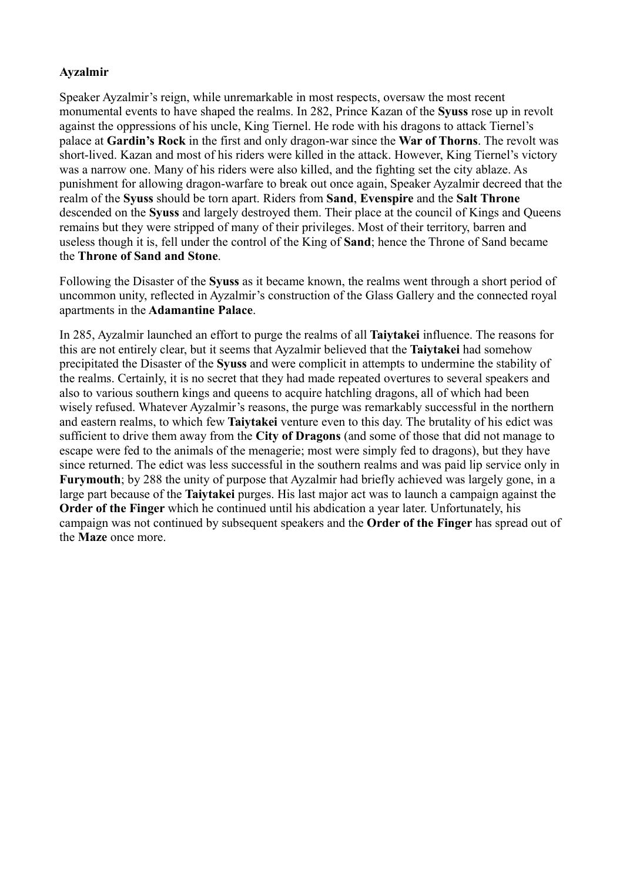# **Ayzalmir**

Speaker Ayzalmir's reign, while unremarkable in most respects, oversaw the most recent monumental events to have shaped the realms. In 282, Prince Kazan of the **Syuss** rose up in revolt against the oppressions of his uncle, King Tiernel. He rode with his dragons to attack Tiernel's palace at **Gardin's Rock** in the first and only dragon-war since the **War of Thorns**. The revolt was short-lived. Kazan and most of his riders were killed in the attack. However, King Tiernel's victory was a narrow one. Many of his riders were also killed, and the fighting set the city ablaze. As punishment for allowing dragon-warfare to break out once again, Speaker Ayzalmir decreed that the realm of the **Syuss** should be torn apart. Riders from **Sand**, **Evenspire** and the **Salt Throne** descended on the **Syuss** and largely destroyed them. Their place at the council of Kings and Queens remains but they were stripped of many of their privileges. Most of their territory, barren and useless though it is, fell under the control of the King of **Sand**; hence the Throne of Sand became the **Throne of Sand and Stone**.

Following the Disaster of the **Syuss** as it became known, the realms went through a short period of uncommon unity, reflected in Ayzalmir's construction of the Glass Gallery and the connected royal apartments in the **Adamantine Palace**.

In 285, Ayzalmir launched an effort to purge the realms of all **Taiytakei** influence. The reasons for this are not entirely clear, but it seems that Ayzalmir believed that the **Taiytakei** had somehow precipitated the Disaster of the **Syuss** and were complicit in attempts to undermine the stability of the realms. Certainly, it is no secret that they had made repeated overtures to several speakers and also to various southern kings and queens to acquire hatchling dragons, all of which had been wisely refused. Whatever Ayzalmir's reasons, the purge was remarkably successful in the northern and eastern realms, to which few **Taiytakei** venture even to this day. The brutality of his edict was sufficient to drive them away from the **City of Dragons** (and some of those that did not manage to escape were fed to the animals of the menagerie; most were simply fed to dragons), but they have since returned. The edict was less successful in the southern realms and was paid lip service only in **Furymouth**; by 288 the unity of purpose that Ayzalmir had briefly achieved was largely gone, in a large part because of the **Taiytakei** purges. His last major act was to launch a campaign against the **Order of the Finger** which he continued until his abdication a year later. Unfortunately, his campaign was not continued by subsequent speakers and the **Order of the Finger** has spread out of the **Maze** once more.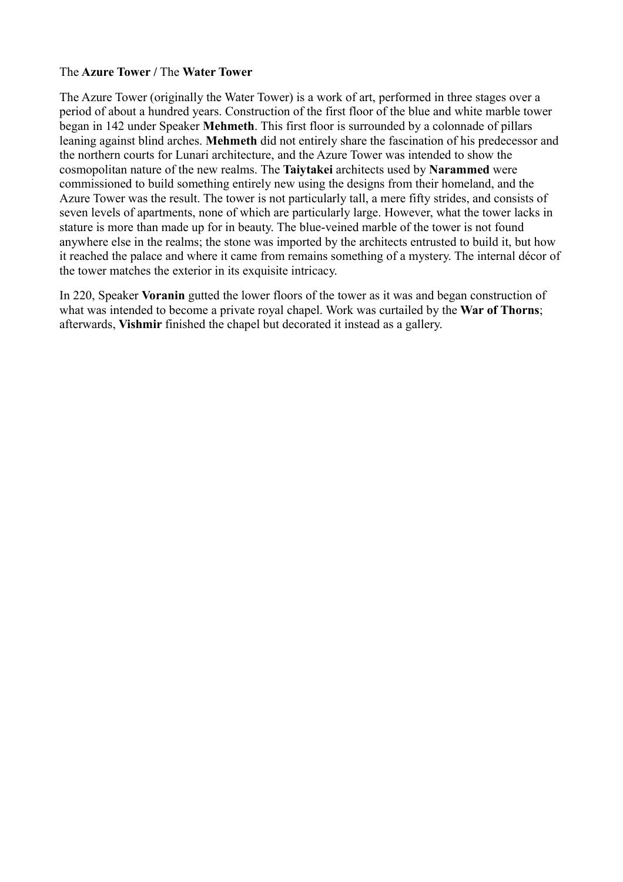#### The **Azure Tower /** The **Water Tower**

The Azure Tower (originally the Water Tower) is a work of art, performed in three stages over a period of about a hundred years. Construction of the first floor of the blue and white marble tower began in 142 under Speaker **Mehmeth**. This first floor is surrounded by a colonnade of pillars leaning against blind arches. **Mehmeth** did not entirely share the fascination of his predecessor and the northern courts for Lunari architecture, and the Azure Tower was intended to show the cosmopolitan nature of the new realms. The **Taiytakei** architects used by **Narammed** were commissioned to build something entirely new using the designs from their homeland, and the Azure Tower was the result. The tower is not particularly tall, a mere fifty strides, and consists of seven levels of apartments, none of which are particularly large. However, what the tower lacks in stature is more than made up for in beauty. The blue-veined marble of the tower is not found anywhere else in the realms; the stone was imported by the architects entrusted to build it, but how it reached the palace and where it came from remains something of a mystery. The internal décor of the tower matches the exterior in its exquisite intricacy.

In 220, Speaker **Voranin** gutted the lower floors of the tower as it was and began construction of what was intended to become a private royal chapel. Work was curtailed by the **War of Thorns**; afterwards, **Vishmir** finished the chapel but decorated it instead as a gallery.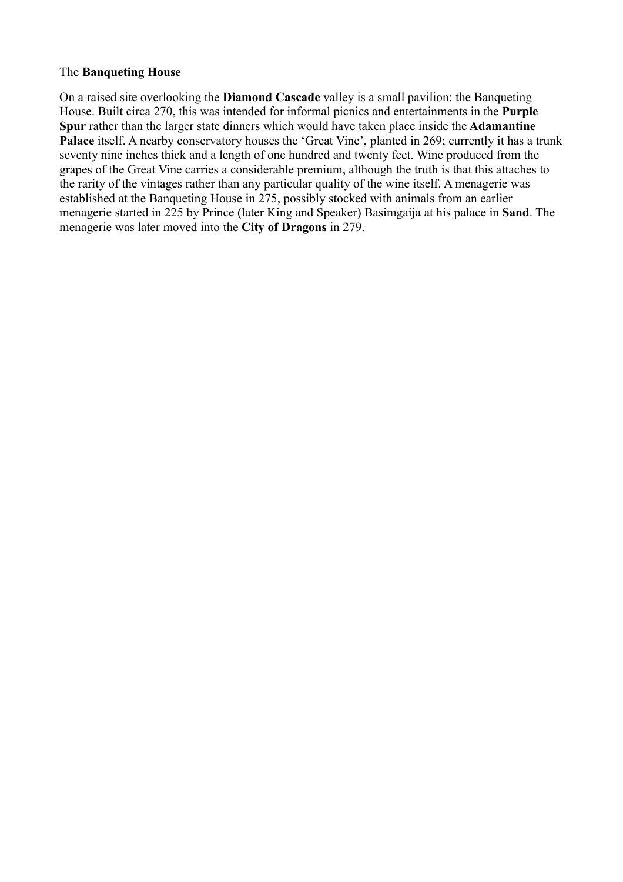#### The **Banqueting House**

On a raised site overlooking the **Diamond Cascade** valley is a small pavilion: the Banqueting House. Built circa 270, this was intended for informal picnics and entertainments in the **Purple Spur** rather than the larger state dinners which would have taken place inside the **Adamantine** Palace itself. A nearby conservatory houses the 'Great Vine', planted in 269; currently it has a trunk seventy nine inches thick and a length of one hundred and twenty feet. Wine produced from the grapes of the Great Vine carries a considerable premium, although the truth is that this attaches to the rarity of the vintages rather than any particular quality of the wine itself. A menagerie was established at the Banqueting House in 275, possibly stocked with animals from an earlier menagerie started in 225 by Prince (later King and Speaker) Basimgaija at his palace in **Sand**. The menagerie was later moved into the **City of Dragons** in 279.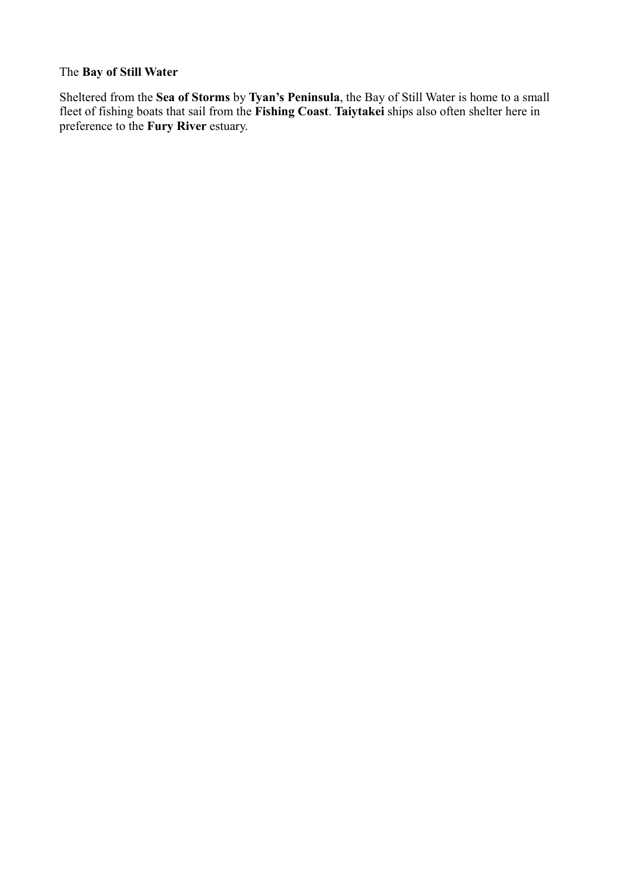# The **Bay of Still Water**

Sheltered from the **Sea of Storms** by **Tyan's Peninsula**, the Bay of Still Water is home to a small fleet of fishing boats that sail from the **Fishing Coast**. **Taiytakei** ships also often shelter here in preference to the **Fury River** estuary.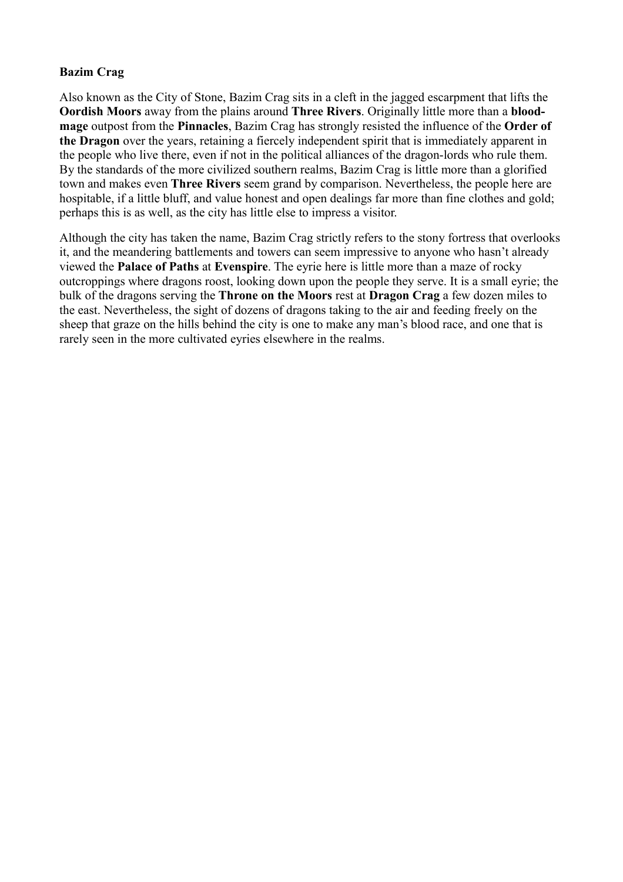# **Bazim Crag**

Also known as the City of Stone, Bazim Crag sits in a cleft in the jagged escarpment that lifts the **Oordish Moors** away from the plains around **Three Rivers**. Originally little more than a **bloodmage** outpost from the **Pinnacles**, Bazim Crag has strongly resisted the influence of the **Order of the Dragon** over the years, retaining a fiercely independent spirit that is immediately apparent in the people who live there, even if not in the political alliances of the dragon-lords who rule them. By the standards of the more civilized southern realms, Bazim Crag is little more than a glorified town and makes even **Three Rivers** seem grand by comparison. Nevertheless, the people here are hospitable, if a little bluff, and value honest and open dealings far more than fine clothes and gold; perhaps this is as well, as the city has little else to impress a visitor.

Although the city has taken the name, Bazim Crag strictly refers to the stony fortress that overlooks it, and the meandering battlements and towers can seem impressive to anyone who hasn't already viewed the **Palace of Paths** at **Evenspire**. The eyrie here is little more than a maze of rocky outcroppings where dragons roost, looking down upon the people they serve. It is a small eyrie; the bulk of the dragons serving the **Throne on the Moors** rest at **Dragon Crag** a few dozen miles to the east. Nevertheless, the sight of dozens of dragons taking to the air and feeding freely on the sheep that graze on the hills behind the city is one to make any man's blood race, and one that is rarely seen in the more cultivated eyries elsewhere in the realms.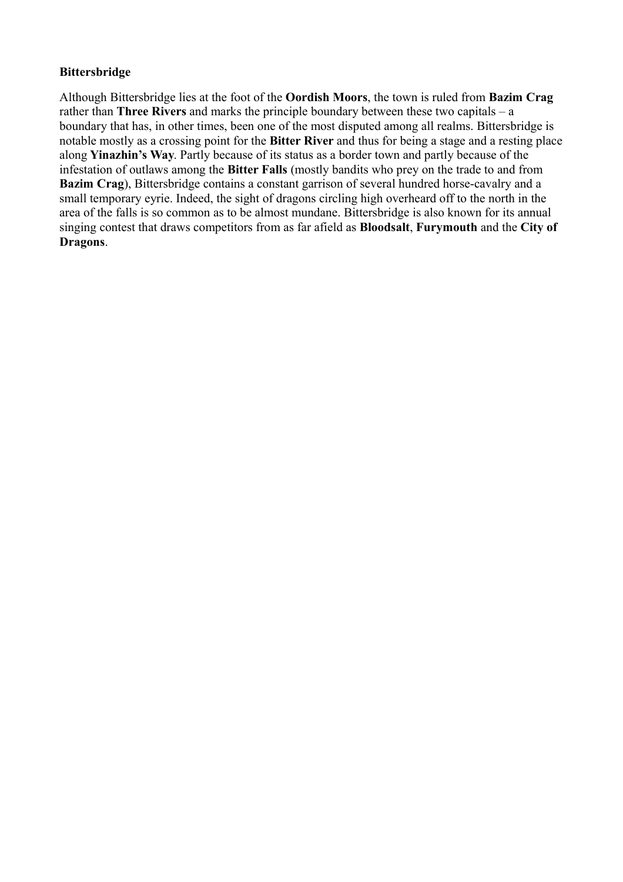# **Bittersbridge**

Although Bittersbridge lies at the foot of the **Oordish Moors**, the town is ruled from **Bazim Crag** rather than **Three Rivers** and marks the principle boundary between these two capitals – a boundary that has, in other times, been one of the most disputed among all realms. Bittersbridge is notable mostly as a crossing point for the **Bitter River** and thus for being a stage and a resting place along **Yinazhin's Way**. Partly because of its status as a border town and partly because of the infestation of outlaws among the **Bitter Falls** (mostly bandits who prey on the trade to and from **Bazim Crag**), Bittersbridge contains a constant garrison of several hundred horse-cavalry and a small temporary eyrie. Indeed, the sight of dragons circling high overheard off to the north in the area of the falls is so common as to be almost mundane. Bittersbridge is also known for its annual singing contest that draws competitors from as far afield as **Bloodsalt**, **Furymouth** and the **City of Dragons**.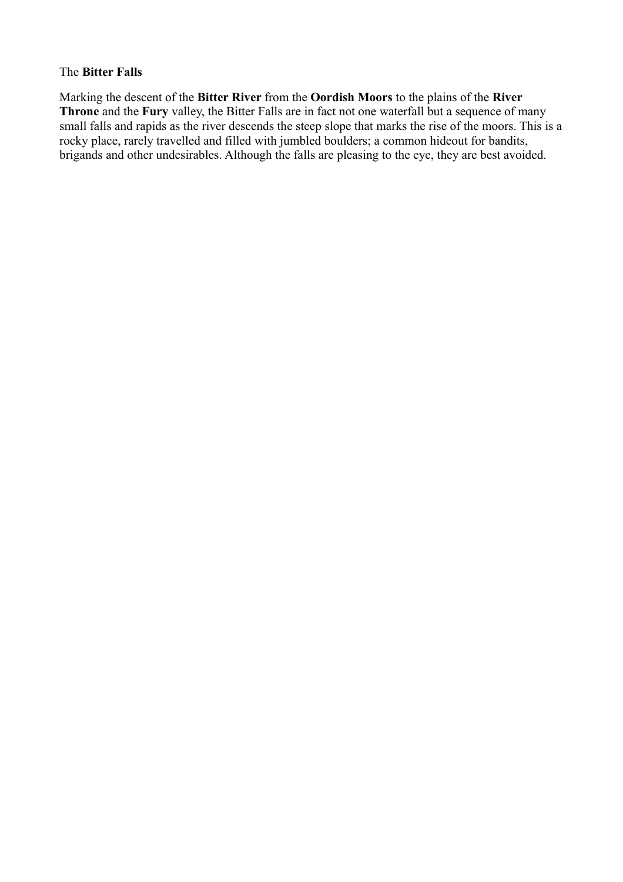#### The **Bitter Falls**

Marking the descent of the **Bitter River** from the **Oordish Moors** to the plains of the **River Throne** and the **Fury** valley, the Bitter Falls are in fact not one waterfall but a sequence of many small falls and rapids as the river descends the steep slope that marks the rise of the moors. This is a rocky place, rarely travelled and filled with jumbled boulders; a common hideout for bandits, brigands and other undesirables. Although the falls are pleasing to the eye, they are best avoided.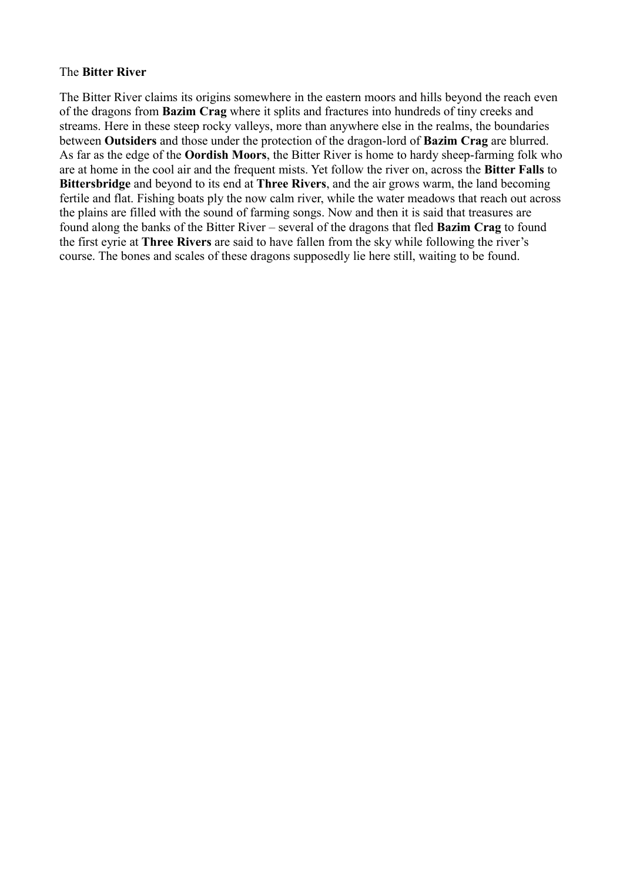#### The **Bitter River**

The Bitter River claims its origins somewhere in the eastern moors and hills beyond the reach even of the dragons from **Bazim Crag** where it splits and fractures into hundreds of tiny creeks and streams. Here in these steep rocky valleys, more than anywhere else in the realms, the boundaries between **Outsiders** and those under the protection of the dragon-lord of **Bazim Crag** are blurred. As far as the edge of the **Oordish Moors**, the Bitter River is home to hardy sheep-farming folk who are at home in the cool air and the frequent mists. Yet follow the river on, across the **Bitter Falls** to **Bittersbridge** and beyond to its end at **Three Rivers**, and the air grows warm, the land becoming fertile and flat. Fishing boats ply the now calm river, while the water meadows that reach out across the plains are filled with the sound of farming songs. Now and then it is said that treasures are found along the banks of the Bitter River – several of the dragons that fled **Bazim Crag** to found the first eyrie at **Three Rivers** are said to have fallen from the sky while following the river's course. The bones and scales of these dragons supposedly lie here still, waiting to be found.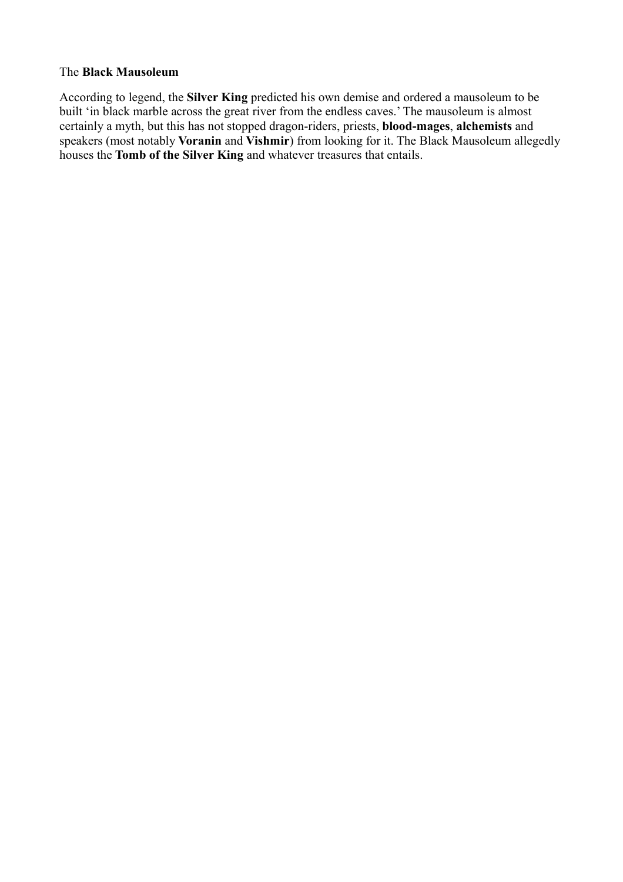#### The **Black Mausoleum**

According to legend, the **Silver King** predicted his own demise and ordered a mausoleum to be built 'in black marble across the great river from the endless caves.' The mausoleum is almost certainly a myth, but this has not stopped dragon-riders, priests, **blood-mages**, **alchemists** and speakers (most notably **Voranin** and **Vishmir**) from looking for it. The Black Mausoleum allegedly houses the **Tomb of the Silver King** and whatever treasures that entails.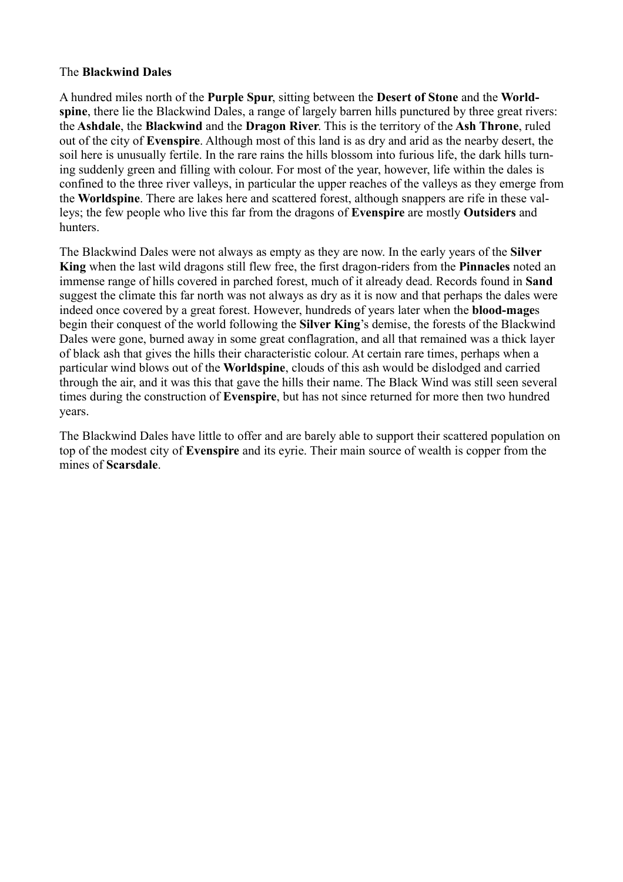### The **Blackwind Dales**

A hundred miles north of the **Purple Spur**, sitting between the **Desert of Stone** and the **Worldspine**, there lie the Blackwind Dales, a range of largely barren hills punctured by three great rivers: the **Ashdale**, the **Blackwind** and the **Dragon River**. This is the territory of the **Ash Throne**, ruled out of the city of **Evenspire**. Although most of this land is as dry and arid as the nearby desert, the soil here is unusually fertile. In the rare rains the hills blossom into furious life, the dark hills turning suddenly green and filling with colour. For most of the year, however, life within the dales is confined to the three river valleys, in particular the upper reaches of the valleys as they emerge from the **Worldspine**. There are lakes here and scattered forest, although snappers are rife in these valleys; the few people who live this far from the dragons of **Evenspire** are mostly **Outsiders** and hunters.

The Blackwind Dales were not always as empty as they are now. In the early years of the **Silver King** when the last wild dragons still flew free, the first dragon-riders from the **Pinnacles** noted an immense range of hills covered in parched forest, much of it already dead. Records found in **Sand** suggest the climate this far north was not always as dry as it is now and that perhaps the dales were indeed once covered by a great forest. However, hundreds of years later when the **blood-mage**s begin their conquest of the world following the **Silver King**'s demise, the forests of the Blackwind Dales were gone, burned away in some great conflagration, and all that remained was a thick layer of black ash that gives the hills their characteristic colour. At certain rare times, perhaps when a particular wind blows out of the **Worldspine**, clouds of this ash would be dislodged and carried through the air, and it was this that gave the hills their name. The Black Wind was still seen several times during the construction of **Evenspire**, but has not since returned for more then two hundred years.

The Blackwind Dales have little to offer and are barely able to support their scattered population on top of the modest city of **Evenspire** and its eyrie. Their main source of wealth is copper from the mines of **Scarsdale**.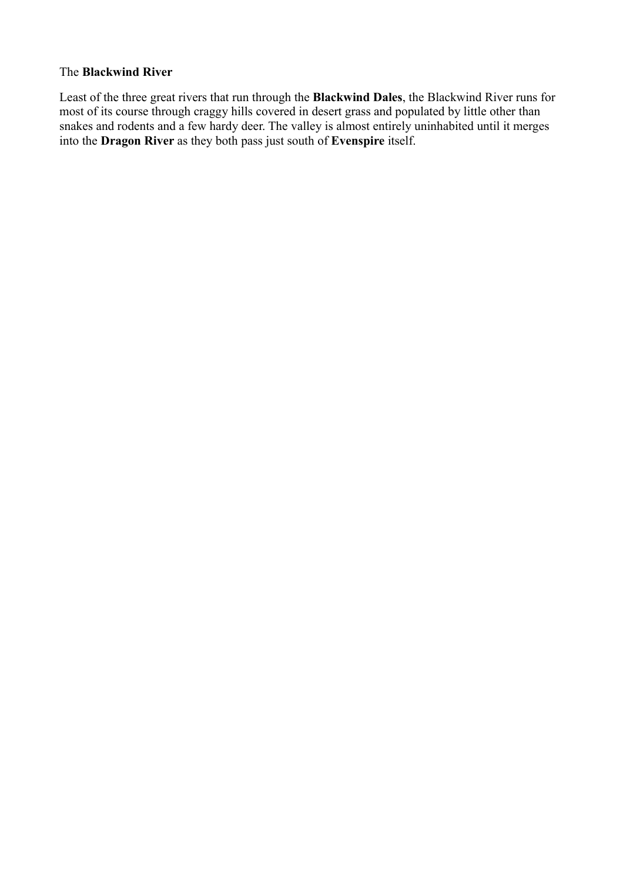# The **Blackwind River**

Least of the three great rivers that run through the **Blackwind Dales**, the Blackwind River runs for most of its course through craggy hills covered in desert grass and populated by little other than snakes and rodents and a few hardy deer. The valley is almost entirely uninhabited until it merges into the **Dragon River** as they both pass just south of **Evenspire** itself.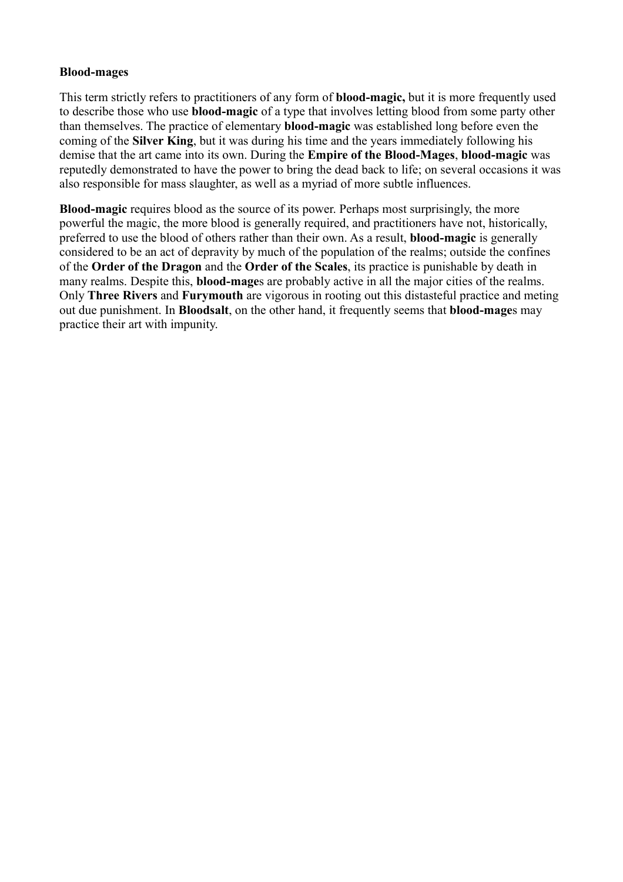#### **Blood-mages**

This term strictly refers to practitioners of any form of **blood-magic,** but it is more frequently used to describe those who use **blood-magic** of a type that involves letting blood from some party other than themselves. The practice of elementary **blood-magic** was established long before even the coming of the **Silver King**, but it was during his time and the years immediately following his demise that the art came into its own. During the **Empire of the Blood-Mages**, **blood-magic** was reputedly demonstrated to have the power to bring the dead back to life; on several occasions it was also responsible for mass slaughter, as well as a myriad of more subtle influences.

**Blood-magic** requires blood as the source of its power. Perhaps most surprisingly, the more powerful the magic, the more blood is generally required, and practitioners have not, historically, preferred to use the blood of others rather than their own. As a result, **blood-magic** is generally considered to be an act of depravity by much of the population of the realms; outside the confines of the **Order of the Dragon** and the **Order of the Scales**, its practice is punishable by death in many realms. Despite this, **blood-mage**s are probably active in all the major cities of the realms. Only **Three Rivers** and **Furymouth** are vigorous in rooting out this distasteful practice and meting out due punishment. In **Bloodsalt**, on the other hand, it frequently seems that **blood-mage**s may practice their art with impunity.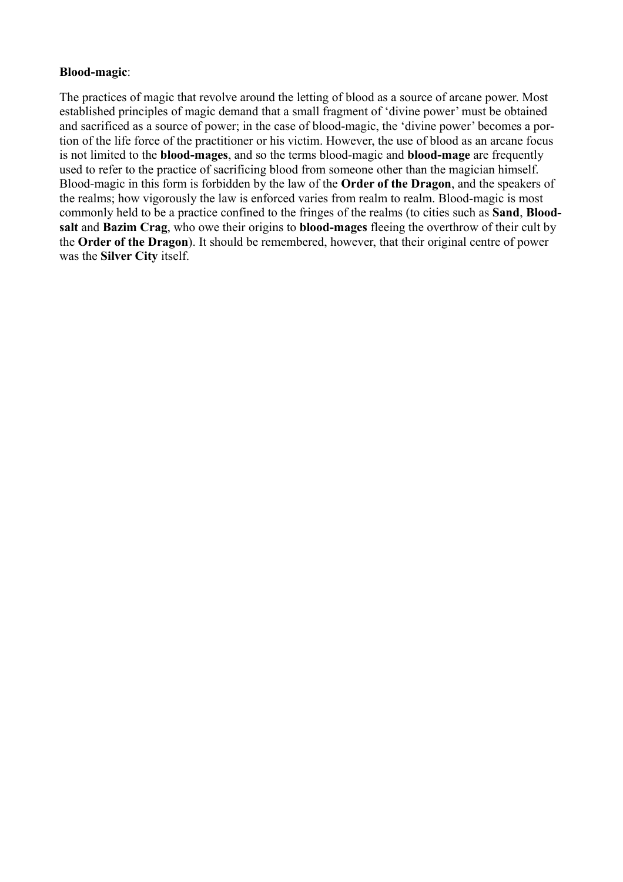### **Blood-magic**:

The practices of magic that revolve around the letting of blood as a source of arcane power. Most established principles of magic demand that a small fragment of 'divine power' must be obtained and sacrificed as a source of power; in the case of blood-magic, the 'divine power' becomes a portion of the life force of the practitioner or his victim. However, the use of blood as an arcane focus is not limited to the **blood-mages**, and so the terms blood-magic and **blood-mage** are frequently used to refer to the practice of sacrificing blood from someone other than the magician himself. Blood-magic in this form is forbidden by the law of the **Order of the Dragon**, and the speakers of the realms; how vigorously the law is enforced varies from realm to realm. Blood-magic is most commonly held to be a practice confined to the fringes of the realms (to cities such as **Sand**, **Bloodsalt** and **Bazim Crag**, who owe their origins to **blood-mages** fleeing the overthrow of their cult by the **Order of the Dragon**). It should be remembered, however, that their original centre of power was the **Silver City** itself.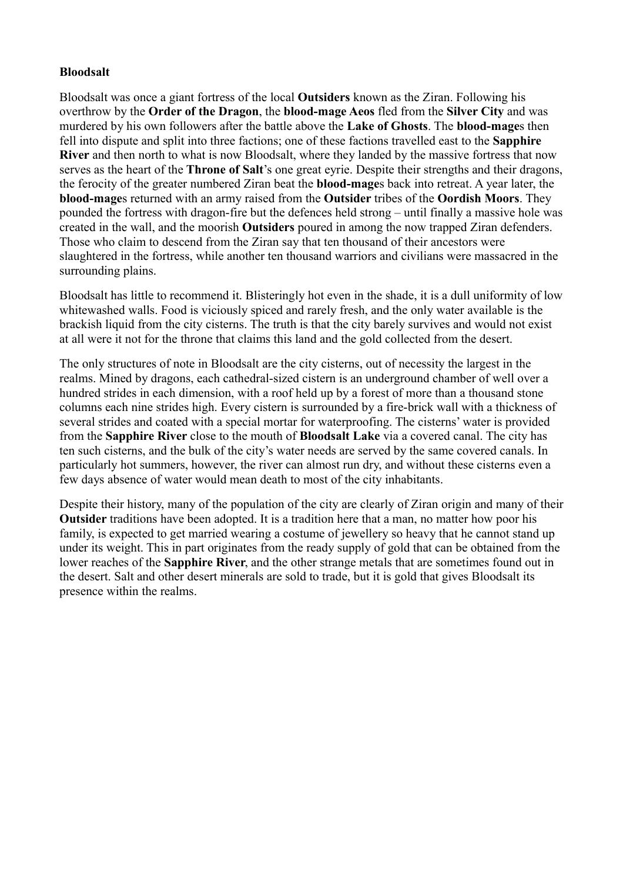## **Bloodsalt**

Bloodsalt was once a giant fortress of the local **Outsiders** known as the Ziran. Following his overthrow by the **Order of the Dragon**, the **blood-mage Aeos** fled from the **Silver City** and was murdered by his own followers after the battle above the **Lake of Ghosts**. The **blood-mage**s then fell into dispute and split into three factions; one of these factions travelled east to the **Sapphire River** and then north to what is now Bloodsalt, where they landed by the massive fortress that now serves as the heart of the **Throne of Salt**'s one great eyrie. Despite their strengths and their dragons, the ferocity of the greater numbered Ziran beat the **blood-mage**s back into retreat. A year later, the **blood-mage**s returned with an army raised from the **Outsider** tribes of the **Oordish Moors**. They pounded the fortress with dragon-fire but the defences held strong – until finally a massive hole was created in the wall, and the moorish **Outsiders** poured in among the now trapped Ziran defenders. Those who claim to descend from the Ziran say that ten thousand of their ancestors were slaughtered in the fortress, while another ten thousand warriors and civilians were massacred in the surrounding plains.

Bloodsalt has little to recommend it. Blisteringly hot even in the shade, it is a dull uniformity of low whitewashed walls. Food is viciously spiced and rarely fresh, and the only water available is the brackish liquid from the city cisterns. The truth is that the city barely survives and would not exist at all were it not for the throne that claims this land and the gold collected from the desert.

The only structures of note in Bloodsalt are the city cisterns, out of necessity the largest in the realms. Mined by dragons, each cathedral-sized cistern is an underground chamber of well over a hundred strides in each dimension, with a roof held up by a forest of more than a thousand stone columns each nine strides high. Every cistern is surrounded by a fire-brick wall with a thickness of several strides and coated with a special mortar for waterproofing. The cisterns' water is provided from the **Sapphire River** close to the mouth of **Bloodsalt Lake** via a covered canal. The city has ten such cisterns, and the bulk of the city's water needs are served by the same covered canals. In particularly hot summers, however, the river can almost run dry, and without these cisterns even a few days absence of water would mean death to most of the city inhabitants.

Despite their history, many of the population of the city are clearly of Ziran origin and many of their **Outsider** traditions have been adopted. It is a tradition here that a man, no matter how poor his family, is expected to get married wearing a costume of jewellery so heavy that he cannot stand up under its weight. This in part originates from the ready supply of gold that can be obtained from the lower reaches of the **Sapphire River**, and the other strange metals that are sometimes found out in the desert. Salt and other desert minerals are sold to trade, but it is gold that gives Bloodsalt its presence within the realms.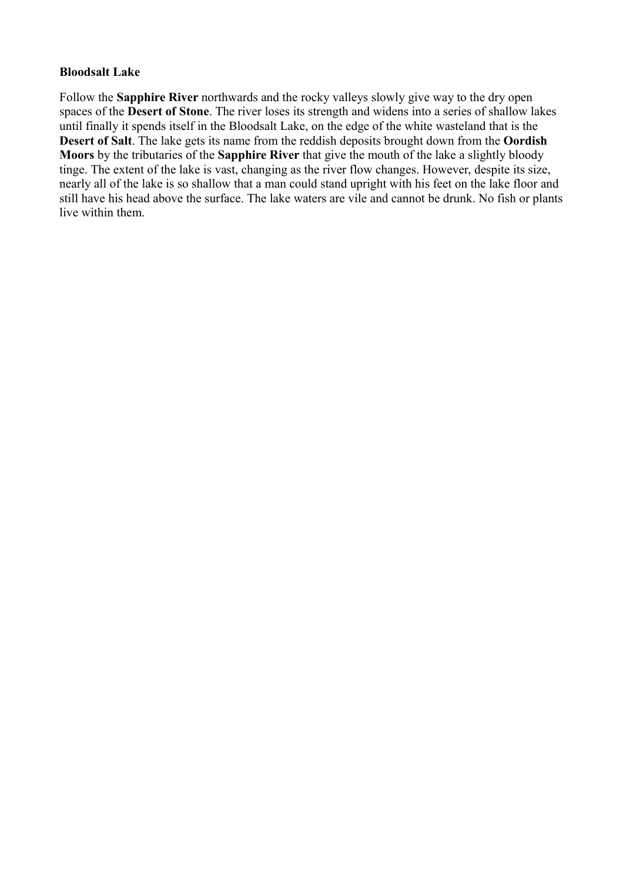#### **Bloodsalt Lake**

Follow the **Sapphire River** northwards and the rocky valleys slowly give way to the dry open spaces of the **Desert of Stone**. The river loses its strength and widens into a series of shallow lakes until finally it spends itself in the Bloodsalt Lake, on the edge of the white wasteland that is the **Desert of Salt**. The lake gets its name from the reddish deposits brought down from the **Oordish Moors** by the tributaries of the **Sapphire River** that give the mouth of the lake a slightly bloody tinge. The extent of the lake is vast, changing as the river flow changes. However, despite its size, nearly all of the lake is so shallow that a man could stand upright with his feet on the lake floor and still have his head above the surface. The lake waters are vile and cannot be drunk. No fish or plants live within them.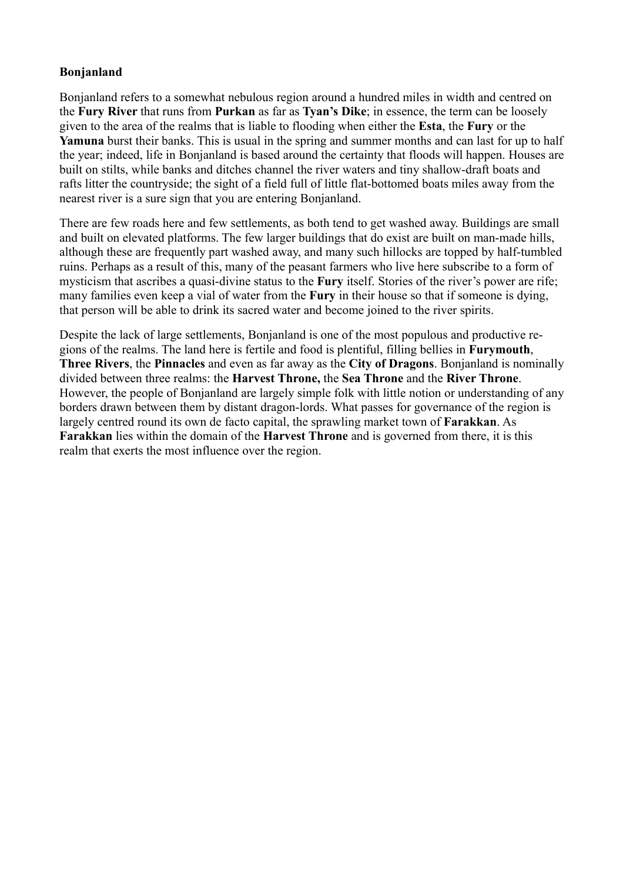# **Bonjanland**

Bonjanland refers to a somewhat nebulous region around a hundred miles in width and centred on the **Fury River** that runs from **Purkan** as far as **Tyan's Dike**; in essence, the term can be loosely given to the area of the realms that is liable to flooding when either the **Esta**, the **Fury** or the **Yamuna** burst their banks. This is usual in the spring and summer months and can last for up to half the year; indeed, life in Bonjanland is based around the certainty that floods will happen. Houses are built on stilts, while banks and ditches channel the river waters and tiny shallow-draft boats and rafts litter the countryside; the sight of a field full of little flat-bottomed boats miles away from the nearest river is a sure sign that you are entering Bonjanland.

There are few roads here and few settlements, as both tend to get washed away. Buildings are small and built on elevated platforms. The few larger buildings that do exist are built on man-made hills, although these are frequently part washed away, and many such hillocks are topped by half-tumbled ruins. Perhaps as a result of this, many of the peasant farmers who live here subscribe to a form of mysticism that ascribes a quasi-divine status to the **Fury** itself. Stories of the river's power are rife; many families even keep a vial of water from the **Fury** in their house so that if someone is dying, that person will be able to drink its sacred water and become joined to the river spirits.

Despite the lack of large settlements, Bonjanland is one of the most populous and productive regions of the realms. The land here is fertile and food is plentiful, filling bellies in **Furymouth**, **Three Rivers**, the **Pinnacles** and even as far away as the **City of Dragons**. Bonjanland is nominally divided between three realms: the **Harvest Throne,** the **Sea Throne** and the **River Throne**. However, the people of Bonjanland are largely simple folk with little notion or understanding of any borders drawn between them by distant dragon-lords. What passes for governance of the region is largely centred round its own de facto capital, the sprawling market town of **Farakkan**. As **Farakkan** lies within the domain of the **Harvest Throne** and is governed from there, it is this realm that exerts the most influence over the region.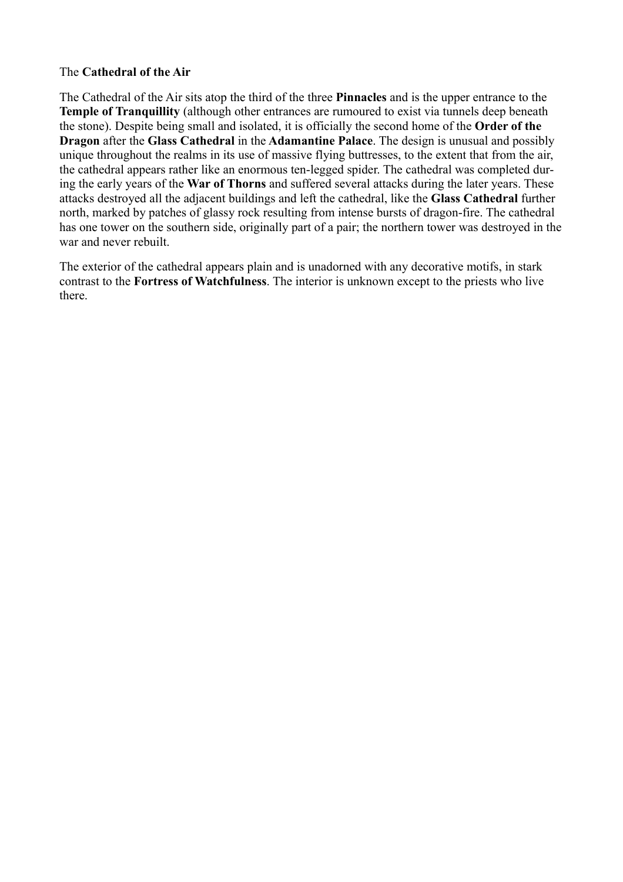# The **Cathedral of the Air**

The Cathedral of the Air sits atop the third of the three **Pinnacles** and is the upper entrance to the **Temple of Tranquillity** (although other entrances are rumoured to exist via tunnels deep beneath the stone). Despite being small and isolated, it is officially the second home of the **Order of the Dragon** after the **Glass Cathedral** in the **Adamantine Palace**. The design is unusual and possibly unique throughout the realms in its use of massive flying buttresses, to the extent that from the air, the cathedral appears rather like an enormous ten-legged spider. The cathedral was completed during the early years of the **War of Thorns** and suffered several attacks during the later years. These attacks destroyed all the adjacent buildings and left the cathedral, like the **Glass Cathedral** further north, marked by patches of glassy rock resulting from intense bursts of dragon-fire. The cathedral has one tower on the southern side, originally part of a pair; the northern tower was destroyed in the war and never rebuilt.

The exterior of the cathedral appears plain and is unadorned with any decorative motifs, in stark contrast to the **Fortress of Watchfulness**. The interior is unknown except to the priests who live there.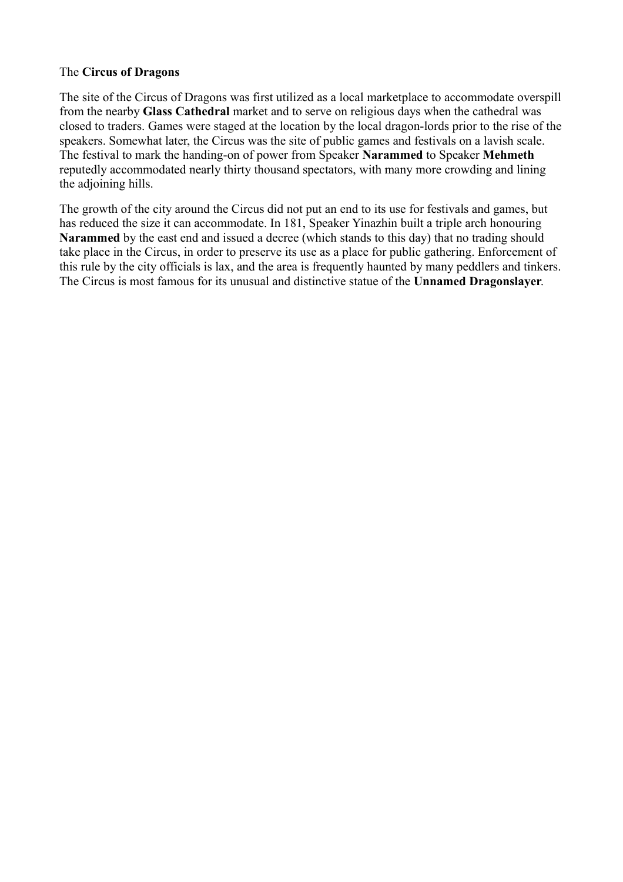# The **Circus of Dragons**

The site of the Circus of Dragons was first utilized as a local marketplace to accommodate overspill from the nearby **Glass Cathedral** market and to serve on religious days when the cathedral was closed to traders. Games were staged at the location by the local dragon-lords prior to the rise of the speakers. Somewhat later, the Circus was the site of public games and festivals on a lavish scale. The festival to mark the handing-on of power from Speaker **Narammed** to Speaker **Mehmeth** reputedly accommodated nearly thirty thousand spectators, with many more crowding and lining the adjoining hills.

The growth of the city around the Circus did not put an end to its use for festivals and games, but has reduced the size it can accommodate. In 181, Speaker Yinazhin built a triple arch honouring **Narammed** by the east end and issued a decree (which stands to this day) that no trading should take place in the Circus, in order to preserve its use as a place for public gathering. Enforcement of this rule by the city officials is lax, and the area is frequently haunted by many peddlers and tinkers. The Circus is most famous for its unusual and distinctive statue of the **Unnamed Dragonslayer**.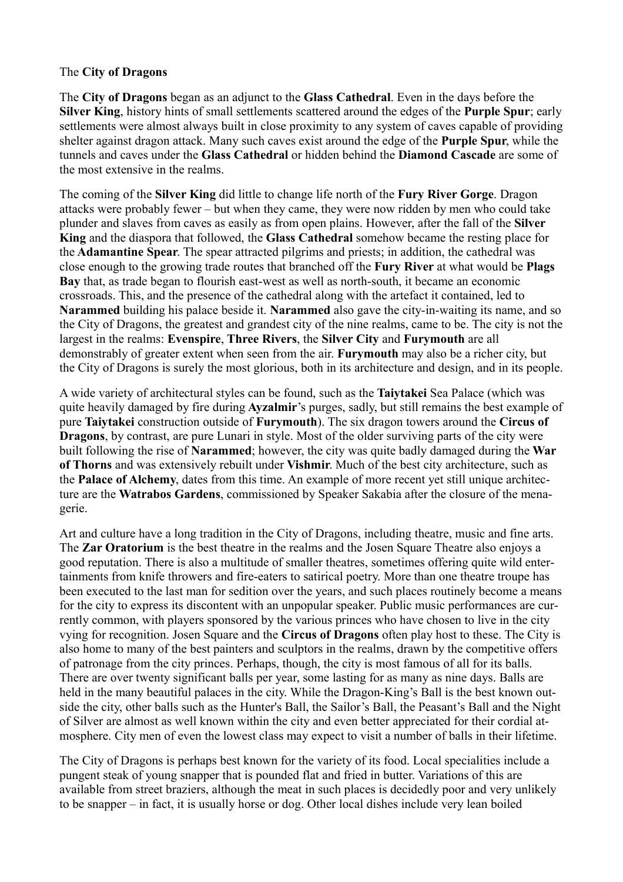#### The **City of Dragons**

The **City of Dragons** began as an adjunct to the **Glass Cathedral**. Even in the days before the **Silver King**, history hints of small settlements scattered around the edges of the **Purple Spur**; early settlements were almost always built in close proximity to any system of caves capable of providing shelter against dragon attack. Many such caves exist around the edge of the **Purple Spur**, while the tunnels and caves under the **Glass Cathedral** or hidden behind the **Diamond Cascade** are some of the most extensive in the realms.

The coming of the **Silver King** did little to change life north of the **Fury River Gorge**. Dragon attacks were probably fewer – but when they came, they were now ridden by men who could take plunder and slaves from caves as easily as from open plains. However, after the fall of the **Silver King** and the diaspora that followed, the **Glass Cathedral** somehow became the resting place for the **Adamantine Spear**. The spear attracted pilgrims and priests; in addition, the cathedral was close enough to the growing trade routes that branched off the **Fury River** at what would be **Plags Bay** that, as trade began to flourish east-west as well as north-south, it became an economic crossroads. This, and the presence of the cathedral along with the artefact it contained, led to **Narammed** building his palace beside it. **Narammed** also gave the city-in-waiting its name, and so the City of Dragons, the greatest and grandest city of the nine realms, came to be. The city is not the largest in the realms: **Evenspire**, **Three Rivers**, the **Silver City** and **Furymouth** are all demonstrably of greater extent when seen from the air. **Furymouth** may also be a richer city, but the City of Dragons is surely the most glorious, both in its architecture and design, and in its people.

A wide variety of architectural styles can be found, such as the **Taiytakei** Sea Palace (which was quite heavily damaged by fire during **Ayzalmir**'s purges, sadly, but still remains the best example of pure **Taiytakei** construction outside of **Furymouth**). The six dragon towers around the **Circus of Dragons**, by contrast, are pure Lunari in style. Most of the older surviving parts of the city were built following the rise of **Narammed**; however, the city was quite badly damaged during the **War of Thorns** and was extensively rebuilt under **Vishmir**. Much of the best city architecture, such as the **Palace of Alchemy**, dates from this time. An example of more recent yet still unique architecture are the **Watrabos Gardens**, commissioned by Speaker Sakabia after the closure of the menagerie.

Art and culture have a long tradition in the City of Dragons, including theatre, music and fine arts. The **Zar Oratorium** is the best theatre in the realms and the Josen Square Theatre also enjoys a good reputation. There is also a multitude of smaller theatres, sometimes offering quite wild entertainments from knife throwers and fire-eaters to satirical poetry. More than one theatre troupe has been executed to the last man for sedition over the years, and such places routinely become a means for the city to express its discontent with an unpopular speaker. Public music performances are currently common, with players sponsored by the various princes who have chosen to live in the city vying for recognition. Josen Square and the **Circus of Dragons** often play host to these. The City is also home to many of the best painters and sculptors in the realms, drawn by the competitive offers of patronage from the city princes. Perhaps, though, the city is most famous of all for its balls. There are over twenty significant balls per year, some lasting for as many as nine days. Balls are held in the many beautiful palaces in the city. While the Dragon-King's Ball is the best known outside the city, other balls such as the Hunter's Ball, the Sailor's Ball, the Peasant's Ball and the Night of Silver are almost as well known within the city and even better appreciated for their cordial atmosphere. City men of even the lowest class may expect to visit a number of balls in their lifetime.

The City of Dragons is perhaps best known for the variety of its food. Local specialities include a pungent steak of young snapper that is pounded flat and fried in butter. Variations of this are available from street braziers, although the meat in such places is decidedly poor and very unlikely to be snapper – in fact, it is usually horse or dog. Other local dishes include very lean boiled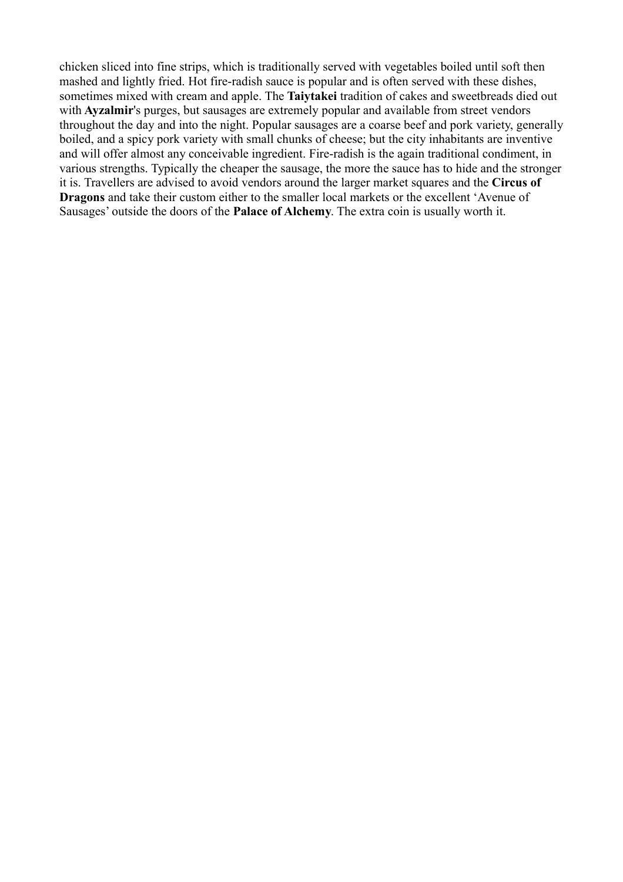chicken sliced into fine strips, which is traditionally served with vegetables boiled until soft then mashed and lightly fried. Hot fire-radish sauce is popular and is often served with these dishes, sometimes mixed with cream and apple. The **Taiytakei** tradition of cakes and sweetbreads died out with **Ayzalmir**'s purges, but sausages are extremely popular and available from street vendors throughout the day and into the night. Popular sausages are a coarse beef and pork variety, generally boiled, and a spicy pork variety with small chunks of cheese; but the city inhabitants are inventive and will offer almost any conceivable ingredient. Fire-radish is the again traditional condiment, in various strengths. Typically the cheaper the sausage, the more the sauce has to hide and the stronger it is. Travellers are advised to avoid vendors around the larger market squares and the **Circus of Dragons** and take their custom either to the smaller local markets or the excellent 'Avenue of Sausages' outside the doors of the **Palace of Alchemy**. The extra coin is usually worth it.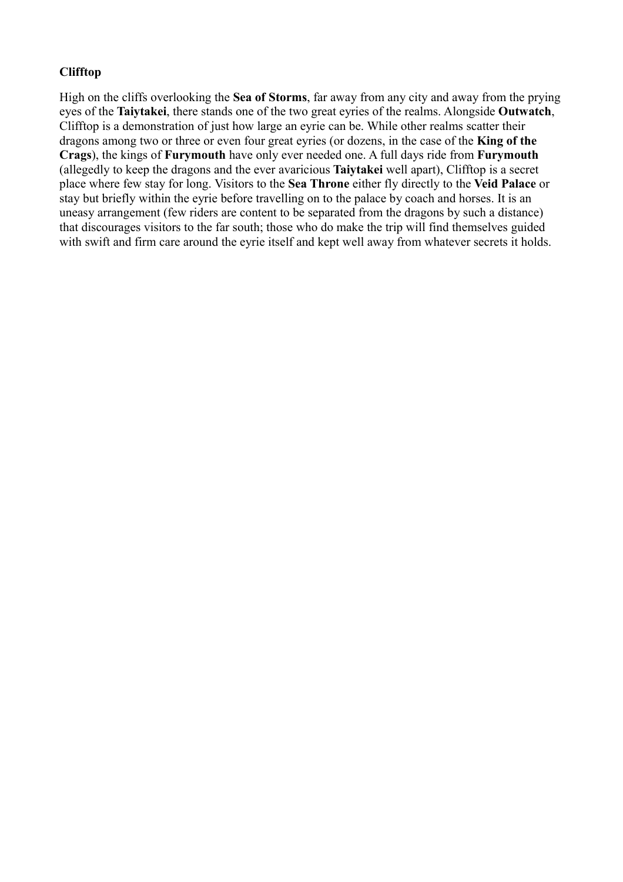# **Clifftop**

High on the cliffs overlooking the **Sea of Storms**, far away from any city and away from the prying eyes of the **Taiytakei**, there stands one of the two great eyries of the realms. Alongside **Outwatch**, Clifftop is a demonstration of just how large an eyrie can be. While other realms scatter their dragons among two or three or even four great eyries (or dozens, in the case of the **King of the Crags**), the kings of **Furymouth** have only ever needed one. A full days ride from **Furymouth** (allegedly to keep the dragons and the ever avaricious **Taiytakei** well apart), Clifftop is a secret place where few stay for long. Visitors to the **Sea Throne** either fly directly to the **Veid Palace** or stay but briefly within the eyrie before travelling on to the palace by coach and horses. It is an uneasy arrangement (few riders are content to be separated from the dragons by such a distance) that discourages visitors to the far south; those who do make the trip will find themselves guided with swift and firm care around the eyrie itself and kept well away from whatever secrets it holds.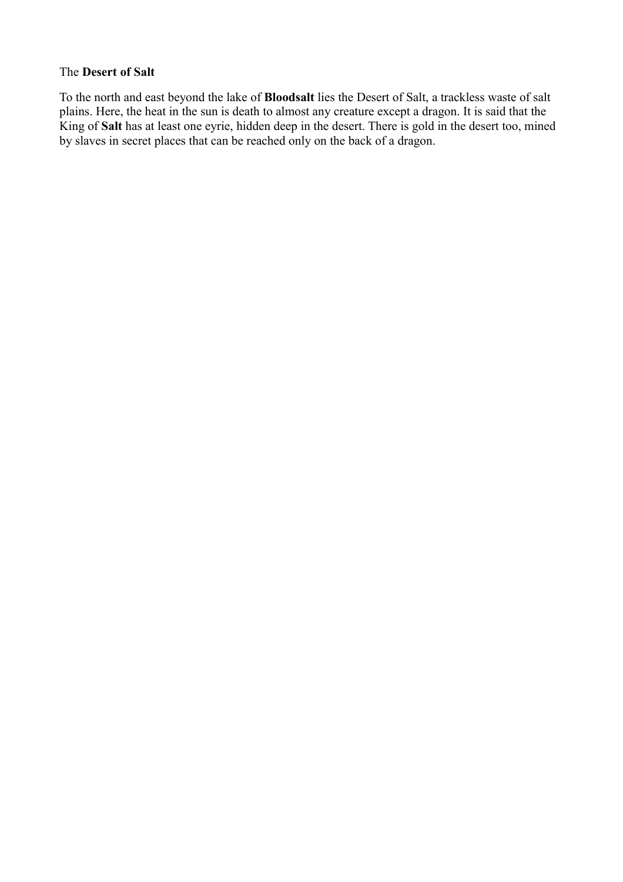#### The **Desert of Salt**

To the north and east beyond the lake of **Bloodsalt** lies the Desert of Salt, a trackless waste of salt plains. Here, the heat in the sun is death to almost any creature except a dragon. It is said that the King of **Salt** has at least one eyrie, hidden deep in the desert. There is gold in the desert too, mined by slaves in secret places that can be reached only on the back of a dragon.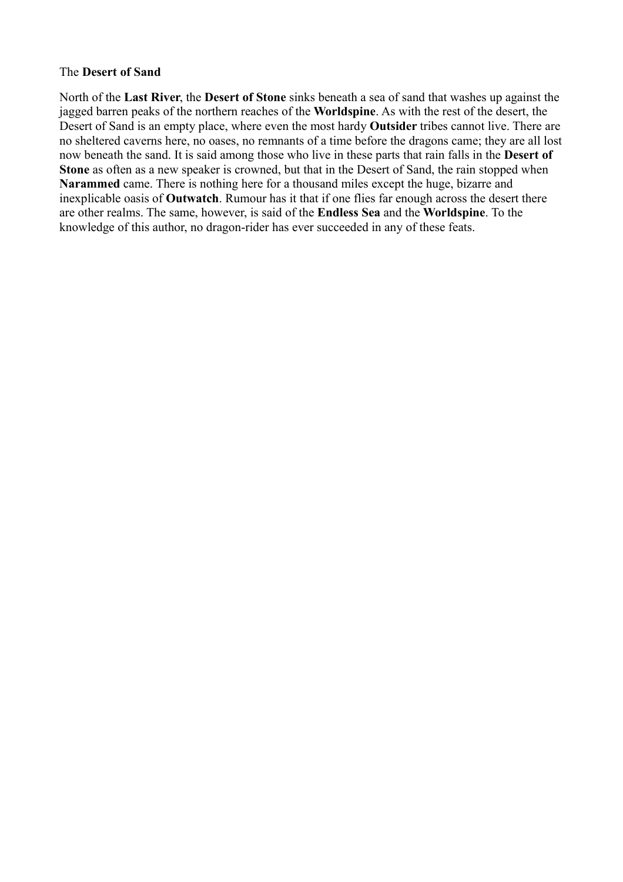#### The **Desert of Sand**

North of the **Last River**, the **Desert of Stone** sinks beneath a sea of sand that washes up against the jagged barren peaks of the northern reaches of the **Worldspine**. As with the rest of the desert, the Desert of Sand is an empty place, where even the most hardy **Outsider** tribes cannot live. There are no sheltered caverns here, no oases, no remnants of a time before the dragons came; they are all lost now beneath the sand. It is said among those who live in these parts that rain falls in the **Desert of Stone** as often as a new speaker is crowned, but that in the Desert of Sand, the rain stopped when **Narammed** came. There is nothing here for a thousand miles except the huge, bizarre and inexplicable oasis of **Outwatch**. Rumour has it that if one flies far enough across the desert there are other realms. The same, however, is said of the **Endless Sea** and the **Worldspine**. To the knowledge of this author, no dragon-rider has ever succeeded in any of these feats.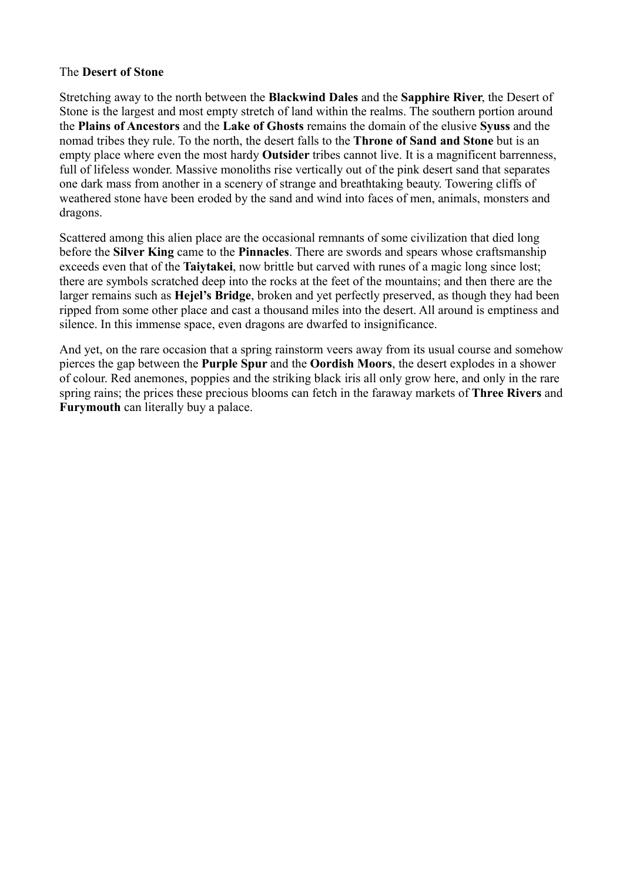#### The **Desert of Stone**

Stretching away to the north between the **Blackwind Dales** and the **Sapphire River**, the Desert of Stone is the largest and most empty stretch of land within the realms. The southern portion around the **Plains of Ancestors** and the **Lake of Ghosts** remains the domain of the elusive **Syuss** and the nomad tribes they rule. To the north, the desert falls to the **Throne of Sand and Stone** but is an empty place where even the most hardy **Outsider** tribes cannot live. It is a magnificent barrenness, full of lifeless wonder. Massive monoliths rise vertically out of the pink desert sand that separates one dark mass from another in a scenery of strange and breathtaking beauty. Towering cliffs of weathered stone have been eroded by the sand and wind into faces of men, animals, monsters and dragons.

Scattered among this alien place are the occasional remnants of some civilization that died long before the **Silver King** came to the **Pinnacles**. There are swords and spears whose craftsmanship exceeds even that of the **Taiytakei**, now brittle but carved with runes of a magic long since lost; there are symbols scratched deep into the rocks at the feet of the mountains; and then there are the larger remains such as **Hejel's Bridge**, broken and yet perfectly preserved, as though they had been ripped from some other place and cast a thousand miles into the desert. All around is emptiness and silence. In this immense space, even dragons are dwarfed to insignificance.

And yet, on the rare occasion that a spring rainstorm veers away from its usual course and somehow pierces the gap between the **Purple Spur** and the **Oordish Moors**, the desert explodes in a shower of colour. Red anemones, poppies and the striking black iris all only grow here, and only in the rare spring rains; the prices these precious blooms can fetch in the faraway markets of **Three Rivers** and **Furymouth** can literally buy a palace.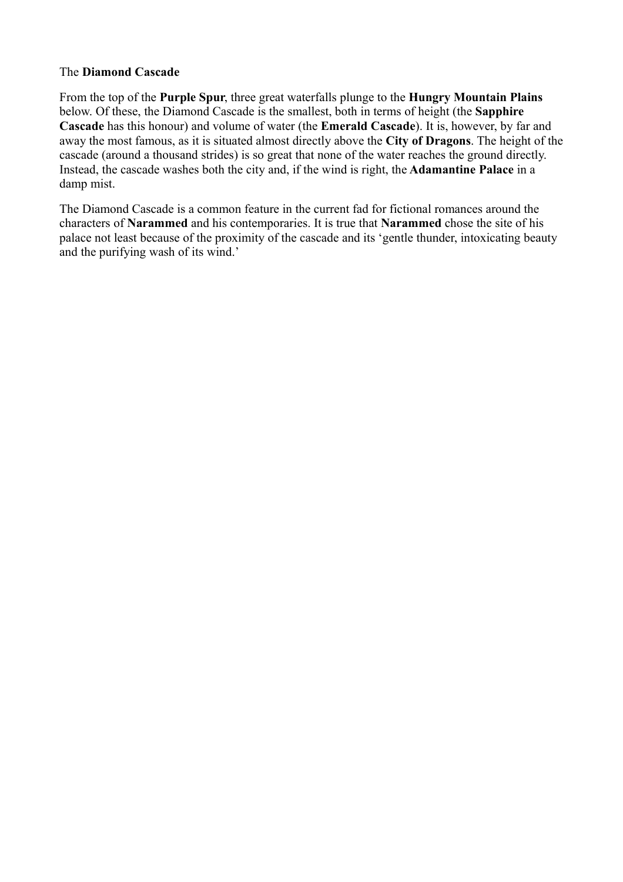# The **Diamond Cascade**

From the top of the **Purple Spur**, three great waterfalls plunge to the **Hungry Mountain Plains** below. Of these, the Diamond Cascade is the smallest, both in terms of height (the **Sapphire Cascade** has this honour) and volume of water (the **Emerald Cascade**). It is, however, by far and away the most famous, as it is situated almost directly above the **City of Dragons**. The height of the cascade (around a thousand strides) is so great that none of the water reaches the ground directly. Instead, the cascade washes both the city and, if the wind is right, the **Adamantine Palace** in a damp mist.

The Diamond Cascade is a common feature in the current fad for fictional romances around the characters of **Narammed** and his contemporaries. It is true that **Narammed** chose the site of his palace not least because of the proximity of the cascade and its 'gentle thunder, intoxicating beauty and the purifying wash of its wind.'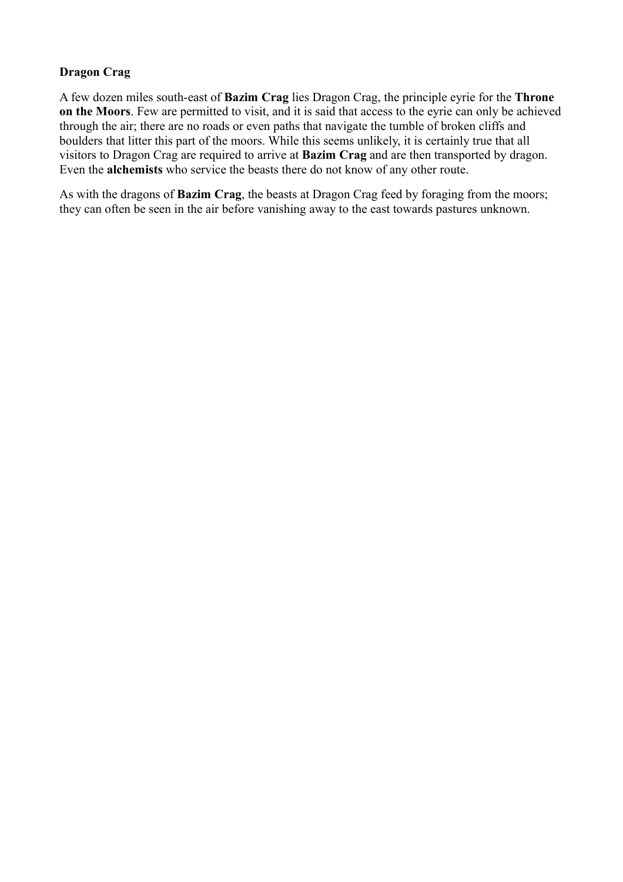# **Dragon Crag**

A few dozen miles south-east of **Bazim Crag** lies Dragon Crag, the principle eyrie for the **Throne on the Moors**. Few are permitted to visit, and it is said that access to the eyrie can only be achieved through the air; there are no roads or even paths that navigate the tumble of broken cliffs and boulders that litter this part of the moors. While this seems unlikely, it is certainly true that all visitors to Dragon Crag are required to arrive at **Bazim Crag** and are then transported by dragon. Even the **alchemists** who service the beasts there do not know of any other route.

As with the dragons of **Bazim Crag**, the beasts at Dragon Crag feed by foraging from the moors; they can often be seen in the air before vanishing away to the east towards pastures unknown.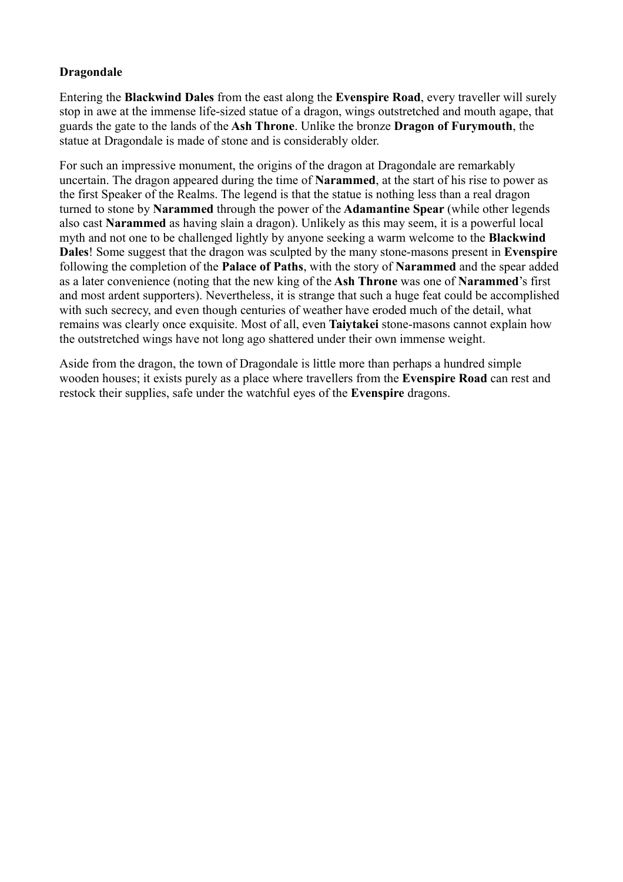# **Dragondale**

Entering the **Blackwind Dales** from the east along the **Evenspire Road**, every traveller will surely stop in awe at the immense life-sized statue of a dragon, wings outstretched and mouth agape, that guards the gate to the lands of the **Ash Throne**. Unlike the bronze **Dragon of Furymouth**, the statue at Dragondale is made of stone and is considerably older.

For such an impressive monument, the origins of the dragon at Dragondale are remarkably uncertain. The dragon appeared during the time of **Narammed**, at the start of his rise to power as the first Speaker of the Realms. The legend is that the statue is nothing less than a real dragon turned to stone by **Narammed** through the power of the **Adamantine Spear** (while other legends also cast **Narammed** as having slain a dragon). Unlikely as this may seem, it is a powerful local myth and not one to be challenged lightly by anyone seeking a warm welcome to the **Blackwind Dales**! Some suggest that the dragon was sculpted by the many stone-masons present in **Evenspire** following the completion of the **Palace of Paths**, with the story of **Narammed** and the spear added as a later convenience (noting that the new king of the **Ash Throne** was one of **Narammed**'s first and most ardent supporters). Nevertheless, it is strange that such a huge feat could be accomplished with such secrecy, and even though centuries of weather have eroded much of the detail, what remains was clearly once exquisite. Most of all, even **Taiytakei** stone-masons cannot explain how the outstretched wings have not long ago shattered under their own immense weight.

Aside from the dragon, the town of Dragondale is little more than perhaps a hundred simple wooden houses; it exists purely as a place where travellers from the **Evenspire Road** can rest and restock their supplies, safe under the watchful eyes of the **Evenspire** dragons.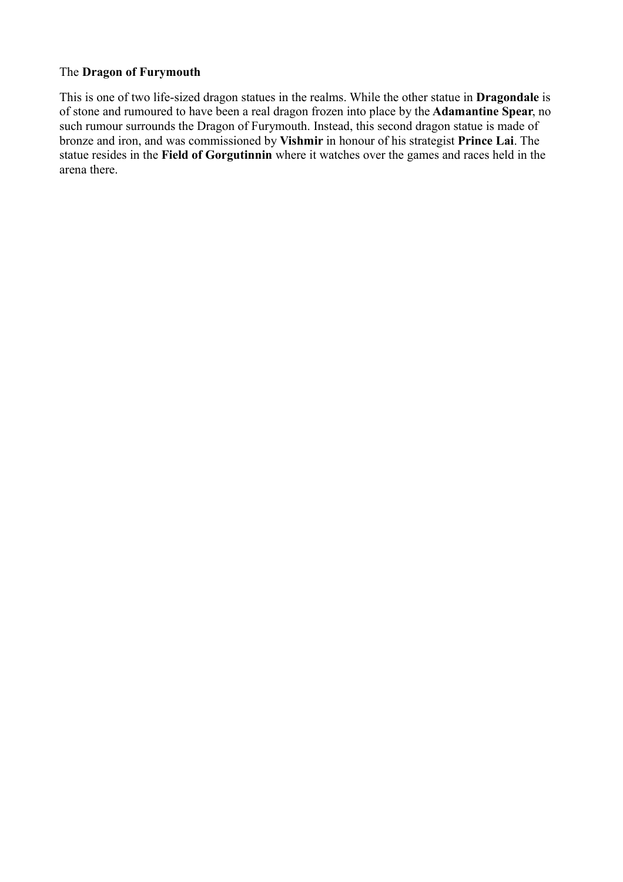# The **Dragon of Furymouth**

This is one of two life-sized dragon statues in the realms. While the other statue in **Dragondale** is of stone and rumoured to have been a real dragon frozen into place by the **Adamantine Spear**, no such rumour surrounds the Dragon of Furymouth. Instead, this second dragon statue is made of bronze and iron, and was commissioned by **Vishmir** in honour of his strategist **Prince Lai**. The statue resides in the **Field of Gorgutinnin** where it watches over the games and races held in the arena there.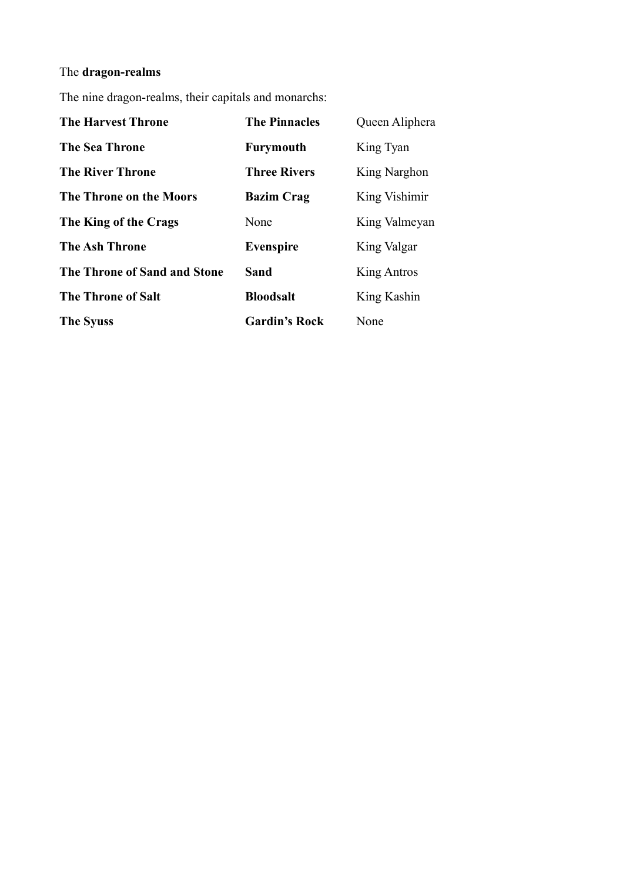# The **dragon-realms**

The nine dragon-realms, their capitals and monarchs:

| <b>The Harvest Throne</b>    | <b>The Pinnacles</b> | Queen Aliphera |
|------------------------------|----------------------|----------------|
| <b>The Sea Throne</b>        | <b>Furymouth</b>     | King Tyan      |
| <b>The River Throne</b>      | <b>Three Rivers</b>  | King Narghon   |
| The Throne on the Moors      | <b>Bazim Crag</b>    | King Vishimir  |
| The King of the Crags        | None                 | King Valmeyan  |
| <b>The Ash Throne</b>        | <b>Evenspire</b>     | King Valgar    |
| The Throne of Sand and Stone | Sand                 | King Antros    |
| <b>The Throne of Salt</b>    | <b>Bloodsalt</b>     | King Kashin    |
| <b>The Syuss</b>             | <b>Gardin's Rock</b> | None           |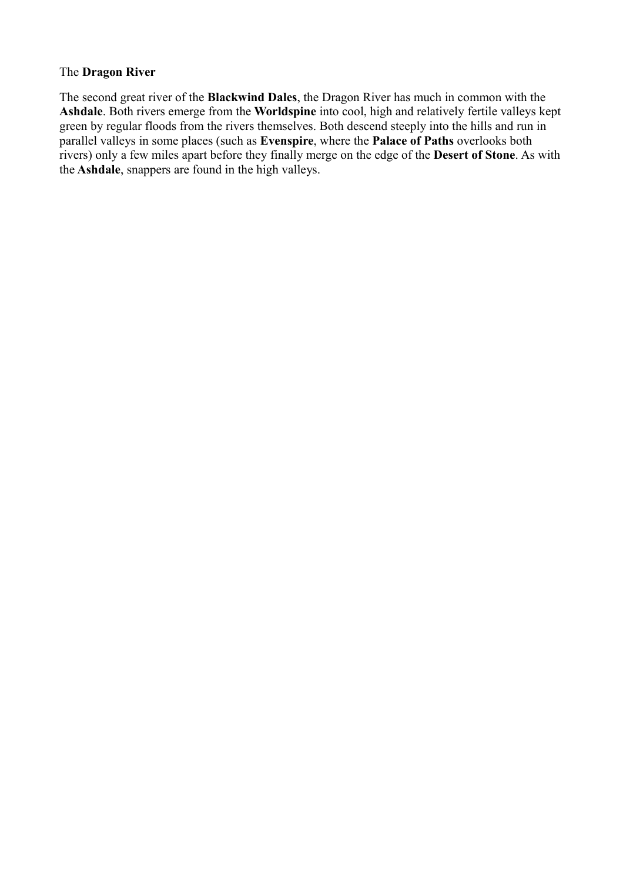#### The **Dragon River**

The second great river of the **Blackwind Dales**, the Dragon River has much in common with the **Ashdale**. Both rivers emerge from the **Worldspine** into cool, high and relatively fertile valleys kept green by regular floods from the rivers themselves. Both descend steeply into the hills and run in parallel valleys in some places (such as **Evenspire**, where the **Palace of Paths** overlooks both rivers) only a few miles apart before they finally merge on the edge of the **Desert of Stone**. As with the **Ashdale**, snappers are found in the high valleys.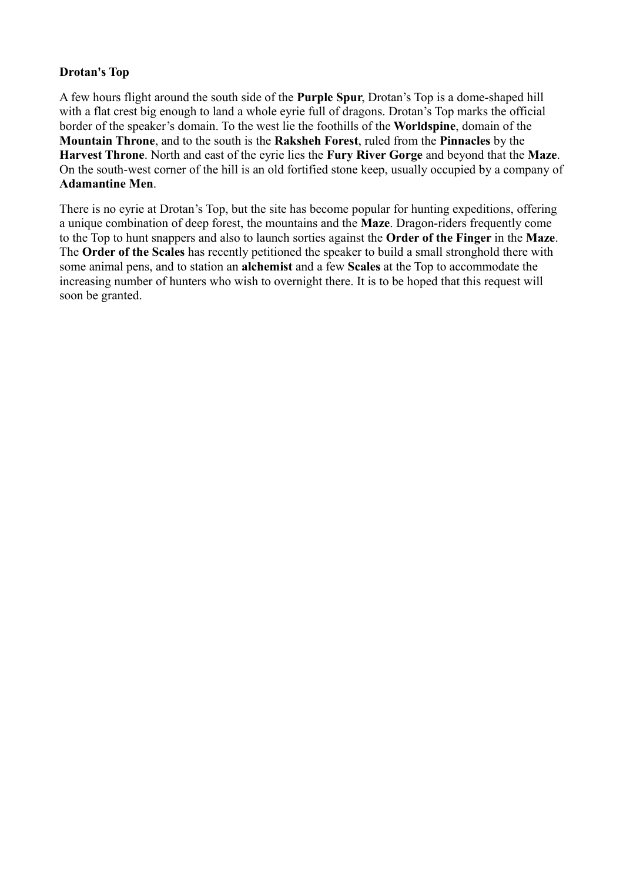# **Drotan's Top**

A few hours flight around the south side of the **Purple Spur**, Drotan's Top is a dome-shaped hill with a flat crest big enough to land a whole evrie full of dragons. Drotan's Top marks the official border of the speaker's domain. To the west lie the foothills of the **Worldspine**, domain of the **Mountain Throne**, and to the south is the **Raksheh Forest**, ruled from the **Pinnacles** by the **Harvest Throne**. North and east of the eyrie lies the **Fury River Gorge** and beyond that the **Maze**. On the south-west corner of the hill is an old fortified stone keep, usually occupied by a company of **Adamantine Men**.

There is no eyrie at Drotan's Top, but the site has become popular for hunting expeditions, offering a unique combination of deep forest, the mountains and the **Maze**. Dragon-riders frequently come to the Top to hunt snappers and also to launch sorties against the **Order of the Finger** in the **Maze**. The **Order of the Scales** has recently petitioned the speaker to build a small stronghold there with some animal pens, and to station an **alchemist** and a few **Scales** at the Top to accommodate the increasing number of hunters who wish to overnight there. It is to be hoped that this request will soon be granted.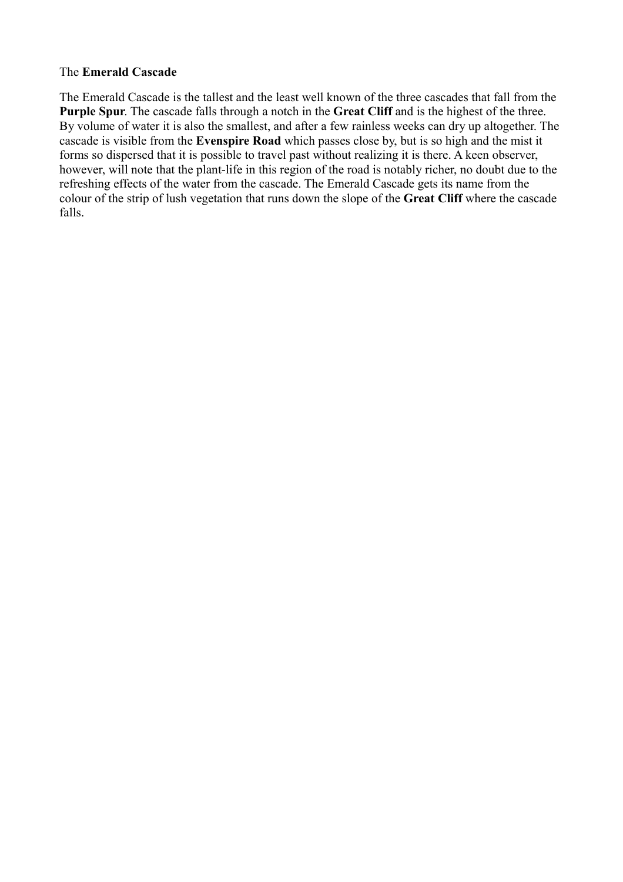# The **Emerald Cascade**

The Emerald Cascade is the tallest and the least well known of the three cascades that fall from the **Purple Spur**. The cascade falls through a notch in the **Great Cliff** and is the highest of the three. By volume of water it is also the smallest, and after a few rainless weeks can dry up altogether. The cascade is visible from the **Evenspire Road** which passes close by, but is so high and the mist it forms so dispersed that it is possible to travel past without realizing it is there. A keen observer, however, will note that the plant-life in this region of the road is notably richer, no doubt due to the refreshing effects of the water from the cascade. The Emerald Cascade gets its name from the colour of the strip of lush vegetation that runs down the slope of the **Great Cliff** where the cascade falls.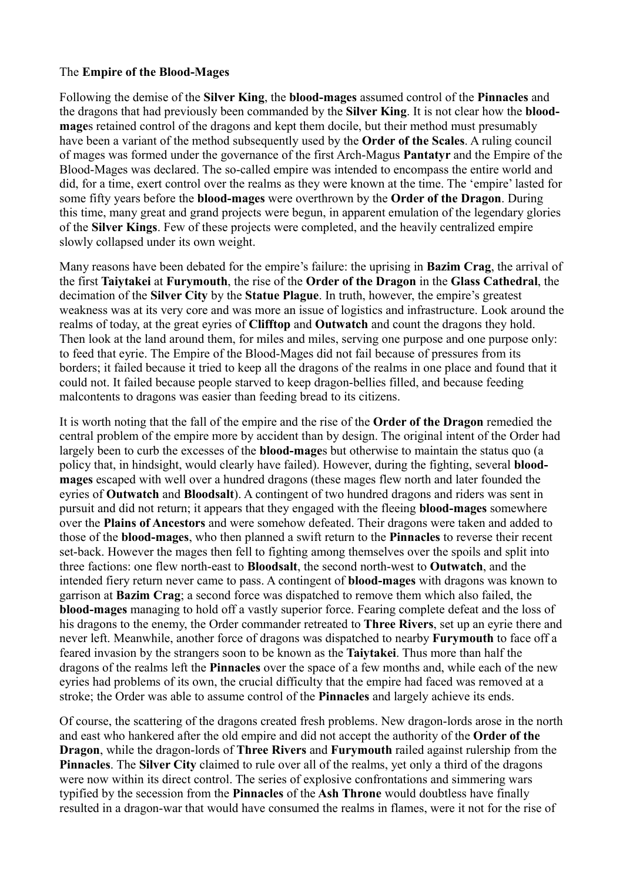#### The **Empire of the Blood-Mages**

Following the demise of the **Silver King**, the **blood-mages** assumed control of the **Pinnacles** and the dragons that had previously been commanded by the **Silver King**. It is not clear how the **bloodmage**s retained control of the dragons and kept them docile, but their method must presumably have been a variant of the method subsequently used by the **Order of the Scales**. A ruling council of mages was formed under the governance of the first Arch-Magus **Pantatyr** and the Empire of the Blood-Mages was declared. The so-called empire was intended to encompass the entire world and did, for a time, exert control over the realms as they were known at the time. The 'empire' lasted for some fifty years before the **blood-mages** were overthrown by the **Order of the Dragon**. During this time, many great and grand projects were begun, in apparent emulation of the legendary glories of the **Silver Kings**. Few of these projects were completed, and the heavily centralized empire slowly collapsed under its own weight.

Many reasons have been debated for the empire's failure: the uprising in **Bazim Crag**, the arrival of the first **Taiytakei** at **Furymouth**, the rise of the **Order of the Dragon** in the **Glass Cathedral**, the decimation of the **Silver City** by the **Statue Plague**. In truth, however, the empire's greatest weakness was at its very core and was more an issue of logistics and infrastructure. Look around the realms of today, at the great eyries of **Clifftop** and **Outwatch** and count the dragons they hold. Then look at the land around them, for miles and miles, serving one purpose and one purpose only: to feed that eyrie. The Empire of the Blood-Mages did not fail because of pressures from its borders; it failed because it tried to keep all the dragons of the realms in one place and found that it could not. It failed because people starved to keep dragon-bellies filled, and because feeding malcontents to dragons was easier than feeding bread to its citizens.

It is worth noting that the fall of the empire and the rise of the **Order of the Dragon** remedied the central problem of the empire more by accident than by design. The original intent of the Order had largely been to curb the excesses of the **blood-mage**s but otherwise to maintain the status quo (a policy that, in hindsight, would clearly have failed). However, during the fighting, several **bloodmages** escaped with well over a hundred dragons (these mages flew north and later founded the eyries of **Outwatch** and **Bloodsalt**). A contingent of two hundred dragons and riders was sent in pursuit and did not return; it appears that they engaged with the fleeing **blood-mages** somewhere over the **Plains of Ancestors** and were somehow defeated. Their dragons were taken and added to those of the **blood-mages**, who then planned a swift return to the **Pinnacles** to reverse their recent set-back. However the mages then fell to fighting among themselves over the spoils and split into three factions: one flew north-east to **Bloodsalt**, the second north-west to **Outwatch**, and the intended fiery return never came to pass. A contingent of **blood-mages** with dragons was known to garrison at **Bazim Crag**; a second force was dispatched to remove them which also failed, the **blood-mages** managing to hold off a vastly superior force. Fearing complete defeat and the loss of his dragons to the enemy, the Order commander retreated to **Three Rivers**, set up an eyrie there and never left. Meanwhile, another force of dragons was dispatched to nearby **Furymouth** to face off a feared invasion by the strangers soon to be known as the **Taiytakei**. Thus more than half the dragons of the realms left the **Pinnacles** over the space of a few months and, while each of the new eyries had problems of its own, the crucial difficulty that the empire had faced was removed at a stroke; the Order was able to assume control of the **Pinnacles** and largely achieve its ends.

Of course, the scattering of the dragons created fresh problems. New dragon-lords arose in the north and east who hankered after the old empire and did not accept the authority of the **Order of the Dragon**, while the dragon-lords of **Three Rivers** and **Furymouth** railed against rulership from the **Pinnacles**. The **Silver City** claimed to rule over all of the realms, yet only a third of the dragons were now within its direct control. The series of explosive confrontations and simmering wars typified by the secession from the **Pinnacles** of the **Ash Throne** would doubtless have finally resulted in a dragon-war that would have consumed the realms in flames, were it not for the rise of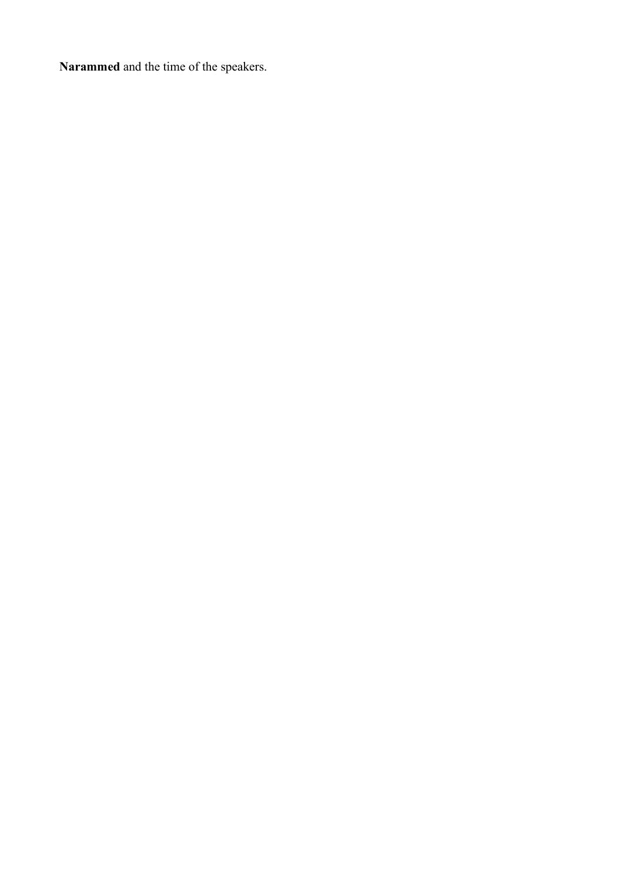**Narammed** and the time of the speakers.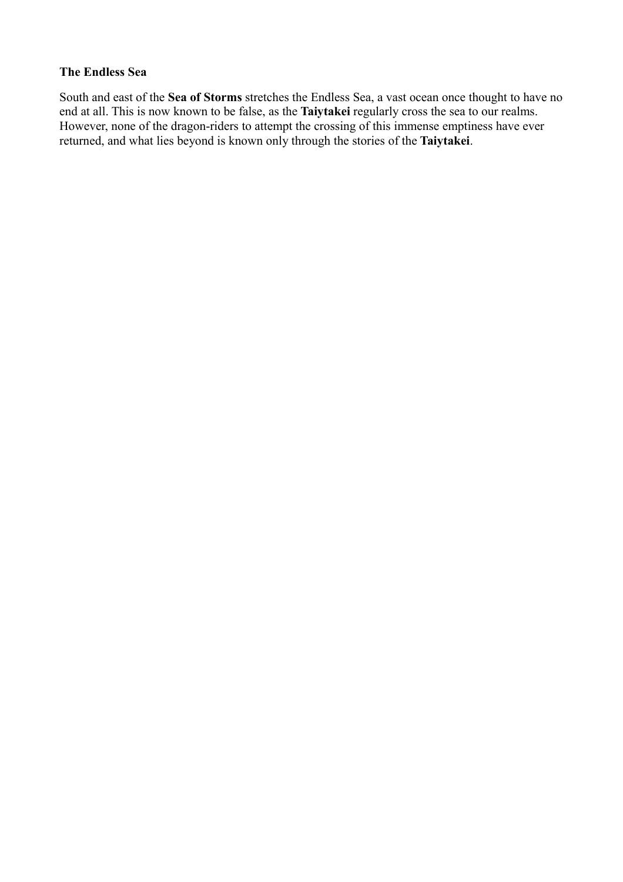#### **The Endless Sea**

South and east of the **Sea of Storms** stretches the Endless Sea, a vast ocean once thought to have no end at all. This is now known to be false, as the **Taiytakei** regularly cross the sea to our realms. However, none of the dragon-riders to attempt the crossing of this immense emptiness have ever returned, and what lies beyond is known only through the stories of the **Taiytakei**.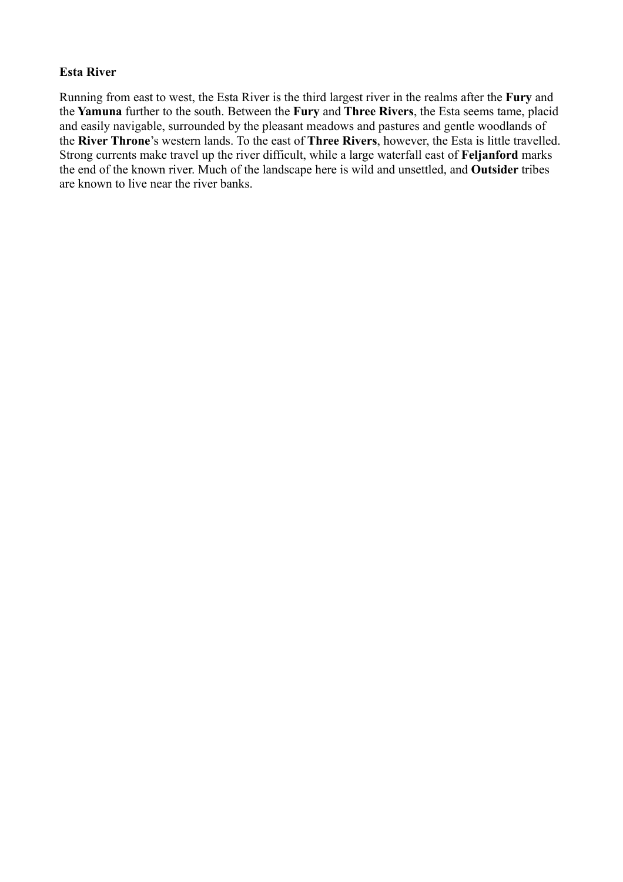#### **Esta River**

Running from east to west, the Esta River is the third largest river in the realms after the **Fury** and the **Yamuna** further to the south. Between the **Fury** and **Three Rivers**, the Esta seems tame, placid and easily navigable, surrounded by the pleasant meadows and pastures and gentle woodlands of the **River Throne**'s western lands. To the east of **Three Rivers**, however, the Esta is little travelled. Strong currents make travel up the river difficult, while a large waterfall east of **Feljanford** marks the end of the known river. Much of the landscape here is wild and unsettled, and **Outsider** tribes are known to live near the river banks.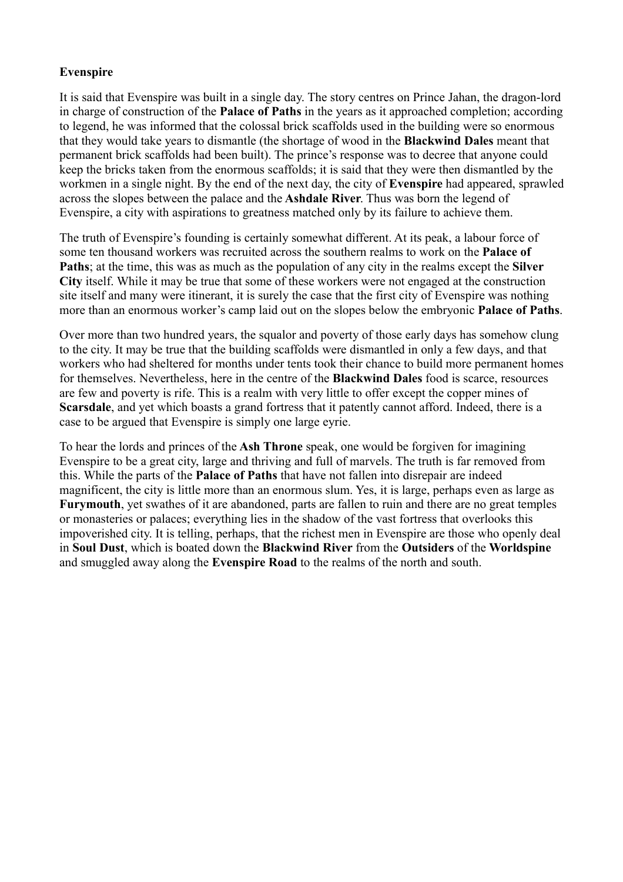# **Evenspire**

It is said that Evenspire was built in a single day. The story centres on Prince Jahan, the dragon-lord in charge of construction of the **Palace of Paths** in the years as it approached completion; according to legend, he was informed that the colossal brick scaffolds used in the building were so enormous that they would take years to dismantle (the shortage of wood in the **Blackwind Dales** meant that permanent brick scaffolds had been built). The prince's response was to decree that anyone could keep the bricks taken from the enormous scaffolds; it is said that they were then dismantled by the workmen in a single night. By the end of the next day, the city of **Evenspire** had appeared, sprawled across the slopes between the palace and the **Ashdale River**. Thus was born the legend of Evenspire, a city with aspirations to greatness matched only by its failure to achieve them.

The truth of Evenspire's founding is certainly somewhat different. At its peak, a labour force of some ten thousand workers was recruited across the southern realms to work on the **Palace of Paths**; at the time, this was as much as the population of any city in the realms except the **Silver City** itself. While it may be true that some of these workers were not engaged at the construction site itself and many were itinerant, it is surely the case that the first city of Evenspire was nothing more than an enormous worker's camp laid out on the slopes below the embryonic **Palace of Paths**.

Over more than two hundred years, the squalor and poverty of those early days has somehow clung to the city. It may be true that the building scaffolds were dismantled in only a few days, and that workers who had sheltered for months under tents took their chance to build more permanent homes for themselves. Nevertheless, here in the centre of the **Blackwind Dales** food is scarce, resources are few and poverty is rife. This is a realm with very little to offer except the copper mines of **Scarsdale**, and yet which boasts a grand fortress that it patently cannot afford. Indeed, there is a case to be argued that Evenspire is simply one large eyrie.

To hear the lords and princes of the **Ash Throne** speak, one would be forgiven for imagining Evenspire to be a great city, large and thriving and full of marvels. The truth is far removed from this. While the parts of the **Palace of Paths** that have not fallen into disrepair are indeed magnificent, the city is little more than an enormous slum. Yes, it is large, perhaps even as large as **Furymouth**, yet swathes of it are abandoned, parts are fallen to ruin and there are no great temples or monasteries or palaces; everything lies in the shadow of the vast fortress that overlooks this impoverished city. It is telling, perhaps, that the richest men in Evenspire are those who openly deal in **Soul Dust**, which is boated down the **Blackwind River** from the **Outsiders** of the **Worldspine** and smuggled away along the **Evenspire Road** to the realms of the north and south.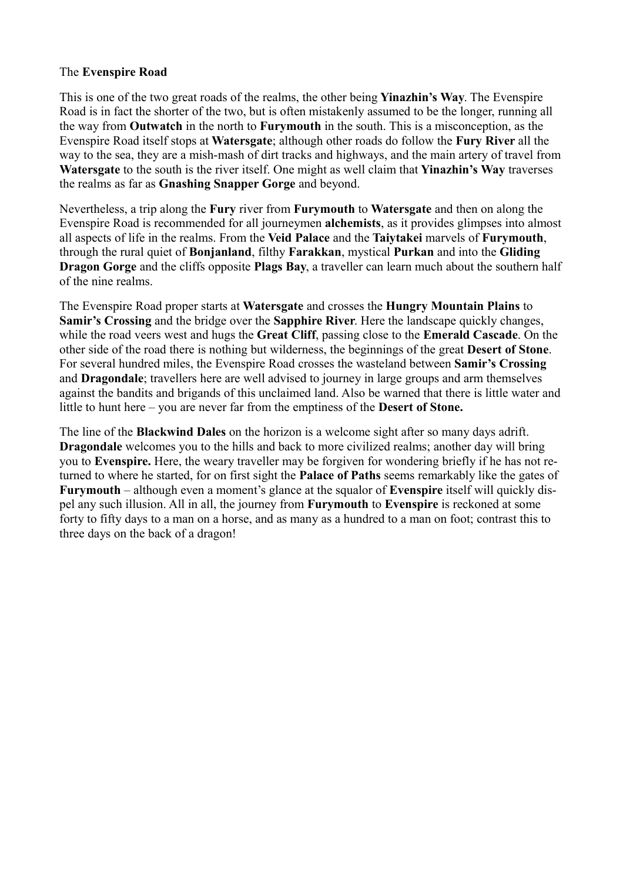# The **Evenspire Road**

This is one of the two great roads of the realms, the other being **Yinazhin's Way**. The Evenspire Road is in fact the shorter of the two, but is often mistakenly assumed to be the longer, running all the way from **Outwatch** in the north to **Furymouth** in the south. This is a misconception, as the Evenspire Road itself stops at **Watersgate**; although other roads do follow the **Fury River** all the way to the sea, they are a mish-mash of dirt tracks and highways, and the main artery of travel from **Watersgate** to the south is the river itself. One might as well claim that **Yinazhin's Way** traverses the realms as far as **Gnashing Snapper Gorge** and beyond.

Nevertheless, a trip along the **Fury** river from **Furymouth** to **Watersgate** and then on along the Evenspire Road is recommended for all journeymen **alchemists**, as it provides glimpses into almost all aspects of life in the realms. From the **Veid Palace** and the **Taiytakei** marvels of **Furymouth**, through the rural quiet of **Bonjanland**, filthy **Farakkan**, mystical **Purkan** and into the **Gliding Dragon Gorge** and the cliffs opposite **Plags Bay**, a traveller can learn much about the southern half of the nine realms.

The Evenspire Road proper starts at **Watersgate** and crosses the **Hungry Mountain Plains** to **Samir's Crossing** and the bridge over the **Sapphire River**. Here the landscape quickly changes, while the road veers west and hugs the **Great Cliff**, passing close to the **Emerald Cascade**. On the other side of the road there is nothing but wilderness, the beginnings of the great **Desert of Stone**. For several hundred miles, the Evenspire Road crosses the wasteland between **Samir's Crossing** and **Dragondale**; travellers here are well advised to journey in large groups and arm themselves against the bandits and brigands of this unclaimed land. Also be warned that there is little water and little to hunt here – you are never far from the emptiness of the **Desert of Stone.**

The line of the **Blackwind Dales** on the horizon is a welcome sight after so many days adrift. **Dragondale** welcomes you to the hills and back to more civilized realms; another day will bring you to **Evenspire.** Here, the weary traveller may be forgiven for wondering briefly if he has not returned to where he started, for on first sight the **Palace of Paths** seems remarkably like the gates of **Furymouth** – although even a moment's glance at the squalor of **Evenspire** itself will quickly dispel any such illusion. All in all, the journey from **Furymouth** to **Evenspire** is reckoned at some forty to fifty days to a man on a horse, and as many as a hundred to a man on foot; contrast this to three days on the back of a dragon!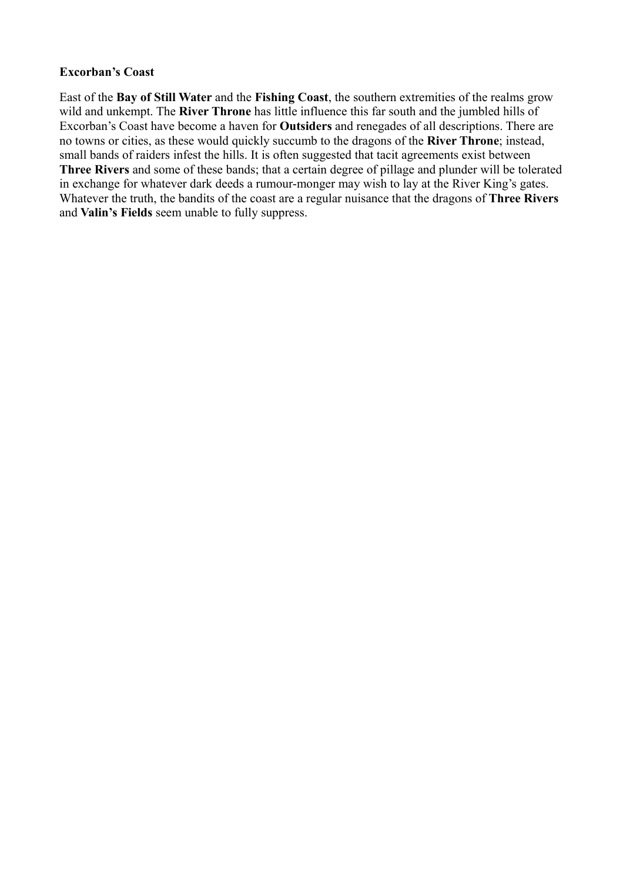#### **Excorban's Coast**

East of the **Bay of Still Water** and the **Fishing Coast**, the southern extremities of the realms grow wild and unkempt. The **River Throne** has little influence this far south and the jumbled hills of Excorban's Coast have become a haven for **Outsiders** and renegades of all descriptions. There are no towns or cities, as these would quickly succumb to the dragons of the **River Throne**; instead, small bands of raiders infest the hills. It is often suggested that tacit agreements exist between **Three Rivers** and some of these bands; that a certain degree of pillage and plunder will be tolerated in exchange for whatever dark deeds a rumour-monger may wish to lay at the River King's gates. Whatever the truth, the bandits of the coast are a regular nuisance that the dragons of **Three Rivers** and **Valin's Fields** seem unable to fully suppress.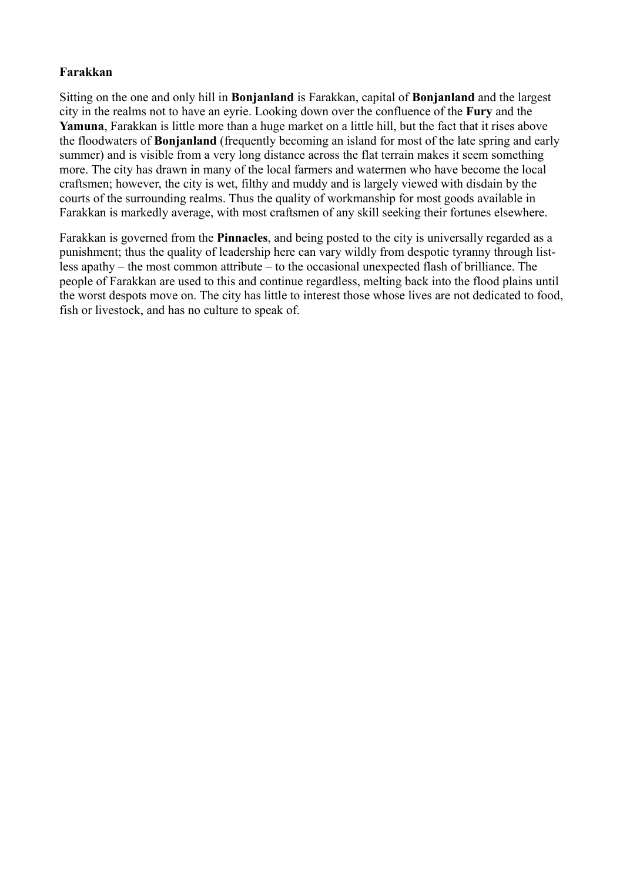# **Farakkan**

Sitting on the one and only hill in **Bonjanland** is Farakkan, capital of **Bonjanland** and the largest city in the realms not to have an eyrie. Looking down over the confluence of the **Fury** and the **Yamuna**, Farakkan is little more than a huge market on a little hill, but the fact that it rises above the floodwaters of **Bonjanland** (frequently becoming an island for most of the late spring and early summer) and is visible from a very long distance across the flat terrain makes it seem something more. The city has drawn in many of the local farmers and watermen who have become the local craftsmen; however, the city is wet, filthy and muddy and is largely viewed with disdain by the courts of the surrounding realms. Thus the quality of workmanship for most goods available in Farakkan is markedly average, with most craftsmen of any skill seeking their fortunes elsewhere.

Farakkan is governed from the **Pinnacles**, and being posted to the city is universally regarded as a punishment; thus the quality of leadership here can vary wildly from despotic tyranny through listless apathy – the most common attribute – to the occasional unexpected flash of brilliance. The people of Farakkan are used to this and continue regardless, melting back into the flood plains until the worst despots move on. The city has little to interest those whose lives are not dedicated to food, fish or livestock, and has no culture to speak of.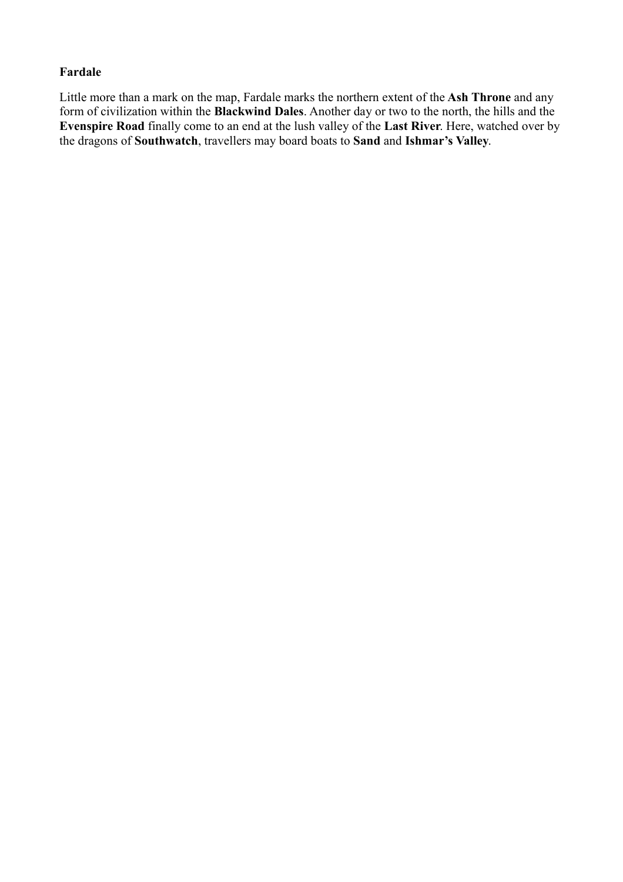# **Fardale**

Little more than a mark on the map, Fardale marks the northern extent of the **Ash Throne** and any form of civilization within the **Blackwind Dales**. Another day or two to the north, the hills and the **Evenspire Road** finally come to an end at the lush valley of the **Last River**. Here, watched over by the dragons of **Southwatch**, travellers may board boats to **Sand** and **Ishmar's Valley**.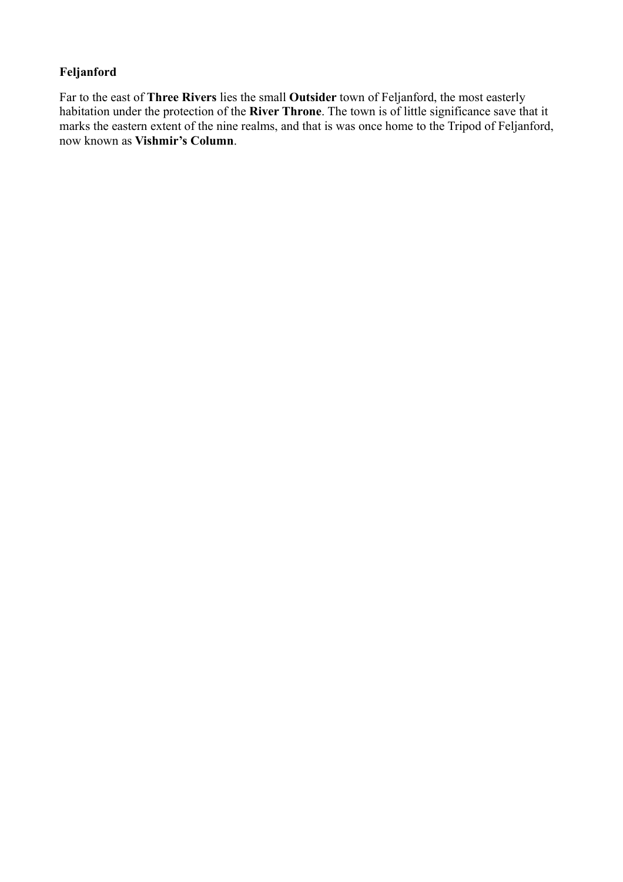# **Feljanford**

Far to the east of **Three Rivers** lies the small **Outsider** town of Feljanford, the most easterly habitation under the protection of the **River Throne**. The town is of little significance save that it marks the eastern extent of the nine realms, and that is was once home to the Tripod of Feljanford, now known as **Vishmir's Column**.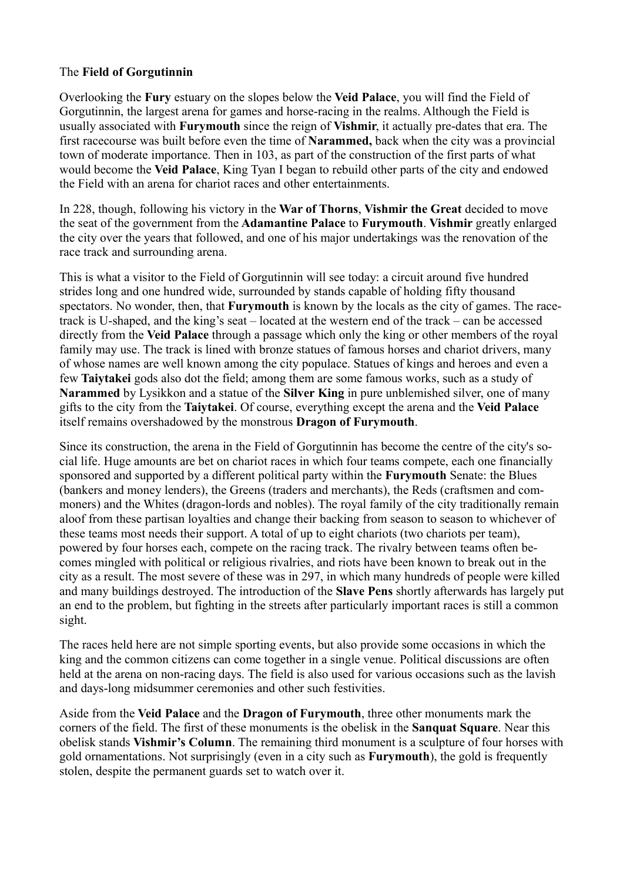# The **Field of Gorgutinnin**

Overlooking the **Fury** estuary on the slopes below the **Veid Palace**, you will find the Field of Gorgutinnin, the largest arena for games and horse-racing in the realms. Although the Field is usually associated with **Furymouth** since the reign of **Vishmir**, it actually pre-dates that era. The first racecourse was built before even the time of **Narammed,** back when the city was a provincial town of moderate importance. Then in 103, as part of the construction of the first parts of what would become the **Veid Palace**, King Tyan I began to rebuild other parts of the city and endowed the Field with an arena for chariot races and other entertainments.

In 228, though, following his victory in the **War of Thorns**, **Vishmir the Great** decided to move the seat of the government from the **Adamantine Palace** to **Furymouth**. **Vishmir** greatly enlarged the city over the years that followed, and one of his major undertakings was the renovation of the race track and surrounding arena.

This is what a visitor to the Field of Gorgutinnin will see today: a circuit around five hundred strides long and one hundred wide, surrounded by stands capable of holding fifty thousand spectators. No wonder, then, that **Furymouth** is known by the locals as the city of games. The racetrack is U-shaped, and the king's seat – located at the western end of the track – can be accessed directly from the **Veid Palace** through a passage which only the king or other members of the royal family may use. The track is lined with bronze statues of famous horses and chariot drivers, many of whose names are well known among the city populace. Statues of kings and heroes and even a few **Taiytakei** gods also dot the field; among them are some famous works, such as a study of **Narammed** by Lysikkon and a statue of the **Silver King** in pure unblemished silver, one of many gifts to the city from the **Taiytakei**. Of course, everything except the arena and the **Veid Palace** itself remains overshadowed by the monstrous **Dragon of Furymouth**.

Since its construction, the arena in the Field of Gorgutinnin has become the centre of the city's social life. Huge amounts are bet on chariot races in which four teams compete, each one financially sponsored and supported by a different political party within the **Furymouth** Senate: the Blues (bankers and money lenders), the Greens (traders and merchants), the Reds (craftsmen and commoners) and the Whites (dragon-lords and nobles). The royal family of the city traditionally remain aloof from these partisan loyalties and change their backing from season to season to whichever of these teams most needs their support. A total of up to eight chariots (two chariots per team), powered by four horses each, compete on the racing track. The rivalry between teams often becomes mingled with political or religious rivalries, and riots have been known to break out in the city as a result. The most severe of these was in 297, in which many hundreds of people were killed and many buildings destroyed. The introduction of the **Slave Pens** shortly afterwards has largely put an end to the problem, but fighting in the streets after particularly important races is still a common sight.

The races held here are not simple sporting events, but also provide some occasions in which the king and the common citizens can come together in a single venue. Political discussions are often held at the arena on non-racing days. The field is also used for various occasions such as the lavish and days-long midsummer ceremonies and other such festivities.

Aside from the **Veid Palace** and the **Dragon of Furymouth**, three other monuments mark the corners of the field. The first of these monuments is the obelisk in the **Sanquat Square**. Near this obelisk stands **Vishmir's Column**. The remaining third monument is a sculpture of four horses with gold ornamentations. Not surprisingly (even in a city such as **Furymouth**), the gold is frequently stolen, despite the permanent guards set to watch over it.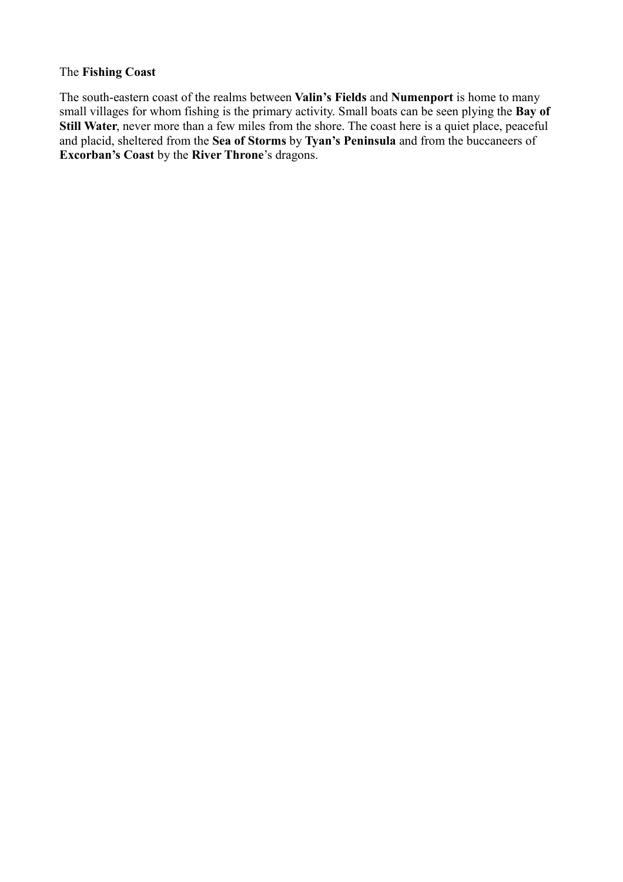# The **Fishing Coast**

The south-eastern coast of the realms between **Valin's Fields** and **Numenport** is home to many small villages for whom fishing is the primary activity. Small boats can be seen plying the **Bay of Still Water**, never more than a few miles from the shore. The coast here is a quiet place, peaceful and placid, sheltered from the **Sea of Storms** by **Tyan's Peninsula** and from the buccaneers of **Excorban's Coast** by the **River Throne**'s dragons.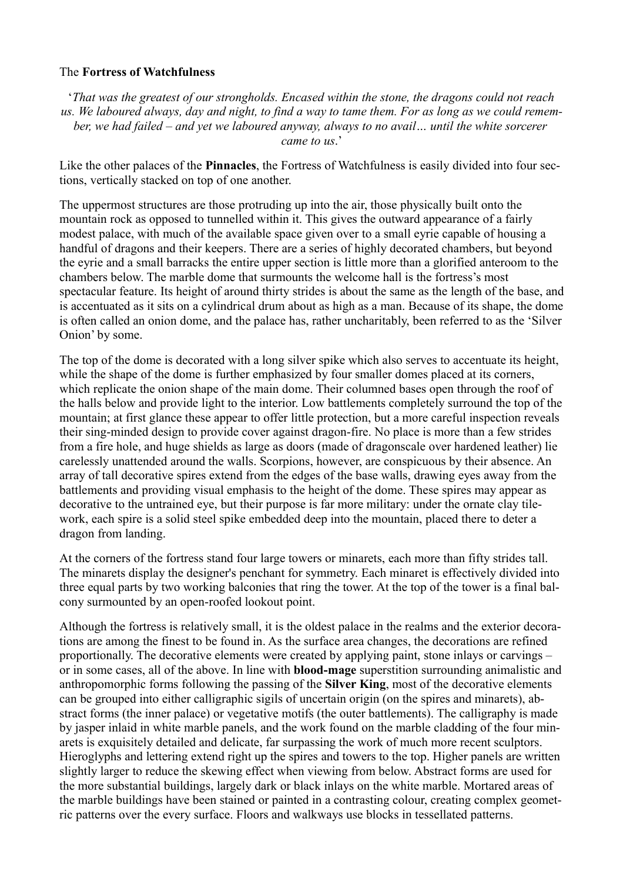# The **Fortress of Watchfulness**

'*That was the greatest of our strongholds. Encased within the stone, the dragons could not reach us. We laboured always, day and night, to find a way to tame them. For as long as we could remember, we had failed – and yet we laboured anyway, always to no avail… until the white sorcerer came to us*.'

Like the other palaces of the **Pinnacles**, the Fortress of Watchfulness is easily divided into four sections, vertically stacked on top of one another.

The uppermost structures are those protruding up into the air, those physically built onto the mountain rock as opposed to tunnelled within it. This gives the outward appearance of a fairly modest palace, with much of the available space given over to a small eyrie capable of housing a handful of dragons and their keepers. There are a series of highly decorated chambers, but beyond the eyrie and a small barracks the entire upper section is little more than a glorified anteroom to the chambers below. The marble dome that surmounts the welcome hall is the fortress's most spectacular feature. Its height of around thirty strides is about the same as the length of the base, and is accentuated as it sits on a cylindrical drum about as high as a man. Because of its shape, the dome is often called an onion dome, and the palace has, rather uncharitably, been referred to as the 'Silver Onion' by some.

The top of the dome is decorated with a long silver spike which also serves to accentuate its height, while the shape of the dome is further emphasized by four smaller domes placed at its corners, which replicate the onion shape of the main dome. Their columned bases open through the roof of the halls below and provide light to the interior. Low battlements completely surround the top of the mountain; at first glance these appear to offer little protection, but a more careful inspection reveals their sing-minded design to provide cover against dragon-fire. No place is more than a few strides from a fire hole, and huge shields as large as doors (made of dragonscale over hardened leather) lie carelessly unattended around the walls. Scorpions, however, are conspicuous by their absence. An array of tall decorative spires extend from the edges of the base walls, drawing eyes away from the battlements and providing visual emphasis to the height of the dome. These spires may appear as decorative to the untrained eye, but their purpose is far more military: under the ornate clay tilework, each spire is a solid steel spike embedded deep into the mountain, placed there to deter a dragon from landing.

At the corners of the fortress stand four large towers or minarets, each more than fifty strides tall. The minarets display the designer's penchant for symmetry. Each minaret is effectively divided into three equal parts by two working balconies that ring the tower. At the top of the tower is a final balcony surmounted by an open-roofed lookout point.

Although the fortress is relatively small, it is the oldest palace in the realms and the exterior decorations are among the finest to be found in. As the surface area changes, the decorations are refined proportionally. The decorative elements were created by applying paint, stone inlays or carvings – or in some cases, all of the above. In line with **blood-mage** superstition surrounding animalistic and anthropomorphic forms following the passing of the **Silver King**, most of the decorative elements can be grouped into either calligraphic sigils of uncertain origin (on the spires and minarets), abstract forms (the inner palace) or vegetative motifs (the outer battlements). The calligraphy is made by jasper inlaid in white marble panels, and the work found on the marble cladding of the four minarets is exquisitely detailed and delicate, far surpassing the work of much more recent sculptors. Hieroglyphs and lettering extend right up the spires and towers to the top. Higher panels are written slightly larger to reduce the skewing effect when viewing from below. Abstract forms are used for the more substantial buildings, largely dark or black inlays on the white marble. Mortared areas of the marble buildings have been stained or painted in a contrasting colour, creating complex geometric patterns over the every surface. Floors and walkways use blocks in tessellated patterns.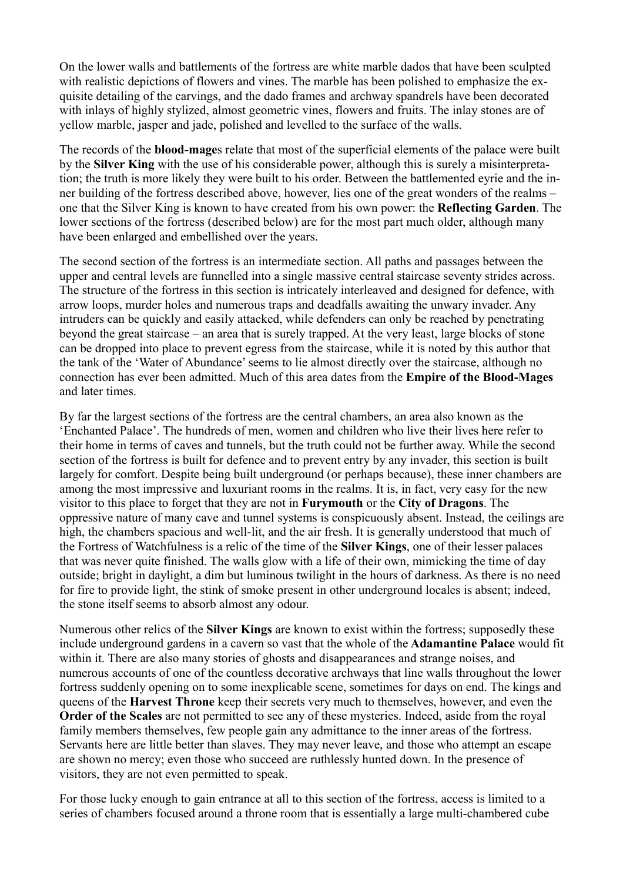On the lower walls and battlements of the fortress are white marble dados that have been sculpted with realistic depictions of flowers and vines. The marble has been polished to emphasize the exquisite detailing of the carvings, and the dado frames and archway spandrels have been decorated with inlays of highly stylized, almost geometric vines, flowers and fruits. The inlay stones are of yellow marble, jasper and jade, polished and levelled to the surface of the walls.

The records of the **blood-mage**s relate that most of the superficial elements of the palace were built by the **Silver King** with the use of his considerable power, although this is surely a misinterpretation; the truth is more likely they were built to his order. Between the battlemented eyrie and the inner building of the fortress described above, however, lies one of the great wonders of the realms – one that the Silver King is known to have created from his own power: the **Reflecting Garden**. The lower sections of the fortress (described below) are for the most part much older, although many have been enlarged and embellished over the years.

The second section of the fortress is an intermediate section. All paths and passages between the upper and central levels are funnelled into a single massive central staircase seventy strides across. The structure of the fortress in this section is intricately interleaved and designed for defence, with arrow loops, murder holes and numerous traps and deadfalls awaiting the unwary invader. Any intruders can be quickly and easily attacked, while defenders can only be reached by penetrating beyond the great staircase – an area that is surely trapped. At the very least, large blocks of stone can be dropped into place to prevent egress from the staircase, while it is noted by this author that the tank of the 'Water of Abundance' seems to lie almost directly over the staircase, although no connection has ever been admitted. Much of this area dates from the **Empire of the Blood-Mages** and later times.

By far the largest sections of the fortress are the central chambers, an area also known as the 'Enchanted Palace'. The hundreds of men, women and children who live their lives here refer to their home in terms of caves and tunnels, but the truth could not be further away. While the second section of the fortress is built for defence and to prevent entry by any invader, this section is built largely for comfort. Despite being built underground (or perhaps because), these inner chambers are among the most impressive and luxuriant rooms in the realms. It is, in fact, very easy for the new visitor to this place to forget that they are not in **Furymouth** or the **City of Dragons**. The oppressive nature of many cave and tunnel systems is conspicuously absent. Instead, the ceilings are high, the chambers spacious and well-lit, and the air fresh. It is generally understood that much of the Fortress of Watchfulness is a relic of the time of the **Silver Kings**, one of their lesser palaces that was never quite finished. The walls glow with a life of their own, mimicking the time of day outside; bright in daylight, a dim but luminous twilight in the hours of darkness. As there is no need for fire to provide light, the stink of smoke present in other underground locales is absent; indeed, the stone itself seems to absorb almost any odour.

Numerous other relics of the **Silver Kings** are known to exist within the fortress; supposedly these include underground gardens in a cavern so vast that the whole of the **Adamantine Palace** would fit within it. There are also many stories of ghosts and disappearances and strange noises, and numerous accounts of one of the countless decorative archways that line walls throughout the lower fortress suddenly opening on to some inexplicable scene, sometimes for days on end. The kings and queens of the **Harvest Throne** keep their secrets very much to themselves, however, and even the **Order of the Scales** are not permitted to see any of these mysteries. Indeed, aside from the royal family members themselves, few people gain any admittance to the inner areas of the fortress. Servants here are little better than slaves. They may never leave, and those who attempt an escape are shown no mercy; even those who succeed are ruthlessly hunted down. In the presence of visitors, they are not even permitted to speak.

For those lucky enough to gain entrance at all to this section of the fortress, access is limited to a series of chambers focused around a throne room that is essentially a large multi-chambered cube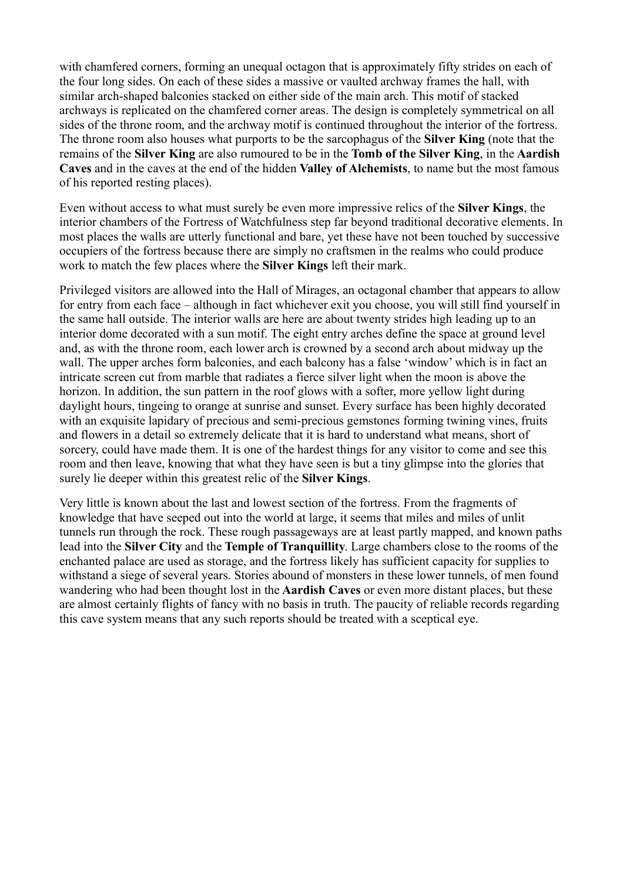with chamfered corners, forming an unequal octagon that is approximately fifty strides on each of the four long sides. On each of these sides a massive or vaulted archway frames the hall, with similar arch-shaped balconies stacked on either side of the main arch. This motif of stacked archways is replicated on the chamfered corner areas. The design is completely symmetrical on all sides of the throne room, and the archway motif is continued throughout the interior of the fortress. The throne room also houses what purports to be the sarcophagus of the **Silver King** (note that the remains of the **Silver King** are also rumoured to be in the **Tomb of the Silver King**, in the **Aardish Caves** and in the caves at the end of the hidden **Valley of Alchemists**, to name but the most famous of his reported resting places).

Even without access to what must surely be even more impressive relics of the **Silver Kings**, the interior chambers of the Fortress of Watchfulness step far beyond traditional decorative elements. In most places the walls are utterly functional and bare, yet these have not been touched by successive occupiers of the fortress because there are simply no craftsmen in the realms who could produce work to match the few places where the **Silver Kings** left their mark.

Privileged visitors are allowed into the Hall of Mirages, an octagonal chamber that appears to allow for entry from each face – although in fact whichever exit you choose, you will still find yourself in the same hall outside. The interior walls are here are about twenty strides high leading up to an interior dome decorated with a sun motif. The eight entry arches define the space at ground level and, as with the throne room, each lower arch is crowned by a second arch about midway up the wall. The upper arches form balconies, and each balcony has a false 'window' which is in fact an intricate screen cut from marble that radiates a fierce silver light when the moon is above the horizon. In addition, the sun pattern in the roof glows with a softer, more yellow light during daylight hours, tingeing to orange at sunrise and sunset. Every surface has been highly decorated with an exquisite lapidary of precious and semi-precious gemstones forming twining vines, fruits and flowers in a detail so extremely delicate that it is hard to understand what means, short of sorcery, could have made them. It is one of the hardest things for any visitor to come and see this room and then leave, knowing that what they have seen is but a tiny glimpse into the glories that surely lie deeper within this greatest relic of the **Silver Kings**.

Very little is known about the last and lowest section of the fortress. From the fragments of knowledge that have seeped out into the world at large, it seems that miles and miles of unlit tunnels run through the rock. These rough passageways are at least partly mapped, and known paths lead into the **Silver City** and the **Temple of Tranquillity**. Large chambers close to the rooms of the enchanted palace are used as storage, and the fortress likely has sufficient capacity for supplies to withstand a siege of several years. Stories abound of monsters in these lower tunnels, of men found wandering who had been thought lost in the **Aardish Caves** or even more distant places, but these are almost certainly flights of fancy with no basis in truth. The paucity of reliable records regarding this cave system means that any such reports should be treated with a sceptical eye.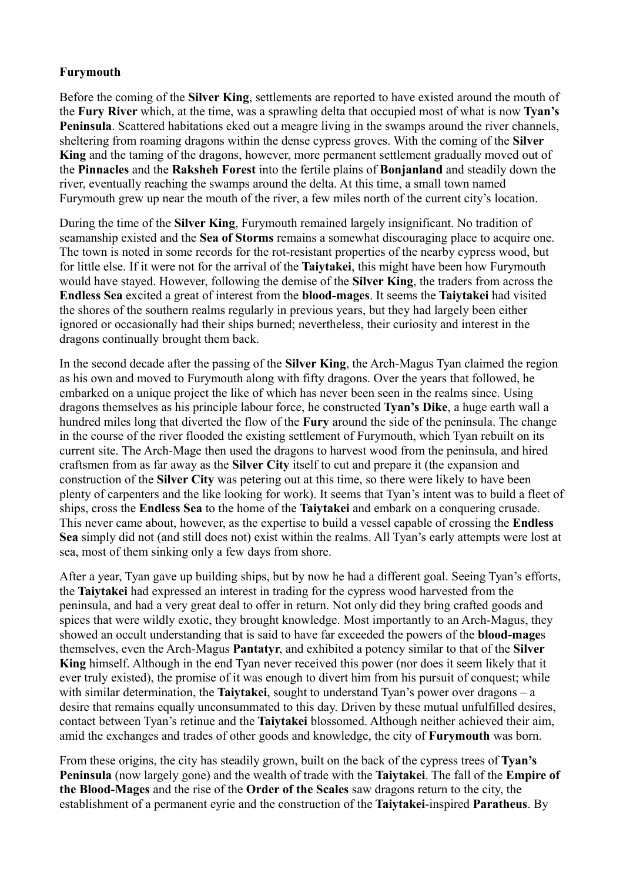# **Furymouth**

Before the coming of the **Silver King**, settlements are reported to have existed around the mouth of the **Fury River** which, at the time, was a sprawling delta that occupied most of what is now **Tyan's Peninsula**. Scattered habitations eked out a meagre living in the swamps around the river channels, sheltering from roaming dragons within the dense cypress groves. With the coming of the **Silver King** and the taming of the dragons, however, more permanent settlement gradually moved out of the **Pinnacles** and the **Raksheh Forest** into the fertile plains of **Bonjanland** and steadily down the river, eventually reaching the swamps around the delta. At this time, a small town named Furymouth grew up near the mouth of the river, a few miles north of the current city's location.

During the time of the **Silver King**, Furymouth remained largely insignificant. No tradition of seamanship existed and the **Sea of Storms** remains a somewhat discouraging place to acquire one. The town is noted in some records for the rot-resistant properties of the nearby cypress wood, but for little else. If it were not for the arrival of the **Taiytakei**, this might have been how Furymouth would have stayed. However, following the demise of the **Silver King**, the traders from across the **Endless Sea** excited a great of interest from the **blood-mages**. It seems the **Taiytakei** had visited the shores of the southern realms regularly in previous years, but they had largely been either ignored or occasionally had their ships burned; nevertheless, their curiosity and interest in the dragons continually brought them back.

In the second decade after the passing of the **Silver King**, the Arch-Magus Tyan claimed the region as his own and moved to Furymouth along with fifty dragons. Over the years that followed, he embarked on a unique project the like of which has never been seen in the realms since. Using dragons themselves as his principle labour force, he constructed **Tyan's Dike**, a huge earth wall a hundred miles long that diverted the flow of the **Fury** around the side of the peninsula. The change in the course of the river flooded the existing settlement of Furymouth, which Tyan rebuilt on its current site. The Arch-Mage then used the dragons to harvest wood from the peninsula, and hired craftsmen from as far away as the **Silver City** itself to cut and prepare it (the expansion and construction of the **Silver City** was petering out at this time, so there were likely to have been plenty of carpenters and the like looking for work). It seems that Tyan's intent was to build a fleet of ships, cross the **Endless Sea** to the home of the **Taiytakei** and embark on a conquering crusade. This never came about, however, as the expertise to build a vessel capable of crossing the **Endless Sea** simply did not (and still does not) exist within the realms. All Tyan's early attempts were lost at sea, most of them sinking only a few days from shore.

After a year, Tyan gave up building ships, but by now he had a different goal. Seeing Tyan's efforts, the **Taiytakei** had expressed an interest in trading for the cypress wood harvested from the peninsula, and had a very great deal to offer in return. Not only did they bring crafted goods and spices that were wildly exotic, they brought knowledge. Most importantly to an Arch-Magus, they showed an occult understanding that is said to have far exceeded the powers of the **blood-mage**s themselves, even the Arch-Magus **Pantatyr**, and exhibited a potency similar to that of the **Silver King** himself. Although in the end Tyan never received this power (nor does it seem likely that it ever truly existed), the promise of it was enough to divert him from his pursuit of conquest; while with similar determination, the **Taiytakei**, sought to understand Tyan's power over dragons – a desire that remains equally unconsummated to this day. Driven by these mutual unfulfilled desires, contact between Tyan's retinue and the **Taiytakei** blossomed. Although neither achieved their aim, amid the exchanges and trades of other goods and knowledge, the city of **Furymouth** was born.

From these origins, the city has steadily grown, built on the back of the cypress trees of **Tyan's Peninsula** (now largely gone) and the wealth of trade with the **Taiytakei**. The fall of the **Empire of the Blood-Mages** and the rise of the **Order of the Scales** saw dragons return to the city, the establishment of a permanent eyrie and the construction of the **Taiytakei**-inspired **Paratheus**. By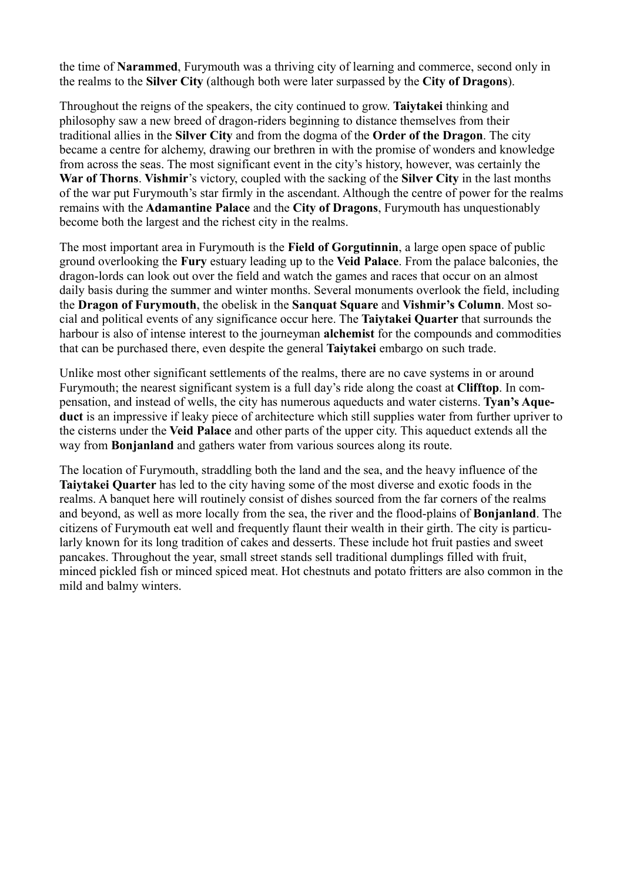the time of **Narammed**, Furymouth was a thriving city of learning and commerce, second only in the realms to the **Silver City** (although both were later surpassed by the **City of Dragons**).

Throughout the reigns of the speakers, the city continued to grow. **Taiytakei** thinking and philosophy saw a new breed of dragon-riders beginning to distance themselves from their traditional allies in the **Silver City** and from the dogma of the **Order of the Dragon**. The city became a centre for alchemy, drawing our brethren in with the promise of wonders and knowledge from across the seas. The most significant event in the city's history, however, was certainly the **War of Thorns**. **Vishmir**'s victory, coupled with the sacking of the **Silver City** in the last months of the war put Furymouth's star firmly in the ascendant. Although the centre of power for the realms remains with the **Adamantine Palace** and the **City of Dragons**, Furymouth has unquestionably become both the largest and the richest city in the realms.

The most important area in Furymouth is the **Field of Gorgutinnin**, a large open space of public ground overlooking the **Fury** estuary leading up to the **Veid Palace**. From the palace balconies, the dragon-lords can look out over the field and watch the games and races that occur on an almost daily basis during the summer and winter months. Several monuments overlook the field, including the **Dragon of Furymouth**, the obelisk in the **Sanquat Square** and **Vishmir's Column**. Most social and political events of any significance occur here. The **Taiytakei Quarter** that surrounds the harbour is also of intense interest to the journeyman **alchemist** for the compounds and commodities that can be purchased there, even despite the general **Taiytakei** embargo on such trade.

Unlike most other significant settlements of the realms, there are no cave systems in or around Furymouth; the nearest significant system is a full day's ride along the coast at **Clifftop**. In compensation, and instead of wells, the city has numerous aqueducts and water cisterns. **Tyan's Aqueduct** is an impressive if leaky piece of architecture which still supplies water from further upriver to the cisterns under the **Veid Palace** and other parts of the upper city. This aqueduct extends all the way from **Bonjanland** and gathers water from various sources along its route.

The location of Furymouth, straddling both the land and the sea, and the heavy influence of the **Taiytakei Quarter** has led to the city having some of the most diverse and exotic foods in the realms. A banquet here will routinely consist of dishes sourced from the far corners of the realms and beyond, as well as more locally from the sea, the river and the flood-plains of **Bonjanland**. The citizens of Furymouth eat well and frequently flaunt their wealth in their girth. The city is particularly known for its long tradition of cakes and desserts. These include hot fruit pasties and sweet pancakes. Throughout the year, small street stands sell traditional dumplings filled with fruit, minced pickled fish or minced spiced meat. Hot chestnuts and potato fritters are also common in the mild and balmy winters.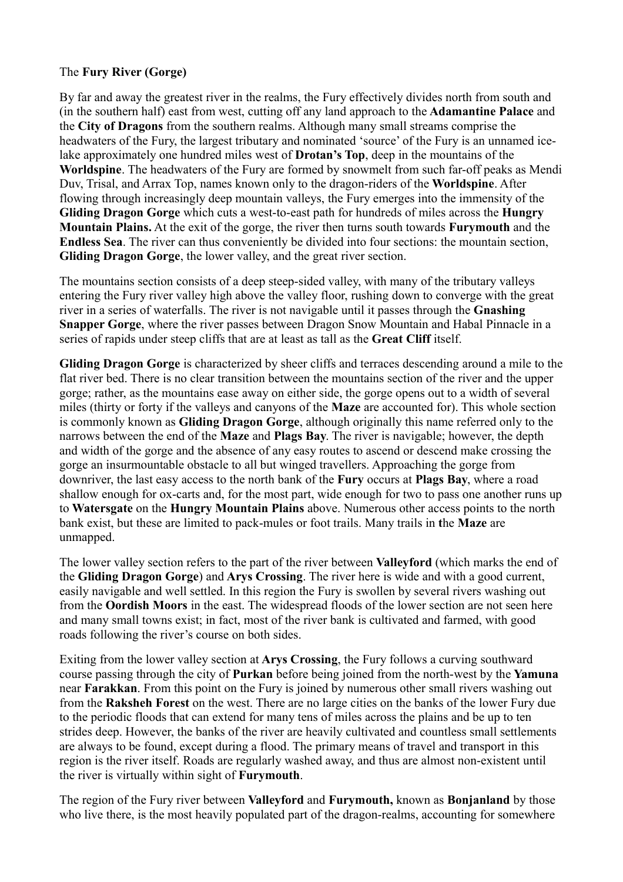# The **Fury River (Gorge)**

By far and away the greatest river in the realms, the Fury effectively divides north from south and (in the southern half) east from west, cutting off any land approach to the **Adamantine Palace** and the **City of Dragons** from the southern realms. Although many small streams comprise the headwaters of the Fury, the largest tributary and nominated 'source' of the Fury is an unnamed icelake approximately one hundred miles west of **Drotan's Top**, deep in the mountains of the **Worldspine**. The headwaters of the Fury are formed by snowmelt from such far-off peaks as Mendi Duv, Trisal, and Arrax Top, names known only to the dragon-riders of the **Worldspine**. After flowing through increasingly deep mountain valleys, the Fury emerges into the immensity of the **Gliding Dragon Gorge** which cuts a west-to-east path for hundreds of miles across the **Hungry Mountain Plains.** At the exit of the gorge, the river then turns south towards **Furymouth** and the **Endless Sea**. The river can thus conveniently be divided into four sections: the mountain section, **Gliding Dragon Gorge**, the lower valley, and the great river section.

The mountains section consists of a deep steep-sided valley, with many of the tributary valleys entering the Fury river valley high above the valley floor, rushing down to converge with the great river in a series of waterfalls. The river is not navigable until it passes through the **Gnashing Snapper Gorge**, where the river passes between Dragon Snow Mountain and Habal Pinnacle in a series of rapids under steep cliffs that are at least as tall as the **Great Cliff** itself.

**Gliding Dragon Gorge** is characterized by sheer cliffs and terraces descending around a mile to the flat river bed. There is no clear transition between the mountains section of the river and the upper gorge; rather, as the mountains ease away on either side, the gorge opens out to a width of several miles (thirty or forty if the valleys and canyons of the **Maze** are accounted for). This whole section is commonly known as **Gliding Dragon Gorge**, although originally this name referred only to the narrows between the end of the **Maze** and **Plags Bay**. The river is navigable; however, the depth and width of the gorge and the absence of any easy routes to ascend or descend make crossing the gorge an insurmountable obstacle to all but winged travellers. Approaching the gorge from downriver, the last easy access to the north bank of the **Fury** occurs at **Plags Bay**, where a road shallow enough for ox-carts and, for the most part, wide enough for two to pass one another runs up to **Watersgate** on the **Hungry Mountain Plains** above. Numerous other access points to the north bank exist, but these are limited to pack-mules or foot trails. Many trails in **t**he **Maze** are unmapped.

The lower valley section refers to the part of the river between **Valleyford** (which marks the end of the **Gliding Dragon Gorge**) and **Arys Crossing**. The river here is wide and with a good current, easily navigable and well settled. In this region the Fury is swollen by several rivers washing out from the **Oordish Moors** in the east. The widespread floods of the lower section are not seen here and many small towns exist; in fact, most of the river bank is cultivated and farmed, with good roads following the river's course on both sides.

Exiting from the lower valley section at **Arys Crossing**, the Fury follows a curving southward course passing through the city of **Purkan** before being joined from the north-west by the **Yamuna** near **Farakkan**. From this point on the Fury is joined by numerous other small rivers washing out from the **Raksheh Forest** on the west. There are no large cities on the banks of the lower Fury due to the periodic floods that can extend for many tens of miles across the plains and be up to ten strides deep. However, the banks of the river are heavily cultivated and countless small settlements are always to be found, except during a flood. The primary means of travel and transport in this region is the river itself. Roads are regularly washed away, and thus are almost non-existent until the river is virtually within sight of **Furymouth**.

The region of the Fury river between **Valleyford** and **Furymouth,** known as **Bonjanland** by those who live there, is the most heavily populated part of the dragon-realms, accounting for somewhere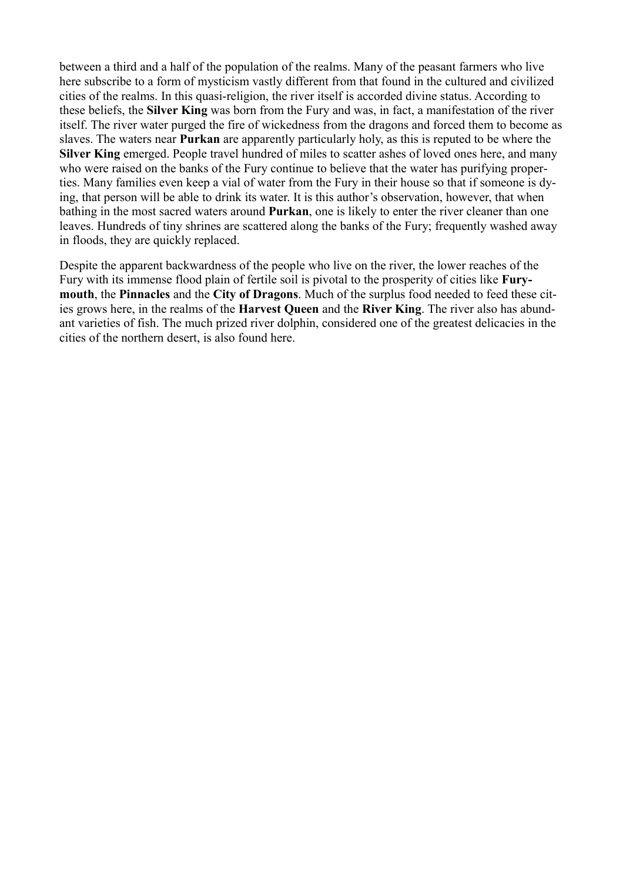between a third and a half of the population of the realms. Many of the peasant farmers who live here subscribe to a form of mysticism vastly different from that found in the cultured and civilized cities of the realms. In this quasi-religion, the river itself is accorded divine status. According to these beliefs, the **Silver King** was born from the Fury and was, in fact, a manifestation of the river itself. The river water purged the fire of wickedness from the dragons and forced them to become as slaves. The waters near **Purkan** are apparently particularly holy, as this is reputed to be where the **Silver King** emerged. People travel hundred of miles to scatter ashes of loved ones here, and many who were raised on the banks of the Fury continue to believe that the water has purifying properties. Many families even keep a vial of water from the Fury in their house so that if someone is dying, that person will be able to drink its water. It is this author's observation, however, that when bathing in the most sacred waters around **Purkan**, one is likely to enter the river cleaner than one leaves. Hundreds of tiny shrines are scattered along the banks of the Fury; frequently washed away in floods, they are quickly replaced.

Despite the apparent backwardness of the people who live on the river, the lower reaches of the Fury with its immense flood plain of fertile soil is pivotal to the prosperity of cities like **Furymouth**, the **Pinnacles** and the **City of Dragons**. Much of the surplus food needed to feed these cities grows here, in the realms of the **Harvest Queen** and the **River King**. The river also has abundant varieties of fish. The much prized river dolphin, considered one of the greatest delicacies in the cities of the northern desert, is also found here.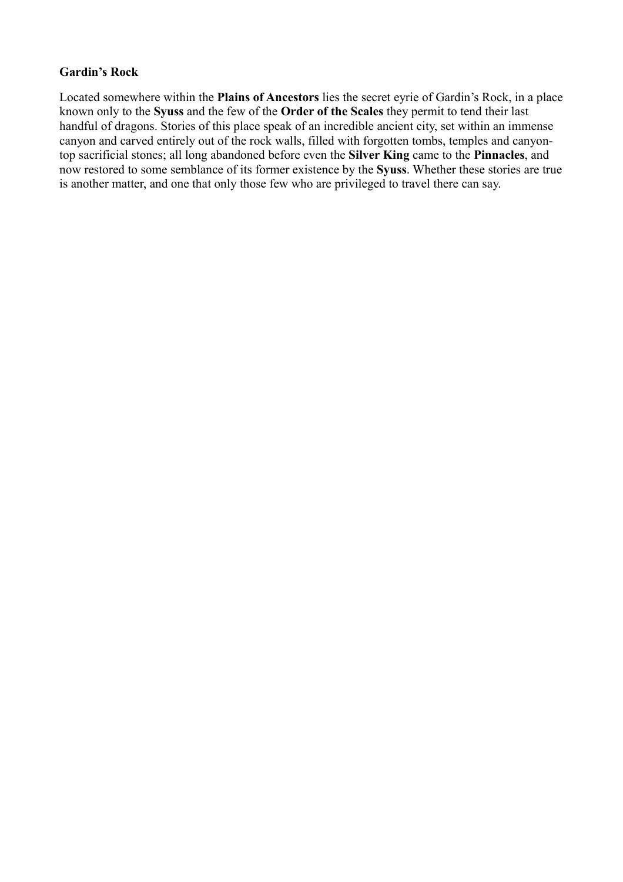# **Gardin's Rock**

Located somewhere within the **Plains of Ancestors** lies the secret eyrie of Gardin's Rock, in a place known only to the **Syuss** and the few of the **Order of the Scales** they permit to tend their last handful of dragons. Stories of this place speak of an incredible ancient city, set within an immense canyon and carved entirely out of the rock walls, filled with forgotten tombs, temples and canyontop sacrificial stones; all long abandoned before even the **Silver King** came to the **Pinnacles**, and now restored to some semblance of its former existence by the **Syuss**. Whether these stories are true is another matter, and one that only those few who are privileged to travel there can say.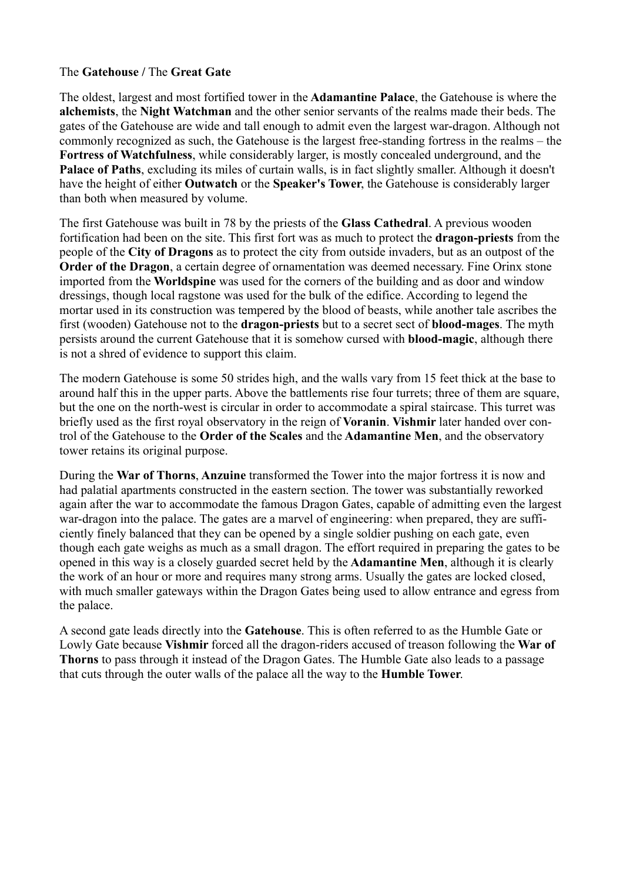#### The **Gatehouse /** The **Great Gate**

The oldest, largest and most fortified tower in the **Adamantine Palace**, the Gatehouse is where the **alchemists**, the **Night Watchman** and the other senior servants of the realms made their beds. The gates of the Gatehouse are wide and tall enough to admit even the largest war-dragon. Although not commonly recognized as such, the Gatehouse is the largest free-standing fortress in the realms – the **Fortress of Watchfulness**, while considerably larger, is mostly concealed underground, and the **Palace of Paths**, excluding its miles of curtain walls, is in fact slightly smaller. Although it doesn't have the height of either **Outwatch** or the **Speaker's Tower**, the Gatehouse is considerably larger than both when measured by volume.

The first Gatehouse was built in 78 by the priests of the **Glass Cathedral**. A previous wooden fortification had been on the site. This first fort was as much to protect the **dragon-priests** from the people of the **City of Dragons** as to protect the city from outside invaders, but as an outpost of the **Order of the Dragon**, a certain degree of ornamentation was deemed necessary. Fine Orinx stone imported from the **Worldspine** was used for the corners of the building and as door and window dressings, though local ragstone was used for the bulk of the edifice. According to legend the mortar used in its construction was tempered by the blood of beasts, while another tale ascribes the first (wooden) Gatehouse not to the **dragon-priests** but to a secret sect of **blood-mages**. The myth persists around the current Gatehouse that it is somehow cursed with **blood-magic**, although there is not a shred of evidence to support this claim.

The modern Gatehouse is some 50 strides high, and the walls vary from 15 feet thick at the base to around half this in the upper parts. Above the battlements rise four turrets; three of them are square, but the one on the north-west is circular in order to accommodate a spiral staircase. This turret was briefly used as the first royal observatory in the reign of **Voranin**. **Vishmir** later handed over control of the Gatehouse to the **Order of the Scales** and the **Adamantine Men**, and the observatory tower retains its original purpose.

During the **War of Thorns**, **Anzuine** transformed the Tower into the major fortress it is now and had palatial apartments constructed in the eastern section. The tower was substantially reworked again after the war to accommodate the famous Dragon Gates, capable of admitting even the largest war-dragon into the palace. The gates are a marvel of engineering: when prepared, they are sufficiently finely balanced that they can be opened by a single soldier pushing on each gate, even though each gate weighs as much as a small dragon. The effort required in preparing the gates to be opened in this way is a closely guarded secret held by the **Adamantine Men**, although it is clearly the work of an hour or more and requires many strong arms. Usually the gates are locked closed, with much smaller gateways within the Dragon Gates being used to allow entrance and egress from the palace.

A second gate leads directly into the **Gatehouse**. This is often referred to as the Humble Gate or Lowly Gate because **Vishmir** forced all the dragon-riders accused of treason following the **War of Thorns** to pass through it instead of the Dragon Gates. The Humble Gate also leads to a passage that cuts through the outer walls of the palace all the way to the **Humble Tower**.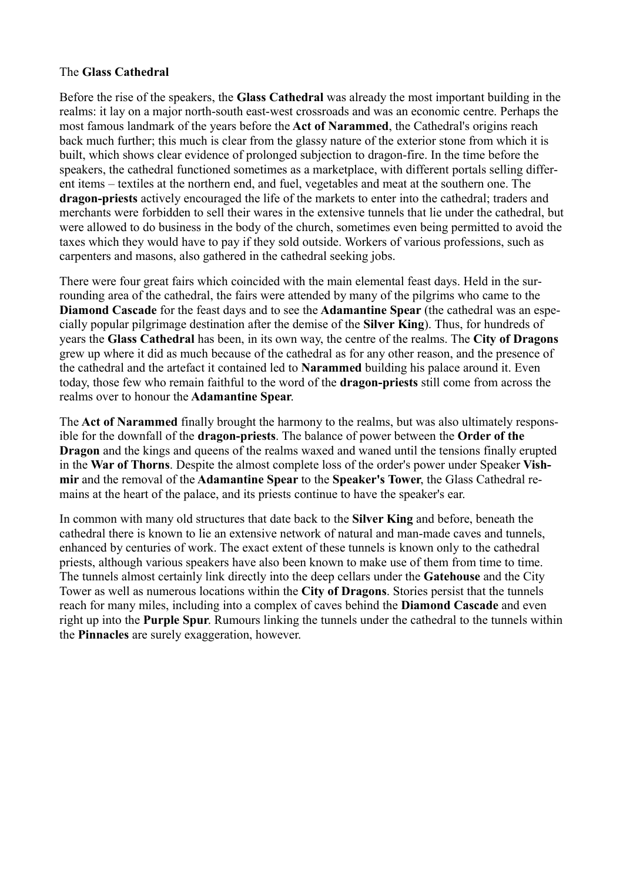## The **Glass Cathedral**

Before the rise of the speakers, the **Glass Cathedral** was already the most important building in the realms: it lay on a major north-south east-west crossroads and was an economic centre. Perhaps the most famous landmark of the years before the **Act of Narammed**, the Cathedral's origins reach back much further; this much is clear from the glassy nature of the exterior stone from which it is built, which shows clear evidence of prolonged subjection to dragon-fire. In the time before the speakers, the cathedral functioned sometimes as a marketplace, with different portals selling different items – textiles at the northern end, and fuel, vegetables and meat at the southern one. The **dragon-priests** actively encouraged the life of the markets to enter into the cathedral; traders and merchants were forbidden to sell their wares in the extensive tunnels that lie under the cathedral, but were allowed to do business in the body of the church, sometimes even being permitted to avoid the taxes which they would have to pay if they sold outside. Workers of various professions, such as carpenters and masons, also gathered in the cathedral seeking jobs.

There were four great fairs which coincided with the main elemental feast days. Held in the surrounding area of the cathedral, the fairs were attended by many of the pilgrims who came to the **Diamond Cascade** for the feast days and to see the **Adamantine Spear** (the cathedral was an especially popular pilgrimage destination after the demise of the **Silver King**). Thus, for hundreds of years the **Glass Cathedral** has been, in its own way, the centre of the realms. The **City of Dragons** grew up where it did as much because of the cathedral as for any other reason, and the presence of the cathedral and the artefact it contained led to **Narammed** building his palace around it. Even today, those few who remain faithful to the word of the **dragon-priests** still come from across the realms over to honour the **Adamantine Spear**.

The **Act of Narammed** finally brought the harmony to the realms, but was also ultimately responsible for the downfall of the **dragon-priests**. The balance of power between the **Order of the Dragon** and the kings and queens of the realms waxed and waned until the tensions finally erupted in the **War of Thorns**. Despite the almost complete loss of the order's power under Speaker **Vishmir** and the removal of the **Adamantine Spear** to the **Speaker's Tower**, the Glass Cathedral remains at the heart of the palace, and its priests continue to have the speaker's ear.

In common with many old structures that date back to the **Silver King** and before, beneath the cathedral there is known to lie an extensive network of natural and man-made caves and tunnels, enhanced by centuries of work. The exact extent of these tunnels is known only to the cathedral priests, although various speakers have also been known to make use of them from time to time. The tunnels almost certainly link directly into the deep cellars under the **Gatehouse** and the City Tower as well as numerous locations within the **City of Dragons**. Stories persist that the tunnels reach for many miles, including into a complex of caves behind the **Diamond Cascade** and even right up into the **Purple Spur**. Rumours linking the tunnels under the cathedral to the tunnels within the **Pinnacles** are surely exaggeration, however.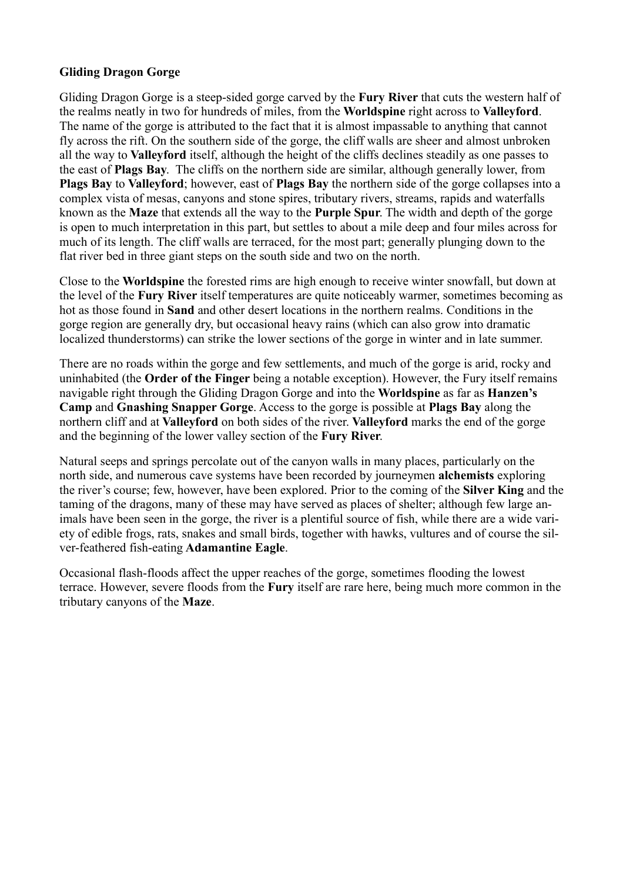# **Gliding Dragon Gorge**

Gliding Dragon Gorge is a steep-sided gorge carved by the **Fury River** that cuts the western half of the realms neatly in two for hundreds of miles, from the **Worldspine** right across to **Valleyford**. The name of the gorge is attributed to the fact that it is almost impassable to anything that cannot fly across the rift. On the southern side of the gorge, the cliff walls are sheer and almost unbroken all the way to **Valleyford** itself, although the height of the cliffs declines steadily as one passes to the east of **Plags Bay**. The cliffs on the northern side are similar, although generally lower, from **Plags Bay** to **Valleyford**; however, east of **Plags Bay** the northern side of the gorge collapses into a complex vista of mesas, canyons and stone spires, tributary rivers, streams, rapids and waterfalls known as the **Maze** that extends all the way to the **Purple Spur**. The width and depth of the gorge is open to much interpretation in this part, but settles to about a mile deep and four miles across for much of its length. The cliff walls are terraced, for the most part; generally plunging down to the flat river bed in three giant steps on the south side and two on the north.

Close to the **Worldspine** the forested rims are high enough to receive winter snowfall, but down at the level of the **Fury River** itself temperatures are quite noticeably warmer, sometimes becoming as hot as those found in **Sand** and other desert locations in the northern realms. Conditions in the gorge region are generally dry, but occasional heavy rains (which can also grow into dramatic localized thunderstorms) can strike the lower sections of the gorge in winter and in late summer.

There are no roads within the gorge and few settlements, and much of the gorge is arid, rocky and uninhabited (the **Order of the Finger** being a notable exception). However, the Fury itself remains navigable right through the Gliding Dragon Gorge and into the **Worldspine** as far as **Hanzen's Camp** and **Gnashing Snapper Gorge**. Access to the gorge is possible at **Plags Bay** along the northern cliff and at **Valleyford** on both sides of the river. **Valleyford** marks the end of the gorge and the beginning of the lower valley section of the **Fury River**.

Natural seeps and springs percolate out of the canyon walls in many places, particularly on the north side, and numerous cave systems have been recorded by journeymen **alchemists** exploring the river's course; few, however, have been explored. Prior to the coming of the **Silver King** and the taming of the dragons, many of these may have served as places of shelter; although few large animals have been seen in the gorge, the river is a plentiful source of fish, while there are a wide variety of edible frogs, rats, snakes and small birds, together with hawks, vultures and of course the silver-feathered fish-eating **Adamantine Eagle**.

Occasional flash-floods affect the upper reaches of the gorge, sometimes flooding the lowest terrace. However, severe floods from the **Fury** itself are rare here, being much more common in the tributary canyons of the **Maze**.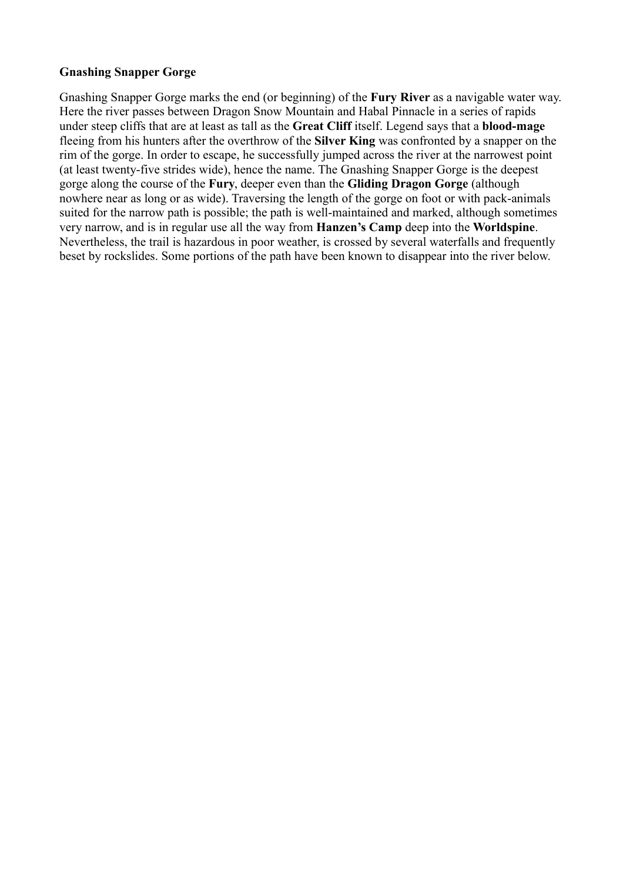# **Gnashing Snapper Gorge**

Gnashing Snapper Gorge marks the end (or beginning) of the **Fury River** as a navigable water way. Here the river passes between Dragon Snow Mountain and Habal Pinnacle in a series of rapids under steep cliffs that are at least as tall as the **Great Cliff** itself. Legend says that a **blood-mage** fleeing from his hunters after the overthrow of the **Silver King** was confronted by a snapper on the rim of the gorge. In order to escape, he successfully jumped across the river at the narrowest point (at least twenty-five strides wide), hence the name. The Gnashing Snapper Gorge is the deepest gorge along the course of the **Fury**, deeper even than the **Gliding Dragon Gorge** (although nowhere near as long or as wide). Traversing the length of the gorge on foot or with pack-animals suited for the narrow path is possible; the path is well-maintained and marked, although sometimes very narrow, and is in regular use all the way from **Hanzen's Camp** deep into the **Worldspine**. Nevertheless, the trail is hazardous in poor weather, is crossed by several waterfalls and frequently beset by rockslides. Some portions of the path have been known to disappear into the river below.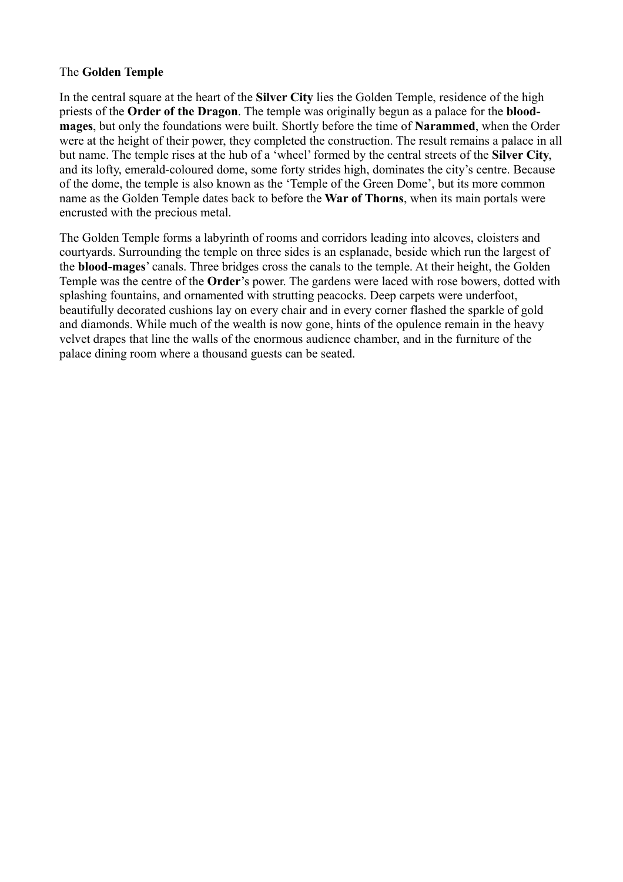# The **Golden Temple**

In the central square at the heart of the **Silver City** lies the Golden Temple, residence of the high priests of the **Order of the Dragon**. The temple was originally begun as a palace for the **bloodmages**, but only the foundations were built. Shortly before the time of **Narammed**, when the Order were at the height of their power, they completed the construction. The result remains a palace in all but name. The temple rises at the hub of a 'wheel' formed by the central streets of the **Silver City**, and its lofty, emerald-coloured dome, some forty strides high, dominates the city's centre. Because of the dome, the temple is also known as the 'Temple of the Green Dome', but its more common name as the Golden Temple dates back to before the **War of Thorns**, when its main portals were encrusted with the precious metal.

The Golden Temple forms a labyrinth of rooms and corridors leading into alcoves, cloisters and courtyards. Surrounding the temple on three sides is an esplanade, beside which run the largest of the **blood-mages**' canals. Three bridges cross the canals to the temple. At their height, the Golden Temple was the centre of the **Order**'s power. The gardens were laced with rose bowers, dotted with splashing fountains, and ornamented with strutting peacocks. Deep carpets were underfoot, beautifully decorated cushions lay on every chair and in every corner flashed the sparkle of gold and diamonds. While much of the wealth is now gone, hints of the opulence remain in the heavy velvet drapes that line the walls of the enormous audience chamber, and in the furniture of the palace dining room where a thousand guests can be seated.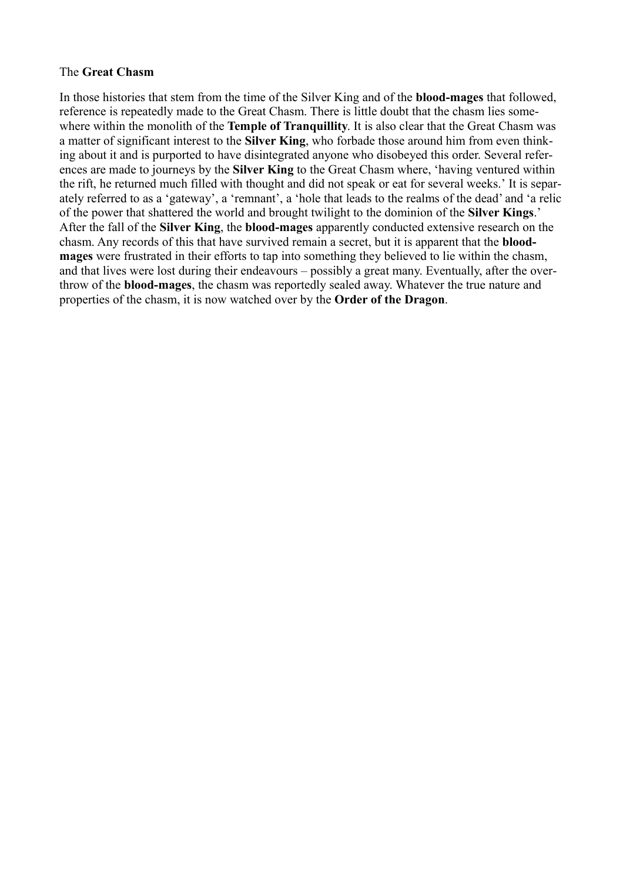### The **Great Chasm**

In those histories that stem from the time of the Silver King and of the **blood-mages** that followed, reference is repeatedly made to the Great Chasm. There is little doubt that the chasm lies somewhere within the monolith of the **Temple of Tranquillity**. It is also clear that the Great Chasm was a matter of significant interest to the **Silver King**, who forbade those around him from even thinking about it and is purported to have disintegrated anyone who disobeyed this order. Several references are made to journeys by the **Silver King** to the Great Chasm where, 'having ventured within the rift, he returned much filled with thought and did not speak or eat for several weeks.' It is separately referred to as a 'gateway', a 'remnant', a 'hole that leads to the realms of the dead' and 'a relic of the power that shattered the world and brought twilight to the dominion of the **Silver Kings**.' After the fall of the **Silver King**, the **blood-mages** apparently conducted extensive research on the chasm. Any records of this that have survived remain a secret, but it is apparent that the **bloodmages** were frustrated in their efforts to tap into something they believed to lie within the chasm, and that lives were lost during their endeavours – possibly a great many. Eventually, after the overthrow of the **blood-mages**, the chasm was reportedly sealed away. Whatever the true nature and properties of the chasm, it is now watched over by the **Order of the Dragon**.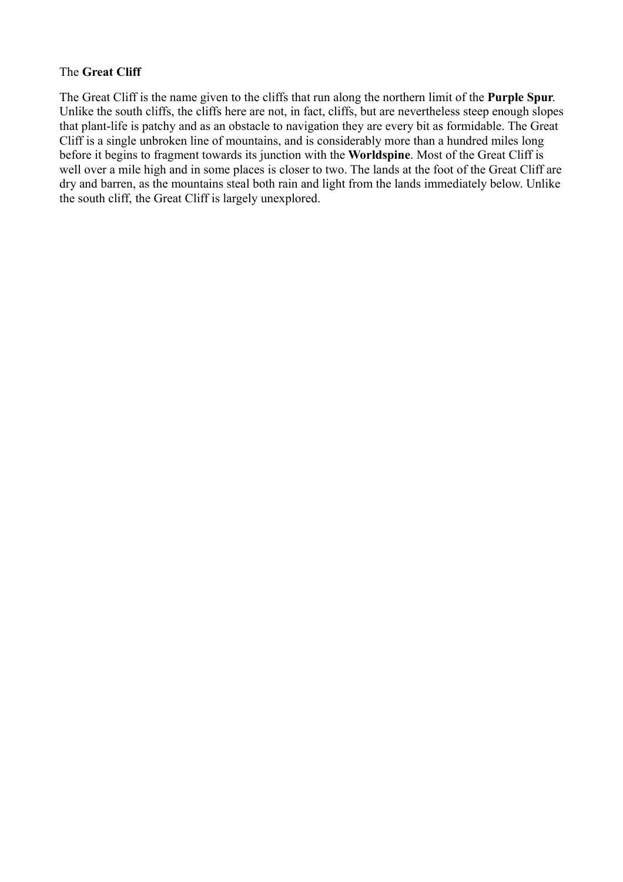# The **Great Cliff**

The Great Cliff is the name given to the cliffs that run along the northern limit of the **Purple Spur**. Unlike the south cliffs, the cliffs here are not, in fact, cliffs, but are nevertheless steep enough slopes that plant-life is patchy and as an obstacle to navigation they are every bit as formidable. The Great Cliff is a single unbroken line of mountains, and is considerably more than a hundred miles long before it begins to fragment towards its junction with the **Worldspine**. Most of the Great Cliff is well over a mile high and in some places is closer to two. The lands at the foot of the Great Cliff are dry and barren, as the mountains steal both rain and light from the lands immediately below. Unlike the south cliff, the Great Cliff is largely unexplored.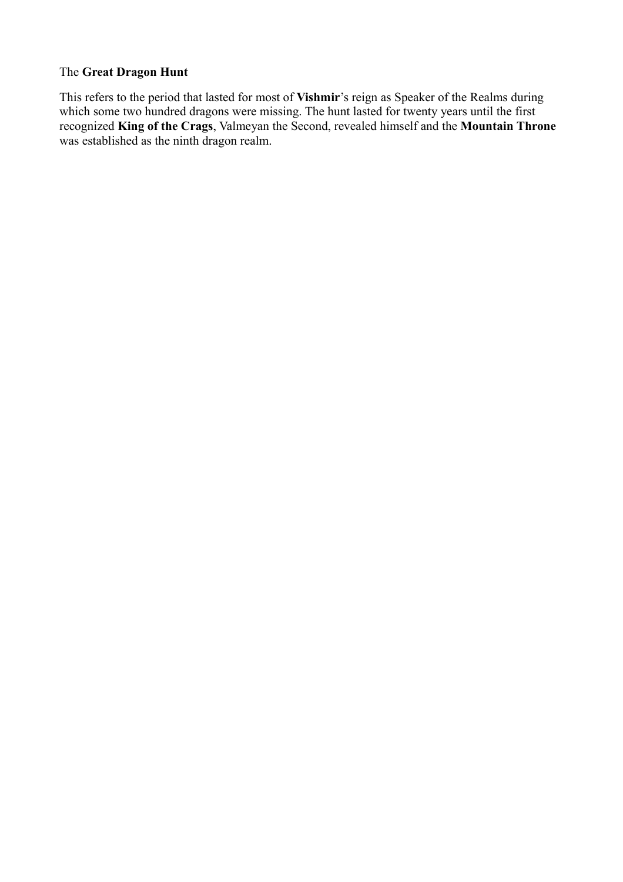# The **Great Dragon Hunt**

This refers to the period that lasted for most of **Vishmir**'s reign as Speaker of the Realms during which some two hundred dragons were missing. The hunt lasted for twenty years until the first recognized **King of the Crags**, Valmeyan the Second, revealed himself and the **Mountain Throne** was established as the ninth dragon realm.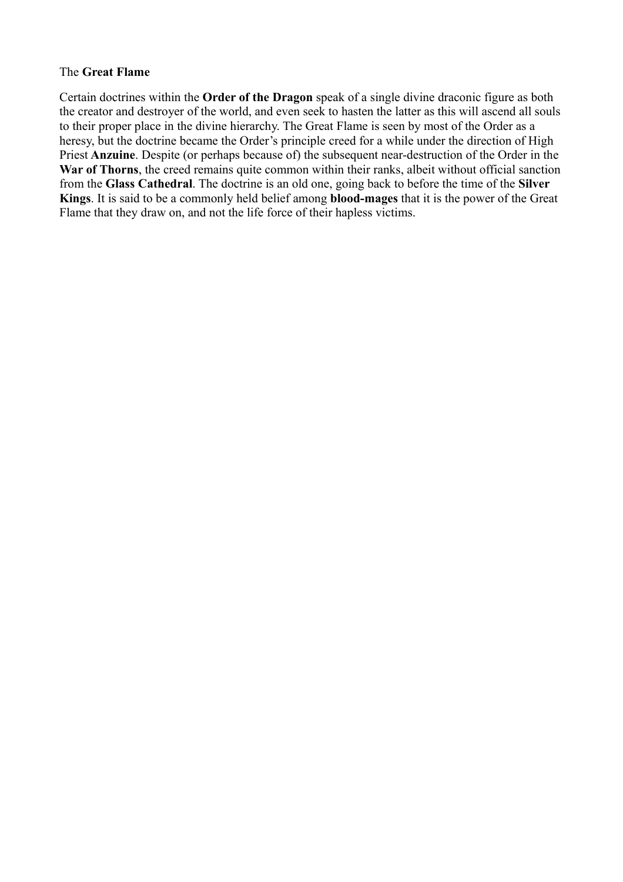## The **Great Flame**

Certain doctrines within the **Order of the Dragon** speak of a single divine draconic figure as both the creator and destroyer of the world, and even seek to hasten the latter as this will ascend all souls to their proper place in the divine hierarchy. The Great Flame is seen by most of the Order as a heresy, but the doctrine became the Order's principle creed for a while under the direction of High Priest **Anzuine**. Despite (or perhaps because of) the subsequent near-destruction of the Order in the **War of Thorns**, the creed remains quite common within their ranks, albeit without official sanction from the **Glass Cathedral**. The doctrine is an old one, going back to before the time of the **Silver Kings**. It is said to be a commonly held belief among **blood-mages** that it is the power of the Great Flame that they draw on, and not the life force of their hapless victims.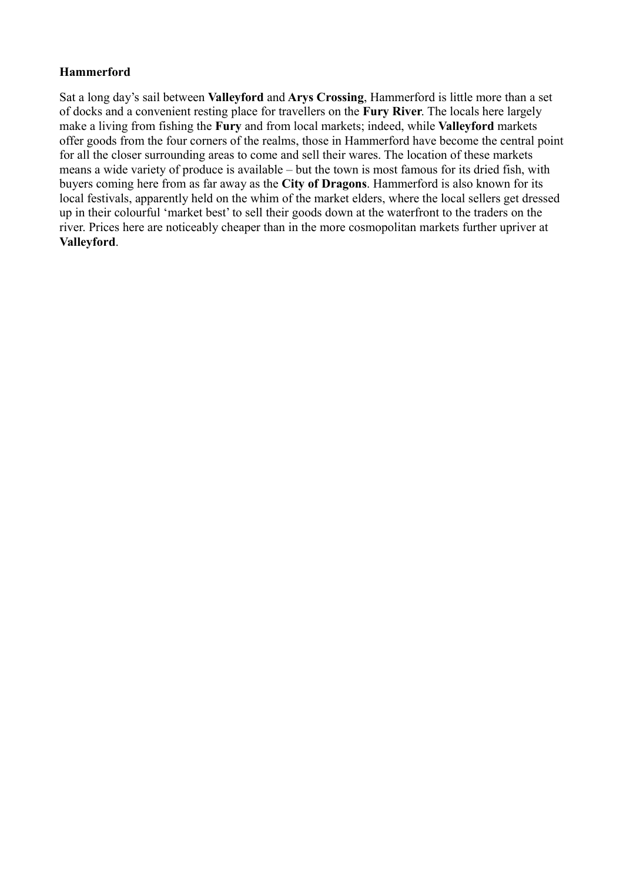# **Hammerford**

Sat a long day's sail between **Valleyford** and **Arys Crossing**, Hammerford is little more than a set of docks and a convenient resting place for travellers on the **Fury River**. The locals here largely make a living from fishing the **Fury** and from local markets; indeed, while **Valleyford** markets offer goods from the four corners of the realms, those in Hammerford have become the central point for all the closer surrounding areas to come and sell their wares. The location of these markets means a wide variety of produce is available – but the town is most famous for its dried fish, with buyers coming here from as far away as the **City of Dragons**. Hammerford is also known for its local festivals, apparently held on the whim of the market elders, where the local sellers get dressed up in their colourful 'market best' to sell their goods down at the waterfront to the traders on the river. Prices here are noticeably cheaper than in the more cosmopolitan markets further upriver at **Valleyford**.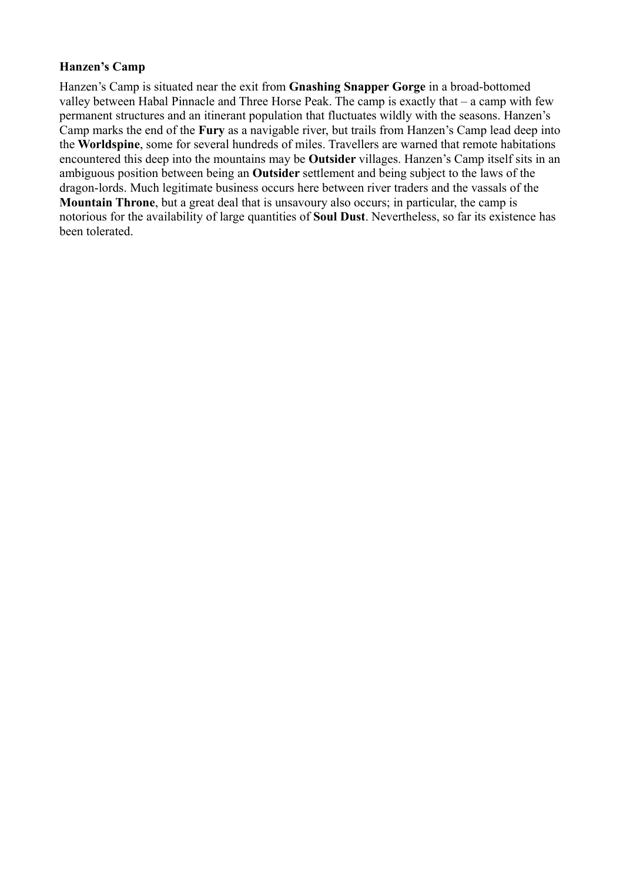# **Hanzen's Camp**

Hanzen's Camp is situated near the exit from **Gnashing Snapper Gorge** in a broad-bottomed valley between Habal Pinnacle and Three Horse Peak. The camp is exactly that – a camp with few permanent structures and an itinerant population that fluctuates wildly with the seasons. Hanzen's Camp marks the end of the **Fury** as a navigable river, but trails from Hanzen's Camp lead deep into the **Worldspine**, some for several hundreds of miles. Travellers are warned that remote habitations encountered this deep into the mountains may be **Outsider** villages. Hanzen's Camp itself sits in an ambiguous position between being an **Outsider** settlement and being subject to the laws of the dragon-lords. Much legitimate business occurs here between river traders and the vassals of the **Mountain Throne**, but a great deal that is unsavoury also occurs; in particular, the camp is notorious for the availability of large quantities of **Soul Dust**. Nevertheless, so far its existence has been tolerated.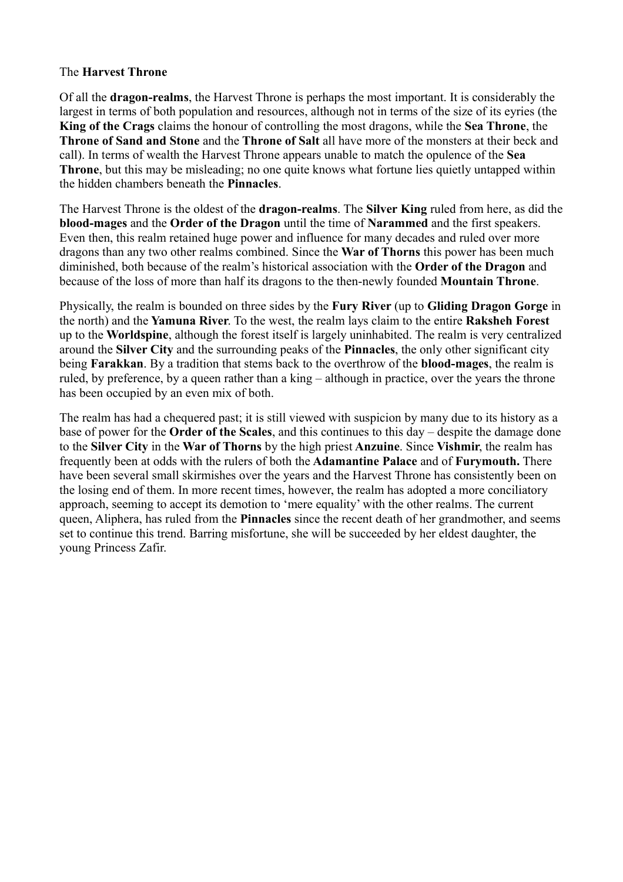## The **Harvest Throne**

Of all the **dragon-realms**, the Harvest Throne is perhaps the most important. It is considerably the largest in terms of both population and resources, although not in terms of the size of its eyries (the **King of the Crags** claims the honour of controlling the most dragons, while the **Sea Throne**, the **Throne of Sand and Stone** and the **Throne of Salt** all have more of the monsters at their beck and call). In terms of wealth the Harvest Throne appears unable to match the opulence of the **Sea Throne**, but this may be misleading; no one quite knows what fortune lies quietly untapped within the hidden chambers beneath the **Pinnacles**.

The Harvest Throne is the oldest of the **dragon-realms**. The **Silver King** ruled from here, as did the **blood-mages** and the **Order of the Dragon** until the time of **Narammed** and the first speakers. Even then, this realm retained huge power and influence for many decades and ruled over more dragons than any two other realms combined. Since the **War of Thorns** this power has been much diminished, both because of the realm's historical association with the **Order of the Dragon** and because of the loss of more than half its dragons to the then-newly founded **Mountain Throne**.

Physically, the realm is bounded on three sides by the **Fury River** (up to **Gliding Dragon Gorge** in the north) and the **Yamuna River**. To the west, the realm lays claim to the entire **Raksheh Forest** up to the **Worldspine**, although the forest itself is largely uninhabited. The realm is very centralized around the **Silver City** and the surrounding peaks of the **Pinnacles**, the only other significant city being **Farakkan**. By a tradition that stems back to the overthrow of the **blood-mages**, the realm is ruled, by preference, by a queen rather than a king – although in practice, over the years the throne has been occupied by an even mix of both.

The realm has had a chequered past; it is still viewed with suspicion by many due to its history as a base of power for the **Order of the Scales**, and this continues to this day – despite the damage done to the **Silver City** in the **War of Thorns** by the high priest **Anzuine**. Since **Vishmir**, the realm has frequently been at odds with the rulers of both the **Adamantine Palace** and of **Furymouth.** There have been several small skirmishes over the years and the Harvest Throne has consistently been on the losing end of them. In more recent times, however, the realm has adopted a more conciliatory approach, seeming to accept its demotion to 'mere equality' with the other realms. The current queen, Aliphera, has ruled from the **Pinnacles** since the recent death of her grandmother, and seems set to continue this trend. Barring misfortune, she will be succeeded by her eldest daughter, the young Princess Zafir.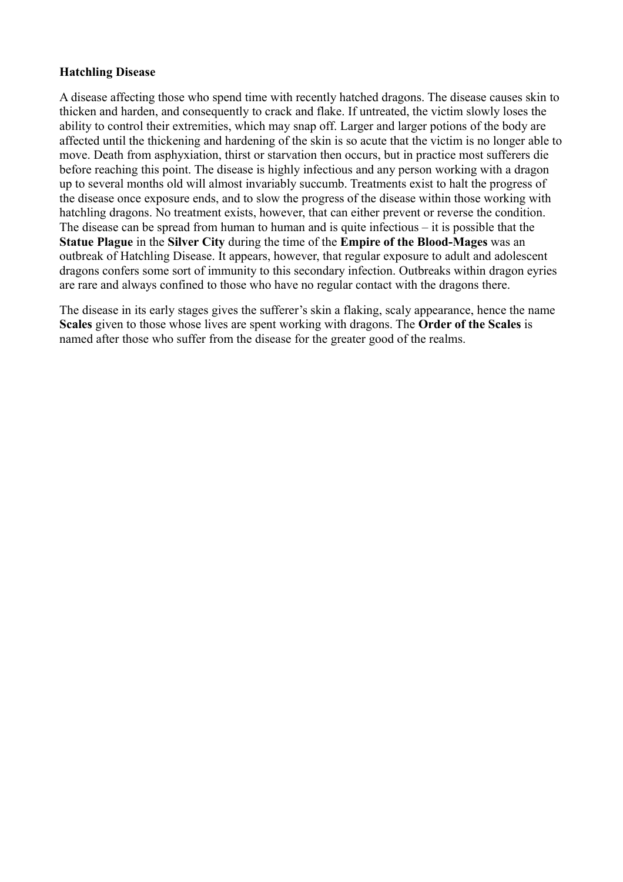### **Hatchling Disease**

A disease affecting those who spend time with recently hatched dragons. The disease causes skin to thicken and harden, and consequently to crack and flake. If untreated, the victim slowly loses the ability to control their extremities, which may snap off. Larger and larger potions of the body are affected until the thickening and hardening of the skin is so acute that the victim is no longer able to move. Death from asphyxiation, thirst or starvation then occurs, but in practice most sufferers die before reaching this point. The disease is highly infectious and any person working with a dragon up to several months old will almost invariably succumb. Treatments exist to halt the progress of the disease once exposure ends, and to slow the progress of the disease within those working with hatchling dragons. No treatment exists, however, that can either prevent or reverse the condition. The disease can be spread from human to human and is quite infectious – it is possible that the **Statue Plague** in the **Silver City** during the time of the **Empire of the Blood-Mages** was an outbreak of Hatchling Disease. It appears, however, that regular exposure to adult and adolescent dragons confers some sort of immunity to this secondary infection. Outbreaks within dragon eyries are rare and always confined to those who have no regular contact with the dragons there.

The disease in its early stages gives the sufferer's skin a flaking, scaly appearance, hence the name **Scales** given to those whose lives are spent working with dragons. The **Order of the Scales** is named after those who suffer from the disease for the greater good of the realms.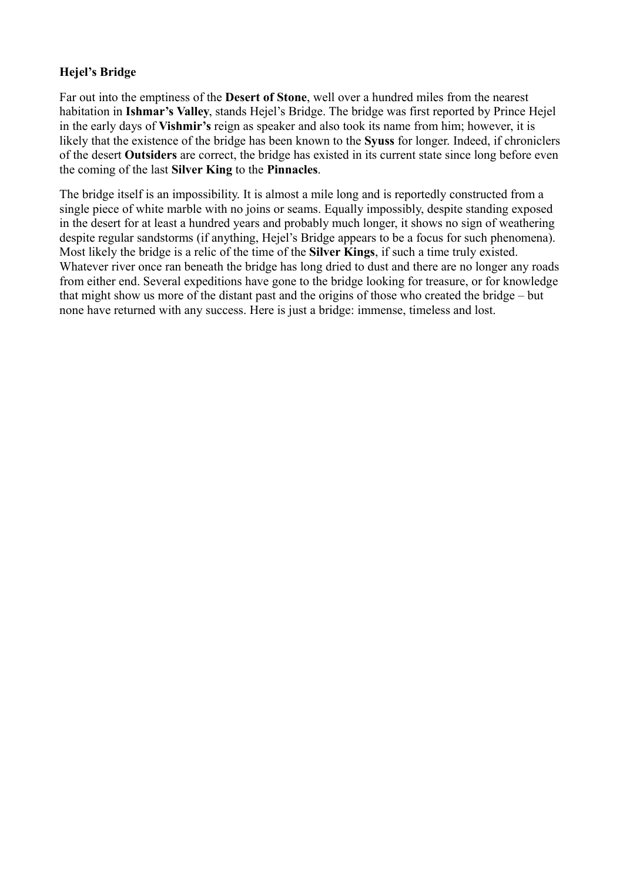# **Hejel's Bridge**

Far out into the emptiness of the **Desert of Stone**, well over a hundred miles from the nearest habitation in **Ishmar's Valley**, stands Hejel's Bridge. The bridge was first reported by Prince Hejel in the early days of **Vishmir's** reign as speaker and also took its name from him; however, it is likely that the existence of the bridge has been known to the **Syuss** for longer. Indeed, if chroniclers of the desert **Outsiders** are correct, the bridge has existed in its current state since long before even the coming of the last **Silver King** to the **Pinnacles**.

The bridge itself is an impossibility. It is almost a mile long and is reportedly constructed from a single piece of white marble with no joins or seams. Equally impossibly, despite standing exposed in the desert for at least a hundred years and probably much longer, it shows no sign of weathering despite regular sandstorms (if anything, Hejel's Bridge appears to be a focus for such phenomena). Most likely the bridge is a relic of the time of the **Silver Kings**, if such a time truly existed. Whatever river once ran beneath the bridge has long dried to dust and there are no longer any roads from either end. Several expeditions have gone to the bridge looking for treasure, or for knowledge that might show us more of the distant past and the origins of those who created the bridge – but none have returned with any success. Here is just a bridge: immense, timeless and lost.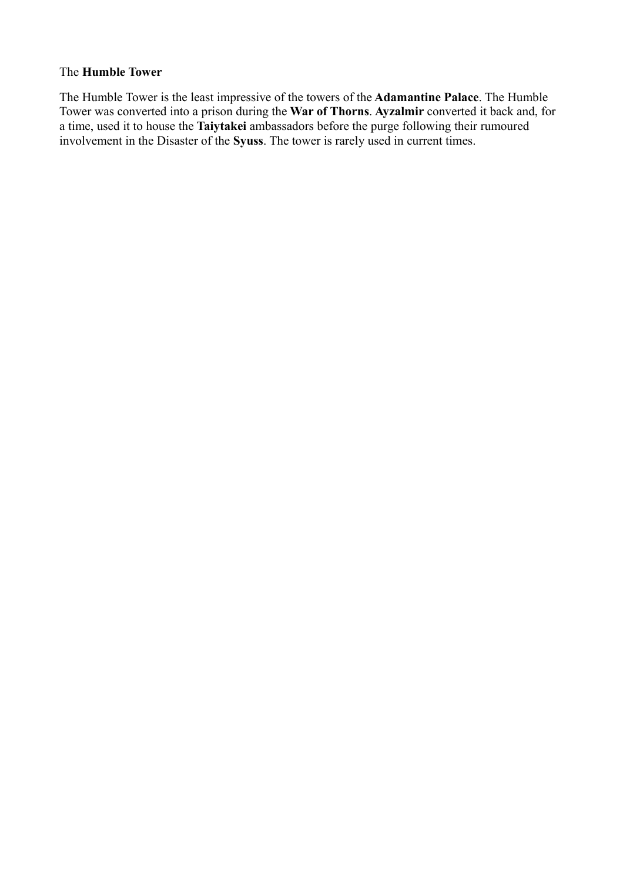### The **Humble Tower**

The Humble Tower is the least impressive of the towers of the **Adamantine Palace**. The Humble Tower was converted into a prison during the **War of Thorns**. **Ayzalmir** converted it back and, for a time, used it to house the **Taiytakei** ambassadors before the purge following their rumoured involvement in the Disaster of the **Syuss**. The tower is rarely used in current times.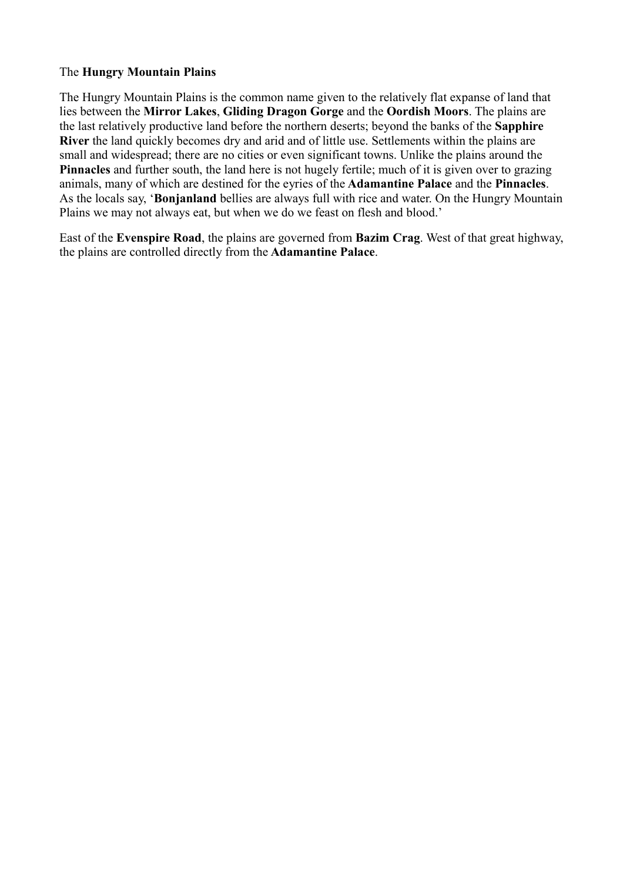# The **Hungry Mountain Plains**

The Hungry Mountain Plains is the common name given to the relatively flat expanse of land that lies between the **Mirror Lakes**, **Gliding Dragon Gorge** and the **Oordish Moors**. The plains are the last relatively productive land before the northern deserts; beyond the banks of the **Sapphire River** the land quickly becomes dry and arid and of little use. Settlements within the plains are small and widespread; there are no cities or even significant towns. Unlike the plains around the **Pinnacles** and further south, the land here is not hugely fertile; much of it is given over to grazing animals, many of which are destined for the eyries of the **Adamantine Palace** and the **Pinnacles**. As the locals say, '**Bonjanland** bellies are always full with rice and water. On the Hungry Mountain Plains we may not always eat, but when we do we feast on flesh and blood.'

East of the **Evenspire Road**, the plains are governed from **Bazim Crag**. West of that great highway, the plains are controlled directly from the **Adamantine Palace**.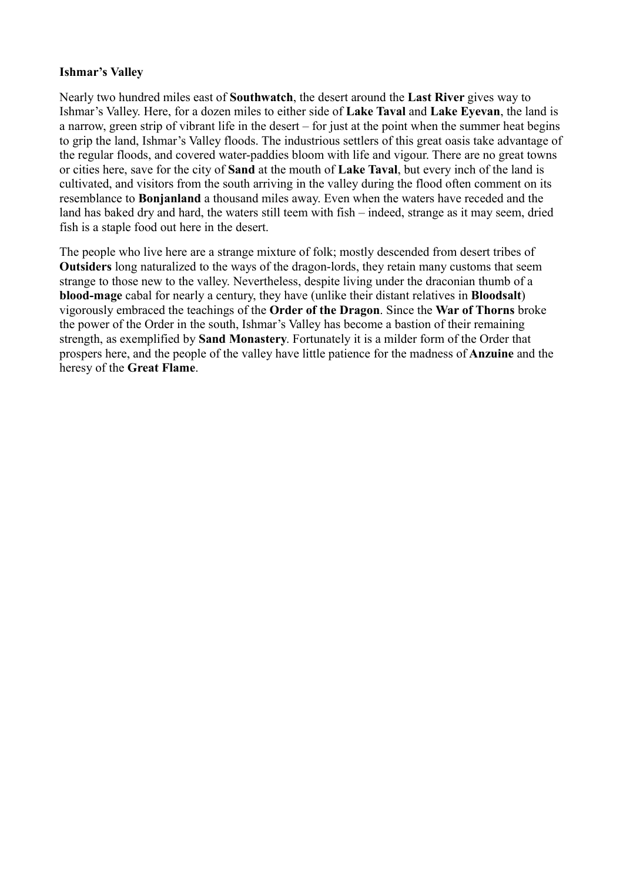## **Ishmar's Valley**

Nearly two hundred miles east of **Southwatch**, the desert around the **Last River** gives way to Ishmar's Valley. Here, for a dozen miles to either side of **Lake Taval** and **Lake Eyevan**, the land is a narrow, green strip of vibrant life in the desert – for just at the point when the summer heat begins to grip the land, Ishmar's Valley floods. The industrious settlers of this great oasis take advantage of the regular floods, and covered water-paddies bloom with life and vigour. There are no great towns or cities here, save for the city of **Sand** at the mouth of **Lake Taval**, but every inch of the land is cultivated, and visitors from the south arriving in the valley during the flood often comment on its resemblance to **Bonjanland** a thousand miles away. Even when the waters have receded and the land has baked dry and hard, the waters still teem with fish – indeed, strange as it may seem, dried fish is a staple food out here in the desert.

The people who live here are a strange mixture of folk; mostly descended from desert tribes of **Outsiders** long naturalized to the ways of the dragon-lords, they retain many customs that seem strange to those new to the valley. Nevertheless, despite living under the draconian thumb of a **blood-mage** cabal for nearly a century, they have (unlike their distant relatives in **Bloodsalt**) vigorously embraced the teachings of the **Order of the Dragon**. Since the **War of Thorns** broke the power of the Order in the south, Ishmar's Valley has become a bastion of their remaining strength, as exemplified by **Sand Monastery**. Fortunately it is a milder form of the Order that prospers here, and the people of the valley have little patience for the madness of **Anzuine** and the heresy of the **Great Flame**.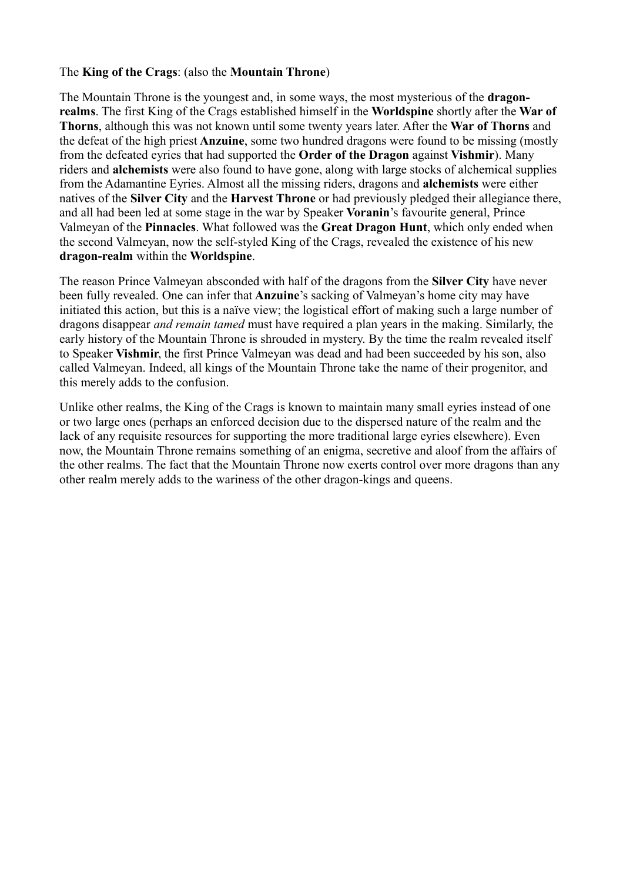### The **King of the Crags**: (also the **Mountain Throne**)

The Mountain Throne is the youngest and, in some ways, the most mysterious of the **dragonrealms**. The first King of the Crags established himself in the **Worldspine** shortly after the **War of Thorns**, although this was not known until some twenty years later. After the **War of Thorns** and the defeat of the high priest **Anzuine**, some two hundred dragons were found to be missing (mostly from the defeated eyries that had supported the **Order of the Dragon** against **Vishmir**). Many riders and **alchemists** were also found to have gone, along with large stocks of alchemical supplies from the Adamantine Eyries. Almost all the missing riders, dragons and **alchemists** were either natives of the **Silver City** and the **Harvest Throne** or had previously pledged their allegiance there, and all had been led at some stage in the war by Speaker **Voranin**'s favourite general, Prince Valmeyan of the **Pinnacles**. What followed was the **Great Dragon Hunt**, which only ended when the second Valmeyan, now the self-styled King of the Crags, revealed the existence of his new **dragon-realm** within the **Worldspine**.

The reason Prince Valmeyan absconded with half of the dragons from the **Silver City** have never been fully revealed. One can infer that **Anzuine**'s sacking of Valmeyan's home city may have initiated this action, but this is a naïve view; the logistical effort of making such a large number of dragons disappear *and remain tamed* must have required a plan years in the making. Similarly, the early history of the Mountain Throne is shrouded in mystery. By the time the realm revealed itself to Speaker **Vishmir**, the first Prince Valmeyan was dead and had been succeeded by his son, also called Valmeyan. Indeed, all kings of the Mountain Throne take the name of their progenitor, and this merely adds to the confusion.

Unlike other realms, the King of the Crags is known to maintain many small eyries instead of one or two large ones (perhaps an enforced decision due to the dispersed nature of the realm and the lack of any requisite resources for supporting the more traditional large eyries elsewhere). Even now, the Mountain Throne remains something of an enigma, secretive and aloof from the affairs of the other realms. The fact that the Mountain Throne now exerts control over more dragons than any other realm merely adds to the wariness of the other dragon-kings and queens.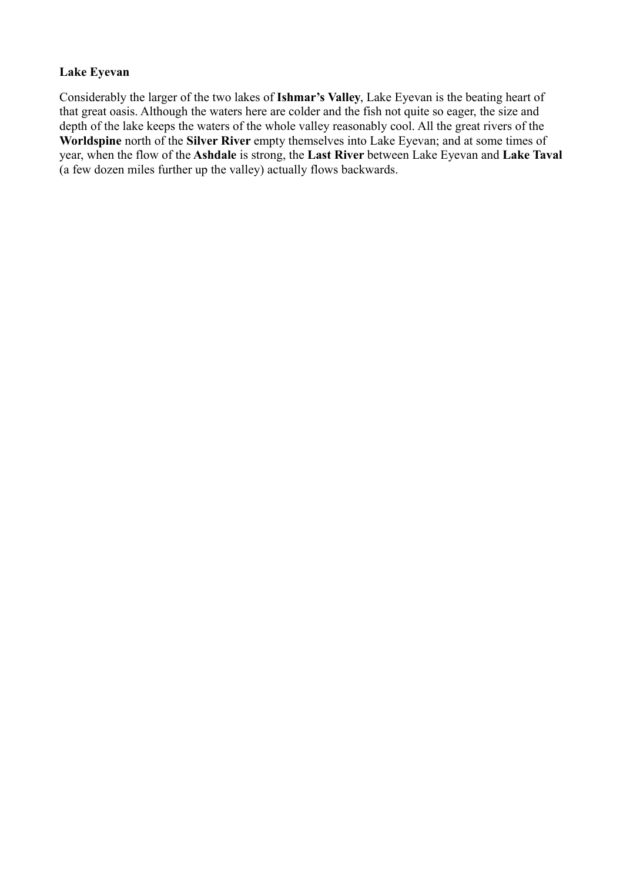# **Lake Eyevan**

Considerably the larger of the two lakes of **Ishmar's Valley**, Lake Eyevan is the beating heart of that great oasis. Although the waters here are colder and the fish not quite so eager, the size and depth of the lake keeps the waters of the whole valley reasonably cool. All the great rivers of the **Worldspine** north of the **Silver River** empty themselves into Lake Eyevan; and at some times of year, when the flow of the **Ashdale** is strong, the **Last River** between Lake Eyevan and **Lake Taval** (a few dozen miles further up the valley) actually flows backwards.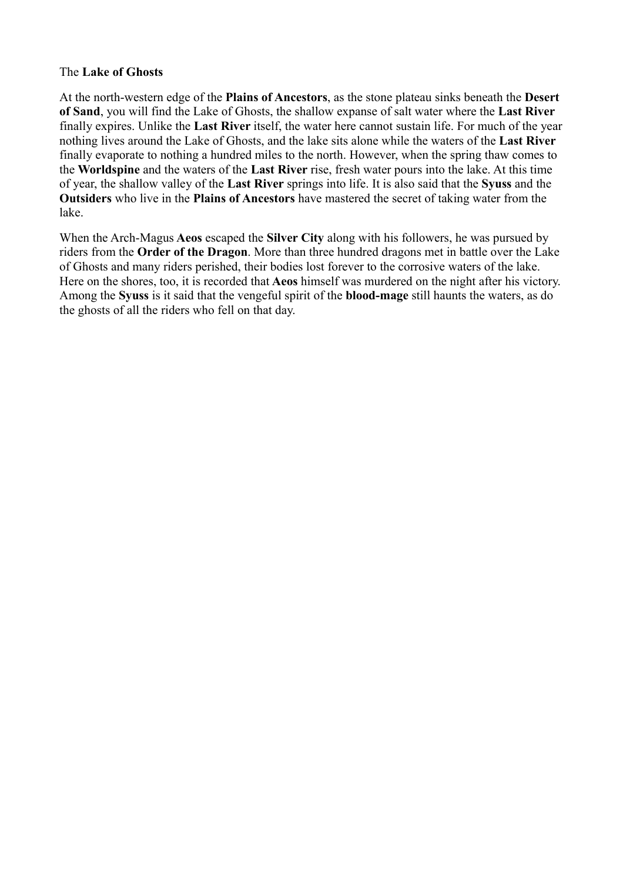### The **Lake of Ghosts**

At the north-western edge of the **Plains of Ancestors**, as the stone plateau sinks beneath the **Desert of Sand**, you will find the Lake of Ghosts, the shallow expanse of salt water where the **Last River** finally expires. Unlike the **Last River** itself, the water here cannot sustain life. For much of the year nothing lives around the Lake of Ghosts, and the lake sits alone while the waters of the **Last River** finally evaporate to nothing a hundred miles to the north. However, when the spring thaw comes to the **Worldspine** and the waters of the **Last River** rise, fresh water pours into the lake. At this time of year, the shallow valley of the **Last River** springs into life. It is also said that the **Syuss** and the **Outsiders** who live in the **Plains of Ancestors** have mastered the secret of taking water from the lake.

When the Arch-Magus **Aeos** escaped the **Silver City** along with his followers, he was pursued by riders from the **Order of the Dragon**. More than three hundred dragons met in battle over the Lake of Ghosts and many riders perished, their bodies lost forever to the corrosive waters of the lake. Here on the shores, too, it is recorded that **Aeos** himself was murdered on the night after his victory. Among the **Syuss** is it said that the vengeful spirit of the **blood-mage** still haunts the waters, as do the ghosts of all the riders who fell on that day.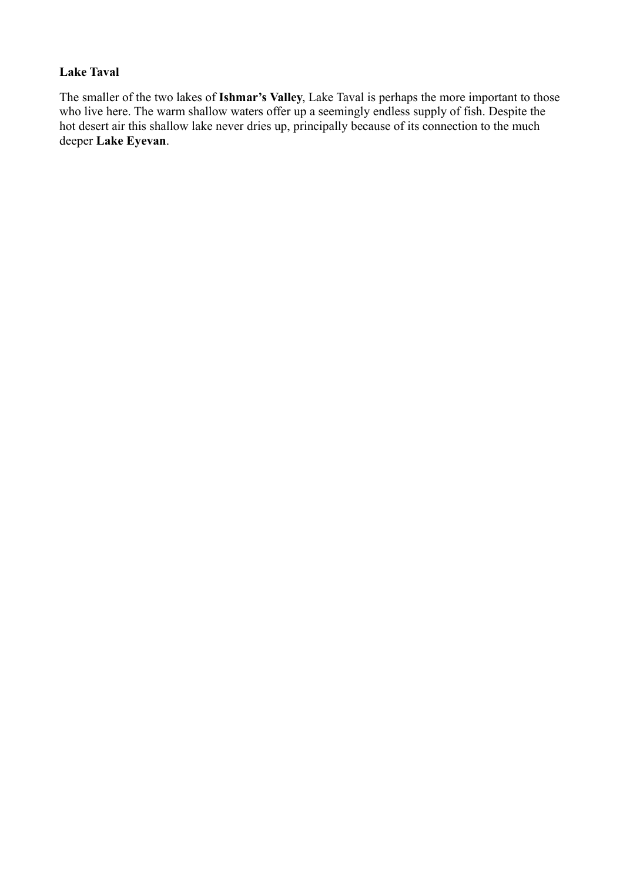# **Lake Taval**

The smaller of the two lakes of **Ishmar's Valley**, Lake Taval is perhaps the more important to those who live here. The warm shallow waters offer up a seemingly endless supply of fish. Despite the hot desert air this shallow lake never dries up, principally because of its connection to the much deeper **Lake Eyevan**.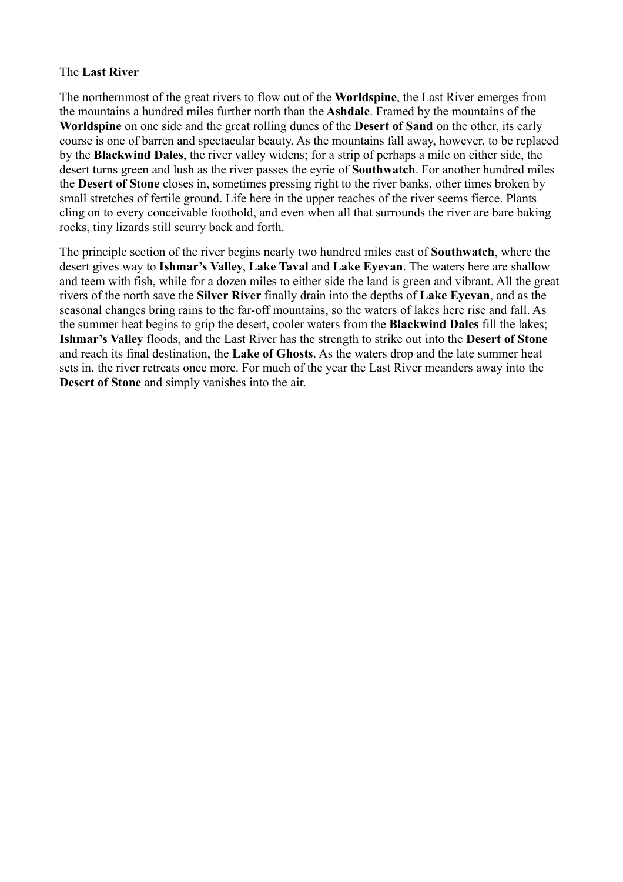#### The **Last River**

The northernmost of the great rivers to flow out of the **Worldspine**, the Last River emerges from the mountains a hundred miles further north than the **Ashdale**. Framed by the mountains of the **Worldspine** on one side and the great rolling dunes of the **Desert of Sand** on the other, its early course is one of barren and spectacular beauty. As the mountains fall away, however, to be replaced by the **Blackwind Dales**, the river valley widens; for a strip of perhaps a mile on either side, the desert turns green and lush as the river passes the eyrie of **Southwatch**. For another hundred miles the **Desert of Stone** closes in, sometimes pressing right to the river banks, other times broken by small stretches of fertile ground. Life here in the upper reaches of the river seems fierce. Plants cling on to every conceivable foothold, and even when all that surrounds the river are bare baking rocks, tiny lizards still scurry back and forth.

The principle section of the river begins nearly two hundred miles east of **Southwatch**, where the desert gives way to **Ishmar's Valley**, **Lake Taval** and **Lake Eyevan**. The waters here are shallow and teem with fish, while for a dozen miles to either side the land is green and vibrant. All the great rivers of the north save the **Silver River** finally drain into the depths of **Lake Eyevan**, and as the seasonal changes bring rains to the far-off mountains, so the waters of lakes here rise and fall. As the summer heat begins to grip the desert, cooler waters from the **Blackwind Dales** fill the lakes; **Ishmar's Valley** floods, and the Last River has the strength to strike out into the **Desert of Stone** and reach its final destination, the **Lake of Ghosts**. As the waters drop and the late summer heat sets in, the river retreats once more. For much of the year the Last River meanders away into the **Desert of Stone** and simply vanishes into the air.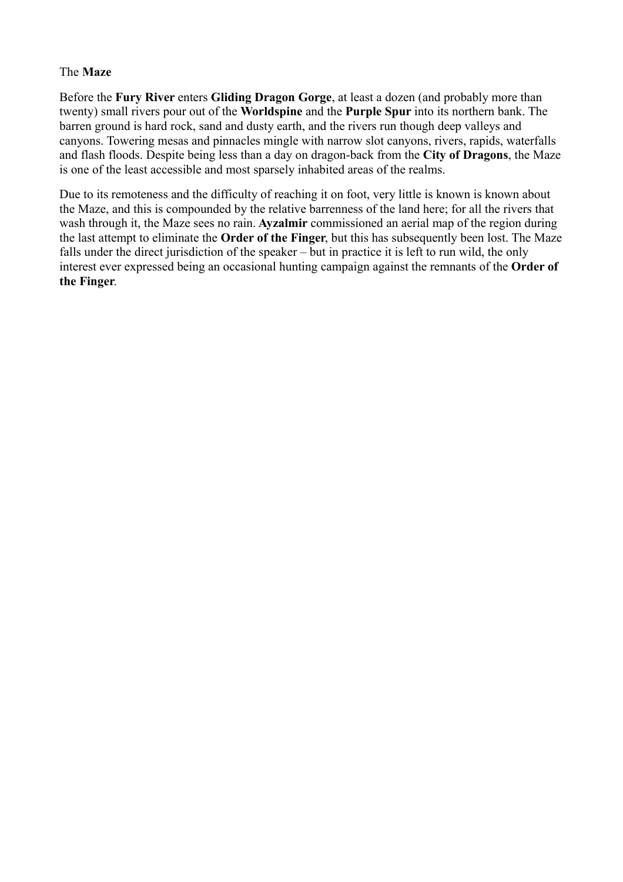# The **Maze**

Before the **Fury River** enters **Gliding Dragon Gorge**, at least a dozen (and probably more than twenty) small rivers pour out of the **Worldspine** and the **Purple Spur** into its northern bank. The barren ground is hard rock, sand and dusty earth, and the rivers run though deep valleys and canyons. Towering mesas and pinnacles mingle with narrow slot canyons, rivers, rapids, waterfalls and flash floods. Despite being less than a day on dragon-back from the **City of Dragons**, the Maze is one of the least accessible and most sparsely inhabited areas of the realms.

Due to its remoteness and the difficulty of reaching it on foot, very little is known is known about the Maze, and this is compounded by the relative barrenness of the land here; for all the rivers that wash through it, the Maze sees no rain. **Ayzalmir** commissioned an aerial map of the region during the last attempt to eliminate the **Order of the Finger**, but this has subsequently been lost. The Maze falls under the direct jurisdiction of the speaker – but in practice it is left to run wild, the only interest ever expressed being an occasional hunting campaign against the remnants of the **Order of the Finger**.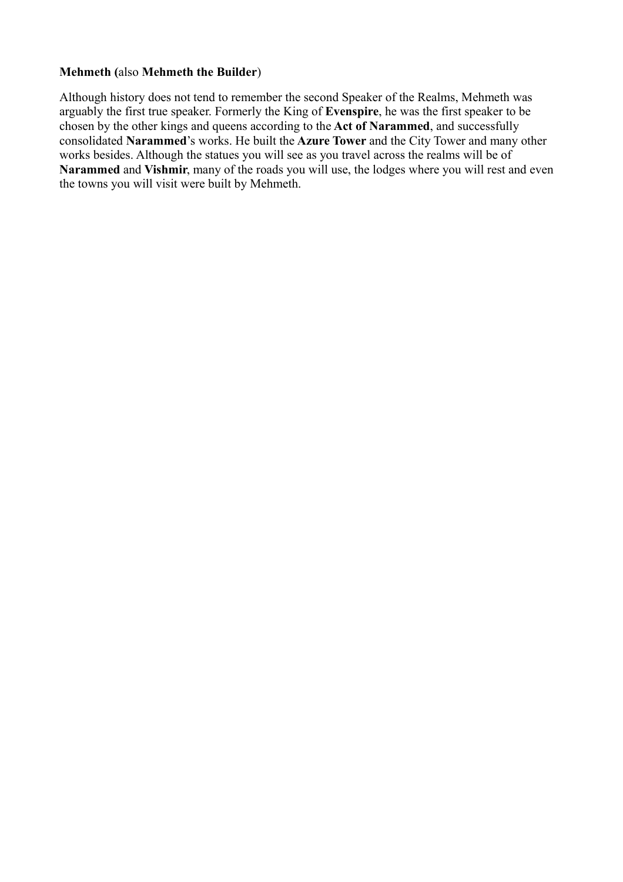### **Mehmeth (**also **Mehmeth the Builder**)

Although history does not tend to remember the second Speaker of the Realms, Mehmeth was arguably the first true speaker. Formerly the King of **Evenspire**, he was the first speaker to be chosen by the other kings and queens according to the **Act of Narammed**, and successfully consolidated **Narammed**'s works. He built the **Azure Tower** and the City Tower and many other works besides. Although the statues you will see as you travel across the realms will be of **Narammed** and **Vishmir**, many of the roads you will use, the lodges where you will rest and even the towns you will visit were built by Mehmeth.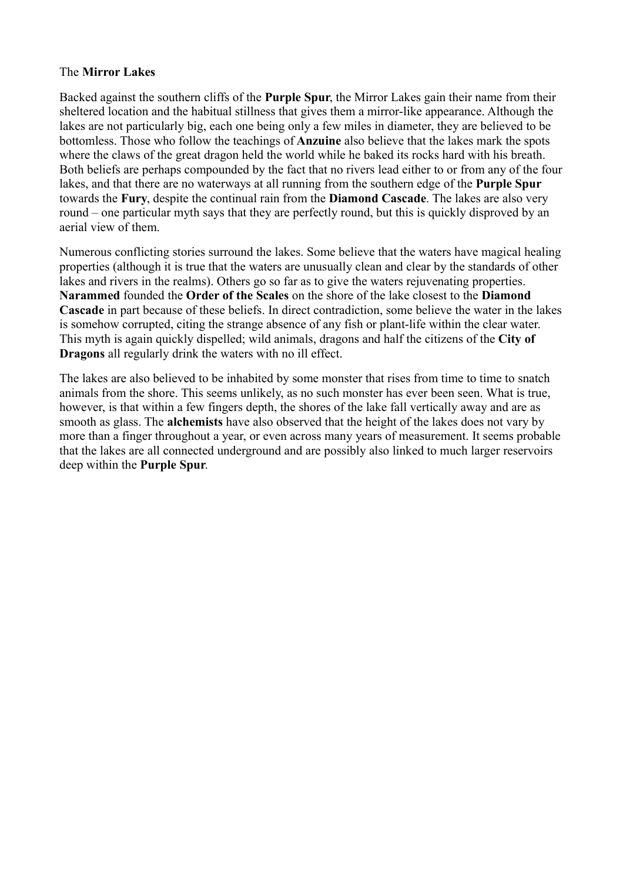## The **Mirror Lakes**

Backed against the southern cliffs of the **Purple Spur**, the Mirror Lakes gain their name from their sheltered location and the habitual stillness that gives them a mirror-like appearance. Although the lakes are not particularly big, each one being only a few miles in diameter, they are believed to be bottomless. Those who follow the teachings of **Anzuine** also believe that the lakes mark the spots where the claws of the great dragon held the world while he baked its rocks hard with his breath. Both beliefs are perhaps compounded by the fact that no rivers lead either to or from any of the four lakes, and that there are no waterways at all running from the southern edge of the **Purple Spur** towards the **Fury**, despite the continual rain from the **Diamond Cascade**. The lakes are also very round – one particular myth says that they are perfectly round, but this is quickly disproved by an aerial view of them.

Numerous conflicting stories surround the lakes. Some believe that the waters have magical healing properties (although it is true that the waters are unusually clean and clear by the standards of other lakes and rivers in the realms). Others go so far as to give the waters rejuvenating properties. **Narammed** founded the **Order of the Scales** on the shore of the lake closest to the **Diamond Cascade** in part because of these beliefs. In direct contradiction, some believe the water in the lakes is somehow corrupted, citing the strange absence of any fish or plant-life within the clear water. This myth is again quickly dispelled; wild animals, dragons and half the citizens of the **City of Dragons** all regularly drink the waters with no ill effect.

The lakes are also believed to be inhabited by some monster that rises from time to time to snatch animals from the shore. This seems unlikely, as no such monster has ever been seen. What is true, however, is that within a few fingers depth, the shores of the lake fall vertically away and are as smooth as glass. The **alchemists** have also observed that the height of the lakes does not vary by more than a finger throughout a year, or even across many years of measurement. It seems probable that the lakes are all connected underground and are possibly also linked to much larger reservoirs deep within the **Purple Spur**.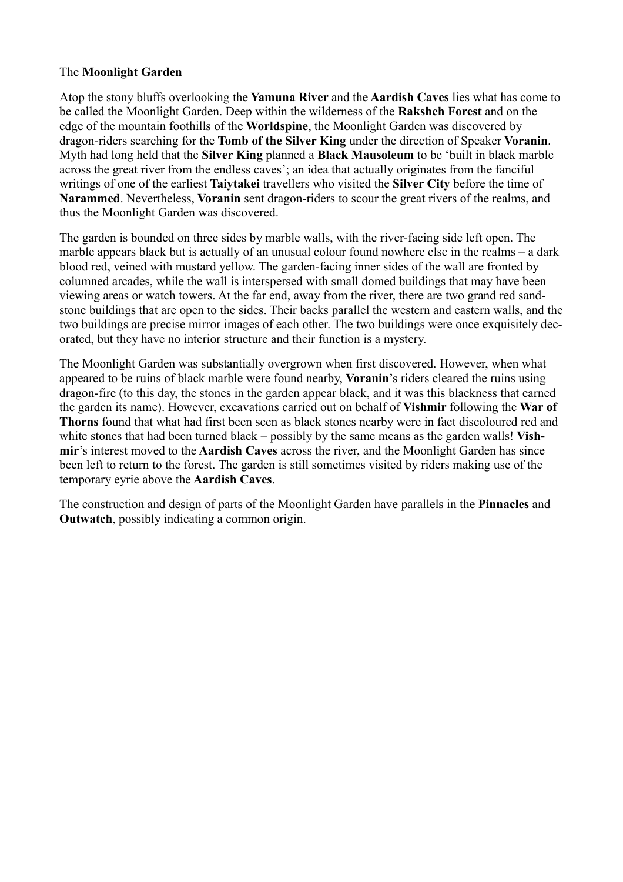# The **Moonlight Garden**

Atop the stony bluffs overlooking the **Yamuna River** and the **Aardish Caves** lies what has come to be called the Moonlight Garden. Deep within the wilderness of the **Raksheh Forest** and on the edge of the mountain foothills of the **Worldspine**, the Moonlight Garden was discovered by dragon-riders searching for the **Tomb of the Silver King** under the direction of Speaker **Voranin**. Myth had long held that the **Silver King** planned a **Black Mausoleum** to be 'built in black marble across the great river from the endless caves'; an idea that actually originates from the fanciful writings of one of the earliest **Taiytakei** travellers who visited the **Silver City** before the time of **Narammed**. Nevertheless, **Voranin** sent dragon-riders to scour the great rivers of the realms, and thus the Moonlight Garden was discovered.

The garden is bounded on three sides by marble walls, with the river-facing side left open. The marble appears black but is actually of an unusual colour found nowhere else in the realms – a dark blood red, veined with mustard yellow. The garden-facing inner sides of the wall are fronted by columned arcades, while the wall is interspersed with small domed buildings that may have been viewing areas or watch towers. At the far end, away from the river, there are two grand red sandstone buildings that are open to the sides. Their backs parallel the western and eastern walls, and the two buildings are precise mirror images of each other. The two buildings were once exquisitely decorated, but they have no interior structure and their function is a mystery.

The Moonlight Garden was substantially overgrown when first discovered. However, when what appeared to be ruins of black marble were found nearby, **Voranin**'s riders cleared the ruins using dragon-fire (to this day, the stones in the garden appear black, and it was this blackness that earned the garden its name). However, excavations carried out on behalf of **Vishmir** following the **War of Thorns** found that what had first been seen as black stones nearby were in fact discoloured red and white stones that had been turned black – possibly by the same means as the garden walls! **Vishmir**'s interest moved to the **Aardish Caves** across the river, and the Moonlight Garden has since been left to return to the forest. The garden is still sometimes visited by riders making use of the temporary eyrie above the **Aardish Caves**.

The construction and design of parts of the Moonlight Garden have parallels in the **Pinnacles** and **Outwatch**, possibly indicating a common origin.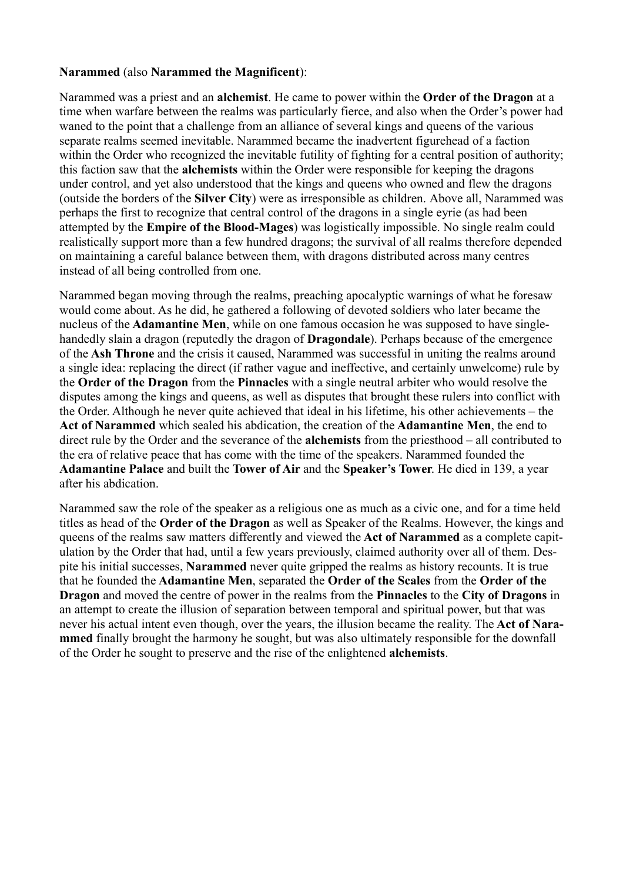### **Narammed** (also **Narammed the Magnificent**):

Narammed was a priest and an **alchemist**. He came to power within the **Order of the Dragon** at a time when warfare between the realms was particularly fierce, and also when the Order's power had waned to the point that a challenge from an alliance of several kings and queens of the various separate realms seemed inevitable. Narammed became the inadvertent figurehead of a faction within the Order who recognized the inevitable futility of fighting for a central position of authority; this faction saw that the **alchemists** within the Order were responsible for keeping the dragons under control, and yet also understood that the kings and queens who owned and flew the dragons (outside the borders of the **Silver City**) were as irresponsible as children. Above all, Narammed was perhaps the first to recognize that central control of the dragons in a single eyrie (as had been attempted by the **Empire of the Blood-Mages**) was logistically impossible. No single realm could realistically support more than a few hundred dragons; the survival of all realms therefore depended on maintaining a careful balance between them, with dragons distributed across many centres instead of all being controlled from one.

Narammed began moving through the realms, preaching apocalyptic warnings of what he foresaw would come about. As he did, he gathered a following of devoted soldiers who later became the nucleus of the **Adamantine Men**, while on one famous occasion he was supposed to have singlehandedly slain a dragon (reputedly the dragon of **Dragondale**). Perhaps because of the emergence of the **Ash Throne** and the crisis it caused, Narammed was successful in uniting the realms around a single idea: replacing the direct (if rather vague and ineffective, and certainly unwelcome) rule by the **Order of the Dragon** from the **Pinnacles** with a single neutral arbiter who would resolve the disputes among the kings and queens, as well as disputes that brought these rulers into conflict with the Order. Although he never quite achieved that ideal in his lifetime, his other achievements – the **Act of Narammed** which sealed his abdication, the creation of the **Adamantine Men**, the end to direct rule by the Order and the severance of the **alchemists** from the priesthood – all contributed to the era of relative peace that has come with the time of the speakers. Narammed founded the **Adamantine Palace** and built the **Tower of Air** and the **Speaker's Tower**. He died in 139, a year after his abdication.

Narammed saw the role of the speaker as a religious one as much as a civic one, and for a time held titles as head of the **Order of the Dragon** as well as Speaker of the Realms. However, the kings and queens of the realms saw matters differently and viewed the **Act of Narammed** as a complete capitulation by the Order that had, until a few years previously, claimed authority over all of them. Despite his initial successes, **Narammed** never quite gripped the realms as history recounts. It is true that he founded the **Adamantine Men**, separated the **Order of the Scales** from the **Order of the Dragon** and moved the centre of power in the realms from the **Pinnacles** to the **City of Dragons** in an attempt to create the illusion of separation between temporal and spiritual power, but that was never his actual intent even though, over the years, the illusion became the reality. The **Act of Narammed** finally brought the harmony he sought, but was also ultimately responsible for the downfall of the Order he sought to preserve and the rise of the enlightened **alchemists**.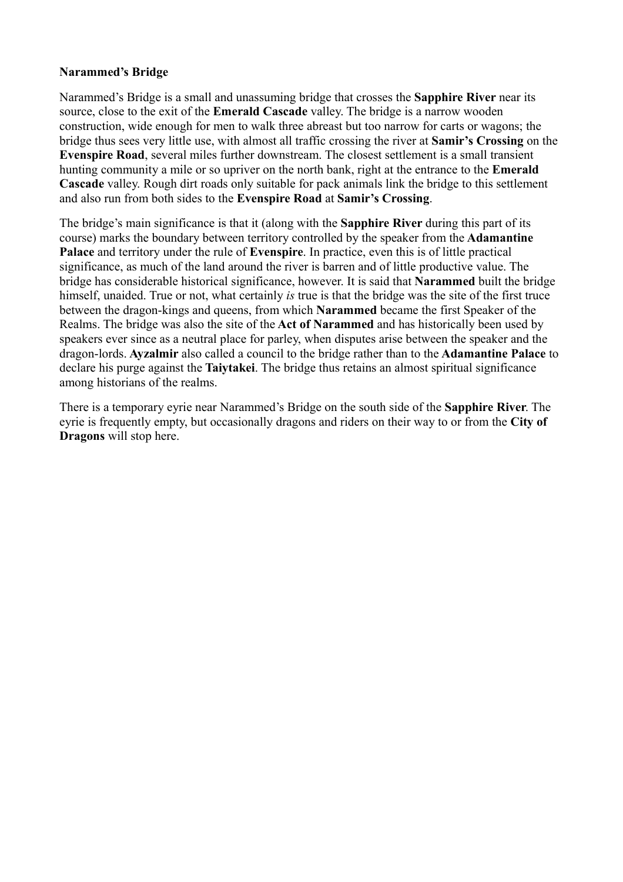# **Narammed's Bridge**

Narammed's Bridge is a small and unassuming bridge that crosses the **Sapphire River** near its source, close to the exit of the **Emerald Cascade** valley. The bridge is a narrow wooden construction, wide enough for men to walk three abreast but too narrow for carts or wagons; the bridge thus sees very little use, with almost all traffic crossing the river at **Samir's Crossing** on the **Evenspire Road**, several miles further downstream. The closest settlement is a small transient hunting community a mile or so upriver on the north bank, right at the entrance to the **Emerald Cascade** valley. Rough dirt roads only suitable for pack animals link the bridge to this settlement and also run from both sides to the **Evenspire Road** at **Samir's Crossing**.

The bridge's main significance is that it (along with the **Sapphire River** during this part of its course) marks the boundary between territory controlled by the speaker from the **Adamantine Palace** and territory under the rule of **Evenspire**. In practice, even this is of little practical significance, as much of the land around the river is barren and of little productive value. The bridge has considerable historical significance, however. It is said that **Narammed** built the bridge himself, unaided. True or not, what certainly *is* true is that the bridge was the site of the first truce between the dragon-kings and queens, from which **Narammed** became the first Speaker of the Realms. The bridge was also the site of the **Act of Narammed** and has historically been used by speakers ever since as a neutral place for parley, when disputes arise between the speaker and the dragon-lords. **Ayzalmir** also called a council to the bridge rather than to the **Adamantine Palace** to declare his purge against the **Taiytakei**. The bridge thus retains an almost spiritual significance among historians of the realms.

There is a temporary eyrie near Narammed's Bridge on the south side of the **Sapphire River**. The eyrie is frequently empty, but occasionally dragons and riders on their way to or from the **City of Dragons** will stop here.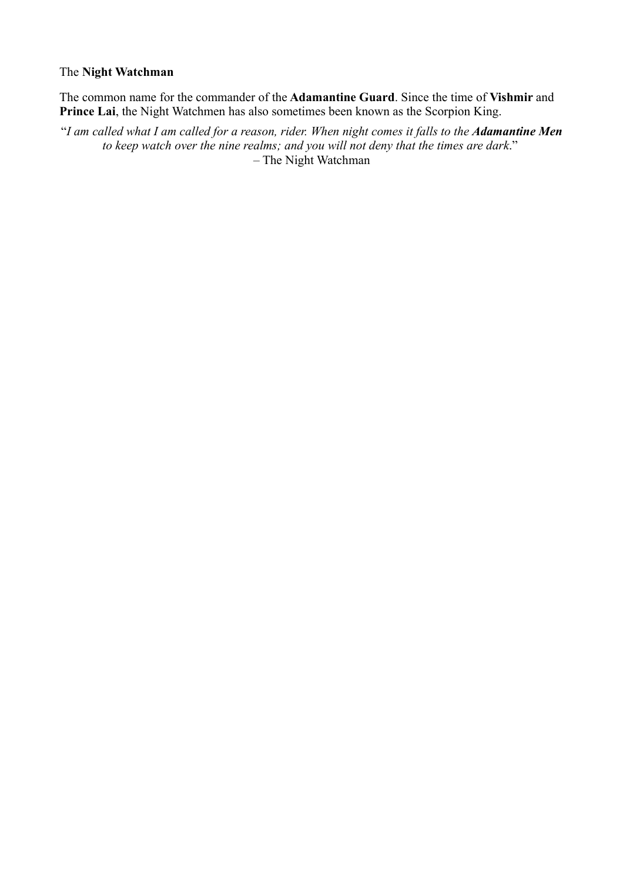### The **Night Watchman**

The common name for the commander of the **Adamantine Guard**. Since the time of **Vishmir** and **Prince Lai**, the Night Watchmen has also sometimes been known as the Scorpion King.

"*I am called what I am called for a reason, rider. When night comes it falls to the Adamantine Men to keep watch over the nine realms; and you will not deny that the times are dark*." – The Night Watchman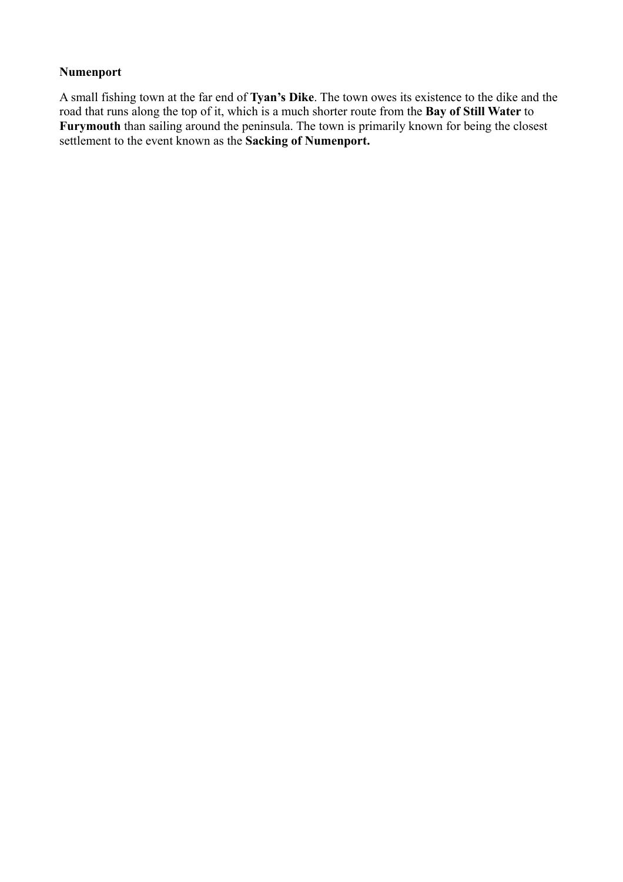# **Numenport**

A small fishing town at the far end of **Tyan's Dike**. The town owes its existence to the dike and the road that runs along the top of it, which is a much shorter route from the **Bay of Still Water** to **Furymouth** than sailing around the peninsula. The town is primarily known for being the closest settlement to the event known as the **Sacking of Numenport.**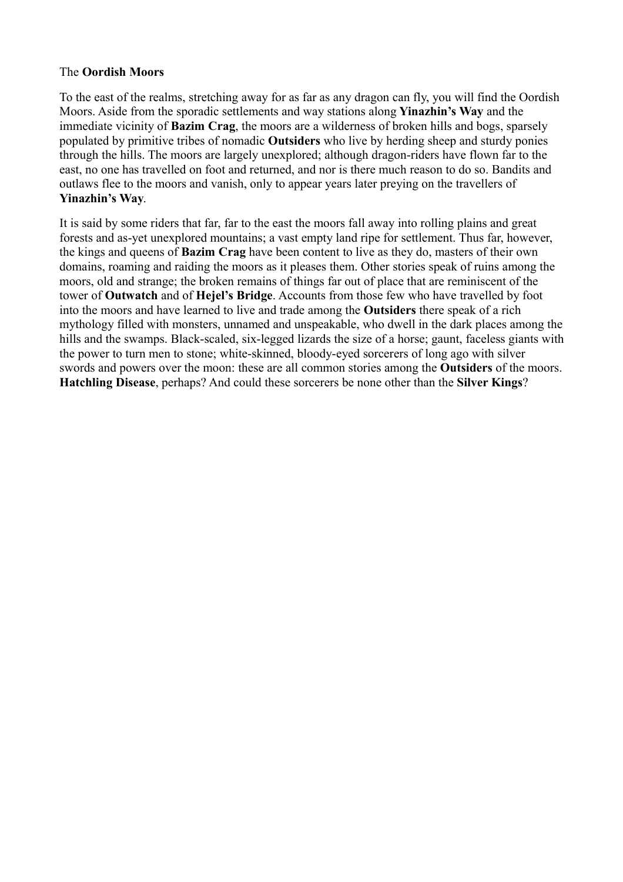### The **Oordish Moors**

To the east of the realms, stretching away for as far as any dragon can fly, you will find the Oordish Moors. Aside from the sporadic settlements and way stations along **Yinazhin's Way** and the immediate vicinity of **Bazim Crag**, the moors are a wilderness of broken hills and bogs, sparsely populated by primitive tribes of nomadic **Outsiders** who live by herding sheep and sturdy ponies through the hills. The moors are largely unexplored; although dragon-riders have flown far to the east, no one has travelled on foot and returned, and nor is there much reason to do so. Bandits and outlaws flee to the moors and vanish, only to appear years later preying on the travellers of **Yinazhin's Way**.

It is said by some riders that far, far to the east the moors fall away into rolling plains and great forests and as-yet unexplored mountains; a vast empty land ripe for settlement. Thus far, however, the kings and queens of **Bazim Crag** have been content to live as they do, masters of their own domains, roaming and raiding the moors as it pleases them. Other stories speak of ruins among the moors, old and strange; the broken remains of things far out of place that are reminiscent of the tower of **Outwatch** and of **Hejel's Bridge**. Accounts from those few who have travelled by foot into the moors and have learned to live and trade among the **Outsiders** there speak of a rich mythology filled with monsters, unnamed and unspeakable, who dwell in the dark places among the hills and the swamps. Black-scaled, six-legged lizards the size of a horse; gaunt, faceless giants with the power to turn men to stone; white-skinned, bloody-eyed sorcerers of long ago with silver swords and powers over the moon: these are all common stories among the **Outsiders** of the moors. **Hatchling Disease**, perhaps? And could these sorcerers be none other than the **Silver Kings**?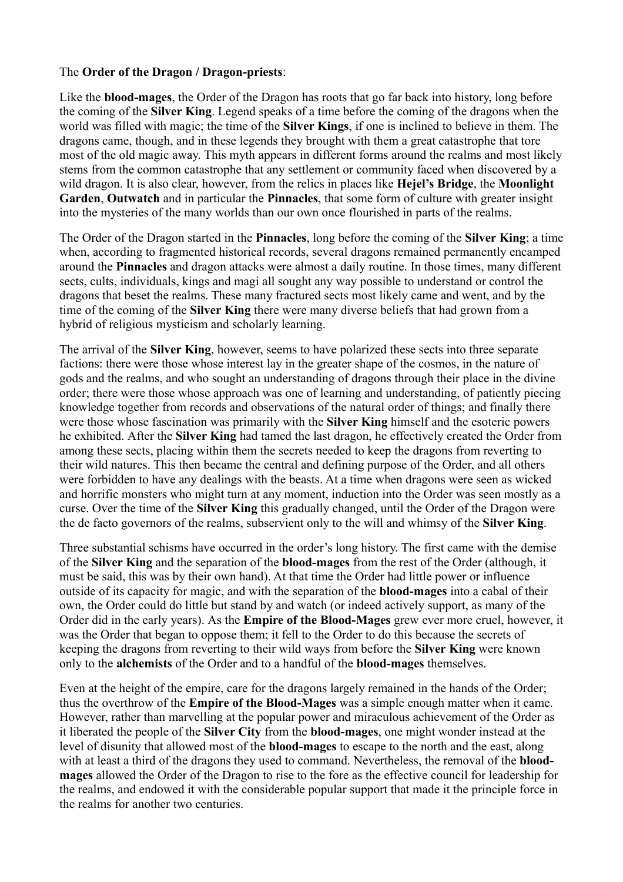## The **Order of the Dragon / Dragon-priests**:

Like the **blood-mages**, the Order of the Dragon has roots that go far back into history, long before the coming of the **Silver King**. Legend speaks of a time before the coming of the dragons when the world was filled with magic; the time of the **Silver Kings**, if one is inclined to believe in them. The dragons came, though, and in these legends they brought with them a great catastrophe that tore most of the old magic away. This myth appears in different forms around the realms and most likely stems from the common catastrophe that any settlement or community faced when discovered by a wild dragon. It is also clear, however, from the relics in places like **Hejel's Bridge**, the **Moonlight Garden**, **Outwatch** and in particular the **Pinnacles**, that some form of culture with greater insight into the mysteries of the many worlds than our own once flourished in parts of the realms.

The Order of the Dragon started in the **Pinnacles**, long before the coming of the **Silver King**; a time when, according to fragmented historical records, several dragons remained permanently encamped around the **Pinnacles** and dragon attacks were almost a daily routine. In those times, many different sects, cults, individuals, kings and magi all sought any way possible to understand or control the dragons that beset the realms. These many fractured sects most likely came and went, and by the time of the coming of the **Silver King** there were many diverse beliefs that had grown from a hybrid of religious mysticism and scholarly learning.

The arrival of the **Silver King**, however, seems to have polarized these sects into three separate factions: there were those whose interest lay in the greater shape of the cosmos, in the nature of gods and the realms, and who sought an understanding of dragons through their place in the divine order; there were those whose approach was one of learning and understanding, of patiently piecing knowledge together from records and observations of the natural order of things; and finally there were those whose fascination was primarily with the **Silver King** himself and the esoteric powers he exhibited. After the **Silver King** had tamed the last dragon, he effectively created the Order from among these sects, placing within them the secrets needed to keep the dragons from reverting to their wild natures. This then became the central and defining purpose of the Order, and all others were forbidden to have any dealings with the beasts. At a time when dragons were seen as wicked and horrific monsters who might turn at any moment, induction into the Order was seen mostly as a curse. Over the time of the **Silver King** this gradually changed, until the Order of the Dragon were the de facto governors of the realms, subservient only to the will and whimsy of the **Silver King**.

Three substantial schisms have occurred in the order's long history. The first came with the demise of the **Silver King** and the separation of the **blood-mages** from the rest of the Order (although, it must be said, this was by their own hand). At that time the Order had little power or influence outside of its capacity for magic, and with the separation of the **blood-mages** into a cabal of their own, the Order could do little but stand by and watch (or indeed actively support, as many of the Order did in the early years). As the **Empire of the Blood-Mages** grew ever more cruel, however, it was the Order that began to oppose them; it fell to the Order to do this because the secrets of keeping the dragons from reverting to their wild ways from before the **Silver King** were known only to the **alchemists** of the Order and to a handful of the **blood-mages** themselves.

Even at the height of the empire, care for the dragons largely remained in the hands of the Order; thus the overthrow of the **Empire of the Blood-Mages** was a simple enough matter when it came. However, rather than marvelling at the popular power and miraculous achievement of the Order as it liberated the people of the **Silver City** from the **blood-mages**, one might wonder instead at the level of disunity that allowed most of the **blood-mages** to escape to the north and the east, along with at least a third of the dragons they used to command. Nevertheless, the removal of the **bloodmages** allowed the Order of the Dragon to rise to the fore as the effective council for leadership for the realms, and endowed it with the considerable popular support that made it the principle force in the realms for another two centuries.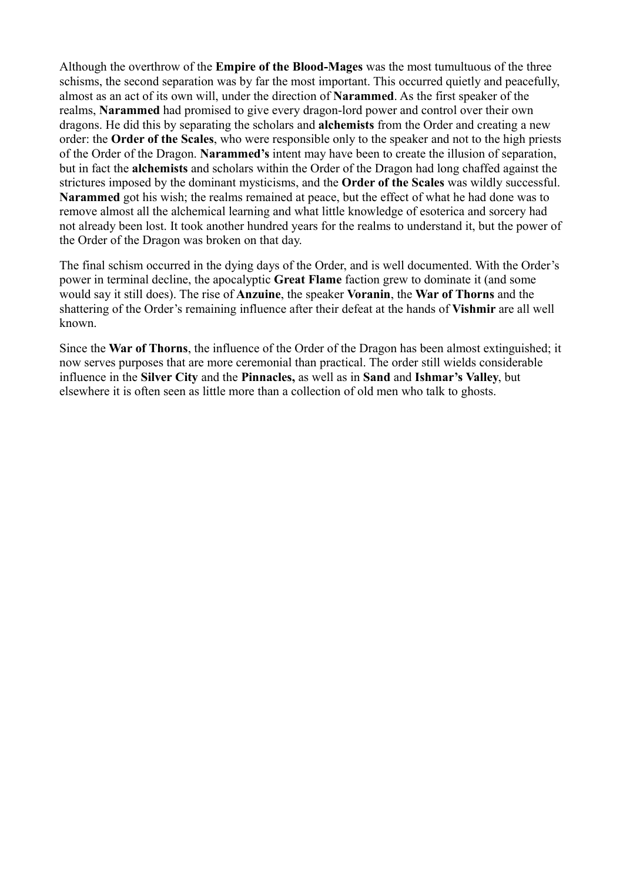Although the overthrow of the **Empire of the Blood-Mages** was the most tumultuous of the three schisms, the second separation was by far the most important. This occurred quietly and peacefully, almost as an act of its own will, under the direction of **Narammed**. As the first speaker of the realms, **Narammed** had promised to give every dragon-lord power and control over their own dragons. He did this by separating the scholars and **alchemists** from the Order and creating a new order: the **Order of the Scales**, who were responsible only to the speaker and not to the high priests of the Order of the Dragon. **Narammed's** intent may have been to create the illusion of separation, but in fact the **alchemists** and scholars within the Order of the Dragon had long chaffed against the strictures imposed by the dominant mysticisms, and the **Order of the Scales** was wildly successful. **Narammed** got his wish; the realms remained at peace, but the effect of what he had done was to remove almost all the alchemical learning and what little knowledge of esoterica and sorcery had not already been lost. It took another hundred years for the realms to understand it, but the power of the Order of the Dragon was broken on that day.

The final schism occurred in the dying days of the Order, and is well documented. With the Order's power in terminal decline, the apocalyptic **Great Flame** faction grew to dominate it (and some would say it still does). The rise of **Anzuine**, the speaker **Voranin**, the **War of Thorns** and the shattering of the Order's remaining influence after their defeat at the hands of **Vishmir** are all well known.

Since the **War of Thorns**, the influence of the Order of the Dragon has been almost extinguished; it now serves purposes that are more ceremonial than practical. The order still wields considerable influence in the **Silver City** and the **Pinnacles,** as well as in **Sand** and **Ishmar's Valley**, but elsewhere it is often seen as little more than a collection of old men who talk to ghosts.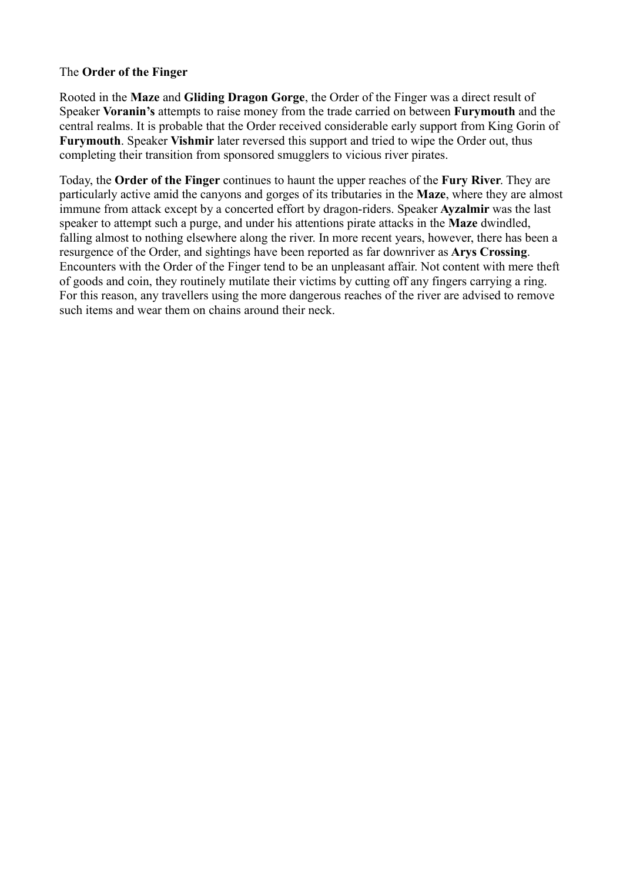# The **Order of the Finger**

Rooted in the **Maze** and **Gliding Dragon Gorge**, the Order of the Finger was a direct result of Speaker **Voranin's** attempts to raise money from the trade carried on between **Furymouth** and the central realms. It is probable that the Order received considerable early support from King Gorin of **Furymouth**. Speaker **Vishmir** later reversed this support and tried to wipe the Order out, thus completing their transition from sponsored smugglers to vicious river pirates.

Today, the **Order of the Finger** continues to haunt the upper reaches of the **Fury River**. They are particularly active amid the canyons and gorges of its tributaries in the **Maze**, where they are almost immune from attack except by a concerted effort by dragon-riders. Speaker **Ayzalmir** was the last speaker to attempt such a purge, and under his attentions pirate attacks in the **Maze** dwindled, falling almost to nothing elsewhere along the river. In more recent years, however, there has been a resurgence of the Order, and sightings have been reported as far downriver as **Arys Crossing**. Encounters with the Order of the Finger tend to be an unpleasant affair. Not content with mere theft of goods and coin, they routinely mutilate their victims by cutting off any fingers carrying a ring. For this reason, any travellers using the more dangerous reaches of the river are advised to remove such items and wear them on chains around their neck.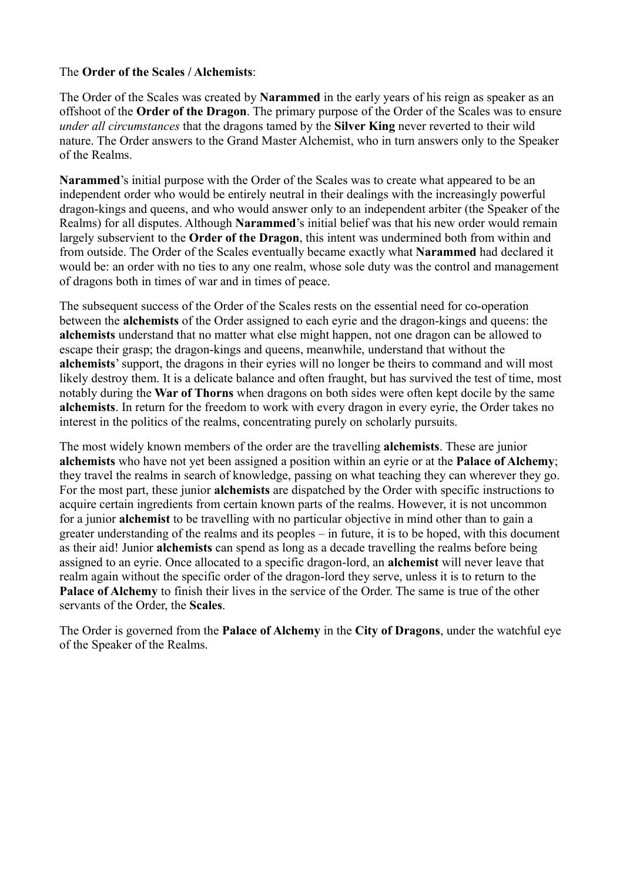# The **Order of the Scales / Alchemists**:

The Order of the Scales was created by **Narammed** in the early years of his reign as speaker as an offshoot of the **Order of the Dragon**. The primary purpose of the Order of the Scales was to ensure *under all circumstances* that the dragons tamed by the **Silver King** never reverted to their wild nature. The Order answers to the Grand Master Alchemist, who in turn answers only to the Speaker of the Realms.

**Narammed**'s initial purpose with the Order of the Scales was to create what appeared to be an independent order who would be entirely neutral in their dealings with the increasingly powerful dragon-kings and queens, and who would answer only to an independent arbiter (the Speaker of the Realms) for all disputes. Although **Narammed**'s initial belief was that his new order would remain largely subservient to the **Order of the Dragon**, this intent was undermined both from within and from outside. The Order of the Scales eventually became exactly what **Narammed** had declared it would be: an order with no ties to any one realm, whose sole duty was the control and management of dragons both in times of war and in times of peace.

The subsequent success of the Order of the Scales rests on the essential need for co-operation between the **alchemists** of the Order assigned to each eyrie and the dragon-kings and queens: the **alchemists** understand that no matter what else might happen, not one dragon can be allowed to escape their grasp; the dragon-kings and queens, meanwhile, understand that without the **alchemists**' support, the dragons in their eyries will no longer be theirs to command and will most likely destroy them. It is a delicate balance and often fraught, but has survived the test of time, most notably during the **War of Thorns** when dragons on both sides were often kept docile by the same **alchemists**. In return for the freedom to work with every dragon in every eyrie, the Order takes no interest in the politics of the realms, concentrating purely on scholarly pursuits.

The most widely known members of the order are the travelling **alchemists**. These are junior **alchemists** who have not yet been assigned a position within an eyrie or at the **Palace of Alchemy**; they travel the realms in search of knowledge, passing on what teaching they can wherever they go. For the most part, these junior **alchemists** are dispatched by the Order with specific instructions to acquire certain ingredients from certain known parts of the realms. However, it is not uncommon for a junior **alchemist** to be travelling with no particular objective in mind other than to gain a greater understanding of the realms and its peoples – in future, it is to be hoped, with this document as their aid! Junior **alchemists** can spend as long as a decade travelling the realms before being assigned to an eyrie. Once allocated to a specific dragon-lord, an **alchemist** will never leave that realm again without the specific order of the dragon-lord they serve, unless it is to return to the **Palace of Alchemy** to finish their lives in the service of the Order. The same is true of the other servants of the Order, the **Scales**.

The Order is governed from the **Palace of Alchemy** in the **City of Dragons**, under the watchful eye of the Speaker of the Realms.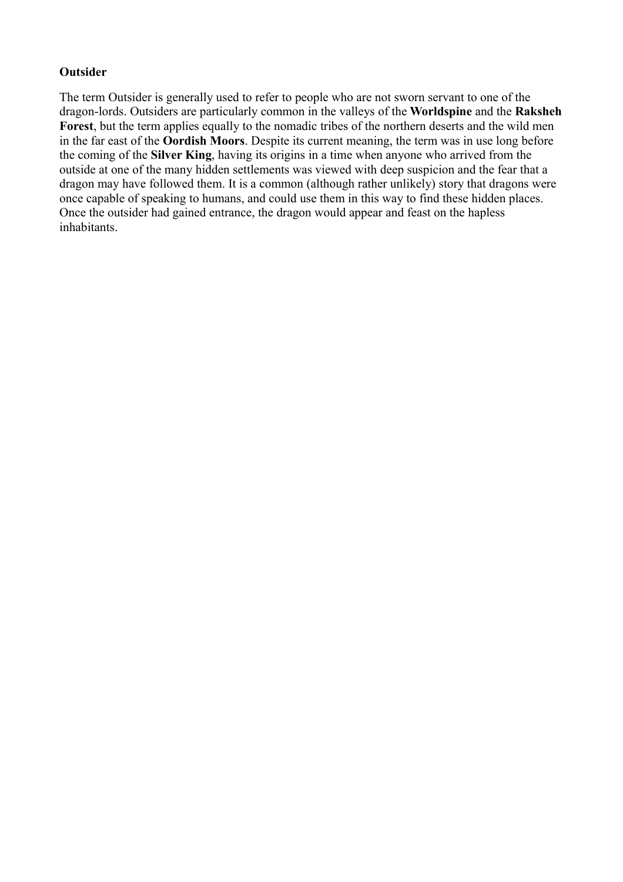# **Outsider**

The term Outsider is generally used to refer to people who are not sworn servant to one of the dragon-lords. Outsiders are particularly common in the valleys of the **Worldspine** and the **Raksheh Forest**, but the term applies equally to the nomadic tribes of the northern deserts and the wild men in the far east of the **Oordish Moors**. Despite its current meaning, the term was in use long before the coming of the **Silver King**, having its origins in a time when anyone who arrived from the outside at one of the many hidden settlements was viewed with deep suspicion and the fear that a dragon may have followed them. It is a common (although rather unlikely) story that dragons were once capable of speaking to humans, and could use them in this way to find these hidden places. Once the outsider had gained entrance, the dragon would appear and feast on the hapless inhabitants.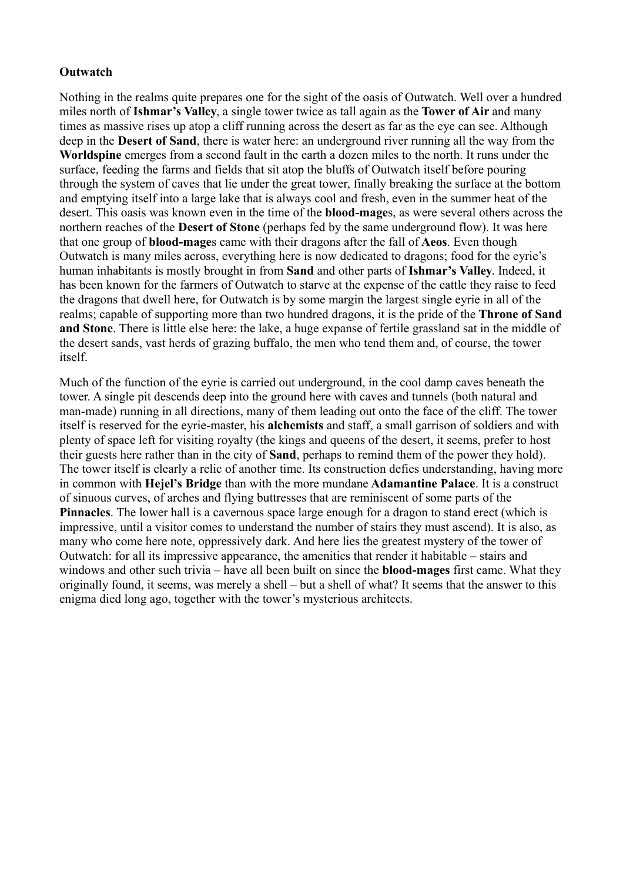# **Outwatch**

Nothing in the realms quite prepares one for the sight of the oasis of Outwatch. Well over a hundred miles north of **Ishmar's Valley**, a single tower twice as tall again as the **Tower of Air** and many times as massive rises up atop a cliff running across the desert as far as the eye can see. Although deep in the **Desert of Sand**, there is water here: an underground river running all the way from the **Worldspine** emerges from a second fault in the earth a dozen miles to the north. It runs under the surface, feeding the farms and fields that sit atop the bluffs of Outwatch itself before pouring through the system of caves that lie under the great tower, finally breaking the surface at the bottom and emptying itself into a large lake that is always cool and fresh, even in the summer heat of the desert. This oasis was known even in the time of the **blood-mage**s, as were several others across the northern reaches of the **Desert of Stone** (perhaps fed by the same underground flow). It was here that one group of **blood-mage**s came with their dragons after the fall of **Aeos**. Even though Outwatch is many miles across, everything here is now dedicated to dragons; food for the eyrie's human inhabitants is mostly brought in from **Sand** and other parts of **Ishmar's Valley**. Indeed, it has been known for the farmers of Outwatch to starve at the expense of the cattle they raise to feed the dragons that dwell here, for Outwatch is by some margin the largest single eyrie in all of the realms; capable of supporting more than two hundred dragons, it is the pride of the **Throne of Sand and Stone**. There is little else here: the lake, a huge expanse of fertile grassland sat in the middle of the desert sands, vast herds of grazing buffalo, the men who tend them and, of course, the tower itself.

Much of the function of the eyrie is carried out underground, in the cool damp caves beneath the tower. A single pit descends deep into the ground here with caves and tunnels (both natural and man-made) running in all directions, many of them leading out onto the face of the cliff. The tower itself is reserved for the eyrie-master, his **alchemists** and staff, a small garrison of soldiers and with plenty of space left for visiting royalty (the kings and queens of the desert, it seems, prefer to host their guests here rather than in the city of **Sand**, perhaps to remind them of the power they hold). The tower itself is clearly a relic of another time. Its construction defies understanding, having more in common with **Hejel's Bridge** than with the more mundane **Adamantine Palace**. It is a construct of sinuous curves, of arches and flying buttresses that are reminiscent of some parts of the **Pinnacles**. The lower hall is a cavernous space large enough for a dragon to stand erect (which is impressive, until a visitor comes to understand the number of stairs they must ascend). It is also, as many who come here note, oppressively dark. And here lies the greatest mystery of the tower of Outwatch: for all its impressive appearance, the amenities that render it habitable – stairs and windows and other such trivia – have all been built on since the **blood-mages** first came. What they originally found, it seems, was merely a shell – but a shell of what? It seems that the answer to this enigma died long ago, together with the tower's mysterious architects.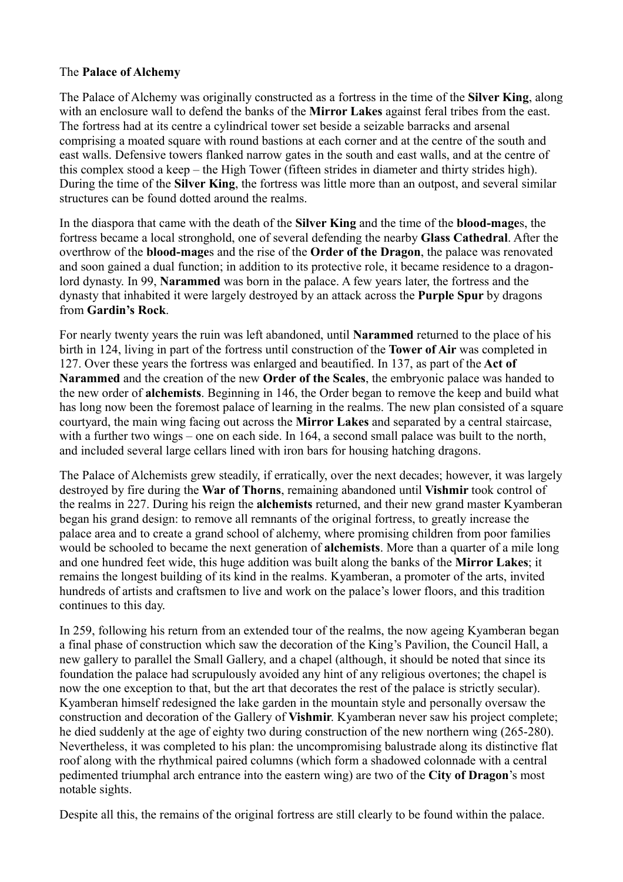# The **Palace of Alchemy**

The Palace of Alchemy was originally constructed as a fortress in the time of the **Silver King**, along with an enclosure wall to defend the banks of the **Mirror Lakes** against feral tribes from the east. The fortress had at its centre a cylindrical tower set beside a seizable barracks and arsenal comprising a moated square with round bastions at each corner and at the centre of the south and east walls. Defensive towers flanked narrow gates in the south and east walls, and at the centre of this complex stood a keep – the High Tower (fifteen strides in diameter and thirty strides high). During the time of the **Silver King**, the fortress was little more than an outpost, and several similar structures can be found dotted around the realms.

In the diaspora that came with the death of the **Silver King** and the time of the **blood-mage**s, the fortress became a local stronghold, one of several defending the nearby **Glass Cathedral**. After the overthrow of the **blood-mage**s and the rise of the **Order of the Dragon**, the palace was renovated and soon gained a dual function; in addition to its protective role, it became residence to a dragonlord dynasty. In 99, **Narammed** was born in the palace. A few years later, the fortress and the dynasty that inhabited it were largely destroyed by an attack across the **Purple Spur** by dragons from **Gardin's Rock**.

For nearly twenty years the ruin was left abandoned, until **Narammed** returned to the place of his birth in 124, living in part of the fortress until construction of the **Tower of Air** was completed in 127. Over these years the fortress was enlarged and beautified. In 137, as part of the **Act of Narammed** and the creation of the new **Order of the Scales**, the embryonic palace was handed to the new order of **alchemists**. Beginning in 146, the Order began to remove the keep and build what has long now been the foremost palace of learning in the realms. The new plan consisted of a square courtyard, the main wing facing out across the **Mirror Lakes** and separated by a central staircase, with a further two wings – one on each side. In 164, a second small palace was built to the north, and included several large cellars lined with iron bars for housing hatching dragons.

The Palace of Alchemists grew steadily, if erratically, over the next decades; however, it was largely destroyed by fire during the **War of Thorns**, remaining abandoned until **Vishmir** took control of the realms in 227. During his reign the **alchemists** returned, and their new grand master Kyamberan began his grand design: to remove all remnants of the original fortress, to greatly increase the palace area and to create a grand school of alchemy, where promising children from poor families would be schooled to became the next generation of **alchemists**. More than a quarter of a mile long and one hundred feet wide, this huge addition was built along the banks of the **Mirror Lakes**; it remains the longest building of its kind in the realms. Kyamberan, a promoter of the arts, invited hundreds of artists and craftsmen to live and work on the palace's lower floors, and this tradition continues to this day.

In 259, following his return from an extended tour of the realms, the now ageing Kyamberan began a final phase of construction which saw the decoration of the King's Pavilion, the Council Hall, a new gallery to parallel the Small Gallery, and a chapel (although, it should be noted that since its foundation the palace had scrupulously avoided any hint of any religious overtones; the chapel is now the one exception to that, but the art that decorates the rest of the palace is strictly secular). Kyamberan himself redesigned the lake garden in the mountain style and personally oversaw the construction and decoration of the Gallery of **Vishmir**. Kyamberan never saw his project complete; he died suddenly at the age of eighty two during construction of the new northern wing (265-280). Nevertheless, it was completed to his plan: the uncompromising balustrade along its distinctive flat roof along with the rhythmical paired columns (which form a shadowed colonnade with a central pedimented triumphal arch entrance into the eastern wing) are two of the **City of Dragon**'s most notable sights.

Despite all this, the remains of the original fortress are still clearly to be found within the palace.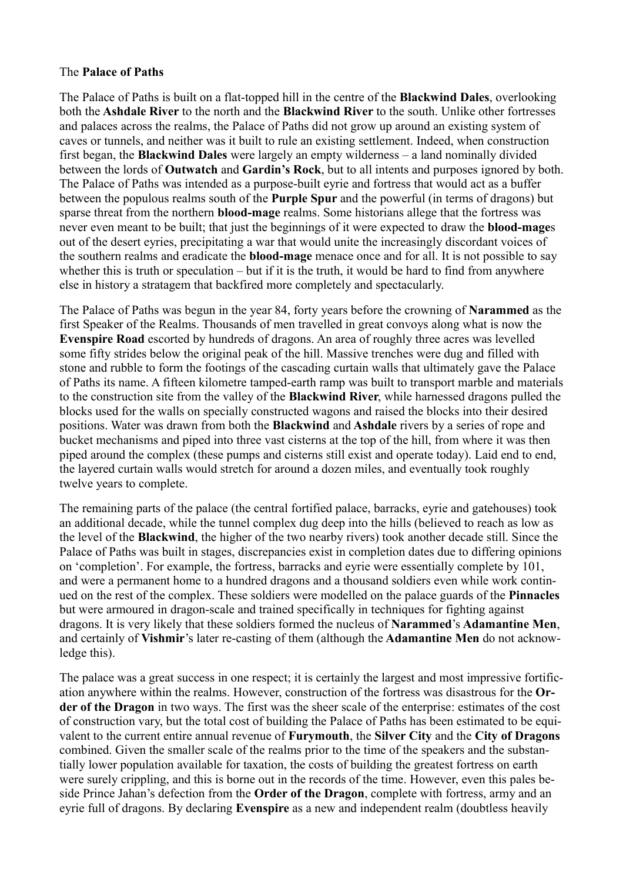## The **Palace of Paths**

The Palace of Paths is built on a flat-topped hill in the centre of the **Blackwind Dales**, overlooking both the **Ashdale River** to the north and the **Blackwind River** to the south. Unlike other fortresses and palaces across the realms, the Palace of Paths did not grow up around an existing system of caves or tunnels, and neither was it built to rule an existing settlement. Indeed, when construction first began, the **Blackwind Dales** were largely an empty wilderness – a land nominally divided between the lords of **Outwatch** and **Gardin's Rock**, but to all intents and purposes ignored by both. The Palace of Paths was intended as a purpose-built eyrie and fortress that would act as a buffer between the populous realms south of the **Purple Spur** and the powerful (in terms of dragons) but sparse threat from the northern **blood-mage** realms. Some historians allege that the fortress was never even meant to be built; that just the beginnings of it were expected to draw the **blood-mage**s out of the desert eyries, precipitating a war that would unite the increasingly discordant voices of the southern realms and eradicate the **blood-mage** menace once and for all. It is not possible to say whether this is truth or speculation – but if it is the truth, it would be hard to find from anywhere else in history a stratagem that backfired more completely and spectacularly.

The Palace of Paths was begun in the year 84, forty years before the crowning of **Narammed** as the first Speaker of the Realms. Thousands of men travelled in great convoys along what is now the **Evenspire Road** escorted by hundreds of dragons. An area of roughly three acres was levelled some fifty strides below the original peak of the hill. Massive trenches were dug and filled with stone and rubble to form the footings of the cascading curtain walls that ultimately gave the Palace of Paths its name. A fifteen kilometre tamped-earth ramp was built to transport marble and materials to the construction site from the valley of the **Blackwind River**, while harnessed dragons pulled the blocks used for the walls on specially constructed wagons and raised the blocks into their desired positions. Water was drawn from both the **Blackwind** and **Ashdale** rivers by a series of rope and bucket mechanisms and piped into three vast cisterns at the top of the hill, from where it was then piped around the complex (these pumps and cisterns still exist and operate today). Laid end to end, the layered curtain walls would stretch for around a dozen miles, and eventually took roughly twelve years to complete.

The remaining parts of the palace (the central fortified palace, barracks, eyrie and gatehouses) took an additional decade, while the tunnel complex dug deep into the hills (believed to reach as low as the level of the **Blackwind**, the higher of the two nearby rivers) took another decade still. Since the Palace of Paths was built in stages, discrepancies exist in completion dates due to differing opinions on 'completion'. For example, the fortress, barracks and eyrie were essentially complete by 101, and were a permanent home to a hundred dragons and a thousand soldiers even while work continued on the rest of the complex. These soldiers were modelled on the palace guards of the **Pinnacles** but were armoured in dragon-scale and trained specifically in techniques for fighting against dragons. It is very likely that these soldiers formed the nucleus of **Narammed**'s **Adamantine Men**, and certainly of **Vishmir**'s later re-casting of them (although the **Adamantine Men** do not acknowledge this).

The palace was a great success in one respect; it is certainly the largest and most impressive fortification anywhere within the realms. However, construction of the fortress was disastrous for the **Order of the Dragon** in two ways. The first was the sheer scale of the enterprise: estimates of the cost of construction vary, but the total cost of building the Palace of Paths has been estimated to be equivalent to the current entire annual revenue of **Furymouth**, the **Silver City** and the **City of Dragons** combined. Given the smaller scale of the realms prior to the time of the speakers and the substantially lower population available for taxation, the costs of building the greatest fortress on earth were surely crippling, and this is borne out in the records of the time. However, even this pales beside Prince Jahan's defection from the **Order of the Dragon**, complete with fortress, army and an eyrie full of dragons. By declaring **Evenspire** as a new and independent realm (doubtless heavily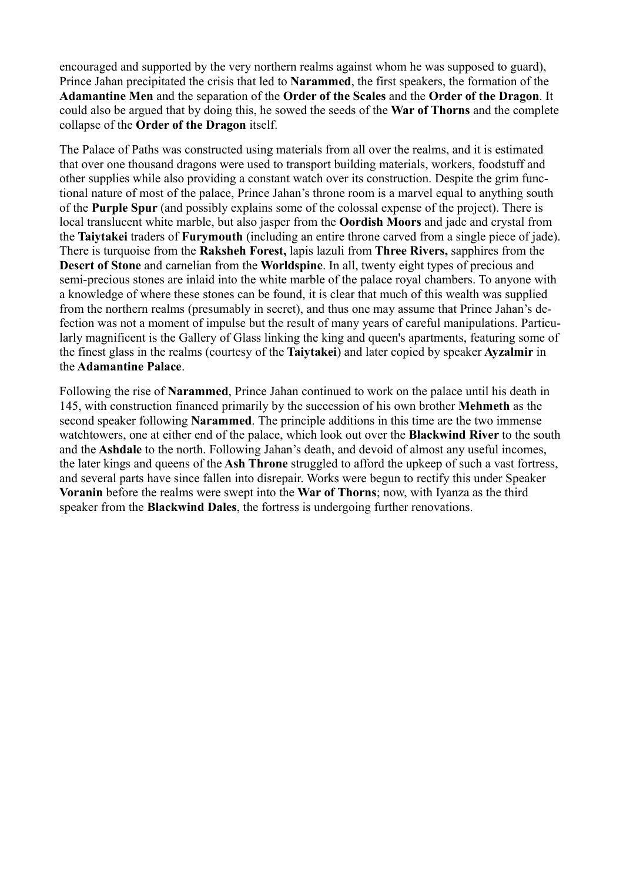encouraged and supported by the very northern realms against whom he was supposed to guard), Prince Jahan precipitated the crisis that led to **Narammed**, the first speakers, the formation of the **Adamantine Men** and the separation of the **Order of the Scales** and the **Order of the Dragon**. It could also be argued that by doing this, he sowed the seeds of the **War of Thorns** and the complete collapse of the **Order of the Dragon** itself.

The Palace of Paths was constructed using materials from all over the realms, and it is estimated that over one thousand dragons were used to transport building materials, workers, foodstuff and other supplies while also providing a constant watch over its construction. Despite the grim functional nature of most of the palace, Prince Jahan's throne room is a marvel equal to anything south of the **Purple Spur** (and possibly explains some of the colossal expense of the project). There is local translucent white marble, but also jasper from the **Oordish Moors** and jade and crystal from the **Taiytakei** traders of **Furymouth** (including an entire throne carved from a single piece of jade). There is turquoise from the **Raksheh Forest,** lapis lazuli from **Three Rivers,** sapphires from the **Desert of Stone** and carnelian from the **Worldspine**. In all, twenty eight types of precious and semi-precious stones are inlaid into the white marble of the palace royal chambers. To anyone with a knowledge of where these stones can be found, it is clear that much of this wealth was supplied from the northern realms (presumably in secret), and thus one may assume that Prince Jahan's defection was not a moment of impulse but the result of many years of careful manipulations. Particularly magnificent is the Gallery of Glass linking the king and queen's apartments, featuring some of the finest glass in the realms (courtesy of the **Taiytakei**) and later copied by speaker **Ayzalmir** in the **Adamantine Palace**.

Following the rise of **Narammed**, Prince Jahan continued to work on the palace until his death in 145, with construction financed primarily by the succession of his own brother **Mehmeth** as the second speaker following **Narammed**. The principle additions in this time are the two immense watchtowers, one at either end of the palace, which look out over the **Blackwind River** to the south and the **Ashdale** to the north. Following Jahan's death, and devoid of almost any useful incomes, the later kings and queens of the **Ash Throne** struggled to afford the upkeep of such a vast fortress, and several parts have since fallen into disrepair. Works were begun to rectify this under Speaker **Voranin** before the realms were swept into the **War of Thorns**; now, with Iyanza as the third speaker from the **Blackwind Dales**, the fortress is undergoing further renovations.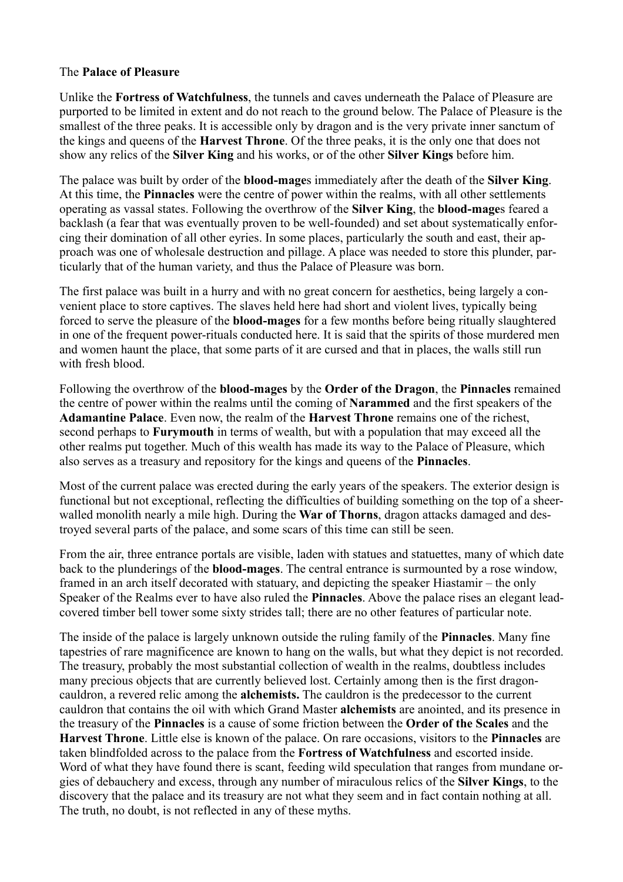# The **Palace of Pleasure**

Unlike the **Fortress of Watchfulness**, the tunnels and caves underneath the Palace of Pleasure are purported to be limited in extent and do not reach to the ground below. The Palace of Pleasure is the smallest of the three peaks. It is accessible only by dragon and is the very private inner sanctum of the kings and queens of the **Harvest Throne**. Of the three peaks, it is the only one that does not show any relics of the **Silver King** and his works, or of the other **Silver Kings** before him.

The palace was built by order of the **blood-mage**s immediately after the death of the **Silver King**. At this time, the **Pinnacles** were the centre of power within the realms, with all other settlements operating as vassal states. Following the overthrow of the **Silver King**, the **blood-mage**s feared a backlash (a fear that was eventually proven to be well-founded) and set about systematically enforcing their domination of all other eyries. In some places, particularly the south and east, their approach was one of wholesale destruction and pillage. A place was needed to store this plunder, particularly that of the human variety, and thus the Palace of Pleasure was born.

The first palace was built in a hurry and with no great concern for aesthetics, being largely a convenient place to store captives. The slaves held here had short and violent lives, typically being forced to serve the pleasure of the **blood-mages** for a few months before being ritually slaughtered in one of the frequent power-rituals conducted here. It is said that the spirits of those murdered men and women haunt the place, that some parts of it are cursed and that in places, the walls still run with fresh blood.

Following the overthrow of the **blood-mages** by the **Order of the Dragon**, the **Pinnacles** remained the centre of power within the realms until the coming of **Narammed** and the first speakers of the **Adamantine Palace**. Even now, the realm of the **Harvest Throne** remains one of the richest, second perhaps to **Furymouth** in terms of wealth, but with a population that may exceed all the other realms put together. Much of this wealth has made its way to the Palace of Pleasure, which also serves as a treasury and repository for the kings and queens of the **Pinnacles**.

Most of the current palace was erected during the early years of the speakers. The exterior design is functional but not exceptional, reflecting the difficulties of building something on the top of a sheerwalled monolith nearly a mile high. During the **War of Thorns**, dragon attacks damaged and destroyed several parts of the palace, and some scars of this time can still be seen.

From the air, three entrance portals are visible, laden with statues and statuettes, many of which date back to the plunderings of the **blood-mages**. The central entrance is surmounted by a rose window, framed in an arch itself decorated with statuary, and depicting the speaker Hiastamir – the only Speaker of the Realms ever to have also ruled the **Pinnacles**. Above the palace rises an elegant leadcovered timber bell tower some sixty strides tall; there are no other features of particular note.

The inside of the palace is largely unknown outside the ruling family of the **Pinnacles**. Many fine tapestries of rare magnificence are known to hang on the walls, but what they depict is not recorded. The treasury, probably the most substantial collection of wealth in the realms, doubtless includes many precious objects that are currently believed lost. Certainly among then is the first dragoncauldron, a revered relic among the **alchemists.** The cauldron is the predecessor to the current cauldron that contains the oil with which Grand Master **alchemists** are anointed, and its presence in the treasury of the **Pinnacles** is a cause of some friction between the **Order of the Scales** and the **Harvest Throne**. Little else is known of the palace. On rare occasions, visitors to the **Pinnacles** are taken blindfolded across to the palace from the **Fortress of Watchfulness** and escorted inside. Word of what they have found there is scant, feeding wild speculation that ranges from mundane orgies of debauchery and excess, through any number of miraculous relics of the **Silver Kings**, to the discovery that the palace and its treasury are not what they seem and in fact contain nothing at all. The truth, no doubt, is not reflected in any of these myths.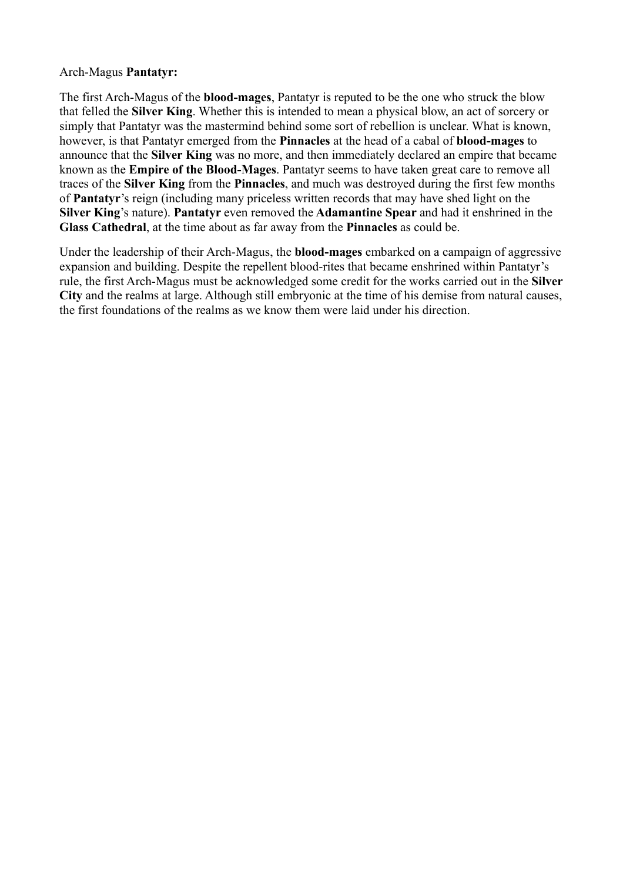# Arch-Magus **Pantatyr:**

The first Arch-Magus of the **blood-mages**, Pantatyr is reputed to be the one who struck the blow that felled the **Silver King**. Whether this is intended to mean a physical blow, an act of sorcery or simply that Pantatyr was the mastermind behind some sort of rebellion is unclear. What is known, however, is that Pantatyr emerged from the **Pinnacles** at the head of a cabal of **blood-mages** to announce that the **Silver King** was no more, and then immediately declared an empire that became known as the **Empire of the Blood-Mages**. Pantatyr seems to have taken great care to remove all traces of the **Silver King** from the **Pinnacles**, and much was destroyed during the first few months of **Pantatyr**'s reign (including many priceless written records that may have shed light on the **Silver King**'s nature). **Pantatyr** even removed the **Adamantine Spear** and had it enshrined in the **Glass Cathedral**, at the time about as far away from the **Pinnacles** as could be.

Under the leadership of their Arch-Magus, the **blood-mages** embarked on a campaign of aggressive expansion and building. Despite the repellent blood-rites that became enshrined within Pantatyr's rule, the first Arch-Magus must be acknowledged some credit for the works carried out in the **Silver City** and the realms at large. Although still embryonic at the time of his demise from natural causes, the first foundations of the realms as we know them were laid under his direction.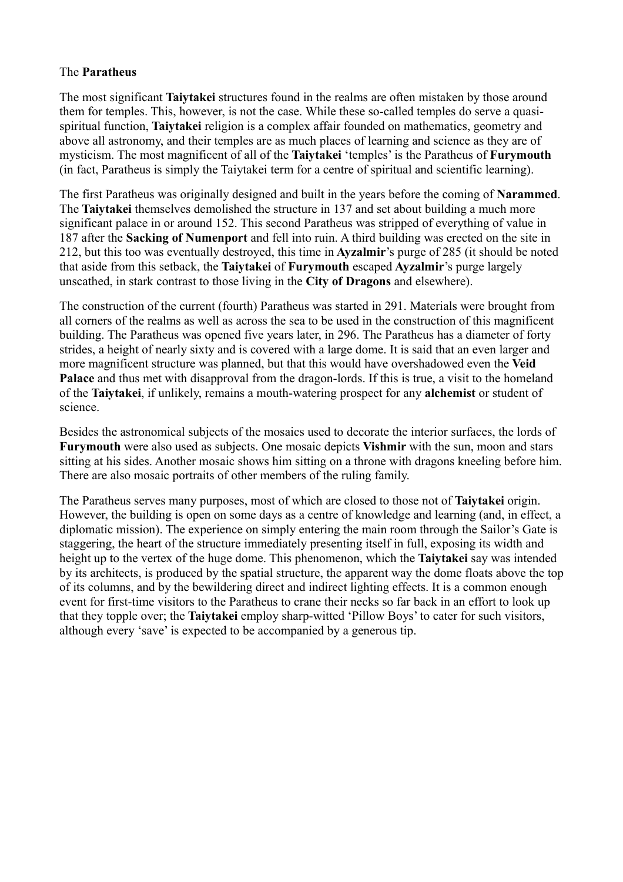# The **Paratheus**

The most significant **Taiytakei** structures found in the realms are often mistaken by those around them for temples. This, however, is not the case. While these so-called temples do serve a quasispiritual function, **Taiytakei** religion is a complex affair founded on mathematics, geometry and above all astronomy, and their temples are as much places of learning and science as they are of mysticism. The most magnificent of all of the **Taiytakei** 'temples' is the Paratheus of **Furymouth** (in fact, Paratheus is simply the Taiytakei term for a centre of spiritual and scientific learning).

The first Paratheus was originally designed and built in the years before the coming of **Narammed**. The **Taiytakei** themselves demolished the structure in 137 and set about building a much more significant palace in or around 152. This second Paratheus was stripped of everything of value in 187 after the **Sacking of Numenport** and fell into ruin. A third building was erected on the site in 212, but this too was eventually destroyed, this time in **Ayzalmir**'s purge of 285 (it should be noted that aside from this setback, the **Taiytakei** of **Furymouth** escaped **Ayzalmir**'s purge largely unscathed, in stark contrast to those living in the **City of Dragons** and elsewhere).

The construction of the current (fourth) Paratheus was started in 291. Materials were brought from all corners of the realms as well as across the sea to be used in the construction of this magnificent building. The Paratheus was opened five years later, in 296. The Paratheus has a diameter of forty strides, a height of nearly sixty and is covered with a large dome. It is said that an even larger and more magnificent structure was planned, but that this would have overshadowed even the **Veid Palace** and thus met with disapproval from the dragon-lords. If this is true, a visit to the homeland of the **Taiytakei**, if unlikely, remains a mouth-watering prospect for any **alchemist** or student of science.

Besides the astronomical subjects of the mosaics used to decorate the interior surfaces, the lords of **Furymouth** were also used as subjects. One mosaic depicts **Vishmir** with the sun, moon and stars sitting at his sides. Another mosaic shows him sitting on a throne with dragons kneeling before him. There are also mosaic portraits of other members of the ruling family.

The Paratheus serves many purposes, most of which are closed to those not of **Taiytakei** origin. However, the building is open on some days as a centre of knowledge and learning (and, in effect, a diplomatic mission). The experience on simply entering the main room through the Sailor's Gate is staggering, the heart of the structure immediately presenting itself in full, exposing its width and height up to the vertex of the huge dome. This phenomenon, which the **Taiytakei** say was intended by its architects, is produced by the spatial structure, the apparent way the dome floats above the top of its columns, and by the bewildering direct and indirect lighting effects. It is a common enough event for first-time visitors to the Paratheus to crane their necks so far back in an effort to look up that they topple over; the **Taiytakei** employ sharp-witted 'Pillow Boys' to cater for such visitors, although every 'save' is expected to be accompanied by a generous tip.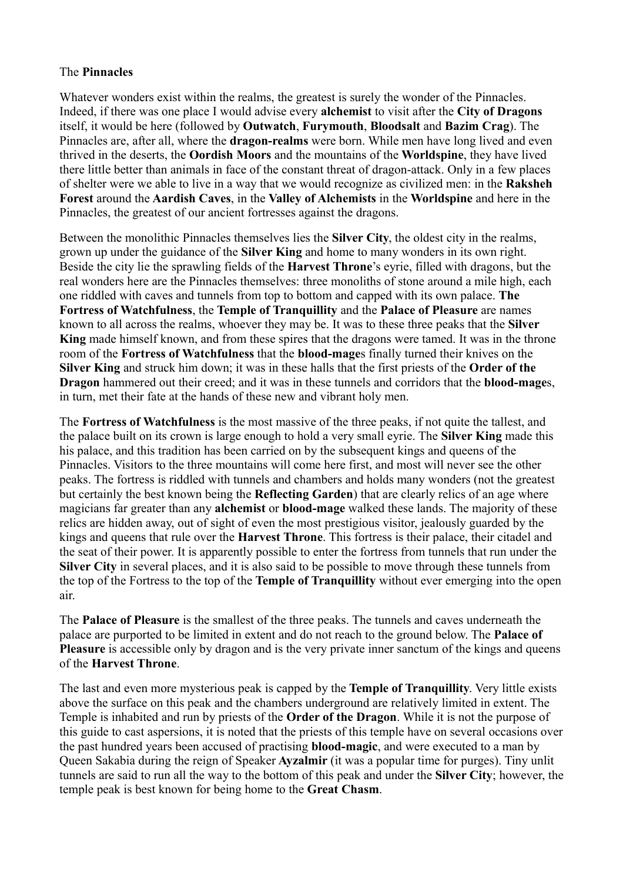# The **Pinnacles**

Whatever wonders exist within the realms, the greatest is surely the wonder of the Pinnacles. Indeed, if there was one place I would advise every **alchemist** to visit after the **City of Dragons** itself, it would be here (followed by **Outwatch**, **Furymouth**, **Bloodsalt** and **Bazim Crag**). The Pinnacles are, after all, where the **dragon-realms** were born. While men have long lived and even thrived in the deserts, the **Oordish Moors** and the mountains of the **Worldspine**, they have lived there little better than animals in face of the constant threat of dragon-attack. Only in a few places of shelter were we able to live in a way that we would recognize as civilized men: in the **Raksheh Forest** around the **Aardish Caves**, in the **Valley of Alchemists** in the **Worldspine** and here in the Pinnacles, the greatest of our ancient fortresses against the dragons.

Between the monolithic Pinnacles themselves lies the **Silver City**, the oldest city in the realms, grown up under the guidance of the **Silver King** and home to many wonders in its own right. Beside the city lie the sprawling fields of the **Harvest Throne**'s eyrie, filled with dragons, but the real wonders here are the Pinnacles themselves: three monoliths of stone around a mile high, each one riddled with caves and tunnels from top to bottom and capped with its own palace. **The Fortress of Watchfulness**, the **Temple of Tranquillity** and the **Palace of Pleasure** are names known to all across the realms, whoever they may be. It was to these three peaks that the **Silver King** made himself known, and from these spires that the dragons were tamed. It was in the throne room of the **Fortress of Watchfulness** that the **blood-mage**s finally turned their knives on the **Silver King** and struck him down; it was in these halls that the first priests of the **Order of the Dragon** hammered out their creed; and it was in these tunnels and corridors that the **blood-mage**s, in turn, met their fate at the hands of these new and vibrant holy men.

The **Fortress of Watchfulness** is the most massive of the three peaks, if not quite the tallest, and the palace built on its crown is large enough to hold a very small eyrie. The **Silver King** made this his palace, and this tradition has been carried on by the subsequent kings and queens of the Pinnacles. Visitors to the three mountains will come here first, and most will never see the other peaks. The fortress is riddled with tunnels and chambers and holds many wonders (not the greatest but certainly the best known being the **Reflecting Garden**) that are clearly relics of an age where magicians far greater than any **alchemist** or **blood-mage** walked these lands. The majority of these relics are hidden away, out of sight of even the most prestigious visitor, jealously guarded by the kings and queens that rule over the **Harvest Throne**. This fortress is their palace, their citadel and the seat of their power. It is apparently possible to enter the fortress from tunnels that run under the **Silver City** in several places, and it is also said to be possible to move through these tunnels from the top of the Fortress to the top of the **Temple of Tranquillity** without ever emerging into the open air.

The **Palace of Pleasure** is the smallest of the three peaks. The tunnels and caves underneath the palace are purported to be limited in extent and do not reach to the ground below. The **Palace of Pleasure** is accessible only by dragon and is the very private inner sanctum of the kings and queens of the **Harvest Throne**.

The last and even more mysterious peak is capped by the **Temple of Tranquillity**. Very little exists above the surface on this peak and the chambers underground are relatively limited in extent. The Temple is inhabited and run by priests of the **Order of the Dragon**. While it is not the purpose of this guide to cast aspersions, it is noted that the priests of this temple have on several occasions over the past hundred years been accused of practising **blood-magic**, and were executed to a man by Queen Sakabia during the reign of Speaker **Ayzalmir** (it was a popular time for purges). Tiny unlit tunnels are said to run all the way to the bottom of this peak and under the **Silver City**; however, the temple peak is best known for being home to the **Great Chasm**.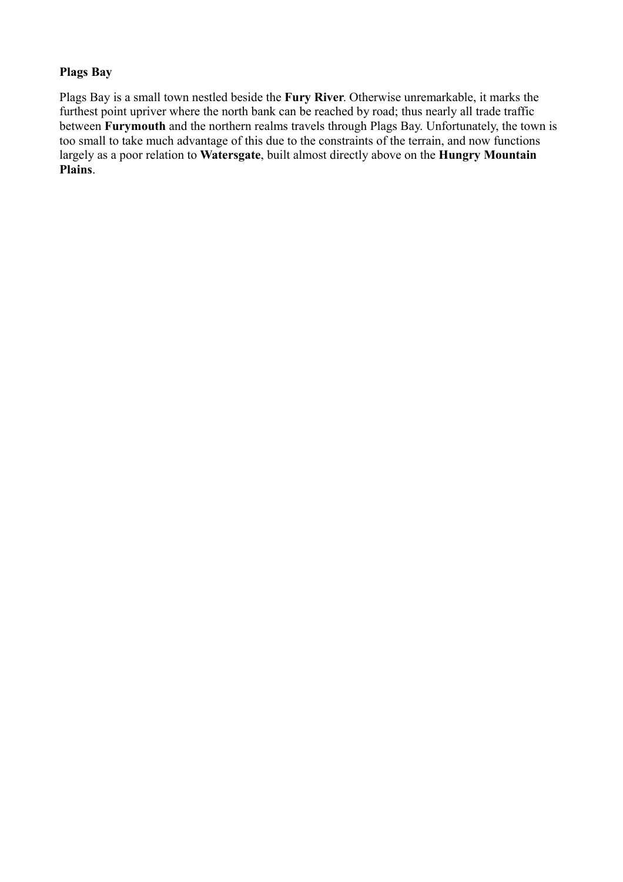# **Plags Bay**

Plags Bay is a small town nestled beside the **Fury River**. Otherwise unremarkable, it marks the furthest point upriver where the north bank can be reached by road; thus nearly all trade traffic between **Furymouth** and the northern realms travels through Plags Bay. Unfortunately, the town is too small to take much advantage of this due to the constraints of the terrain, and now functions largely as a poor relation to **Watersgate**, built almost directly above on the **Hungry Mountain Plains**.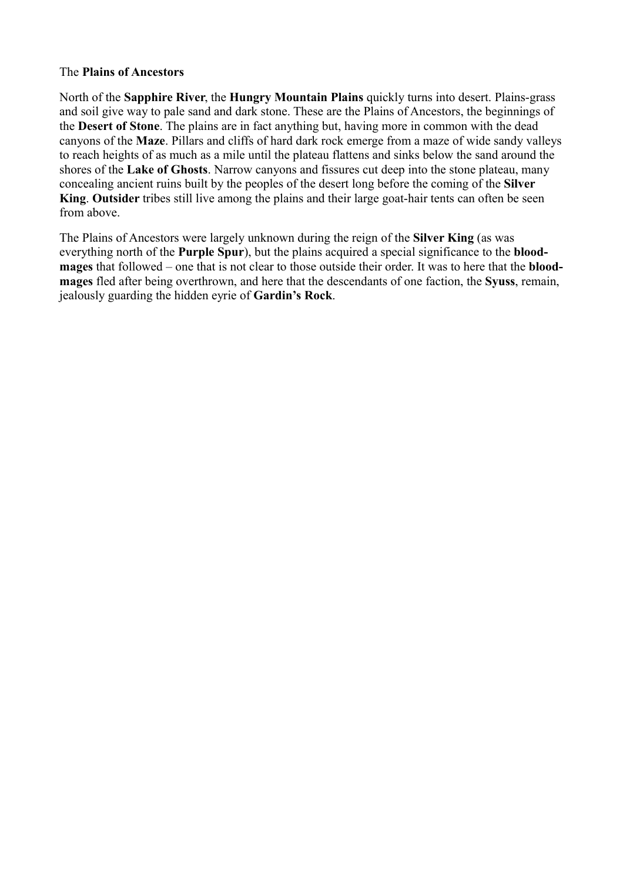## The **Plains of Ancestors**

North of the **Sapphire River**, the **Hungry Mountain Plains** quickly turns into desert. Plains-grass and soil give way to pale sand and dark stone. These are the Plains of Ancestors, the beginnings of the **Desert of Stone**. The plains are in fact anything but, having more in common with the dead canyons of the **Maze**. Pillars and cliffs of hard dark rock emerge from a maze of wide sandy valleys to reach heights of as much as a mile until the plateau flattens and sinks below the sand around the shores of the **Lake of Ghosts**. Narrow canyons and fissures cut deep into the stone plateau, many concealing ancient ruins built by the peoples of the desert long before the coming of the **Silver King**. **Outsider** tribes still live among the plains and their large goat-hair tents can often be seen from above.

The Plains of Ancestors were largely unknown during the reign of the **Silver King** (as was everything north of the **Purple Spur**), but the plains acquired a special significance to the **bloodmages** that followed – one that is not clear to those outside their order. It was to here that the **bloodmages** fled after being overthrown, and here that the descendants of one faction, the **Syuss**, remain, jealously guarding the hidden eyrie of **Gardin's Rock**.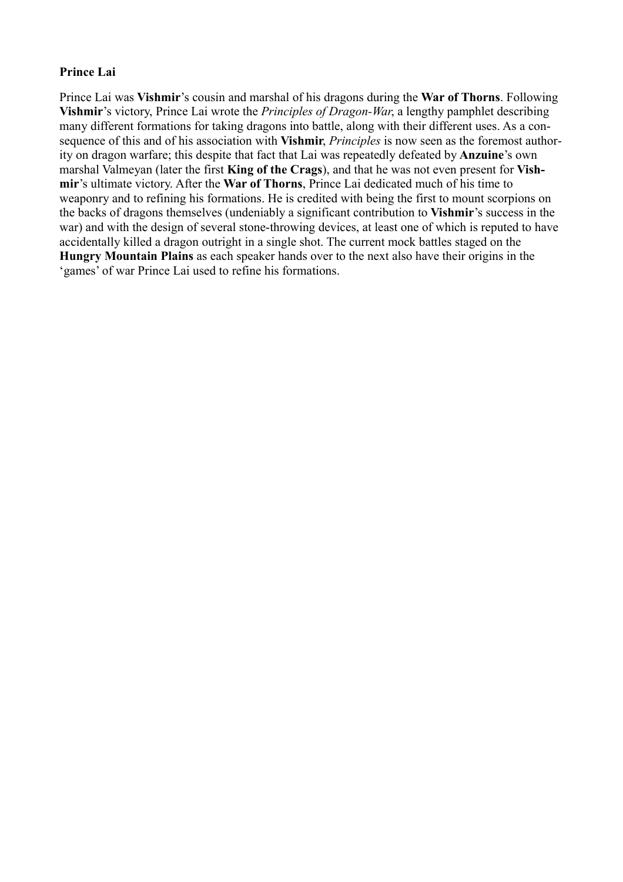# **Prince Lai**

Prince Lai was **Vishmir**'s cousin and marshal of his dragons during the **War of Thorns**. Following **Vishmir**'s victory, Prince Lai wrote the *Principles of Dragon-War*, a lengthy pamphlet describing many different formations for taking dragons into battle, along with their different uses. As a consequence of this and of his association with **Vishmir**, *Principles* is now seen as the foremost authority on dragon warfare; this despite that fact that Lai was repeatedly defeated by **Anzuine**'s own marshal Valmeyan (later the first **King of the Crags**), and that he was not even present for **Vishmir**'s ultimate victory. After the **War of Thorns**, Prince Lai dedicated much of his time to weaponry and to refining his formations. He is credited with being the first to mount scorpions on the backs of dragons themselves (undeniably a significant contribution to **Vishmir**'s success in the war) and with the design of several stone-throwing devices, at least one of which is reputed to have accidentally killed a dragon outright in a single shot. The current mock battles staged on the **Hungry Mountain Plains** as each speaker hands over to the next also have their origins in the 'games' of war Prince Lai used to refine his formations.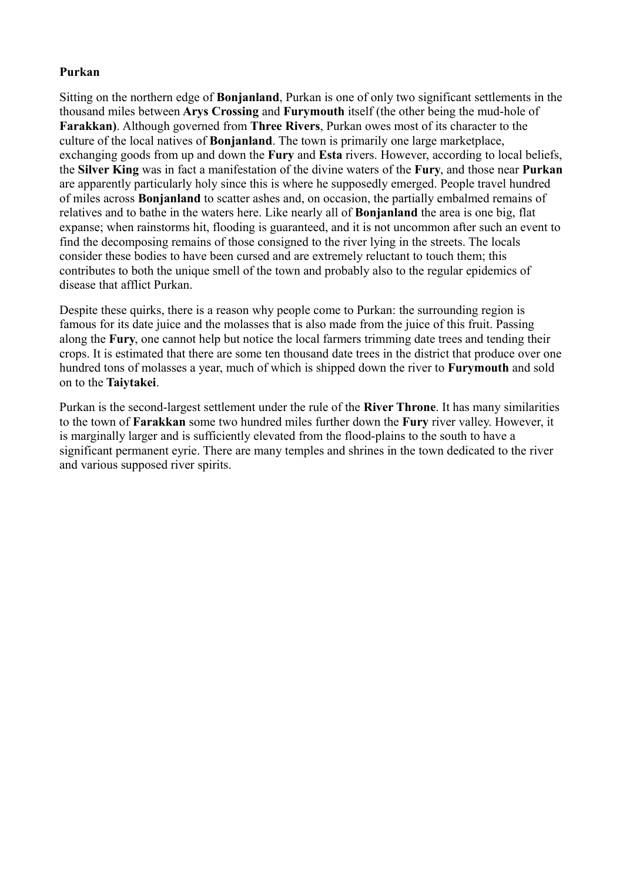# **Purkan**

Sitting on the northern edge of **Bonjanland**, Purkan is one of only two significant settlements in the thousand miles between **Arys Crossing** and **Furymouth** itself (the other being the mud-hole of **Farakkan)**. Although governed from **Three Rivers**, Purkan owes most of its character to the culture of the local natives of **Bonjanland**. The town is primarily one large marketplace, exchanging goods from up and down the **Fury** and **Esta** rivers. However, according to local beliefs, the **Silver King** was in fact a manifestation of the divine waters of the **Fury**, and those near **Purkan** are apparently particularly holy since this is where he supposedly emerged. People travel hundred of miles across **Bonjanland** to scatter ashes and, on occasion, the partially embalmed remains of relatives and to bathe in the waters here. Like nearly all of **Bonjanland** the area is one big, flat expanse; when rainstorms hit, flooding is guaranteed, and it is not uncommon after such an event to find the decomposing remains of those consigned to the river lying in the streets. The locals consider these bodies to have been cursed and are extremely reluctant to touch them; this contributes to both the unique smell of the town and probably also to the regular epidemics of disease that afflict Purkan.

Despite these quirks, there is a reason why people come to Purkan: the surrounding region is famous for its date juice and the molasses that is also made from the juice of this fruit. Passing along the **Fury**, one cannot help but notice the local farmers trimming date trees and tending their crops. It is estimated that there are some ten thousand date trees in the district that produce over one hundred tons of molasses a year, much of which is shipped down the river to **Furymouth** and sold on to the **Taiytakei**.

Purkan is the second-largest settlement under the rule of the **River Throne**. It has many similarities to the town of **Farakkan** some two hundred miles further down the **Fury** river valley. However, it is marginally larger and is sufficiently elevated from the flood-plains to the south to have a significant permanent eyrie. There are many temples and shrines in the town dedicated to the river and various supposed river spirits.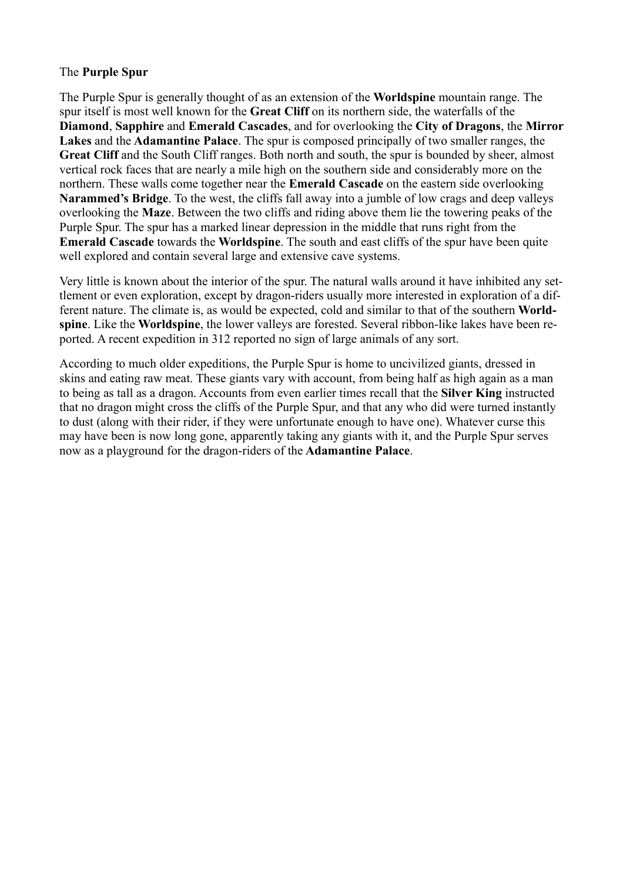# The **Purple Spur**

The Purple Spur is generally thought of as an extension of the **Worldspine** mountain range. The spur itself is most well known for the **Great Cliff** on its northern side, the waterfalls of the **Diamond**, **Sapphire** and **Emerald Cascades**, and for overlooking the **City of Dragons**, the **Mirror Lakes** and the **Adamantine Palace**. The spur is composed principally of two smaller ranges, the **Great Cliff** and the South Cliff ranges. Both north and south, the spur is bounded by sheer, almost vertical rock faces that are nearly a mile high on the southern side and considerably more on the northern. These walls come together near the **Emerald Cascade** on the eastern side overlooking **Narammed's Bridge**. To the west, the cliffs fall away into a jumble of low crags and deep valleys overlooking the **Maze**. Between the two cliffs and riding above them lie the towering peaks of the Purple Spur. The spur has a marked linear depression in the middle that runs right from the **Emerald Cascade** towards the **Worldspine**. The south and east cliffs of the spur have been quite well explored and contain several large and extensive cave systems.

Very little is known about the interior of the spur. The natural walls around it have inhibited any settlement or even exploration, except by dragon-riders usually more interested in exploration of a different nature. The climate is, as would be expected, cold and similar to that of the southern **Worldspine**. Like the **Worldspine**, the lower valleys are forested. Several ribbon-like lakes have been reported. A recent expedition in 312 reported no sign of large animals of any sort.

According to much older expeditions, the Purple Spur is home to uncivilized giants, dressed in skins and eating raw meat. These giants vary with account, from being half as high again as a man to being as tall as a dragon. Accounts from even earlier times recall that the **Silver King** instructed that no dragon might cross the cliffs of the Purple Spur, and that any who did were turned instantly to dust (along with their rider, if they were unfortunate enough to have one). Whatever curse this may have been is now long gone, apparently taking any giants with it, and the Purple Spur serves now as a playground for the dragon-riders of the **Adamantine Palace**.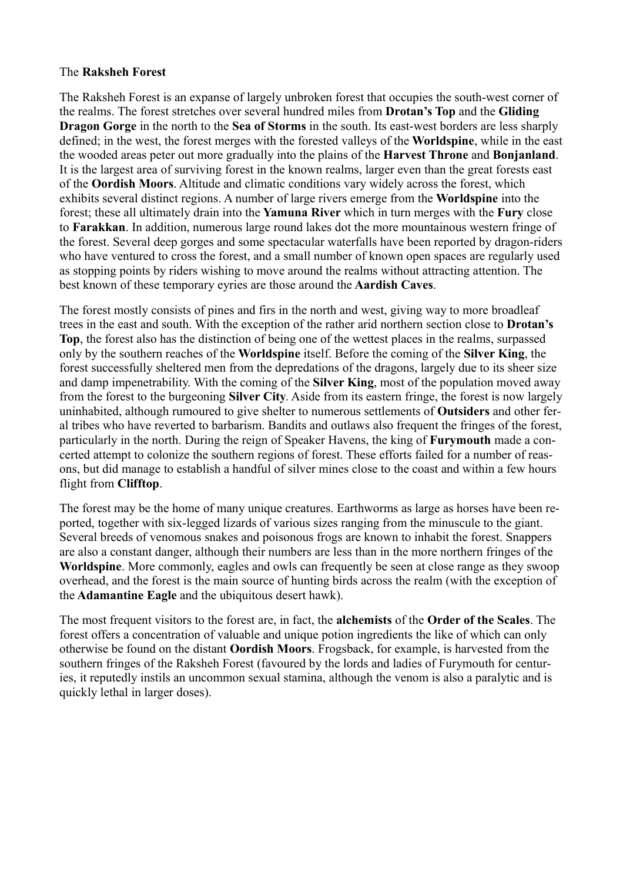## The **Raksheh Forest**

The Raksheh Forest is an expanse of largely unbroken forest that occupies the south-west corner of the realms. The forest stretches over several hundred miles from **Drotan's Top** and the **Gliding Dragon Gorge** in the north to the **Sea of Storms** in the south. Its east-west borders are less sharply defined; in the west, the forest merges with the forested valleys of the **Worldspine**, while in the east the wooded areas peter out more gradually into the plains of the **Harvest Throne** and **Bonjanland**. It is the largest area of surviving forest in the known realms, larger even than the great forests east of the **Oordish Moors**. Altitude and climatic conditions vary widely across the forest, which exhibits several distinct regions. A number of large rivers emerge from the **Worldspine** into the forest; these all ultimately drain into the **Yamuna River** which in turn merges with the **Fury** close to **Farakkan**. In addition, numerous large round lakes dot the more mountainous western fringe of the forest. Several deep gorges and some spectacular waterfalls have been reported by dragon-riders who have ventured to cross the forest, and a small number of known open spaces are regularly used as stopping points by riders wishing to move around the realms without attracting attention. The best known of these temporary eyries are those around the **Aardish Caves**.

The forest mostly consists of pines and firs in the north and west, giving way to more broadleaf trees in the east and south. With the exception of the rather arid northern section close to **Drotan's Top**, the forest also has the distinction of being one of the wettest places in the realms, surpassed only by the southern reaches of the **Worldspine** itself. Before the coming of the **Silver King**, the forest successfully sheltered men from the depredations of the dragons, largely due to its sheer size and damp impenetrability. With the coming of the **Silver King**, most of the population moved away from the forest to the burgeoning **Silver City**. Aside from its eastern fringe, the forest is now largely uninhabited, although rumoured to give shelter to numerous settlements of **Outsiders** and other feral tribes who have reverted to barbarism. Bandits and outlaws also frequent the fringes of the forest, particularly in the north. During the reign of Speaker Havens, the king of **Furymouth** made a concerted attempt to colonize the southern regions of forest. These efforts failed for a number of reasons, but did manage to establish a handful of silver mines close to the coast and within a few hours flight from **Clifftop**.

The forest may be the home of many unique creatures. Earthworms as large as horses have been reported, together with six-legged lizards of various sizes ranging from the minuscule to the giant. Several breeds of venomous snakes and poisonous frogs are known to inhabit the forest. Snappers are also a constant danger, although their numbers are less than in the more northern fringes of the **Worldspine**. More commonly, eagles and owls can frequently be seen at close range as they swoop overhead, and the forest is the main source of hunting birds across the realm (with the exception of the **Adamantine Eagle** and the ubiquitous desert hawk).

The most frequent visitors to the forest are, in fact, the **alchemists** of the **Order of the Scales**. The forest offers a concentration of valuable and unique potion ingredients the like of which can only otherwise be found on the distant **Oordish Moors**. Frogsback, for example, is harvested from the southern fringes of the Raksheh Forest (favoured by the lords and ladies of Furymouth for centuries, it reputedly instils an uncommon sexual stamina, although the venom is also a paralytic and is quickly lethal in larger doses).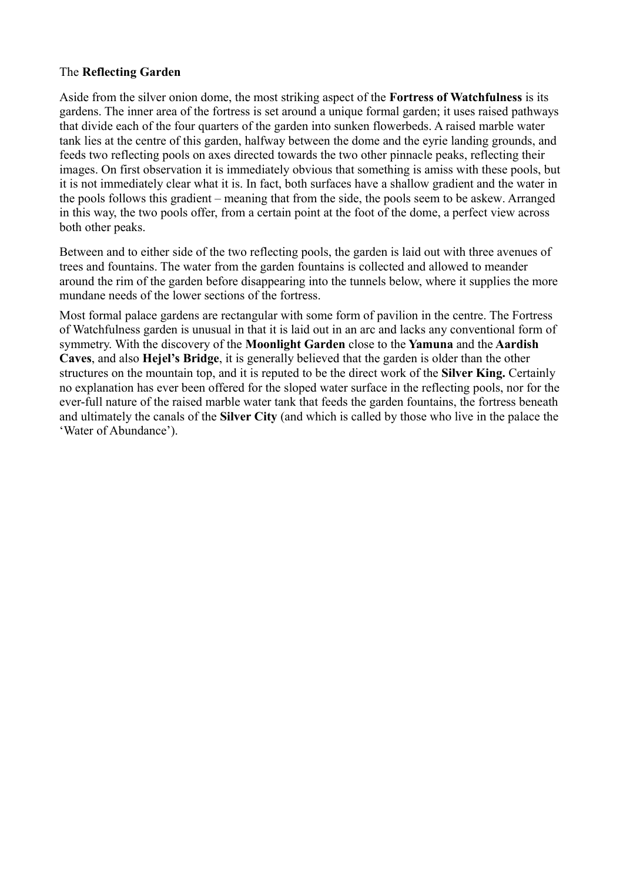# The **Reflecting Garden**

Aside from the silver onion dome, the most striking aspect of the **Fortress of Watchfulness** is its gardens. The inner area of the fortress is set around a unique formal garden; it uses raised pathways that divide each of the four quarters of the garden into sunken flowerbeds. A raised marble water tank lies at the centre of this garden, halfway between the dome and the eyrie landing grounds, and feeds two reflecting pools on axes directed towards the two other pinnacle peaks, reflecting their images. On first observation it is immediately obvious that something is amiss with these pools, but it is not immediately clear what it is. In fact, both surfaces have a shallow gradient and the water in the pools follows this gradient – meaning that from the side, the pools seem to be askew. Arranged in this way, the two pools offer, from a certain point at the foot of the dome, a perfect view across both other peaks.

Between and to either side of the two reflecting pools, the garden is laid out with three avenues of trees and fountains. The water from the garden fountains is collected and allowed to meander around the rim of the garden before disappearing into the tunnels below, where it supplies the more mundane needs of the lower sections of the fortress.

Most formal palace gardens are rectangular with some form of pavilion in the centre. The Fortress of Watchfulness garden is unusual in that it is laid out in an arc and lacks any conventional form of symmetry. With the discovery of the **Moonlight Garden** close to the **Yamuna** and the **Aardish Caves**, and also **Hejel's Bridge**, it is generally believed that the garden is older than the other structures on the mountain top, and it is reputed to be the direct work of the **Silver King.** Certainly no explanation has ever been offered for the sloped water surface in the reflecting pools, nor for the ever-full nature of the raised marble water tank that feeds the garden fountains, the fortress beneath and ultimately the canals of the **Silver City** (and which is called by those who live in the palace the 'Water of Abundance').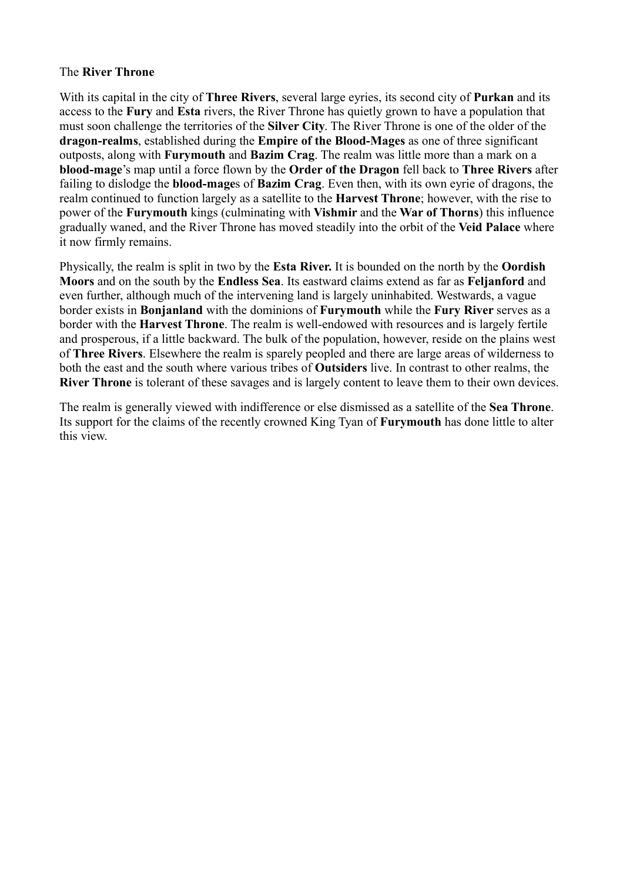## The **River Throne**

With its capital in the city of **Three Rivers**, several large eyries, its second city of **Purkan** and its access to the **Fury** and **Esta** rivers, the River Throne has quietly grown to have a population that must soon challenge the territories of the **Silver City**. The River Throne is one of the older of the **dragon-realms**, established during the **Empire of the Blood-Mages** as one of three significant outposts, along with **Furymouth** and **Bazim Crag**. The realm was little more than a mark on a **blood-mage**'s map until a force flown by the **Order of the Dragon** fell back to **Three Rivers** after failing to dislodge the **blood-mage**s of **Bazim Crag**. Even then, with its own eyrie of dragons, the realm continued to function largely as a satellite to the **Harvest Throne**; however, with the rise to power of the **Furymouth** kings (culminating with **Vishmir** and the **War of Thorns**) this influence gradually waned, and the River Throne has moved steadily into the orbit of the **Veid Palace** where it now firmly remains.

Physically, the realm is split in two by the **Esta River.** It is bounded on the north by the **Oordish Moors** and on the south by the **Endless Sea**. Its eastward claims extend as far as **Feljanford** and even further, although much of the intervening land is largely uninhabited. Westwards, a vague border exists in **Bonjanland** with the dominions of **Furymouth** while the **Fury River** serves as a border with the **Harvest Throne**. The realm is well-endowed with resources and is largely fertile and prosperous, if a little backward. The bulk of the population, however, reside on the plains west of **Three Rivers**. Elsewhere the realm is sparely peopled and there are large areas of wilderness to both the east and the south where various tribes of **Outsiders** live. In contrast to other realms, the **River Throne** is tolerant of these savages and is largely content to leave them to their own devices.

The realm is generally viewed with indifference or else dismissed as a satellite of the **Sea Throne**. Its support for the claims of the recently crowned King Tyan of **Furymouth** has done little to alter this view.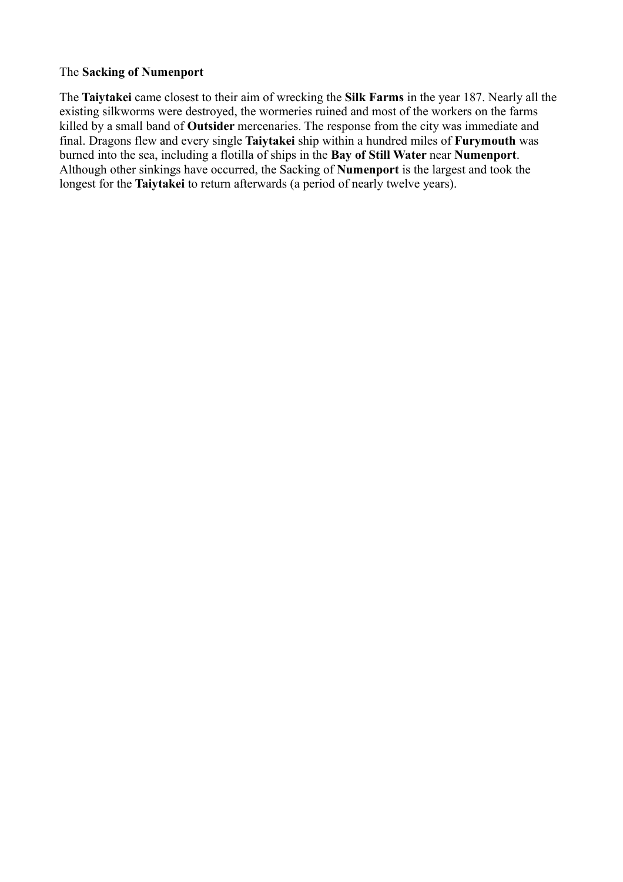# The **Sacking of Numenport**

The **Taiytakei** came closest to their aim of wrecking the **Silk Farms** in the year 187. Nearly all the existing silkworms were destroyed, the wormeries ruined and most of the workers on the farms killed by a small band of **Outsider** mercenaries. The response from the city was immediate and final. Dragons flew and every single **Taiytakei** ship within a hundred miles of **Furymouth** was burned into the sea, including a flotilla of ships in the **Bay of Still Water** near **Numenport**. Although other sinkings have occurred, the Sacking of **Numenport** is the largest and took the longest for the **Taiytakei** to return afterwards (a period of nearly twelve years).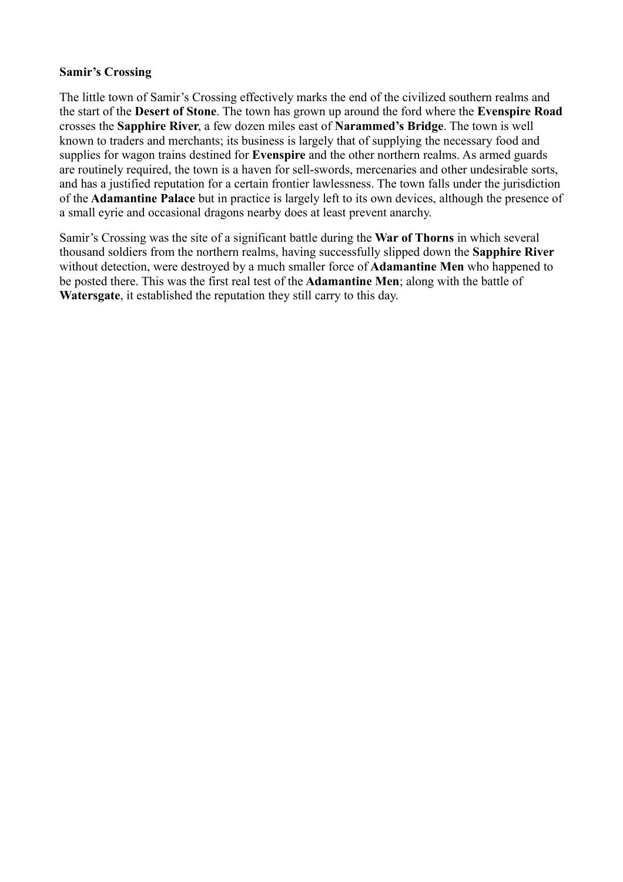# **Samir's Crossing**

The little town of Samir's Crossing effectively marks the end of the civilized southern realms and the start of the **Desert of Stone**. The town has grown up around the ford where the **Evenspire Road** crosses the **Sapphire River**, a few dozen miles east of **Narammed's Bridge**. The town is well known to traders and merchants; its business is largely that of supplying the necessary food and supplies for wagon trains destined for **Evenspire** and the other northern realms. As armed guards are routinely required, the town is a haven for sell-swords, mercenaries and other undesirable sorts, and has a justified reputation for a certain frontier lawlessness. The town falls under the jurisdiction of the **Adamantine Palace** but in practice is largely left to its own devices, although the presence of a small eyrie and occasional dragons nearby does at least prevent anarchy.

Samir's Crossing was the site of a significant battle during the **War of Thorns** in which several thousand soldiers from the northern realms, having successfully slipped down the **Sapphire River** without detection, were destroyed by a much smaller force of **Adamantine Men** who happened to be posted there. This was the first real test of the **Adamantine Men**; along with the battle of **Watersgate**, it established the reputation they still carry to this day.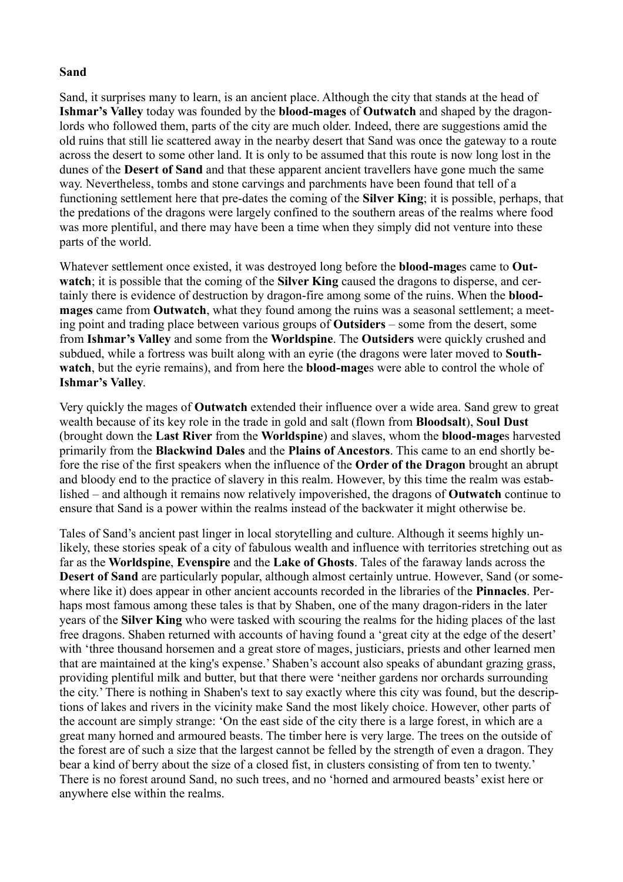## **Sand**

Sand, it surprises many to learn, is an ancient place. Although the city that stands at the head of **Ishmar's Valley** today was founded by the **blood-mages** of **Outwatch** and shaped by the dragonlords who followed them, parts of the city are much older. Indeed, there are suggestions amid the old ruins that still lie scattered away in the nearby desert that Sand was once the gateway to a route across the desert to some other land. It is only to be assumed that this route is now long lost in the dunes of the **Desert of Sand** and that these apparent ancient travellers have gone much the same way. Nevertheless, tombs and stone carvings and parchments have been found that tell of a functioning settlement here that pre-dates the coming of the **Silver King**; it is possible, perhaps, that the predations of the dragons were largely confined to the southern areas of the realms where food was more plentiful, and there may have been a time when they simply did not venture into these parts of the world.

Whatever settlement once existed, it was destroyed long before the **blood-mage**s came to **Outwatch**; it is possible that the coming of the **Silver King** caused the dragons to disperse, and certainly there is evidence of destruction by dragon-fire among some of the ruins. When the **bloodmages** came from **Outwatch**, what they found among the ruins was a seasonal settlement; a meeting point and trading place between various groups of **Outsiders** – some from the desert, some from **Ishmar's Valley** and some from the **Worldspine**. The **Outsiders** were quickly crushed and subdued, while a fortress was built along with an eyrie (the dragons were later moved to **Southwatch**, but the eyrie remains), and from here the **blood-mage**s were able to control the whole of **Ishmar's Valley**.

Very quickly the mages of **Outwatch** extended their influence over a wide area. Sand grew to great wealth because of its key role in the trade in gold and salt (flown from **Bloodsalt**), **Soul Dust** (brought down the **Last River** from the **Worldspine**) and slaves, whom the **blood-mage**s harvested primarily from the **Blackwind Dales** and the **Plains of Ancestors**. This came to an end shortly before the rise of the first speakers when the influence of the **Order of the Dragon** brought an abrupt and bloody end to the practice of slavery in this realm. However, by this time the realm was established – and although it remains now relatively impoverished, the dragons of **Outwatch** continue to ensure that Sand is a power within the realms instead of the backwater it might otherwise be.

Tales of Sand's ancient past linger in local storytelling and culture. Although it seems highly unlikely, these stories speak of a city of fabulous wealth and influence with territories stretching out as far as the **Worldspine**, **Evenspire** and the **Lake of Ghosts**. Tales of the faraway lands across the **Desert of Sand** are particularly popular, although almost certainly untrue. However, Sand (or somewhere like it) does appear in other ancient accounts recorded in the libraries of the **Pinnacles**. Perhaps most famous among these tales is that by Shaben, one of the many dragon-riders in the later years of the **Silver King** who were tasked with scouring the realms for the hiding places of the last free dragons. Shaben returned with accounts of having found a 'great city at the edge of the desert' with 'three thousand horsemen and a great store of mages, justiciars, priests and other learned men that are maintained at the king's expense.' Shaben's account also speaks of abundant grazing grass, providing plentiful milk and butter, but that there were 'neither gardens nor orchards surrounding the city.' There is nothing in Shaben's text to say exactly where this city was found, but the descriptions of lakes and rivers in the vicinity make Sand the most likely choice. However, other parts of the account are simply strange: 'On the east side of the city there is a large forest, in which are a great many horned and armoured beasts. The timber here is very large. The trees on the outside of the forest are of such a size that the largest cannot be felled by the strength of even a dragon. They bear a kind of berry about the size of a closed fist, in clusters consisting of from ten to twenty.' There is no forest around Sand, no such trees, and no 'horned and armoured beasts' exist here or anywhere else within the realms.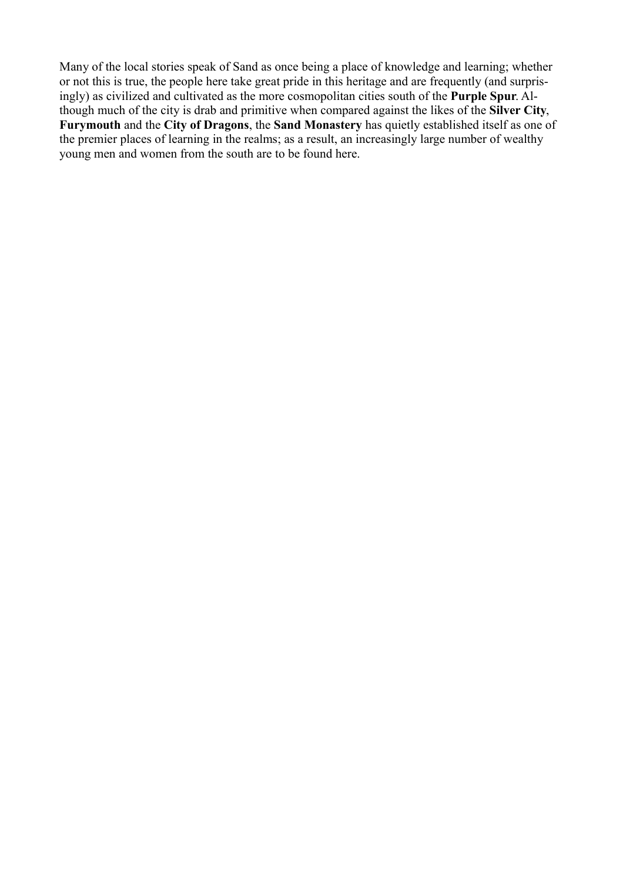Many of the local stories speak of Sand as once being a place of knowledge and learning; whether or not this is true, the people here take great pride in this heritage and are frequently (and surprisingly) as civilized and cultivated as the more cosmopolitan cities south of the **Purple Spur**. Although much of the city is drab and primitive when compared against the likes of the **Silver City**, **Furymouth** and the **City of Dragons**, the **Sand Monastery** has quietly established itself as one of the premier places of learning in the realms; as a result, an increasingly large number of wealthy young men and women from the south are to be found here.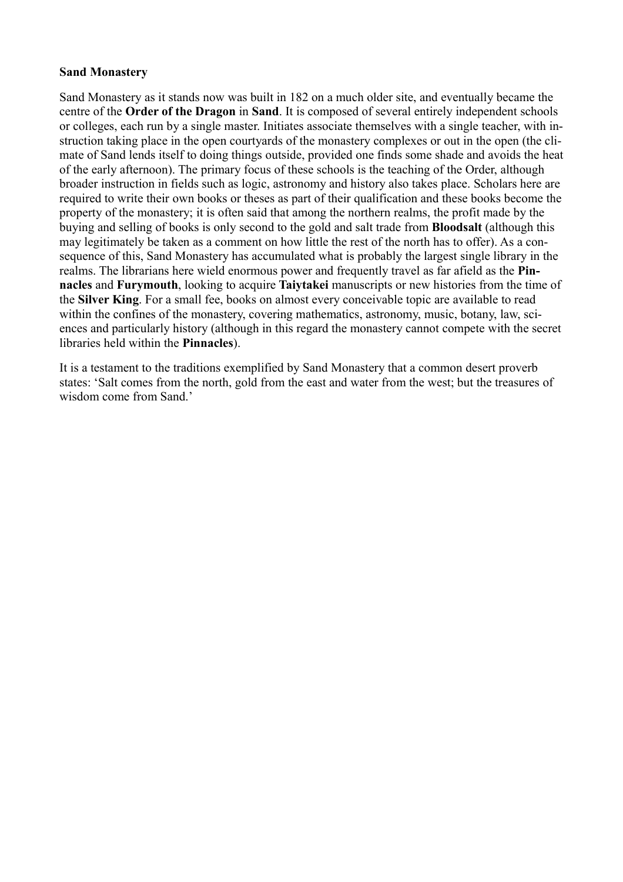## **Sand Monastery**

Sand Monastery as it stands now was built in 182 on a much older site, and eventually became the centre of the **Order of the Dragon** in **Sand**. It is composed of several entirely independent schools or colleges, each run by a single master. Initiates associate themselves with a single teacher, with instruction taking place in the open courtyards of the monastery complexes or out in the open (the climate of Sand lends itself to doing things outside, provided one finds some shade and avoids the heat of the early afternoon). The primary focus of these schools is the teaching of the Order, although broader instruction in fields such as logic, astronomy and history also takes place. Scholars here are required to write their own books or theses as part of their qualification and these books become the property of the monastery; it is often said that among the northern realms, the profit made by the buying and selling of books is only second to the gold and salt trade from **Bloodsalt** (although this may legitimately be taken as a comment on how little the rest of the north has to offer). As a consequence of this, Sand Monastery has accumulated what is probably the largest single library in the realms. The librarians here wield enormous power and frequently travel as far afield as the **Pinnacles** and **Furymouth**, looking to acquire **Taiytakei** manuscripts or new histories from the time of the **Silver King**. For a small fee, books on almost every conceivable topic are available to read within the confines of the monastery, covering mathematics, astronomy, music, botany, law, sciences and particularly history (although in this regard the monastery cannot compete with the secret libraries held within the **Pinnacles**).

It is a testament to the traditions exemplified by Sand Monastery that a common desert proverb states: 'Salt comes from the north, gold from the east and water from the west; but the treasures of wisdom come from Sand<sup>'</sup>.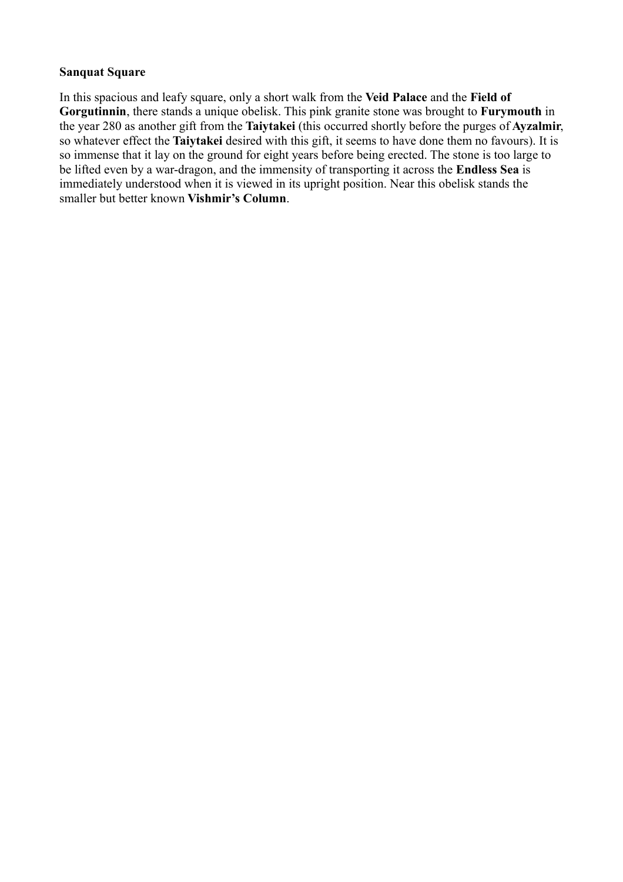## **Sanquat Square**

In this spacious and leafy square, only a short walk from the **Veid Palace** and the **Field of Gorgutinnin**, there stands a unique obelisk. This pink granite stone was brought to **Furymouth** in the year 280 as another gift from the **Taiytakei** (this occurred shortly before the purges of **Ayzalmir**, so whatever effect the **Taiytakei** desired with this gift, it seems to have done them no favours). It is so immense that it lay on the ground for eight years before being erected. The stone is too large to be lifted even by a war-dragon, and the immensity of transporting it across the **Endless Sea** is immediately understood when it is viewed in its upright position. Near this obelisk stands the smaller but better known **Vishmir's Column**.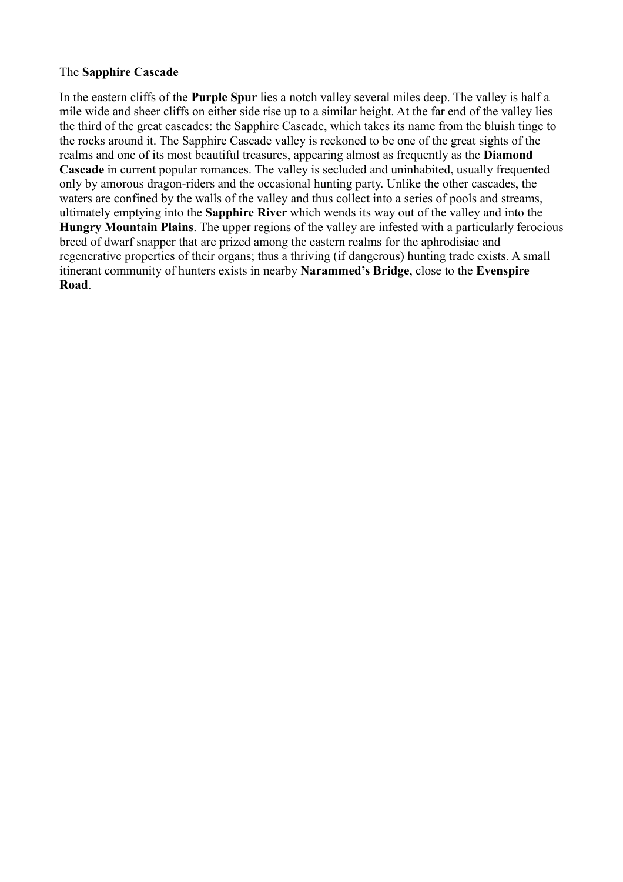# The **Sapphire Cascade**

In the eastern cliffs of the **Purple Spur** lies a notch valley several miles deep. The valley is half a mile wide and sheer cliffs on either side rise up to a similar height. At the far end of the valley lies the third of the great cascades: the Sapphire Cascade, which takes its name from the bluish tinge to the rocks around it. The Sapphire Cascade valley is reckoned to be one of the great sights of the realms and one of its most beautiful treasures, appearing almost as frequently as the **Diamond Cascade** in current popular romances. The valley is secluded and uninhabited, usually frequented only by amorous dragon-riders and the occasional hunting party. Unlike the other cascades, the waters are confined by the walls of the valley and thus collect into a series of pools and streams, ultimately emptying into the **Sapphire River** which wends its way out of the valley and into the **Hungry Mountain Plains**. The upper regions of the valley are infested with a particularly ferocious breed of dwarf snapper that are prized among the eastern realms for the aphrodisiac and regenerative properties of their organs; thus a thriving (if dangerous) hunting trade exists. A small itinerant community of hunters exists in nearby **Narammed's Bridge**, close to the **Evenspire Road**.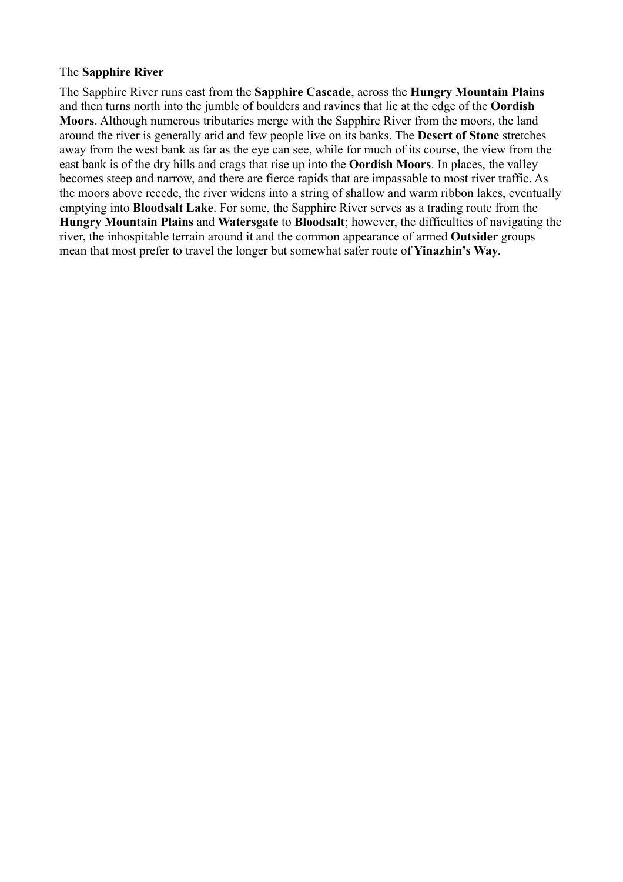#### The **Sapphire River**

The Sapphire River runs east from the **Sapphire Cascade**, across the **Hungry Mountain Plains** and then turns north into the jumble of boulders and ravines that lie at the edge of the **Oordish Moors**. Although numerous tributaries merge with the Sapphire River from the moors, the land around the river is generally arid and few people live on its banks. The **Desert of Stone** stretches away from the west bank as far as the eye can see, while for much of its course, the view from the east bank is of the dry hills and crags that rise up into the **Oordish Moors**. In places, the valley becomes steep and narrow, and there are fierce rapids that are impassable to most river traffic. As the moors above recede, the river widens into a string of shallow and warm ribbon lakes, eventually emptying into **Bloodsalt Lake**. For some, the Sapphire River serves as a trading route from the **Hungry Mountain Plains** and **Watersgate** to **Bloodsalt**; however, the difficulties of navigating the river, the inhospitable terrain around it and the common appearance of armed **Outsider** groups mean that most prefer to travel the longer but somewhat safer route of **Yinazhin's Way**.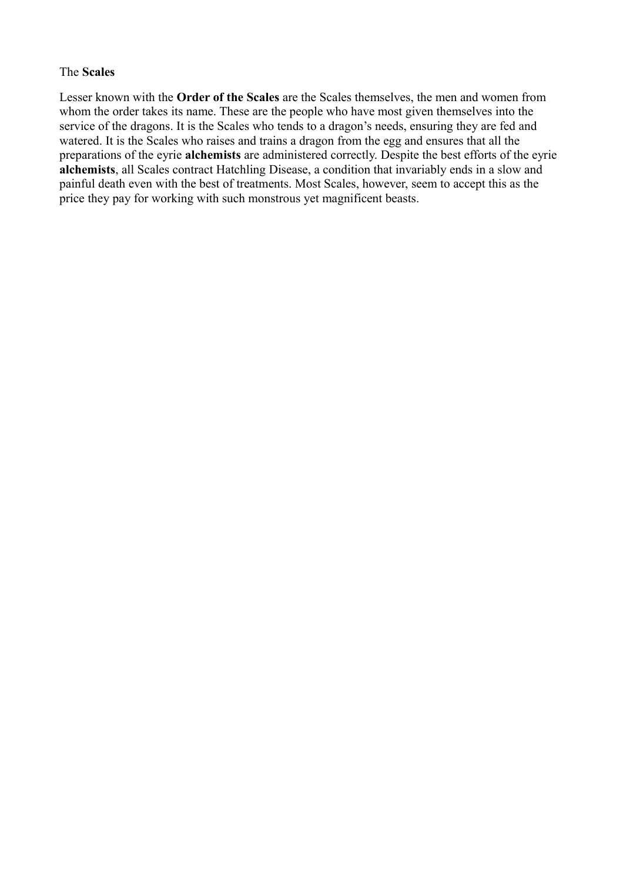#### The **Scales**

Lesser known with the **Order of the Scales** are the Scales themselves, the men and women from whom the order takes its name. These are the people who have most given themselves into the service of the dragons. It is the Scales who tends to a dragon's needs, ensuring they are fed and watered. It is the Scales who raises and trains a dragon from the egg and ensures that all the preparations of the eyrie **alchemists** are administered correctly. Despite the best efforts of the eyrie **alchemists**, all Scales contract Hatchling Disease, a condition that invariably ends in a slow and painful death even with the best of treatments. Most Scales, however, seem to accept this as the price they pay for working with such monstrous yet magnificent beasts.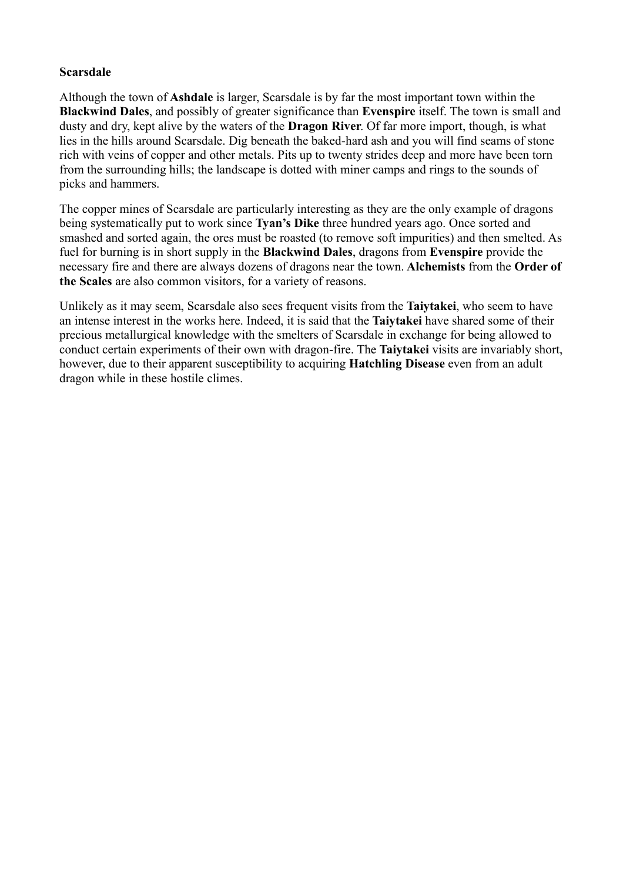# **Scarsdale**

Although the town of **Ashdale** is larger, Scarsdale is by far the most important town within the **Blackwind Dales**, and possibly of greater significance than **Evenspire** itself. The town is small and dusty and dry, kept alive by the waters of the **Dragon River**. Of far more import, though, is what lies in the hills around Scarsdale. Dig beneath the baked-hard ash and you will find seams of stone rich with veins of copper and other metals. Pits up to twenty strides deep and more have been torn from the surrounding hills; the landscape is dotted with miner camps and rings to the sounds of picks and hammers.

The copper mines of Scarsdale are particularly interesting as they are the only example of dragons being systematically put to work since **Tyan's Dike** three hundred years ago. Once sorted and smashed and sorted again, the ores must be roasted (to remove soft impurities) and then smelted. As fuel for burning is in short supply in the **Blackwind Dales**, dragons from **Evenspire** provide the necessary fire and there are always dozens of dragons near the town. **Alchemists** from the **Order of the Scales** are also common visitors, for a variety of reasons.

Unlikely as it may seem, Scarsdale also sees frequent visits from the **Taiytakei**, who seem to have an intense interest in the works here. Indeed, it is said that the **Taiytakei** have shared some of their precious metallurgical knowledge with the smelters of Scarsdale in exchange for being allowed to conduct certain experiments of their own with dragon-fire. The **Taiytakei** visits are invariably short, however, due to their apparent susceptibility to acquiring **Hatchling Disease** even from an adult dragon while in these hostile climes.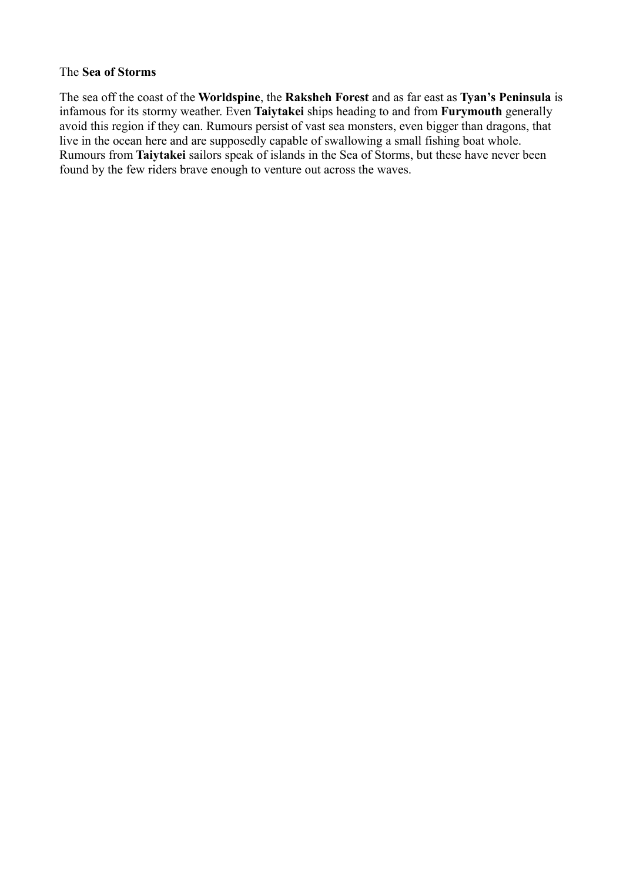#### The **Sea of Storms**

The sea off the coast of the **Worldspine**, the **Raksheh Forest** and as far east as **Tyan's Peninsula** is infamous for its stormy weather. Even **Taiytakei** ships heading to and from **Furymouth** generally avoid this region if they can. Rumours persist of vast sea monsters, even bigger than dragons, that live in the ocean here and are supposedly capable of swallowing a small fishing boat whole. Rumours from **Taiytakei** sailors speak of islands in the Sea of Storms, but these have never been found by the few riders brave enough to venture out across the waves.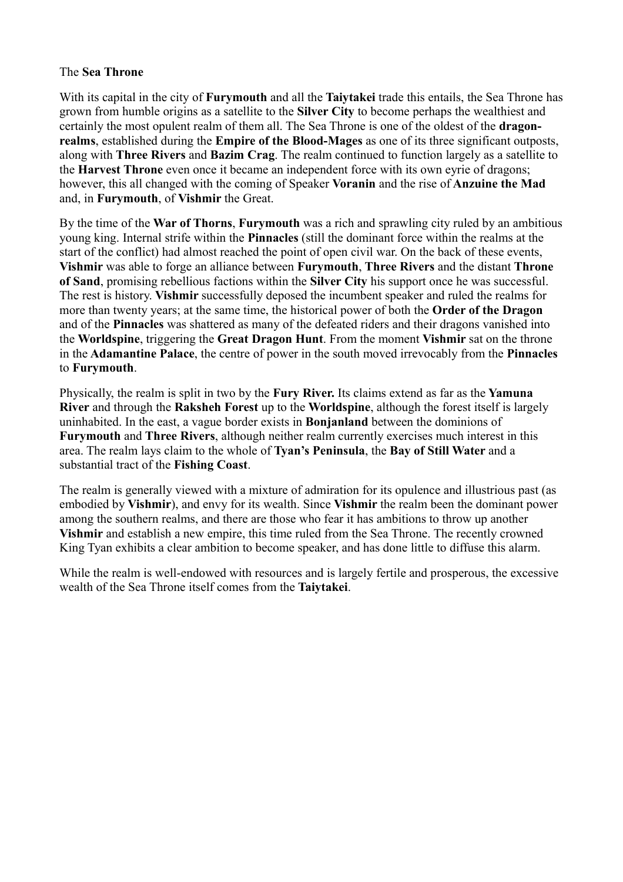# The **Sea Throne**

With its capital in the city of **Furymouth** and all the **Taiytakei** trade this entails, the Sea Throne has grown from humble origins as a satellite to the **Silver City** to become perhaps the wealthiest and certainly the most opulent realm of them all. The Sea Throne is one of the oldest of the **dragonrealms**, established during the **Empire of the Blood-Mages** as one of its three significant outposts, along with **Three Rivers** and **Bazim Crag**. The realm continued to function largely as a satellite to the **Harvest Throne** even once it became an independent force with its own eyrie of dragons; however, this all changed with the coming of Speaker **Voranin** and the rise of **Anzuine the Mad** and, in **Furymouth**, of **Vishmir** the Great.

By the time of the **War of Thorns**, **Furymouth** was a rich and sprawling city ruled by an ambitious young king. Internal strife within the **Pinnacles** (still the dominant force within the realms at the start of the conflict) had almost reached the point of open civil war. On the back of these events, **Vishmir** was able to forge an alliance between **Furymouth**, **Three Rivers** and the distant **Throne of Sand**, promising rebellious factions within the **Silver City** his support once he was successful. The rest is history. **Vishmir** successfully deposed the incumbent speaker and ruled the realms for more than twenty years; at the same time, the historical power of both the **Order of the Dragon** and of the **Pinnacles** was shattered as many of the defeated riders and their dragons vanished into the **Worldspine**, triggering the **Great Dragon Hunt**. From the moment **Vishmir** sat on the throne in the **Adamantine Palace**, the centre of power in the south moved irrevocably from the **Pinnacles** to **Furymouth**.

Physically, the realm is split in two by the **Fury River.** Its claims extend as far as the **Yamuna River** and through the **Raksheh Forest** up to the **Worldspine**, although the forest itself is largely uninhabited. In the east, a vague border exists in **Bonjanland** between the dominions of **Furymouth** and **Three Rivers**, although neither realm currently exercises much interest in this area. The realm lays claim to the whole of **Tyan's Peninsula**, the **Bay of Still Water** and a substantial tract of the **Fishing Coast**.

The realm is generally viewed with a mixture of admiration for its opulence and illustrious past (as embodied by **Vishmir**), and envy for its wealth. Since **Vishmir** the realm been the dominant power among the southern realms, and there are those who fear it has ambitions to throw up another **Vishmir** and establish a new empire, this time ruled from the Sea Throne. The recently crowned King Tyan exhibits a clear ambition to become speaker, and has done little to diffuse this alarm.

While the realm is well-endowed with resources and is largely fertile and prosperous, the excessive wealth of the Sea Throne itself comes from the **Taiytakei**.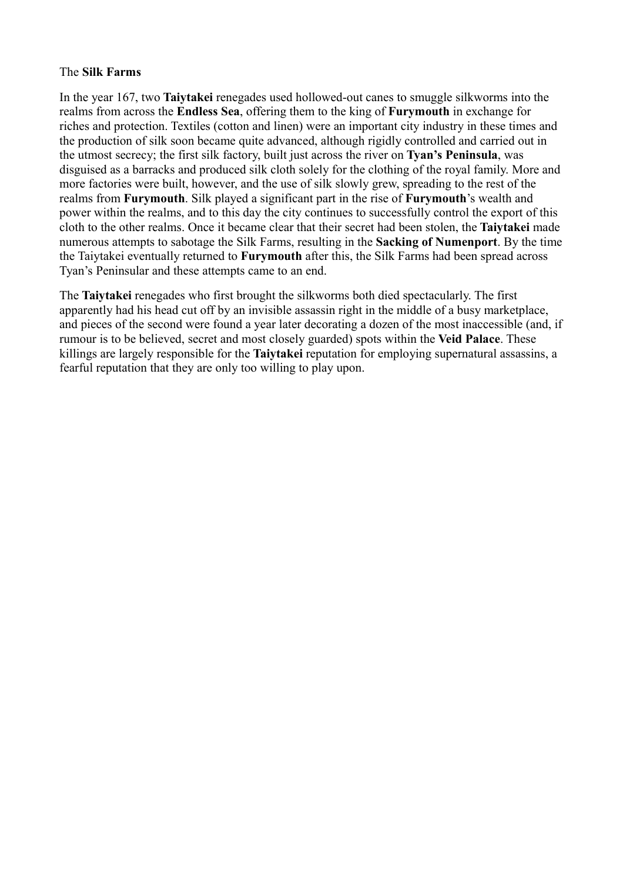#### The **Silk Farms**

In the year 167, two **Taiytakei** renegades used hollowed-out canes to smuggle silkworms into the realms from across the **Endless Sea**, offering them to the king of **Furymouth** in exchange for riches and protection. Textiles (cotton and linen) were an important city industry in these times and the production of silk soon became quite advanced, although rigidly controlled and carried out in the utmost secrecy; the first silk factory, built just across the river on **Tyan's Peninsula**, was disguised as a barracks and produced silk cloth solely for the clothing of the royal family. More and more factories were built, however, and the use of silk slowly grew, spreading to the rest of the realms from **Furymouth**. Silk played a significant part in the rise of **Furymouth**'s wealth and power within the realms, and to this day the city continues to successfully control the export of this cloth to the other realms. Once it became clear that their secret had been stolen, the **Taiytakei** made numerous attempts to sabotage the Silk Farms, resulting in the **Sacking of Numenport**. By the time the Taiytakei eventually returned to **Furymouth** after this, the Silk Farms had been spread across Tyan's Peninsular and these attempts came to an end.

The **Taiytakei** renegades who first brought the silkworms both died spectacularly. The first apparently had his head cut off by an invisible assassin right in the middle of a busy marketplace, and pieces of the second were found a year later decorating a dozen of the most inaccessible (and, if rumour is to be believed, secret and most closely guarded) spots within the **Veid Palace**. These killings are largely responsible for the **Taiytakei** reputation for employing supernatural assassins, a fearful reputation that they are only too willing to play upon.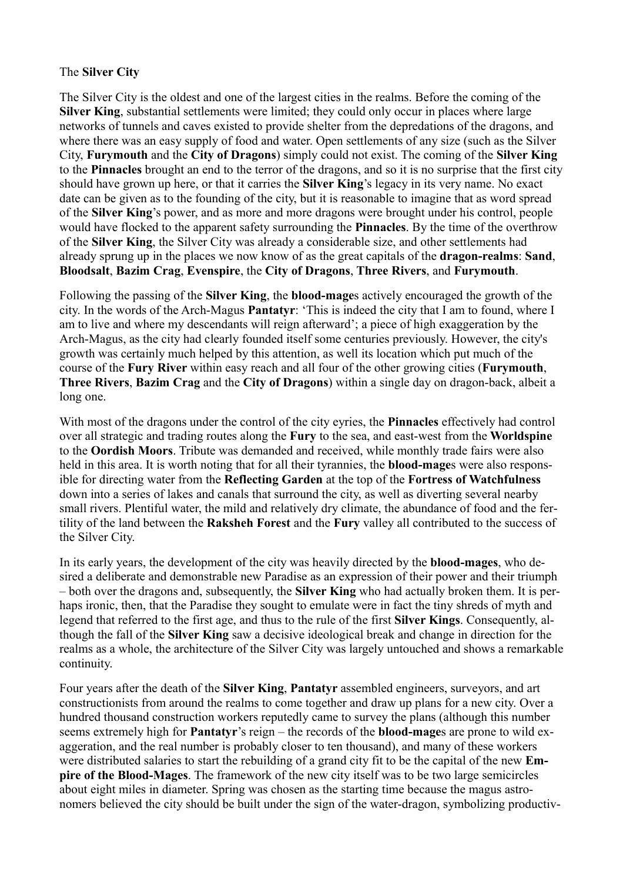# The **Silver City**

The Silver City is the oldest and one of the largest cities in the realms. Before the coming of the **Silver King**, substantial settlements were limited; they could only occur in places where large networks of tunnels and caves existed to provide shelter from the depredations of the dragons, and where there was an easy supply of food and water. Open settlements of any size (such as the Silver City, **Furymouth** and the **City of Dragons**) simply could not exist. The coming of the **Silver King** to the **Pinnacles** brought an end to the terror of the dragons, and so it is no surprise that the first city should have grown up here, or that it carries the **Silver King**'s legacy in its very name. No exact date can be given as to the founding of the city, but it is reasonable to imagine that as word spread of the **Silver King**'s power, and as more and more dragons were brought under his control, people would have flocked to the apparent safety surrounding the **Pinnacles**. By the time of the overthrow of the **Silver King**, the Silver City was already a considerable size, and other settlements had already sprung up in the places we now know of as the great capitals of the **dragon-realms**: **Sand**, **Bloodsalt**, **Bazim Crag**, **Evenspire**, the **City of Dragons**, **Three Rivers**, and **Furymouth**.

Following the passing of the **Silver King**, the **blood-mage**s actively encouraged the growth of the city. In the words of the Arch-Magus **Pantatyr**: 'This is indeed the city that I am to found, where I am to live and where my descendants will reign afterward'; a piece of high exaggeration by the Arch-Magus, as the city had clearly founded itself some centuries previously. However, the city's growth was certainly much helped by this attention, as well its location which put much of the course of the **Fury River** within easy reach and all four of the other growing cities (**Furymouth**, **Three Rivers**, **Bazim Crag** and the **City of Dragons**) within a single day on dragon-back, albeit a long one.

With most of the dragons under the control of the city eyries, the **Pinnacles** effectively had control over all strategic and trading routes along the **Fury** to the sea, and east-west from the **Worldspine** to the **Oordish Moors**. Tribute was demanded and received, while monthly trade fairs were also held in this area. It is worth noting that for all their tyrannies, the **blood-mage**s were also responsible for directing water from the **Reflecting Garden** at the top of the **Fortress of Watchfulness** down into a series of lakes and canals that surround the city, as well as diverting several nearby small rivers. Plentiful water, the mild and relatively dry climate, the abundance of food and the fertility of the land between the **Raksheh Forest** and the **Fury** valley all contributed to the success of the Silver City.

In its early years, the development of the city was heavily directed by the **blood-mages**, who desired a deliberate and demonstrable new Paradise as an expression of their power and their triumph – both over the dragons and, subsequently, the **Silver King** who had actually broken them. It is perhaps ironic, then, that the Paradise they sought to emulate were in fact the tiny shreds of myth and legend that referred to the first age, and thus to the rule of the first **Silver Kings**. Consequently, although the fall of the **Silver King** saw a decisive ideological break and change in direction for the realms as a whole, the architecture of the Silver City was largely untouched and shows a remarkable continuity.

Four years after the death of the **Silver King**, **Pantatyr** assembled engineers, surveyors, and art constructionists from around the realms to come together and draw up plans for a new city. Over a hundred thousand construction workers reputedly came to survey the plans (although this number seems extremely high for **Pantatyr**'s reign – the records of the **blood-mage**s are prone to wild exaggeration, and the real number is probably closer to ten thousand), and many of these workers were distributed salaries to start the rebuilding of a grand city fit to be the capital of the new **Empire of the Blood-Mages**. The framework of the new city itself was to be two large semicircles about eight miles in diameter. Spring was chosen as the starting time because the magus astronomers believed the city should be built under the sign of the water-dragon, symbolizing productiv-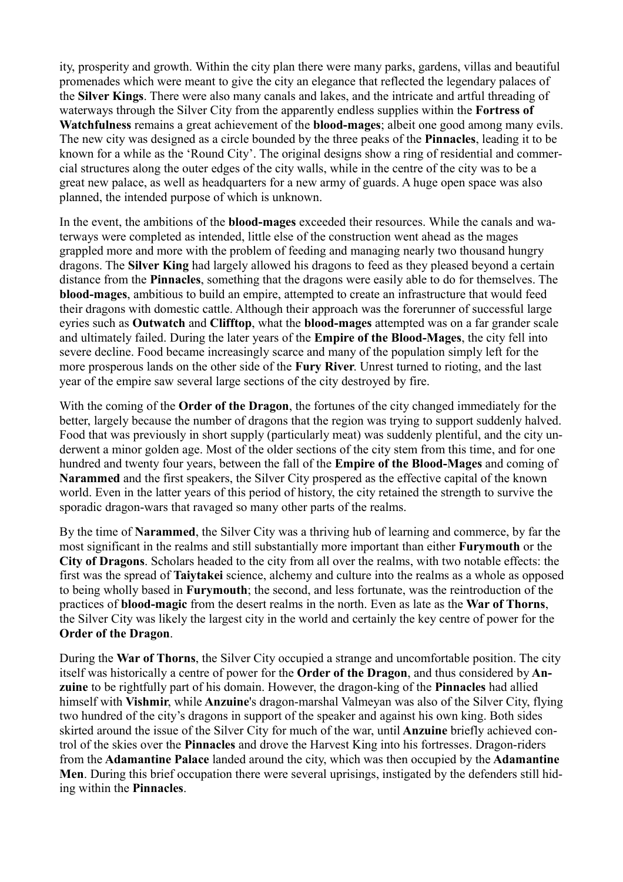ity, prosperity and growth. Within the city plan there were many parks, gardens, villas and beautiful promenades which were meant to give the city an elegance that reflected the legendary palaces of the **Silver Kings**. There were also many canals and lakes, and the intricate and artful threading of waterways through the Silver City from the apparently endless supplies within the **Fortress of Watchfulness** remains a great achievement of the **blood-mages**; albeit one good among many evils. The new city was designed as a circle bounded by the three peaks of the **Pinnacles**, leading it to be known for a while as the 'Round City'. The original designs show a ring of residential and commercial structures along the outer edges of the city walls, while in the centre of the city was to be a great new palace, as well as headquarters for a new army of guards. A huge open space was also planned, the intended purpose of which is unknown.

In the event, the ambitions of the **blood-mages** exceeded their resources. While the canals and waterways were completed as intended, little else of the construction went ahead as the mages grappled more and more with the problem of feeding and managing nearly two thousand hungry dragons. The **Silver King** had largely allowed his dragons to feed as they pleased beyond a certain distance from the **Pinnacles**, something that the dragons were easily able to do for themselves. The **blood-mages**, ambitious to build an empire, attempted to create an infrastructure that would feed their dragons with domestic cattle. Although their approach was the forerunner of successful large eyries such as **Outwatch** and **Clifftop**, what the **blood-mages** attempted was on a far grander scale and ultimately failed. During the later years of the **Empire of the Blood-Mages**, the city fell into severe decline. Food became increasingly scarce and many of the population simply left for the more prosperous lands on the other side of the **Fury River**. Unrest turned to rioting, and the last year of the empire saw several large sections of the city destroyed by fire.

With the coming of the **Order of the Dragon**, the fortunes of the city changed immediately for the better, largely because the number of dragons that the region was trying to support suddenly halved. Food that was previously in short supply (particularly meat) was suddenly plentiful, and the city underwent a minor golden age. Most of the older sections of the city stem from this time, and for one hundred and twenty four years, between the fall of the **Empire of the Blood-Mages** and coming of **Narammed** and the first speakers, the Silver City prospered as the effective capital of the known world. Even in the latter years of this period of history, the city retained the strength to survive the sporadic dragon-wars that ravaged so many other parts of the realms.

By the time of **Narammed**, the Silver City was a thriving hub of learning and commerce, by far the most significant in the realms and still substantially more important than either **Furymouth** or the **City of Dragons**. Scholars headed to the city from all over the realms, with two notable effects: the first was the spread of **Taiytakei** science, alchemy and culture into the realms as a whole as opposed to being wholly based in **Furymouth**; the second, and less fortunate, was the reintroduction of the practices of **blood-magic** from the desert realms in the north. Even as late as the **War of Thorns**, the Silver City was likely the largest city in the world and certainly the key centre of power for the **Order of the Dragon**.

During the **War of Thorns**, the Silver City occupied a strange and uncomfortable position. The city itself was historically a centre of power for the **Order of the Dragon**, and thus considered by **Anzuine** to be rightfully part of his domain. However, the dragon-king of the **Pinnacles** had allied himself with **Vishmir**, while **Anzuine**'s dragon-marshal Valmeyan was also of the Silver City, flying two hundred of the city's dragons in support of the speaker and against his own king. Both sides skirted around the issue of the Silver City for much of the war, until **Anzuine** briefly achieved control of the skies over the **Pinnacles** and drove the Harvest King into his fortresses. Dragon-riders from the **Adamantine Palace** landed around the city, which was then occupied by the **Adamantine Men**. During this brief occupation there were several uprisings, instigated by the defenders still hiding within the **Pinnacles**.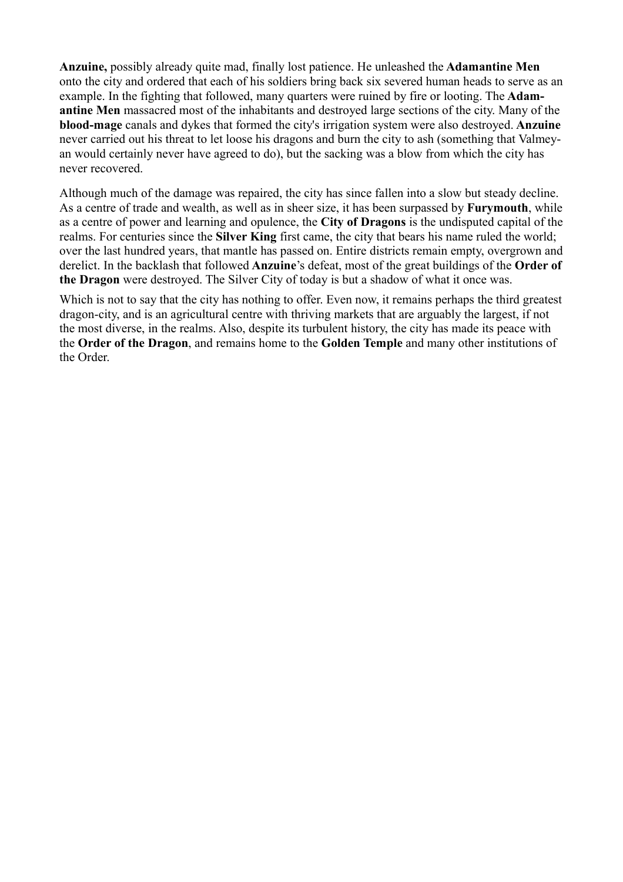**Anzuine,** possibly already quite mad, finally lost patience. He unleashed the **Adamantine Men** onto the city and ordered that each of his soldiers bring back six severed human heads to serve as an example. In the fighting that followed, many quarters were ruined by fire or looting. The **Adamantine Men** massacred most of the inhabitants and destroyed large sections of the city. Many of the **blood-mage** canals and dykes that formed the city's irrigation system were also destroyed. **Anzuine** never carried out his threat to let loose his dragons and burn the city to ash (something that Valmeyan would certainly never have agreed to do), but the sacking was a blow from which the city has never recovered.

Although much of the damage was repaired, the city has since fallen into a slow but steady decline. As a centre of trade and wealth, as well as in sheer size, it has been surpassed by **Furymouth**, while as a centre of power and learning and opulence, the **City of Dragons** is the undisputed capital of the realms. For centuries since the **Silver King** first came, the city that bears his name ruled the world; over the last hundred years, that mantle has passed on. Entire districts remain empty, overgrown and derelict. In the backlash that followed **Anzuine**'s defeat, most of the great buildings of the **Order of the Dragon** were destroyed. The Silver City of today is but a shadow of what it once was.

Which is not to say that the city has nothing to offer. Even now, it remains perhaps the third greatest dragon-city, and is an agricultural centre with thriving markets that are arguably the largest, if not the most diverse, in the realms. Also, despite its turbulent history, the city has made its peace with the **Order of the Dragon**, and remains home to the **Golden Temple** and many other institutions of the Order.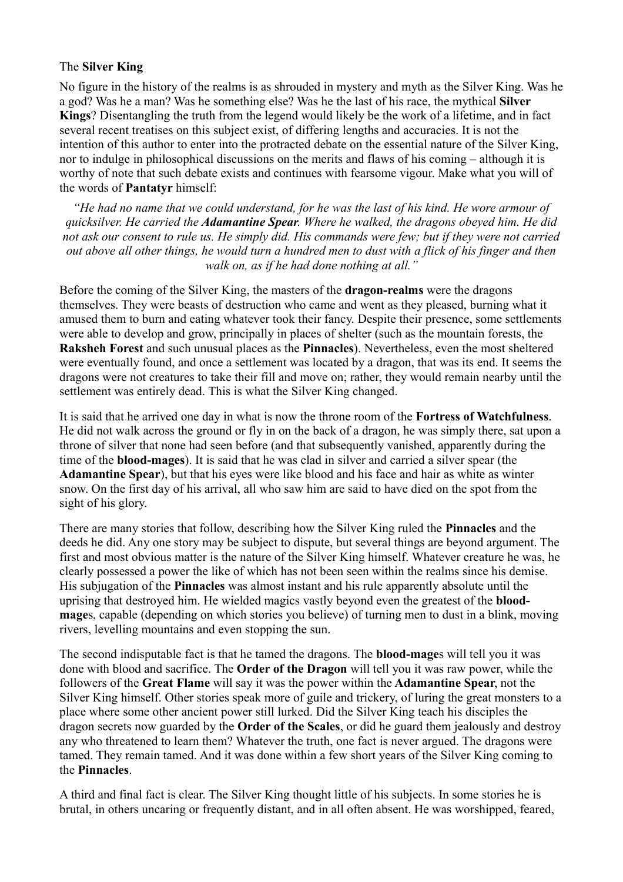# The **Silver King**

No figure in the history of the realms is as shrouded in mystery and myth as the Silver King. Was he a god? Was he a man? Was he something else? Was he the last of his race, the mythical **Silver Kings**? Disentangling the truth from the legend would likely be the work of a lifetime, and in fact several recent treatises on this subject exist, of differing lengths and accuracies. It is not the intention of this author to enter into the protracted debate on the essential nature of the Silver King, nor to indulge in philosophical discussions on the merits and flaws of his coming – although it is worthy of note that such debate exists and continues with fearsome vigour. Make what you will of the words of **Pantatyr** himself:

*"He had no name that we could understand, for he was the last of his kind. He wore armour of quicksilver. He carried the Adamantine Spear. Where he walked, the dragons obeyed him. He did not ask our consent to rule us. He simply did. His commands were few; but if they were not carried out above all other things, he would turn a hundred men to dust with a flick of his finger and then walk on, as if he had done nothing at all."*

Before the coming of the Silver King, the masters of the **dragon-realms** were the dragons themselves. They were beasts of destruction who came and went as they pleased, burning what it amused them to burn and eating whatever took their fancy. Despite their presence, some settlements were able to develop and grow, principally in places of shelter (such as the mountain forests, the **Raksheh Forest** and such unusual places as the **Pinnacles**). Nevertheless, even the most sheltered were eventually found, and once a settlement was located by a dragon, that was its end. It seems the dragons were not creatures to take their fill and move on; rather, they would remain nearby until the settlement was entirely dead. This is what the Silver King changed.

It is said that he arrived one day in what is now the throne room of the **Fortress of Watchfulness**. He did not walk across the ground or fly in on the back of a dragon, he was simply there, sat upon a throne of silver that none had seen before (and that subsequently vanished, apparently during the time of the **blood-mages**). It is said that he was clad in silver and carried a silver spear (the **Adamantine Spear**), but that his eyes were like blood and his face and hair as white as winter snow. On the first day of his arrival, all who saw him are said to have died on the spot from the sight of his glory.

There are many stories that follow, describing how the Silver King ruled the **Pinnacles** and the deeds he did. Any one story may be subject to dispute, but several things are beyond argument. The first and most obvious matter is the nature of the Silver King himself. Whatever creature he was, he clearly possessed a power the like of which has not been seen within the realms since his demise. His subjugation of the **Pinnacles** was almost instant and his rule apparently absolute until the uprising that destroyed him. He wielded magics vastly beyond even the greatest of the **bloodmage**s, capable (depending on which stories you believe) of turning men to dust in a blink, moving rivers, levelling mountains and even stopping the sun.

The second indisputable fact is that he tamed the dragons. The **blood-mage**s will tell you it was done with blood and sacrifice. The **Order of the Dragon** will tell you it was raw power, while the followers of the **Great Flame** will say it was the power within the **Adamantine Spear**, not the Silver King himself. Other stories speak more of guile and trickery, of luring the great monsters to a place where some other ancient power still lurked. Did the Silver King teach his disciples the dragon secrets now guarded by the **Order of the Scales**, or did he guard them jealously and destroy any who threatened to learn them? Whatever the truth, one fact is never argued. The dragons were tamed. They remain tamed. And it was done within a few short years of the Silver King coming to the **Pinnacles**.

A third and final fact is clear. The Silver King thought little of his subjects. In some stories he is brutal, in others uncaring or frequently distant, and in all often absent. He was worshipped, feared,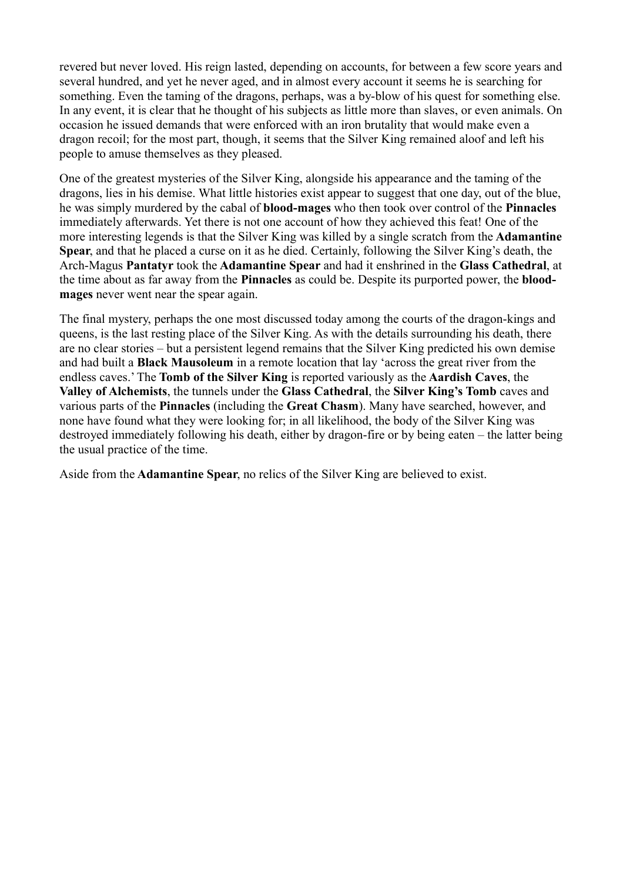revered but never loved. His reign lasted, depending on accounts, for between a few score years and several hundred, and yet he never aged, and in almost every account it seems he is searching for something. Even the taming of the dragons, perhaps, was a by-blow of his quest for something else. In any event, it is clear that he thought of his subjects as little more than slaves, or even animals. On occasion he issued demands that were enforced with an iron brutality that would make even a dragon recoil; for the most part, though, it seems that the Silver King remained aloof and left his people to amuse themselves as they pleased.

One of the greatest mysteries of the Silver King, alongside his appearance and the taming of the dragons, lies in his demise. What little histories exist appear to suggest that one day, out of the blue, he was simply murdered by the cabal of **blood-mages** who then took over control of the **Pinnacles** immediately afterwards. Yet there is not one account of how they achieved this feat! One of the more interesting legends is that the Silver King was killed by a single scratch from the **Adamantine Spear**, and that he placed a curse on it as he died. Certainly, following the Silver King's death, the Arch-Magus **Pantatyr** took the **Adamantine Spear** and had it enshrined in the **Glass Cathedral**, at the time about as far away from the **Pinnacles** as could be. Despite its purported power, the **bloodmages** never went near the spear again.

The final mystery, perhaps the one most discussed today among the courts of the dragon-kings and queens, is the last resting place of the Silver King. As with the details surrounding his death, there are no clear stories – but a persistent legend remains that the Silver King predicted his own demise and had built a **Black Mausoleum** in a remote location that lay 'across the great river from the endless caves.' The **Tomb of the Silver King** is reported variously as the **Aardish Caves**, the **Valley of Alchemists**, the tunnels under the **Glass Cathedral**, the **Silver King's Tomb** caves and various parts of the **Pinnacles** (including the **Great Chasm**). Many have searched, however, and none have found what they were looking for; in all likelihood, the body of the Silver King was destroyed immediately following his death, either by dragon-fire or by being eaten – the latter being the usual practice of the time.

Aside from the **Adamantine Spear**, no relics of the Silver King are believed to exist.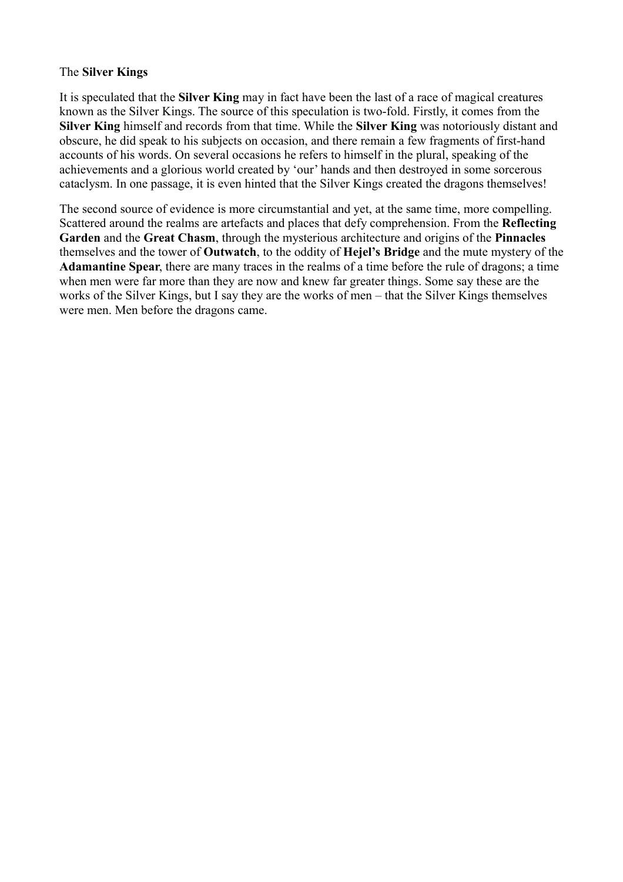## The **Silver Kings**

It is speculated that the **Silver King** may in fact have been the last of a race of magical creatures known as the Silver Kings. The source of this speculation is two-fold. Firstly, it comes from the **Silver King** himself and records from that time. While the **Silver King** was notoriously distant and obscure, he did speak to his subjects on occasion, and there remain a few fragments of first-hand accounts of his words. On several occasions he refers to himself in the plural, speaking of the achievements and a glorious world created by 'our' hands and then destroyed in some sorcerous cataclysm. In one passage, it is even hinted that the Silver Kings created the dragons themselves!

The second source of evidence is more circumstantial and yet, at the same time, more compelling. Scattered around the realms are artefacts and places that defy comprehension. From the **Reflecting Garden** and the **Great Chasm**, through the mysterious architecture and origins of the **Pinnacles** themselves and the tower of **Outwatch**, to the oddity of **Hejel's Bridge** and the mute mystery of the **Adamantine Spear**, there are many traces in the realms of a time before the rule of dragons; a time when men were far more than they are now and knew far greater things. Some say these are the works of the Silver Kings, but I say they are the works of men – that the Silver Kings themselves were men. Men before the dragons came.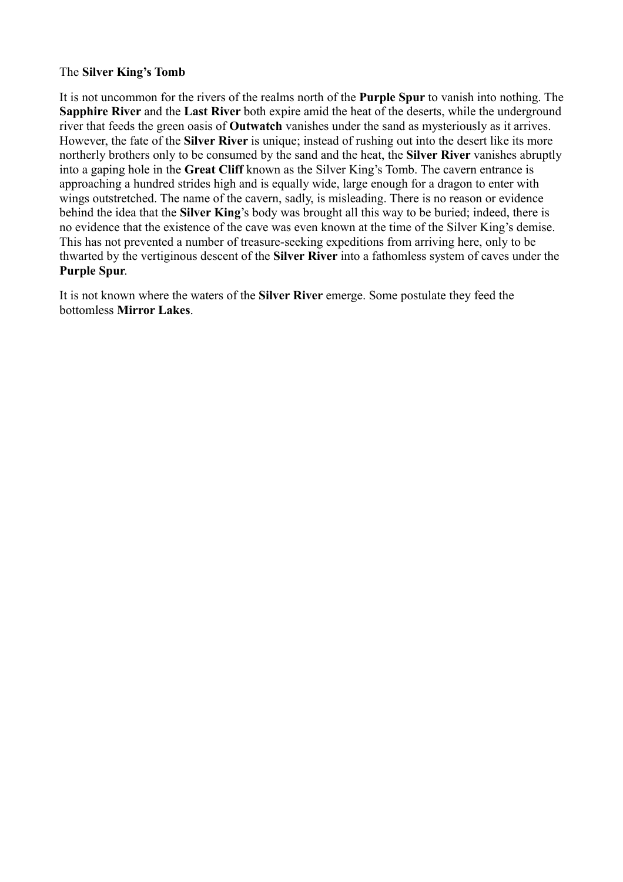# The **Silver King's Tomb**

It is not uncommon for the rivers of the realms north of the **Purple Spur** to vanish into nothing. The **Sapphire River** and the **Last River** both expire amid the heat of the deserts, while the underground river that feeds the green oasis of **Outwatch** vanishes under the sand as mysteriously as it arrives. However, the fate of the **Silver River** is unique; instead of rushing out into the desert like its more northerly brothers only to be consumed by the sand and the heat, the **Silver River** vanishes abruptly into a gaping hole in the **Great Cliff** known as the Silver King's Tomb. The cavern entrance is approaching a hundred strides high and is equally wide, large enough for a dragon to enter with wings outstretched. The name of the cavern, sadly, is misleading. There is no reason or evidence behind the idea that the **Silver King**'s body was brought all this way to be buried; indeed, there is no evidence that the existence of the cave was even known at the time of the Silver King's demise. This has not prevented a number of treasure-seeking expeditions from arriving here, only to be thwarted by the vertiginous descent of the **Silver River** into a fathomless system of caves under the **Purple Spur**.

It is not known where the waters of the **Silver River** emerge. Some postulate they feed the bottomless **Mirror Lakes**.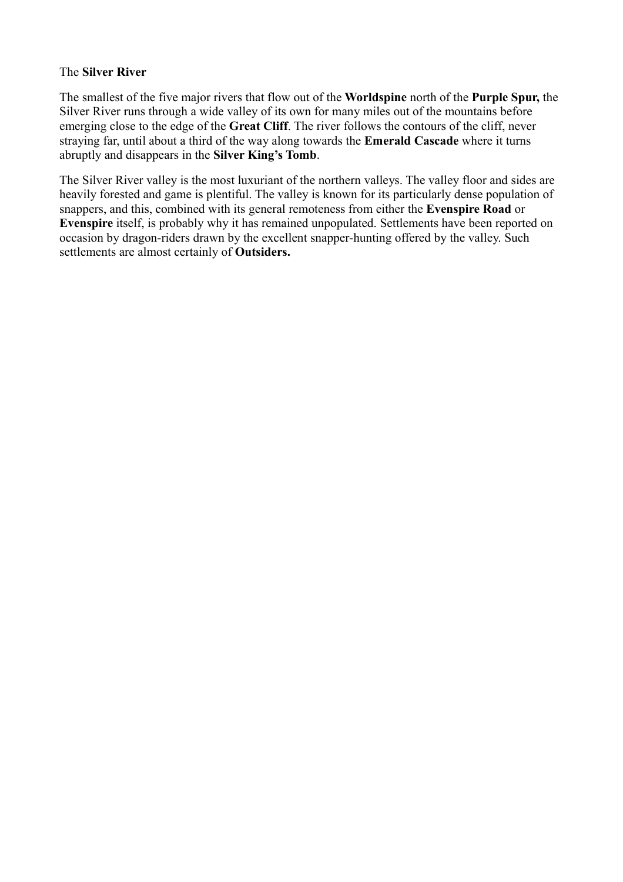# The **Silver River**

The smallest of the five major rivers that flow out of the **Worldspine** north of the **Purple Spur,** the Silver River runs through a wide valley of its own for many miles out of the mountains before emerging close to the edge of the **Great Cliff**. The river follows the contours of the cliff, never straying far, until about a third of the way along towards the **Emerald Cascade** where it turns abruptly and disappears in the **Silver King's Tomb**.

The Silver River valley is the most luxuriant of the northern valleys. The valley floor and sides are heavily forested and game is plentiful. The valley is known for its particularly dense population of snappers, and this, combined with its general remoteness from either the **Evenspire Road** or **Evenspire** itself, is probably why it has remained unpopulated. Settlements have been reported on occasion by dragon-riders drawn by the excellent snapper-hunting offered by the valley. Such settlements are almost certainly of **Outsiders.**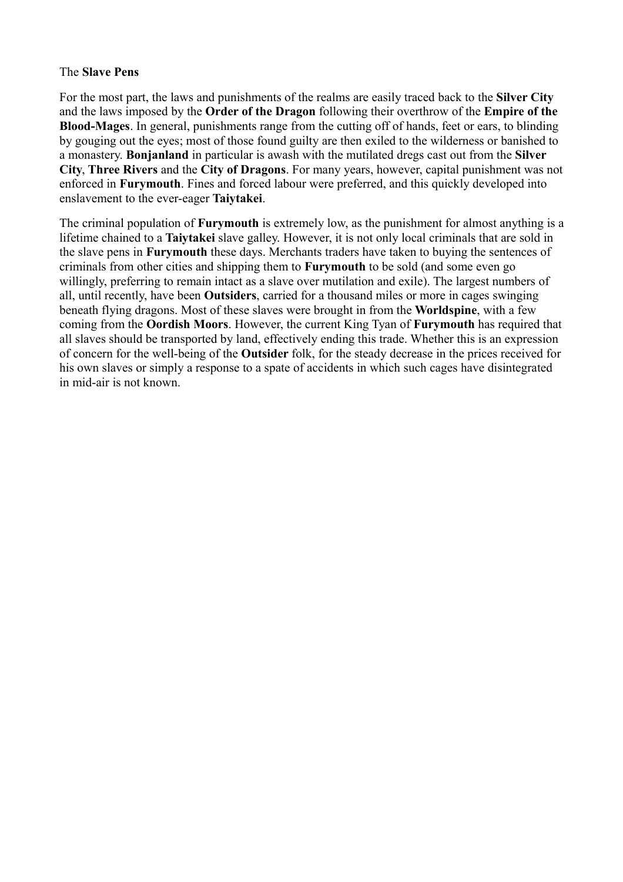#### The **Slave Pens**

For the most part, the laws and punishments of the realms are easily traced back to the **Silver City** and the laws imposed by the **Order of the Dragon** following their overthrow of the **Empire of the Blood-Mages**. In general, punishments range from the cutting off of hands, feet or ears, to blinding by gouging out the eyes; most of those found guilty are then exiled to the wilderness or banished to a monastery. **Bonjanland** in particular is awash with the mutilated dregs cast out from the **Silver City**, **Three Rivers** and the **City of Dragons**. For many years, however, capital punishment was not enforced in **Furymouth**. Fines and forced labour were preferred, and this quickly developed into enslavement to the ever-eager **Taiytakei**.

The criminal population of **Furymouth** is extremely low, as the punishment for almost anything is a lifetime chained to a **Taiytakei** slave galley. However, it is not only local criminals that are sold in the slave pens in **Furymouth** these days. Merchants traders have taken to buying the sentences of criminals from other cities and shipping them to **Furymouth** to be sold (and some even go willingly, preferring to remain intact as a slave over mutilation and exile). The largest numbers of all, until recently, have been **Outsiders**, carried for a thousand miles or more in cages swinging beneath flying dragons. Most of these slaves were brought in from the **Worldspine**, with a few coming from the **Oordish Moors**. However, the current King Tyan of **Furymouth** has required that all slaves should be transported by land, effectively ending this trade. Whether this is an expression of concern for the well-being of the **Outsider** folk, for the steady decrease in the prices received for his own slaves or simply a response to a spate of accidents in which such cages have disintegrated in mid-air is not known.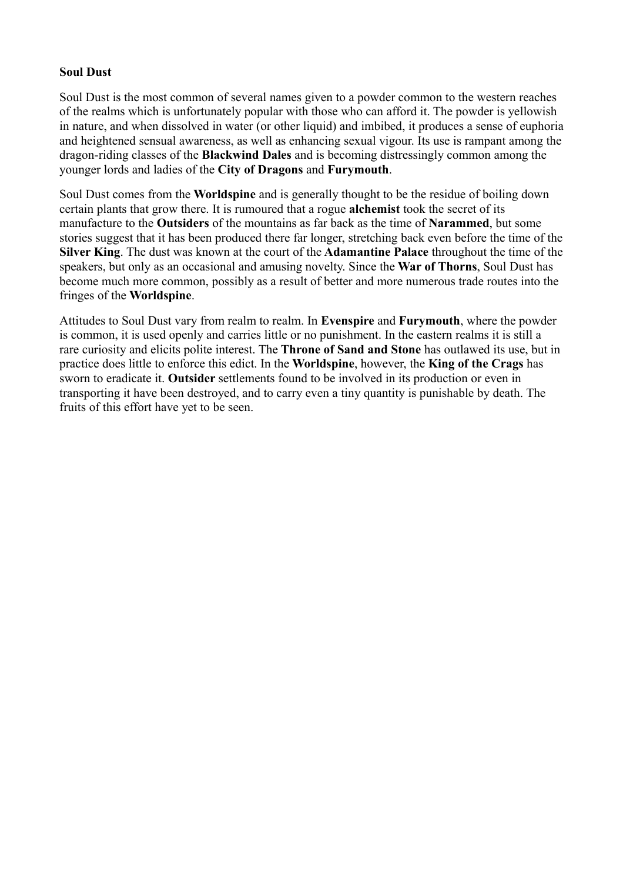# **Soul Dust**

Soul Dust is the most common of several names given to a powder common to the western reaches of the realms which is unfortunately popular with those who can afford it. The powder is yellowish in nature, and when dissolved in water (or other liquid) and imbibed, it produces a sense of euphoria and heightened sensual awareness, as well as enhancing sexual vigour. Its use is rampant among the dragon-riding classes of the **Blackwind Dales** and is becoming distressingly common among the younger lords and ladies of the **City of Dragons** and **Furymouth**.

Soul Dust comes from the **Worldspine** and is generally thought to be the residue of boiling down certain plants that grow there. It is rumoured that a rogue **alchemist** took the secret of its manufacture to the **Outsiders** of the mountains as far back as the time of **Narammed**, but some stories suggest that it has been produced there far longer, stretching back even before the time of the **Silver King**. The dust was known at the court of the **Adamantine Palace** throughout the time of the speakers, but only as an occasional and amusing novelty. Since the **War of Thorns**, Soul Dust has become much more common, possibly as a result of better and more numerous trade routes into the fringes of the **Worldspine**.

Attitudes to Soul Dust vary from realm to realm. In **Evenspire** and **Furymouth**, where the powder is common, it is used openly and carries little or no punishment. In the eastern realms it is still a rare curiosity and elicits polite interest. The **Throne of Sand and Stone** has outlawed its use, but in practice does little to enforce this edict. In the **Worldspine**, however, the **King of the Crags** has sworn to eradicate it. **Outsider** settlements found to be involved in its production or even in transporting it have been destroyed, and to carry even a tiny quantity is punishable by death. The fruits of this effort have yet to be seen.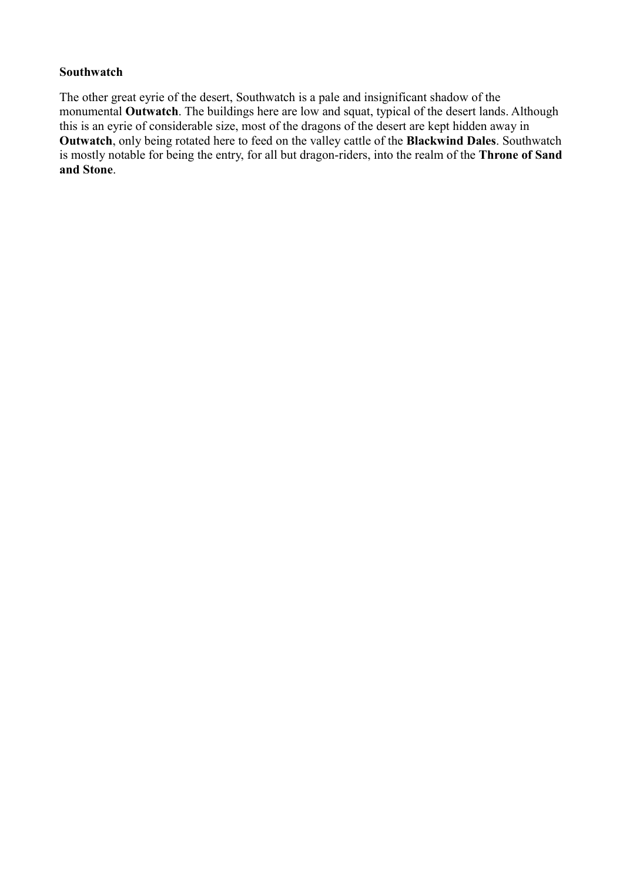#### **Southwatch**

The other great eyrie of the desert, Southwatch is a pale and insignificant shadow of the monumental **Outwatch**. The buildings here are low and squat, typical of the desert lands. Although this is an eyrie of considerable size, most of the dragons of the desert are kept hidden away in **Outwatch**, only being rotated here to feed on the valley cattle of the **Blackwind Dales**. Southwatch is mostly notable for being the entry, for all but dragon-riders, into the realm of the **Throne of Sand and Stone**.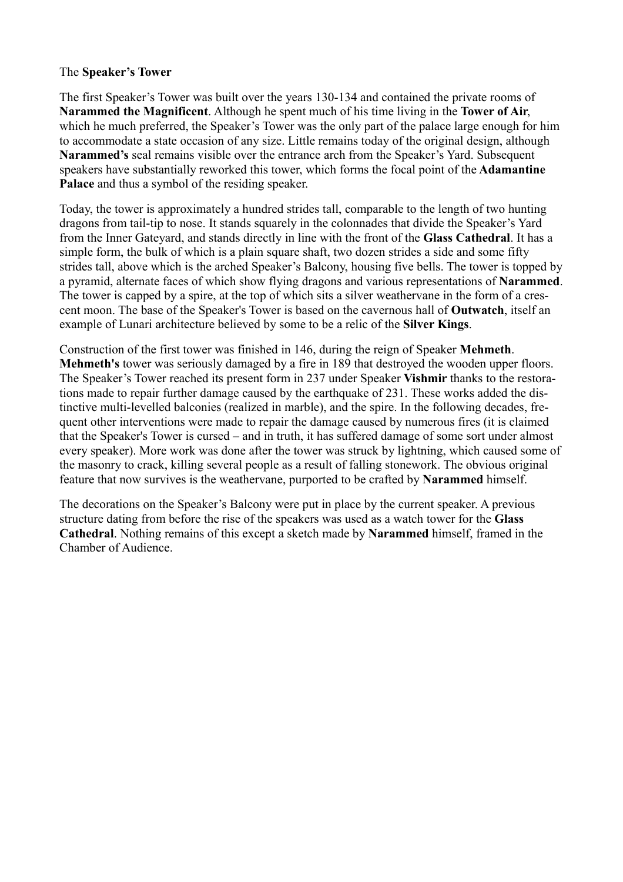# The **Speaker's Tower**

The first Speaker's Tower was built over the years 130-134 and contained the private rooms of **Narammed the Magnificent**. Although he spent much of his time living in the **Tower of Air**, which he much preferred, the Speaker's Tower was the only part of the palace large enough for him to accommodate a state occasion of any size. Little remains today of the original design, although **Narammed's** seal remains visible over the entrance arch from the Speaker's Yard. Subsequent speakers have substantially reworked this tower, which forms the focal point of the **Adamantine Palace** and thus a symbol of the residing speaker.

Today, the tower is approximately a hundred strides tall, comparable to the length of two hunting dragons from tail-tip to nose. It stands squarely in the colonnades that divide the Speaker's Yard from the Inner Gateyard, and stands directly in line with the front of the **Glass Cathedral**. It has a simple form, the bulk of which is a plain square shaft, two dozen strides a side and some fifty strides tall, above which is the arched Speaker's Balcony, housing five bells. The tower is topped by a pyramid, alternate faces of which show flying dragons and various representations of **Narammed**. The tower is capped by a spire, at the top of which sits a silver weathervane in the form of a crescent moon. The base of the Speaker's Tower is based on the cavernous hall of **Outwatch**, itself an example of Lunari architecture believed by some to be a relic of the **Silver Kings**.

Construction of the first tower was finished in 146, during the reign of Speaker **Mehmeth**. **Mehmeth's** tower was seriously damaged by a fire in 189 that destroyed the wooden upper floors. The Speaker's Tower reached its present form in 237 under Speaker **Vishmir** thanks to the restorations made to repair further damage caused by the earthquake of 231. These works added the distinctive multi-levelled balconies (realized in marble), and the spire. In the following decades, frequent other interventions were made to repair the damage caused by numerous fires (it is claimed that the Speaker's Tower is cursed – and in truth, it has suffered damage of some sort under almost every speaker). More work was done after the tower was struck by lightning, which caused some of the masonry to crack, killing several people as a result of falling stonework. The obvious original feature that now survives is the weathervane, purported to be crafted by **Narammed** himself.

The decorations on the Speaker's Balcony were put in place by the current speaker. A previous structure dating from before the rise of the speakers was used as a watch tower for the **Glass Cathedral**. Nothing remains of this except a sketch made by **Narammed** himself, framed in the Chamber of Audience.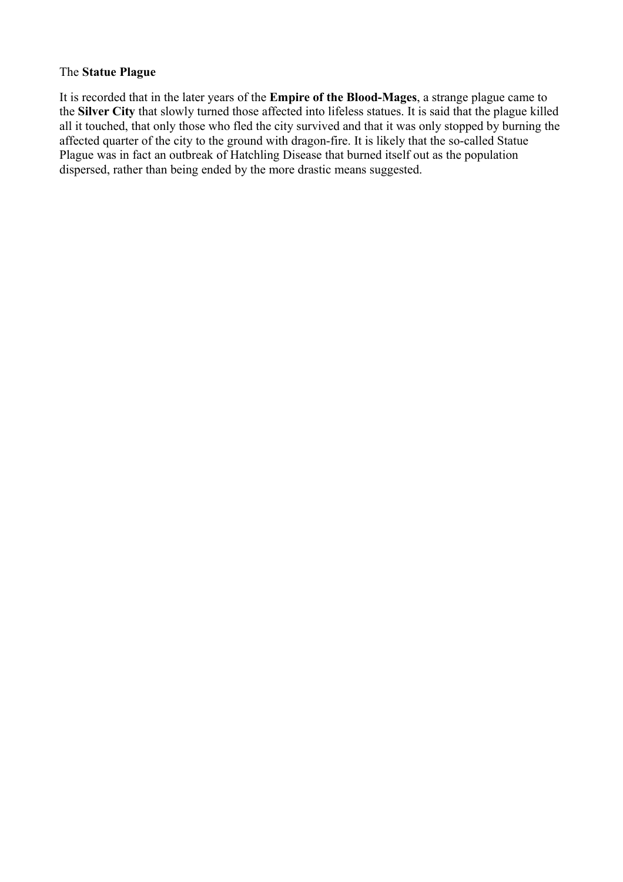#### The **Statue Plague**

It is recorded that in the later years of the **Empire of the Blood-Mages**, a strange plague came to the **Silver City** that slowly turned those affected into lifeless statues. It is said that the plague killed all it touched, that only those who fled the city survived and that it was only stopped by burning the affected quarter of the city to the ground with dragon-fire. It is likely that the so-called Statue Plague was in fact an outbreak of Hatchling Disease that burned itself out as the population dispersed, rather than being ended by the more drastic means suggested.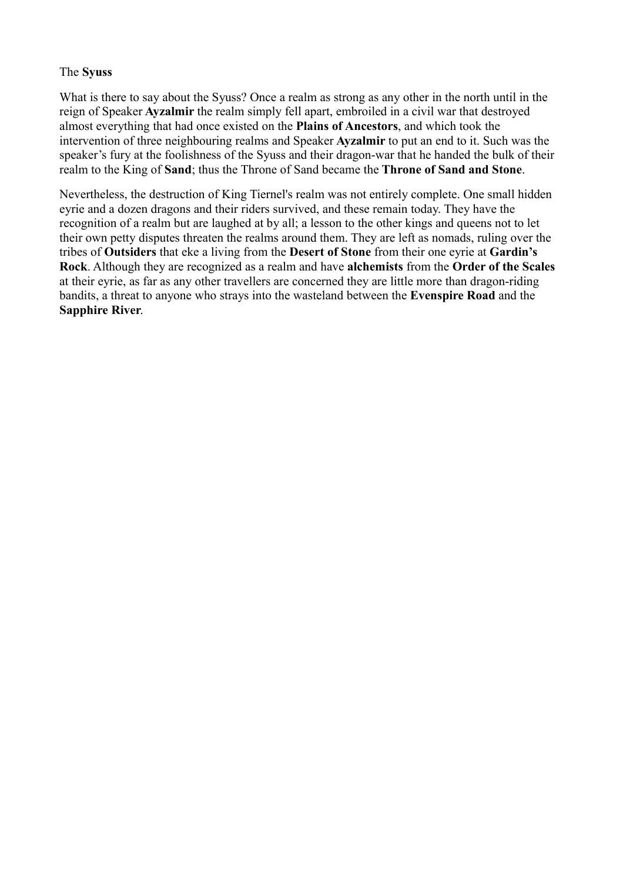### The **Syuss**

What is there to say about the Syuss? Once a realm as strong as any other in the north until in the reign of Speaker **Ayzalmir** the realm simply fell apart, embroiled in a civil war that destroyed almost everything that had once existed on the **Plains of Ancestors**, and which took the intervention of three neighbouring realms and Speaker **Ayzalmir** to put an end to it. Such was the speaker's fury at the foolishness of the Syuss and their dragon-war that he handed the bulk of their realm to the King of **Sand**; thus the Throne of Sand became the **Throne of Sand and Stone**.

Nevertheless, the destruction of King Tiernel's realm was not entirely complete. One small hidden eyrie and a dozen dragons and their riders survived, and these remain today. They have the recognition of a realm but are laughed at by all; a lesson to the other kings and queens not to let their own petty disputes threaten the realms around them. They are left as nomads, ruling over the tribes of **Outsiders** that eke a living from the **Desert of Stone** from their one eyrie at **Gardin's Rock**. Although they are recognized as a realm and have **alchemists** from the **Order of the Scales** at their eyrie, as far as any other travellers are concerned they are little more than dragon-riding bandits, a threat to anyone who strays into the wasteland between the **Evenspire Road** and the **Sapphire River**.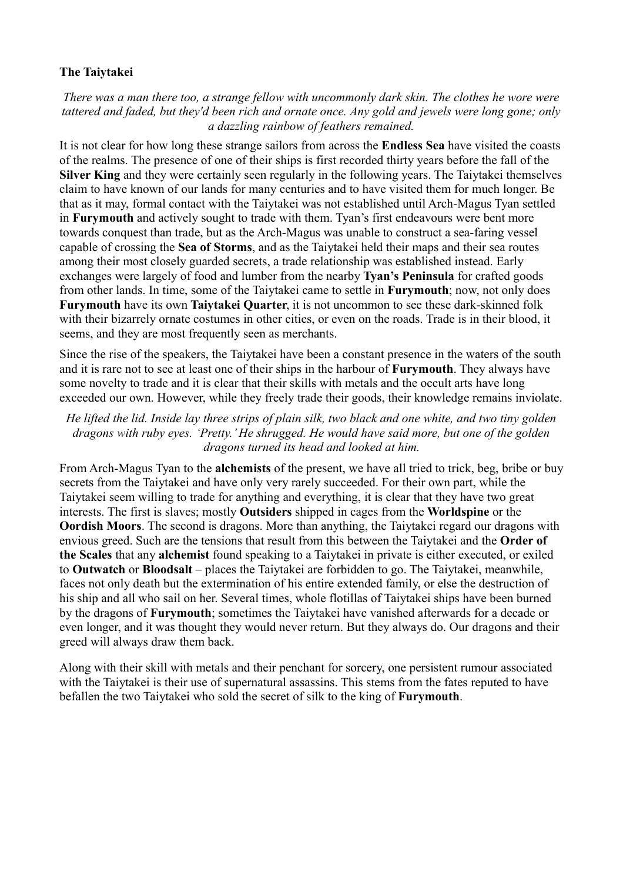# **The Taiytakei**

*There was a man there too, a strange fellow with uncommonly dark skin. The clothes he wore were tattered and faded, but they'd been rich and ornate once. Any gold and jewels were long gone; only a dazzling rainbow of feathers remained.*

It is not clear for how long these strange sailors from across the **Endless Sea** have visited the coasts of the realms. The presence of one of their ships is first recorded thirty years before the fall of the **Silver King** and they were certainly seen regularly in the following years. The Taiytakei themselves claim to have known of our lands for many centuries and to have visited them for much longer. Be that as it may, formal contact with the Taiytakei was not established until Arch-Magus Tyan settled in **Furymouth** and actively sought to trade with them. Tyan's first endeavours were bent more towards conquest than trade, but as the Arch-Magus was unable to construct a sea-faring vessel capable of crossing the **Sea of Storms**, and as the Taiytakei held their maps and their sea routes among their most closely guarded secrets, a trade relationship was established instead. Early exchanges were largely of food and lumber from the nearby **Tyan's Peninsula** for crafted goods from other lands. In time, some of the Taiytakei came to settle in **Furymouth**; now, not only does **Furymouth** have its own **Taiytakei Quarter**, it is not uncommon to see these dark-skinned folk with their bizarrely ornate costumes in other cities, or even on the roads. Trade is in their blood, it seems, and they are most frequently seen as merchants.

Since the rise of the speakers, the Taiytakei have been a constant presence in the waters of the south and it is rare not to see at least one of their ships in the harbour of **Furymouth**. They always have some novelty to trade and it is clear that their skills with metals and the occult arts have long exceeded our own. However, while they freely trade their goods, their knowledge remains inviolate.

*He lifted the lid. Inside lay three strips of plain silk, two black and one white, and two tiny golden dragons with ruby eyes. 'Pretty.' He shrugged. He would have said more, but one of the golden dragons turned its head and looked at him.*

From Arch-Magus Tyan to the **alchemists** of the present, we have all tried to trick, beg, bribe or buy secrets from the Taiytakei and have only very rarely succeeded. For their own part, while the Taiytakei seem willing to trade for anything and everything, it is clear that they have two great interests. The first is slaves; mostly **Outsiders** shipped in cages from the **Worldspine** or the **Oordish Moors**. The second is dragons. More than anything, the Taiytakei regard our dragons with envious greed. Such are the tensions that result from this between the Taiytakei and the **Order of the Scales** that any **alchemist** found speaking to a Taiytakei in private is either executed, or exiled to **Outwatch** or **Bloodsalt** – places the Taiytakei are forbidden to go. The Taiytakei, meanwhile, faces not only death but the extermination of his entire extended family, or else the destruction of his ship and all who sail on her. Several times, whole flotillas of Taiytakei ships have been burned by the dragons of **Furymouth**; sometimes the Taiytakei have vanished afterwards for a decade or even longer, and it was thought they would never return. But they always do. Our dragons and their greed will always draw them back.

Along with their skill with metals and their penchant for sorcery, one persistent rumour associated with the Taiytakei is their use of supernatural assassins. This stems from the fates reputed to have befallen the two Taiytakei who sold the secret of silk to the king of **Furymouth**.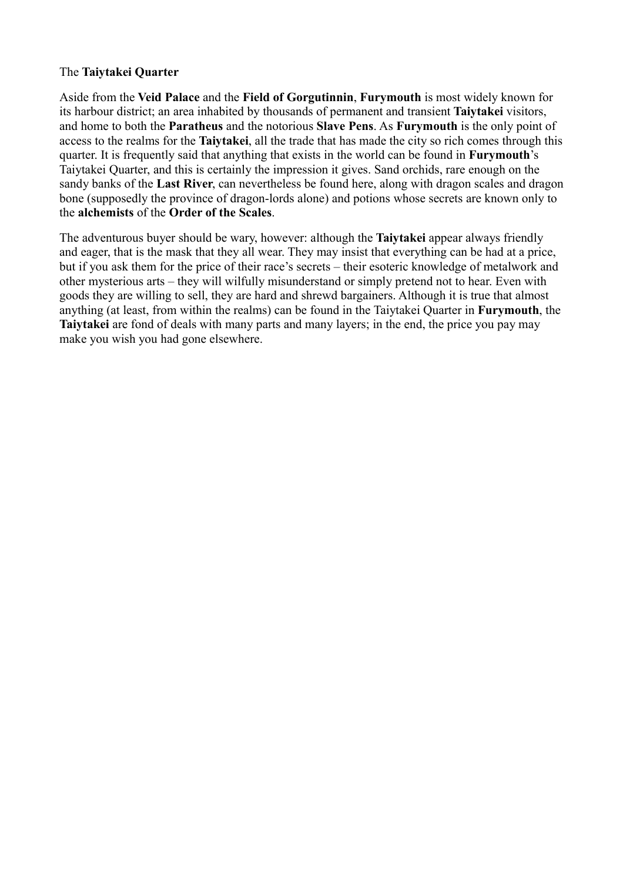### The **Taiytakei Quarter**

Aside from the **Veid Palace** and the **Field of Gorgutinnin**, **Furymouth** is most widely known for its harbour district; an area inhabited by thousands of permanent and transient **Taiytakei** visitors, and home to both the **Paratheus** and the notorious **Slave Pens**. As **Furymouth** is the only point of access to the realms for the **Taiytakei**, all the trade that has made the city so rich comes through this quarter. It is frequently said that anything that exists in the world can be found in **Furymouth**'s Taiytakei Quarter, and this is certainly the impression it gives. Sand orchids, rare enough on the sandy banks of the **Last River**, can nevertheless be found here, along with dragon scales and dragon bone (supposedly the province of dragon-lords alone) and potions whose secrets are known only to the **alchemists** of the **Order of the Scales**.

The adventurous buyer should be wary, however: although the **Taiytakei** appear always friendly and eager, that is the mask that they all wear. They may insist that everything can be had at a price, but if you ask them for the price of their race's secrets – their esoteric knowledge of metalwork and other mysterious arts – they will wilfully misunderstand or simply pretend not to hear. Even with goods they are willing to sell, they are hard and shrewd bargainers. Although it is true that almost anything (at least, from within the realms) can be found in the Taiytakei Quarter in **Furymouth**, the **Taiytakei** are fond of deals with many parts and many layers; in the end, the price you pay may make you wish you had gone elsewhere.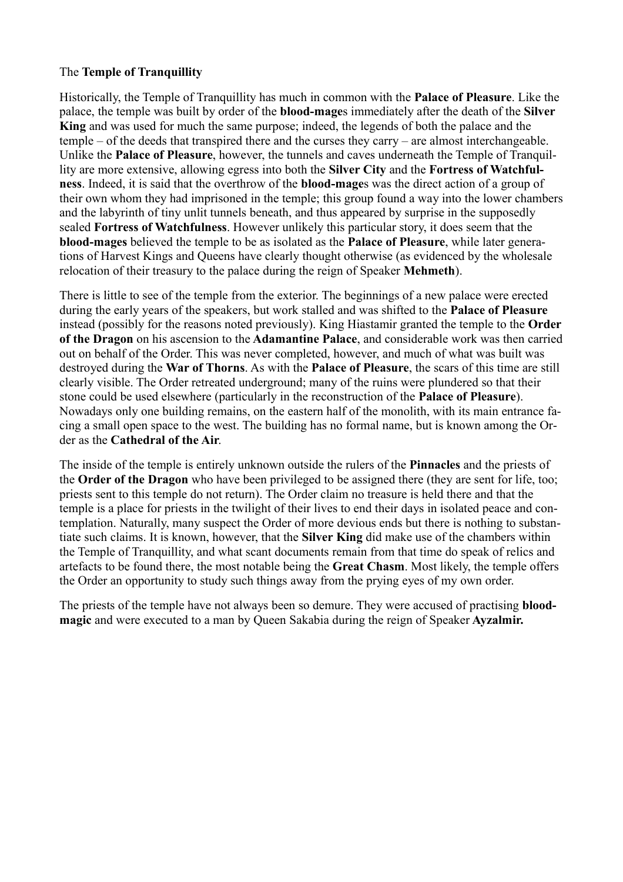# The **Temple of Tranquillity**

Historically, the Temple of Tranquillity has much in common with the **Palace of Pleasure**. Like the palace, the temple was built by order of the **blood-mage**s immediately after the death of the **Silver King** and was used for much the same purpose; indeed, the legends of both the palace and the temple – of the deeds that transpired there and the curses they carry – are almost interchangeable. Unlike the **Palace of Pleasure**, however, the tunnels and caves underneath the Temple of Tranquillity are more extensive, allowing egress into both the **Silver City** and the **Fortress of Watchfulness**. Indeed, it is said that the overthrow of the **blood-mage**s was the direct action of a group of their own whom they had imprisoned in the temple; this group found a way into the lower chambers and the labyrinth of tiny unlit tunnels beneath, and thus appeared by surprise in the supposedly sealed **Fortress of Watchfulness**. However unlikely this particular story, it does seem that the **blood-mages** believed the temple to be as isolated as the **Palace of Pleasure**, while later generations of Harvest Kings and Queens have clearly thought otherwise (as evidenced by the wholesale relocation of their treasury to the palace during the reign of Speaker **Mehmeth**).

There is little to see of the temple from the exterior. The beginnings of a new palace were erected during the early years of the speakers, but work stalled and was shifted to the **Palace of Pleasure** instead (possibly for the reasons noted previously). King Hiastamir granted the temple to the **Order of the Dragon** on his ascension to the **Adamantine Palace**, and considerable work was then carried out on behalf of the Order. This was never completed, however, and much of what was built was destroyed during the **War of Thorns**. As with the **Palace of Pleasure**, the scars of this time are still clearly visible. The Order retreated underground; many of the ruins were plundered so that their stone could be used elsewhere (particularly in the reconstruction of the **Palace of Pleasure**). Nowadays only one building remains, on the eastern half of the monolith, with its main entrance facing a small open space to the west. The building has no formal name, but is known among the Order as the **Cathedral of the Air**.

The inside of the temple is entirely unknown outside the rulers of the **Pinnacles** and the priests of the **Order of the Dragon** who have been privileged to be assigned there (they are sent for life, too; priests sent to this temple do not return). The Order claim no treasure is held there and that the temple is a place for priests in the twilight of their lives to end their days in isolated peace and contemplation. Naturally, many suspect the Order of more devious ends but there is nothing to substantiate such claims. It is known, however, that the **Silver King** did make use of the chambers within the Temple of Tranquillity, and what scant documents remain from that time do speak of relics and artefacts to be found there, the most notable being the **Great Chasm**. Most likely, the temple offers the Order an opportunity to study such things away from the prying eyes of my own order.

The priests of the temple have not always been so demure. They were accused of practising **bloodmagic** and were executed to a man by Queen Sakabia during the reign of Speaker **Ayzalmir.**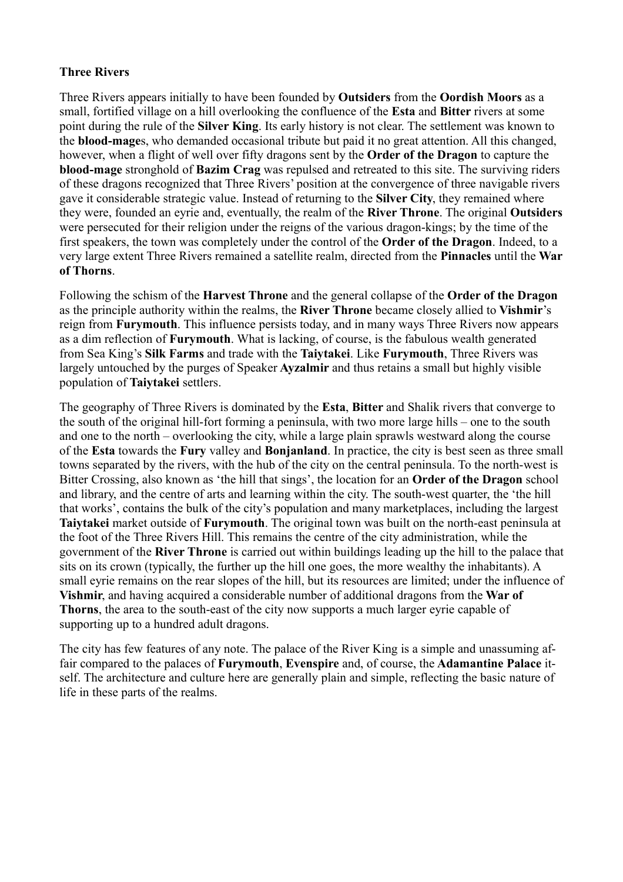# **Three Rivers**

Three Rivers appears initially to have been founded by **Outsiders** from the **Oordish Moors** as a small, fortified village on a hill overlooking the confluence of the **Esta** and **Bitter** rivers at some point during the rule of the **Silver King**. Its early history is not clear. The settlement was known to the **blood-mage**s, who demanded occasional tribute but paid it no great attention. All this changed, however, when a flight of well over fifty dragons sent by the **Order of the Dragon** to capture the **blood-mage** stronghold of **Bazim Crag** was repulsed and retreated to this site. The surviving riders of these dragons recognized that Three Rivers' position at the convergence of three navigable rivers gave it considerable strategic value. Instead of returning to the **Silver City**, they remained where they were, founded an eyrie and, eventually, the realm of the **River Throne**. The original **Outsiders** were persecuted for their religion under the reigns of the various dragon-kings; by the time of the first speakers, the town was completely under the control of the **Order of the Dragon**. Indeed, to a very large extent Three Rivers remained a satellite realm, directed from the **Pinnacles** until the **War of Thorns**.

Following the schism of the **Harvest Throne** and the general collapse of the **Order of the Dragon** as the principle authority within the realms, the **River Throne** became closely allied to **Vishmir**'s reign from **Furymouth**. This influence persists today, and in many ways Three Rivers now appears as a dim reflection of **Furymouth**. What is lacking, of course, is the fabulous wealth generated from Sea King's **Silk Farms** and trade with the **Taiytakei**. Like **Furymouth**, Three Rivers was largely untouched by the purges of Speaker **Ayzalmir** and thus retains a small but highly visible population of **Taiytakei** settlers.

The geography of Three Rivers is dominated by the **Esta**, **Bitter** and Shalik rivers that converge to the south of the original hill-fort forming a peninsula, with two more large hills – one to the south and one to the north – overlooking the city, while a large plain sprawls westward along the course of the **Esta** towards the **Fury** valley and **Bonjanland**. In practice, the city is best seen as three small towns separated by the rivers, with the hub of the city on the central peninsula. To the north-west is Bitter Crossing, also known as 'the hill that sings', the location for an **Order of the Dragon** school and library, and the centre of arts and learning within the city. The south-west quarter, the 'the hill that works', contains the bulk of the city's population and many marketplaces, including the largest **Taiytakei** market outside of **Furymouth**. The original town was built on the north-east peninsula at the foot of the Three Rivers Hill. This remains the centre of the city administration, while the government of the **River Throne** is carried out within buildings leading up the hill to the palace that sits on its crown (typically, the further up the hill one goes, the more wealthy the inhabitants). A small eyrie remains on the rear slopes of the hill, but its resources are limited; under the influence of **Vishmir**, and having acquired a considerable number of additional dragons from the **War of Thorns**, the area to the south-east of the city now supports a much larger eyrie capable of supporting up to a hundred adult dragons.

The city has few features of any note. The palace of the River King is a simple and unassuming affair compared to the palaces of **Furymouth**, **Evenspire** and, of course, the **Adamantine Palace** itself. The architecture and culture here are generally plain and simple, reflecting the basic nature of life in these parts of the realms.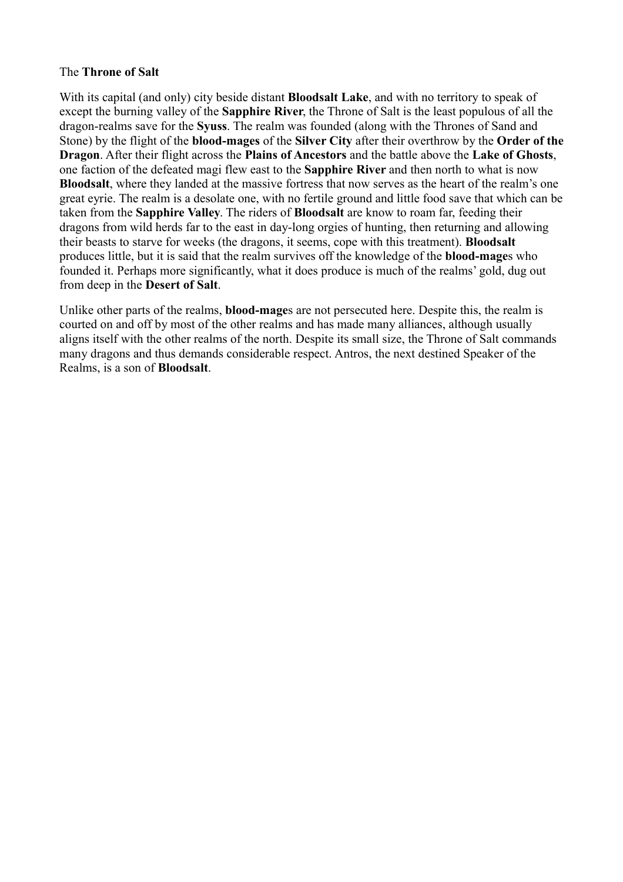#### The **Throne of Salt**

With its capital (and only) city beside distant **Bloodsalt Lake**, and with no territory to speak of except the burning valley of the **Sapphire River**, the Throne of Salt is the least populous of all the dragon-realms save for the **Syuss**. The realm was founded (along with the Thrones of Sand and Stone) by the flight of the **blood-mages** of the **Silver City** after their overthrow by the **Order of the Dragon**. After their flight across the **Plains of Ancestors** and the battle above the **Lake of Ghosts**, one faction of the defeated magi flew east to the **Sapphire River** and then north to what is now **Bloodsalt**, where they landed at the massive fortress that now serves as the heart of the realm's one great eyrie. The realm is a desolate one, with no fertile ground and little food save that which can be taken from the **Sapphire Valley**. The riders of **Bloodsalt** are know to roam far, feeding their dragons from wild herds far to the east in day-long orgies of hunting, then returning and allowing their beasts to starve for weeks (the dragons, it seems, cope with this treatment). **Bloodsalt** produces little, but it is said that the realm survives off the knowledge of the **blood-mage**s who founded it. Perhaps more significantly, what it does produce is much of the realms' gold, dug out from deep in the **Desert of Salt**.

Unlike other parts of the realms, **blood-mage**s are not persecuted here. Despite this, the realm is courted on and off by most of the other realms and has made many alliances, although usually aligns itself with the other realms of the north. Despite its small size, the Throne of Salt commands many dragons and thus demands considerable respect. Antros, the next destined Speaker of the Realms, is a son of **Bloodsalt**.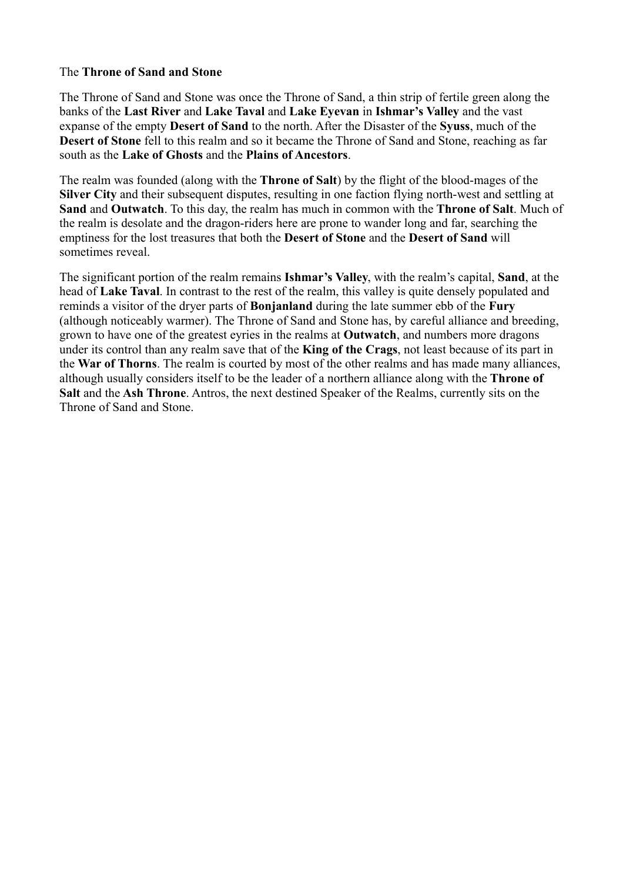# The **Throne of Sand and Stone**

The Throne of Sand and Stone was once the Throne of Sand, a thin strip of fertile green along the banks of the **Last River** and **Lake Taval** and **Lake Eyevan** in **Ishmar's Valley** and the vast expanse of the empty **Desert of Sand** to the north. After the Disaster of the **Syuss**, much of the **Desert of Stone** fell to this realm and so it became the Throne of Sand and Stone, reaching as far south as the **Lake of Ghosts** and the **Plains of Ancestors**.

The realm was founded (along with the **Throne of Salt**) by the flight of the blood-mages of the **Silver City** and their subsequent disputes, resulting in one faction flying north-west and settling at **Sand** and **Outwatch**. To this day, the realm has much in common with the **Throne of Salt**. Much of the realm is desolate and the dragon-riders here are prone to wander long and far, searching the emptiness for the lost treasures that both the **Desert of Stone** and the **Desert of Sand** will sometimes reveal.

The significant portion of the realm remains **Ishmar's Valley**, with the realm's capital, **Sand**, at the head of **Lake Taval**. In contrast to the rest of the realm, this valley is quite densely populated and reminds a visitor of the dryer parts of **Bonjanland** during the late summer ebb of the **Fury** (although noticeably warmer). The Throne of Sand and Stone has, by careful alliance and breeding, grown to have one of the greatest eyries in the realms at **Outwatch**, and numbers more dragons under its control than any realm save that of the **King of the Crags**, not least because of its part in the **War of Thorns**. The realm is courted by most of the other realms and has made many alliances, although usually considers itself to be the leader of a northern alliance along with the **Throne of Salt** and the **Ash Throne**. Antros, the next destined Speaker of the Realms, currently sits on the Throne of Sand and Stone.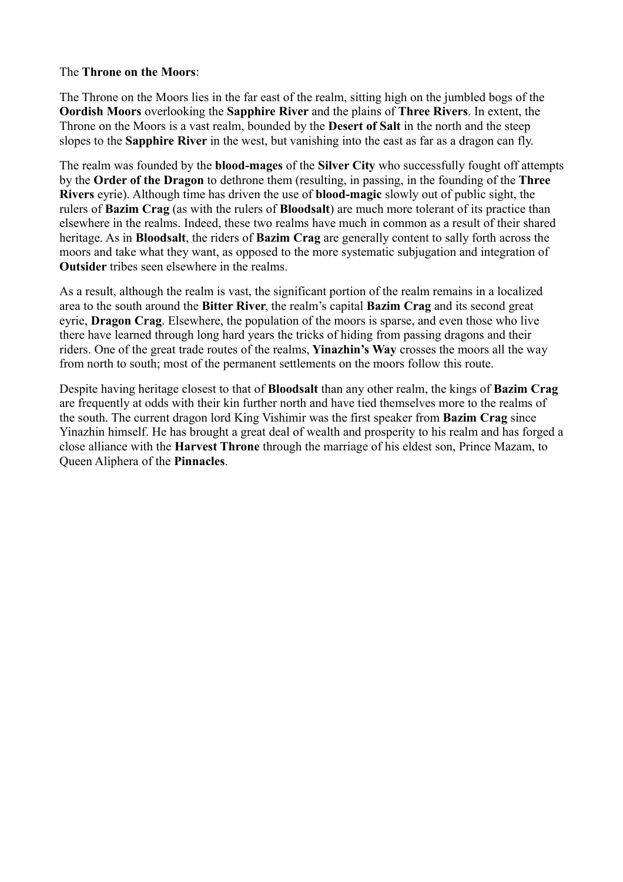### The **Throne on the Moors**:

The Throne on the Moors lies in the far east of the realm, sitting high on the jumbled bogs of the **Oordish Moors** overlooking the **Sapphire River** and the plains of **Three Rivers**. In extent, the Throne on the Moors is a vast realm, bounded by the **Desert of Salt** in the north and the steep slopes to the **Sapphire River** in the west, but vanishing into the east as far as a dragon can fly.

The realm was founded by the **blood-mages** of the **Silver City** who successfully fought off attempts by the **Order of the Dragon** to dethrone them (resulting, in passing, in the founding of the **Three Rivers** eyrie). Although time has driven the use of **blood-magic** slowly out of public sight, the rulers of **Bazim Crag** (as with the rulers of **Bloodsalt**) are much more tolerant of its practice than elsewhere in the realms. Indeed, these two realms have much in common as a result of their shared heritage. As in **Bloodsalt**, the riders of **Bazim Crag** are generally content to sally forth across the moors and take what they want, as opposed to the more systematic subjugation and integration of **Outsider** tribes seen elsewhere in the realms.

As a result, although the realm is vast, the significant portion of the realm remains in a localized area to the south around the **Bitter River**, the realm's capital **Bazim Crag** and its second great eyrie, **Dragon Crag**. Elsewhere, the population of the moors is sparse, and even those who live there have learned through long hard years the tricks of hiding from passing dragons and their riders. One of the great trade routes of the realms, **Yinazhin's Way** crosses the moors all the way from north to south; most of the permanent settlements on the moors follow this route.

Despite having heritage closest to that of **Bloodsalt** than any other realm, the kings of **Bazim Crag** are frequently at odds with their kin further north and have tied themselves more to the realms of the south. The current dragon lord King Vishimir was the first speaker from **Bazim Crag** since Yinazhin himself. He has brought a great deal of wealth and prosperity to his realm and has forged a close alliance with the **Harvest Throne** through the marriage of his eldest son, Prince Mazam, to Queen Aliphera of the **Pinnacles**.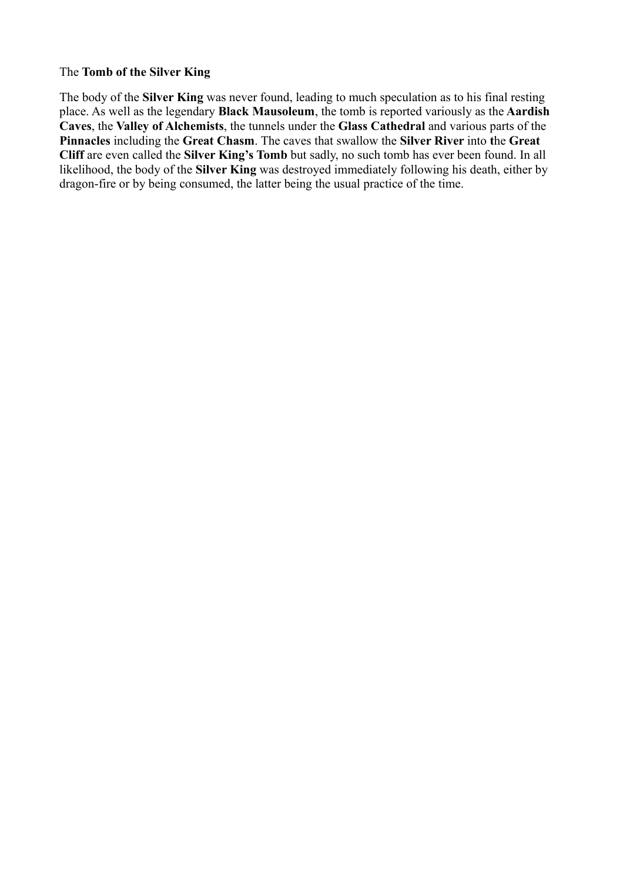#### The **Tomb of the Silver King**

The body of the **Silver King** was never found, leading to much speculation as to his final resting place. As well as the legendary **Black Mausoleum**, the tomb is reported variously as the **Aardish Caves**, the **Valley of Alchemists**, the tunnels under the **Glass Cathedral** and various parts of the **Pinnacles** including the **Great Chasm**. The caves that swallow the **Silver River** into **t**he **Great Cliff** are even called the **Silver King's Tomb** but sadly, no such tomb has ever been found. In all likelihood, the body of the **Silver King** was destroyed immediately following his death, either by dragon-fire or by being consumed, the latter being the usual practice of the time.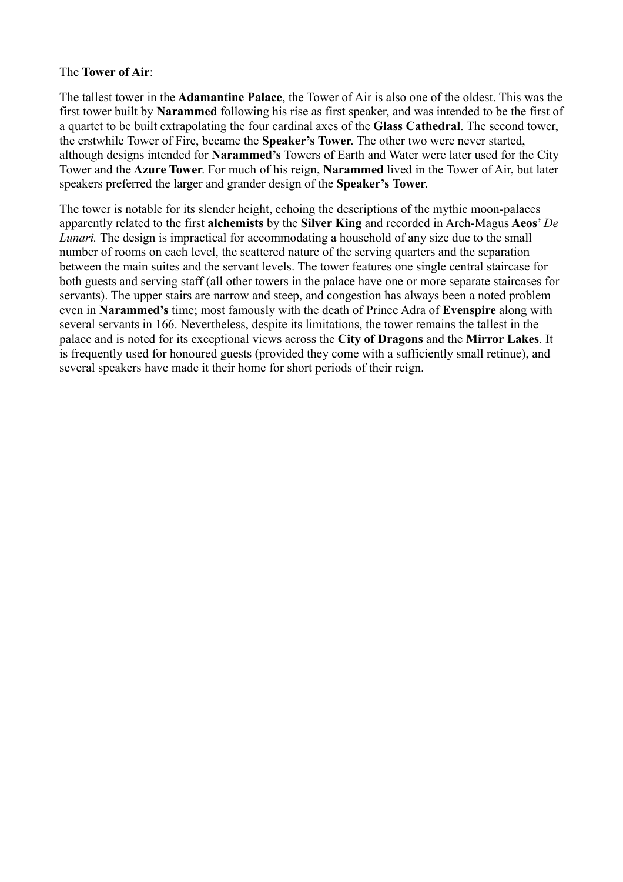#### The **Tower of Air**:

The tallest tower in the **Adamantine Palace**, the Tower of Air is also one of the oldest. This was the first tower built by **Narammed** following his rise as first speaker, and was intended to be the first of a quartet to be built extrapolating the four cardinal axes of the **Glass Cathedral**. The second tower, the erstwhile Tower of Fire, became the **Speaker's Tower**. The other two were never started, although designs intended for **Narammed's** Towers of Earth and Water were later used for the City Tower and the **Azure Tower**. For much of his reign, **Narammed** lived in the Tower of Air, but later speakers preferred the larger and grander design of the **Speaker's Tower**.

The tower is notable for its slender height, echoing the descriptions of the mythic moon-palaces apparently related to the first **alchemists** by the **Silver King** and recorded in Arch-Magus **Aeos**' *De Lunari.* The design is impractical for accommodating a household of any size due to the small number of rooms on each level, the scattered nature of the serving quarters and the separation between the main suites and the servant levels. The tower features one single central staircase for both guests and serving staff (all other towers in the palace have one or more separate staircases for servants). The upper stairs are narrow and steep, and congestion has always been a noted problem even in **Narammed's** time; most famously with the death of Prince Adra of **Evenspire** along with several servants in 166. Nevertheless, despite its limitations, the tower remains the tallest in the palace and is noted for its exceptional views across the **City of Dragons** and the **Mirror Lakes**. It is frequently used for honoured guests (provided they come with a sufficiently small retinue), and several speakers have made it their home for short periods of their reign.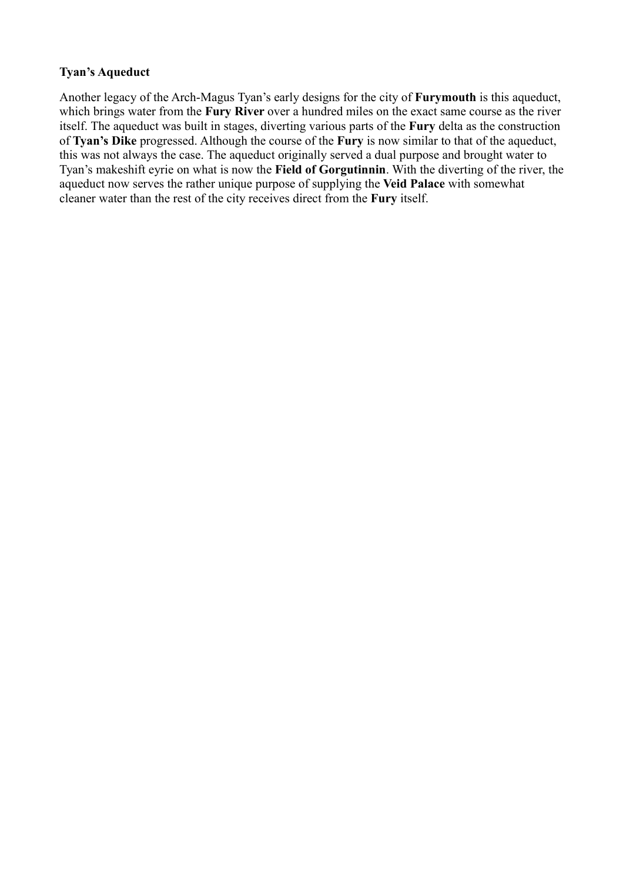# **Tyan's Aqueduct**

Another legacy of the Arch-Magus Tyan's early designs for the city of **Furymouth** is this aqueduct, which brings water from the **Fury River** over a hundred miles on the exact same course as the river itself. The aqueduct was built in stages, diverting various parts of the **Fury** delta as the construction of **Tyan's Dike** progressed. Although the course of the **Fury** is now similar to that of the aqueduct, this was not always the case. The aqueduct originally served a dual purpose and brought water to Tyan's makeshift eyrie on what is now the **Field of Gorgutinnin**. With the diverting of the river, the aqueduct now serves the rather unique purpose of supplying the **Veid Palace** with somewhat cleaner water than the rest of the city receives direct from the **Fury** itself.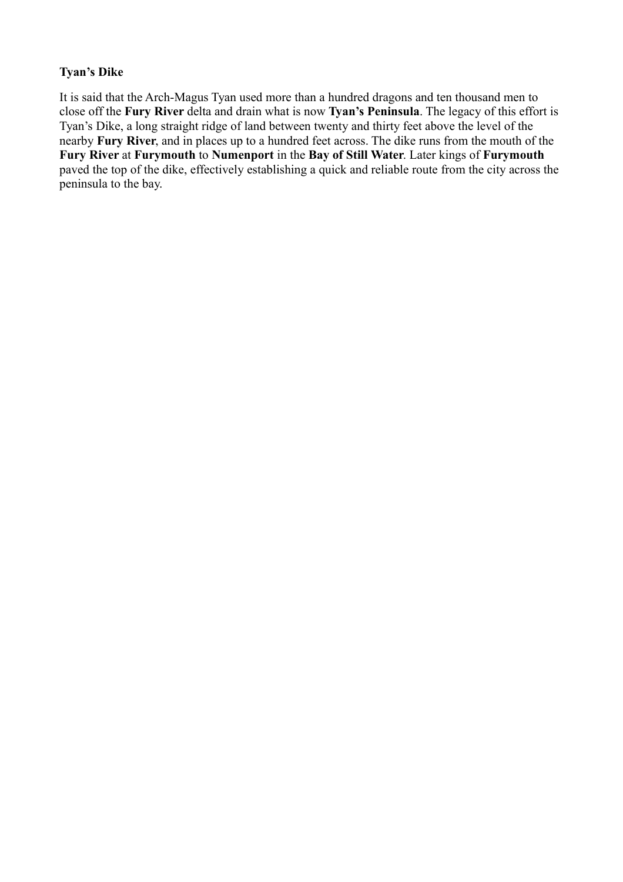# **Tyan's Dike**

It is said that the Arch-Magus Tyan used more than a hundred dragons and ten thousand men to close off the **Fury River** delta and drain what is now **Tyan's Peninsula**. The legacy of this effort is Tyan's Dike, a long straight ridge of land between twenty and thirty feet above the level of the nearby **Fury River**, and in places up to a hundred feet across. The dike runs from the mouth of the **Fury River** at **Furymouth** to **Numenport** in the **Bay of Still Water**. Later kings of **Furymouth** paved the top of the dike, effectively establishing a quick and reliable route from the city across the peninsula to the bay.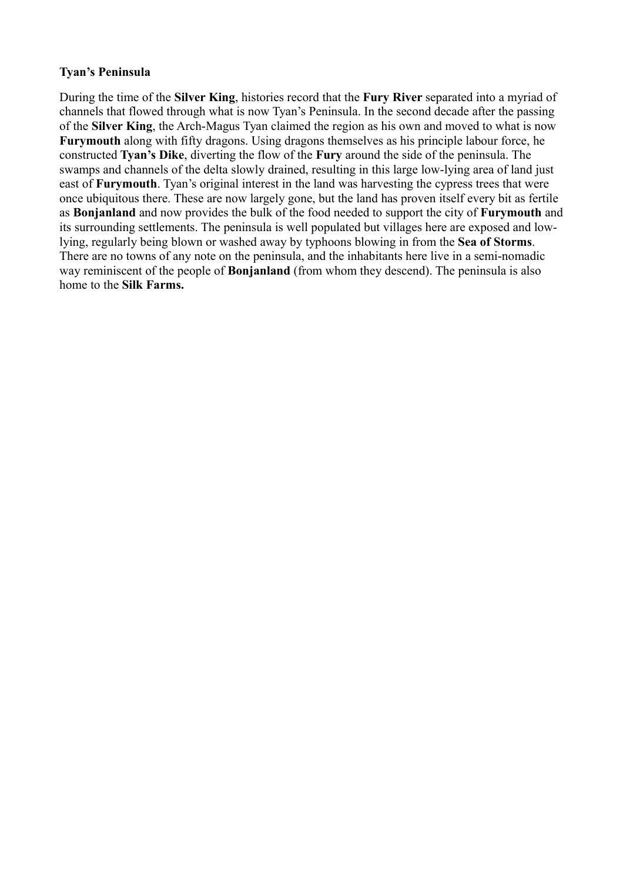### **Tyan's Peninsula**

During the time of the **Silver King**, histories record that the **Fury River** separated into a myriad of channels that flowed through what is now Tyan's Peninsula. In the second decade after the passing of the **Silver King**, the Arch-Magus Tyan claimed the region as his own and moved to what is now **Furymouth** along with fifty dragons. Using dragons themselves as his principle labour force, he constructed **Tyan's Dike**, diverting the flow of the **Fury** around the side of the peninsula. The swamps and channels of the delta slowly drained, resulting in this large low-lying area of land just east of **Furymouth**. Tyan's original interest in the land was harvesting the cypress trees that were once ubiquitous there. These are now largely gone, but the land has proven itself every bit as fertile as **Bonjanland** and now provides the bulk of the food needed to support the city of **Furymouth** and its surrounding settlements. The peninsula is well populated but villages here are exposed and lowlying, regularly being blown or washed away by typhoons blowing in from the **Sea of Storms**. There are no towns of any note on the peninsula, and the inhabitants here live in a semi-nomadic way reminiscent of the people of **Bonjanland** (from whom they descend). The peninsula is also home to the **Silk Farms.**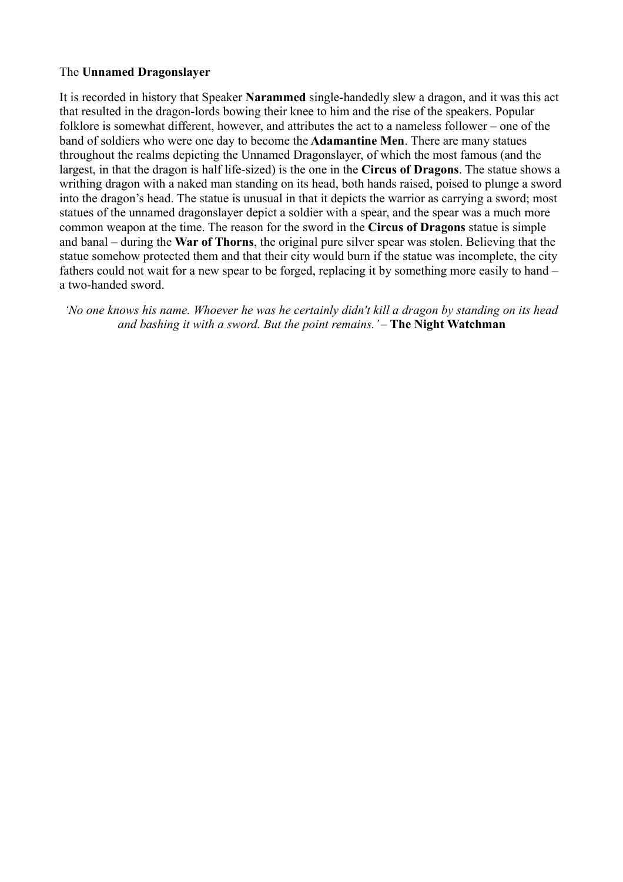# The **Unnamed Dragonslayer**

It is recorded in history that Speaker **Narammed** single-handedly slew a dragon, and it was this act that resulted in the dragon-lords bowing their knee to him and the rise of the speakers. Popular folklore is somewhat different, however, and attributes the act to a nameless follower – one of the band of soldiers who were one day to become the **Adamantine Men**. There are many statues throughout the realms depicting the Unnamed Dragonslayer, of which the most famous (and the largest, in that the dragon is half life-sized) is the one in the **Circus of Dragons**. The statue shows a writhing dragon with a naked man standing on its head, both hands raised, poised to plunge a sword into the dragon's head. The statue is unusual in that it depicts the warrior as carrying a sword; most statues of the unnamed dragonslayer depict a soldier with a spear, and the spear was a much more common weapon at the time. The reason for the sword in the **Circus of Dragons** statue is simple and banal – during the **War of Thorns**, the original pure silver spear was stolen. Believing that the statue somehow protected them and that their city would burn if the statue was incomplete, the city fathers could not wait for a new spear to be forged, replacing it by something more easily to hand – a two-handed sword.

*'No one knows his name. Whoever he was he certainly didn't kill a dragon by standing on its head and bashing it with a sword. But the point remains.'* – **The Night Watchman**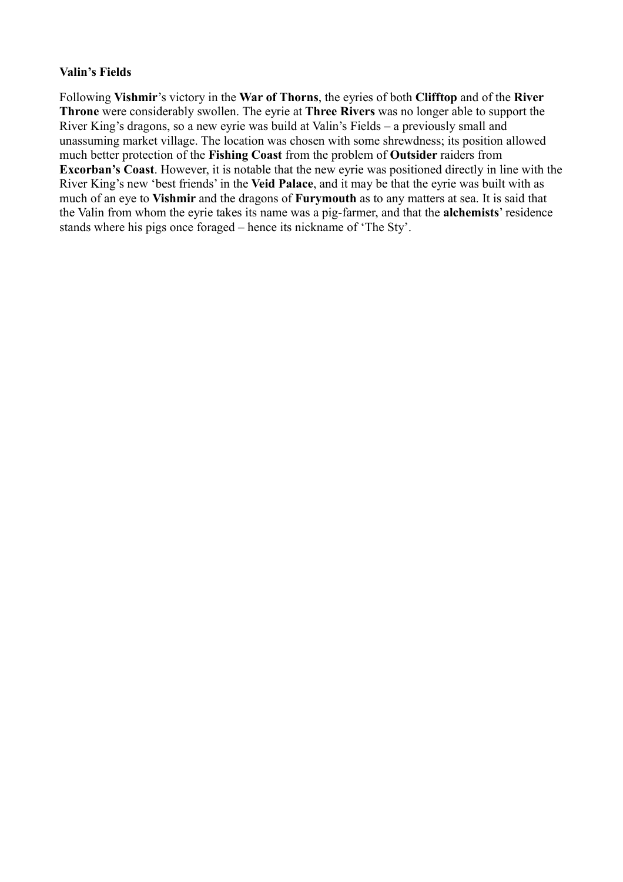#### **Valin's Fields**

Following **Vishmir**'s victory in the **War of Thorns**, the eyries of both **Clifftop** and of the **River Throne** were considerably swollen. The eyrie at **Three Rivers** was no longer able to support the River King's dragons, so a new eyrie was build at Valin's Fields – a previously small and unassuming market village. The location was chosen with some shrewdness; its position allowed much better protection of the **Fishing Coast** from the problem of **Outsider** raiders from **Excorban's Coast**. However, it is notable that the new eyrie was positioned directly in line with the River King's new 'best friends' in the **Veid Palace**, and it may be that the eyrie was built with as much of an eye to **Vishmir** and the dragons of **Furymouth** as to any matters at sea. It is said that the Valin from whom the eyrie takes its name was a pig-farmer, and that the **alchemists**' residence stands where his pigs once foraged – hence its nickname of 'The Sty'.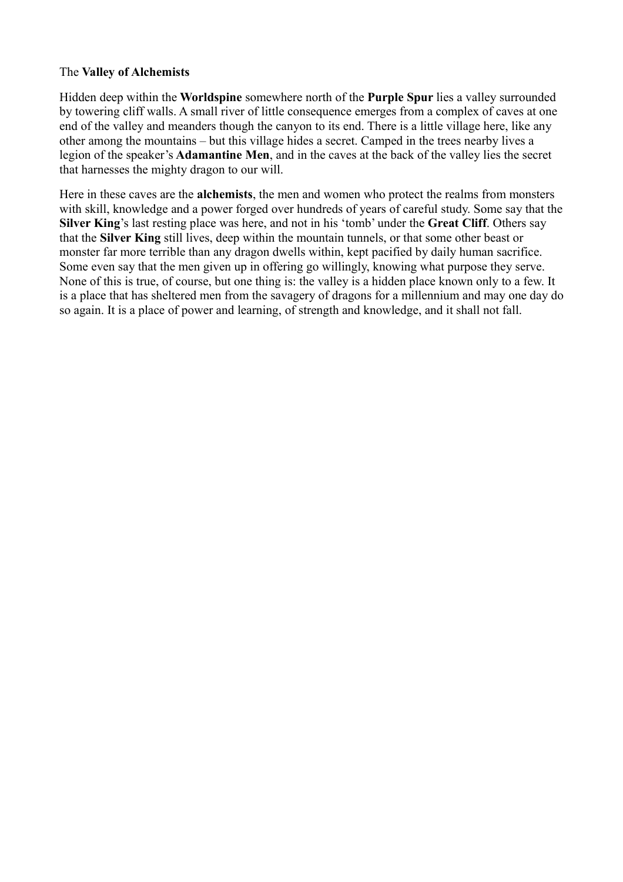### The **Valley of Alchemists**

Hidden deep within the **Worldspine** somewhere north of the **Purple Spur** lies a valley surrounded by towering cliff walls. A small river of little consequence emerges from a complex of caves at one end of the valley and meanders though the canyon to its end. There is a little village here, like any other among the mountains – but this village hides a secret. Camped in the trees nearby lives a legion of the speaker's **Adamantine Men**, and in the caves at the back of the valley lies the secret that harnesses the mighty dragon to our will.

Here in these caves are the **alchemists**, the men and women who protect the realms from monsters with skill, knowledge and a power forged over hundreds of years of careful study. Some say that the **Silver King**'s last resting place was here, and not in his 'tomb' under the **Great Cliff**. Others say that the **Silver King** still lives, deep within the mountain tunnels, or that some other beast or monster far more terrible than any dragon dwells within, kept pacified by daily human sacrifice. Some even say that the men given up in offering go willingly, knowing what purpose they serve. None of this is true, of course, but one thing is: the valley is a hidden place known only to a few. It is a place that has sheltered men from the savagery of dragons for a millennium and may one day do so again. It is a place of power and learning, of strength and knowledge, and it shall not fall.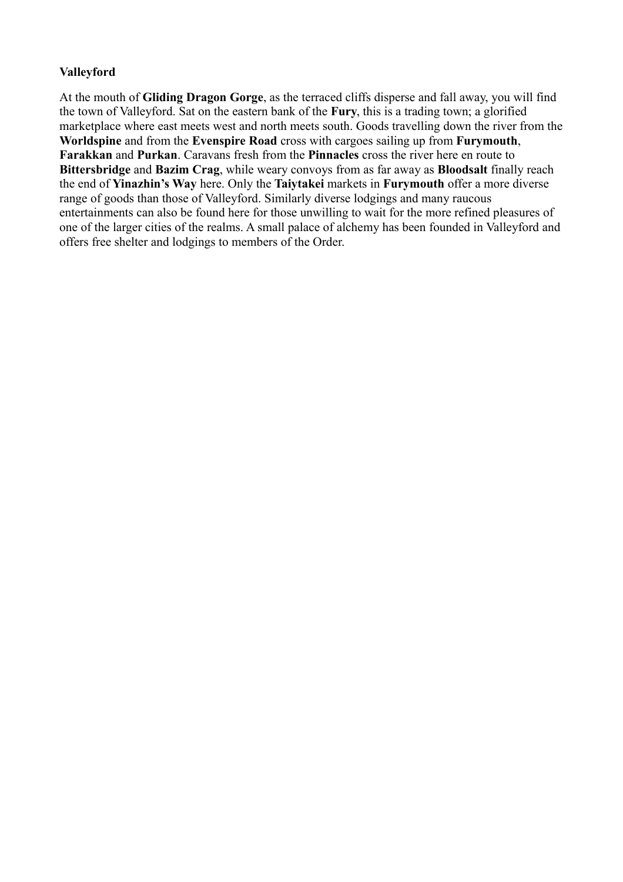# **Valleyford**

At the mouth of **Gliding Dragon Gorge**, as the terraced cliffs disperse and fall away, you will find the town of Valleyford. Sat on the eastern bank of the **Fury**, this is a trading town; a glorified marketplace where east meets west and north meets south. Goods travelling down the river from the **Worldspine** and from the **Evenspire Road** cross with cargoes sailing up from **Furymouth**, **Farakkan** and **Purkan**. Caravans fresh from the **Pinnacles** cross the river here en route to **Bittersbridge** and **Bazim Crag**, while weary convoys from as far away as **Bloodsalt** finally reach the end of **Yinazhin's Way** here. Only the **Taiytakei** markets in **Furymouth** offer a more diverse range of goods than those of Valleyford. Similarly diverse lodgings and many raucous entertainments can also be found here for those unwilling to wait for the more refined pleasures of one of the larger cities of the realms. A small palace of alchemy has been founded in Valleyford and offers free shelter and lodgings to members of the Order.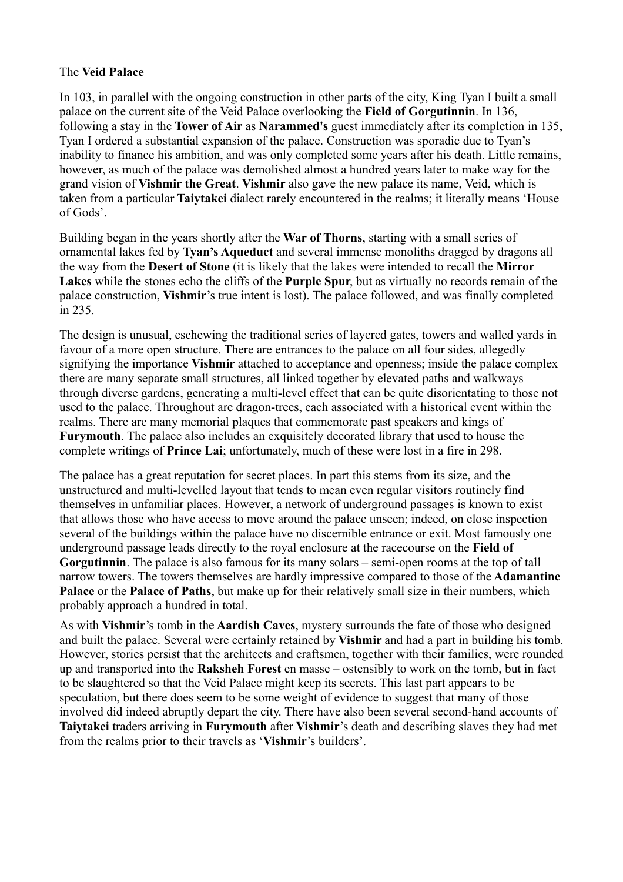### The **Veid Palace**

In 103, in parallel with the ongoing construction in other parts of the city, King Tyan I built a small palace on the current site of the Veid Palace overlooking the **Field of Gorgutinnin**. In 136, following a stay in the **Tower of Air** as **Narammed's** guest immediately after its completion in 135, Tyan I ordered a substantial expansion of the palace. Construction was sporadic due to Tyan's inability to finance his ambition, and was only completed some years after his death. Little remains, however, as much of the palace was demolished almost a hundred years later to make way for the grand vision of **Vishmir the Great**. **Vishmir** also gave the new palace its name, Veid, which is taken from a particular **Taiytakei** dialect rarely encountered in the realms; it literally means 'House of Gods'.

Building began in the years shortly after the **War of Thorns**, starting with a small series of ornamental lakes fed by **Tyan's Aqueduct** and several immense monoliths dragged by dragons all the way from the **Desert of Stone** (it is likely that the lakes were intended to recall the **Mirror Lakes** while the stones echo the cliffs of the **Purple Spur**, but as virtually no records remain of the palace construction, **Vishmir**'s true intent is lost). The palace followed, and was finally completed in 235.

The design is unusual, eschewing the traditional series of layered gates, towers and walled yards in favour of a more open structure. There are entrances to the palace on all four sides, allegedly signifying the importance **Vishmir** attached to acceptance and openness; inside the palace complex there are many separate small structures, all linked together by elevated paths and walkways through diverse gardens, generating a multi-level effect that can be quite disorientating to those not used to the palace. Throughout are dragon-trees, each associated with a historical event within the realms. There are many memorial plaques that commemorate past speakers and kings of **Furymouth**. The palace also includes an exquisitely decorated library that used to house the complete writings of **Prince Lai**; unfortunately, much of these were lost in a fire in 298.

The palace has a great reputation for secret places. In part this stems from its size, and the unstructured and multi-levelled layout that tends to mean even regular visitors routinely find themselves in unfamiliar places. However, a network of underground passages is known to exist that allows those who have access to move around the palace unseen; indeed, on close inspection several of the buildings within the palace have no discernible entrance or exit. Most famously one underground passage leads directly to the royal enclosure at the racecourse on the **Field of Gorgutinnin**. The palace is also famous for its many solars – semi-open rooms at the top of tall narrow towers. The towers themselves are hardly impressive compared to those of the **Adamantine** Palace or the Palace of Paths, but make up for their relatively small size in their numbers, which probably approach a hundred in total.

As with **Vishmir**'s tomb in the **Aardish Caves**, mystery surrounds the fate of those who designed and built the palace. Several were certainly retained by **Vishmir** and had a part in building his tomb. However, stories persist that the architects and craftsmen, together with their families, were rounded up and transported into the **Raksheh Forest** en masse – ostensibly to work on the tomb, but in fact to be slaughtered so that the Veid Palace might keep its secrets. This last part appears to be speculation, but there does seem to be some weight of evidence to suggest that many of those involved did indeed abruptly depart the city. There have also been several second-hand accounts of **Taiytakei** traders arriving in **Furymouth** after **Vishmir**'s death and describing slaves they had met from the realms prior to their travels as '**Vishmir**'s builders'.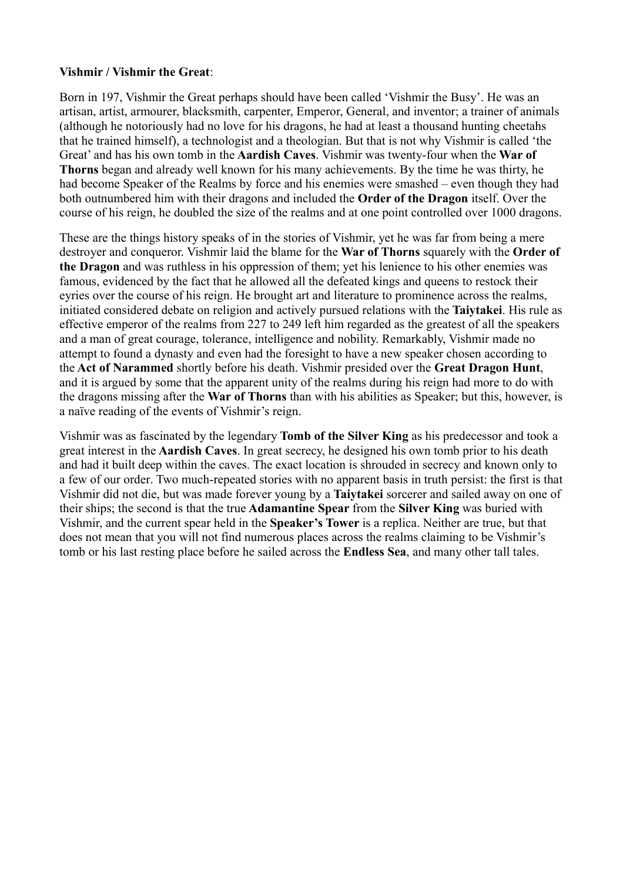### **Vishmir / Vishmir the Great**:

Born in 197, Vishmir the Great perhaps should have been called 'Vishmir the Busy'. He was an artisan, artist, armourer, blacksmith, carpenter, Emperor, General, and inventor; a trainer of animals (although he notoriously had no love for his dragons, he had at least a thousand hunting cheetahs that he trained himself), a technologist and a theologian. But that is not why Vishmir is called 'the Great' and has his own tomb in the **Aardish Caves**. Vishmir was twenty-four when the **War of Thorns** began and already well known for his many achievements. By the time he was thirty, he had become Speaker of the Realms by force and his enemies were smashed – even though they had both outnumbered him with their dragons and included the **Order of the Dragon** itself. Over the course of his reign, he doubled the size of the realms and at one point controlled over 1000 dragons.

These are the things history speaks of in the stories of Vishmir, yet he was far from being a mere destroyer and conqueror. Vishmir laid the blame for the **War of Thorns** squarely with the **Order of the Dragon** and was ruthless in his oppression of them; yet his lenience to his other enemies was famous, evidenced by the fact that he allowed all the defeated kings and queens to restock their eyries over the course of his reign. He brought art and literature to prominence across the realms, initiated considered debate on religion and actively pursued relations with the **Taiytakei**. His rule as effective emperor of the realms from 227 to 249 left him regarded as the greatest of all the speakers and a man of great courage, tolerance, intelligence and nobility. Remarkably, Vishmir made no attempt to found a dynasty and even had the foresight to have a new speaker chosen according to the **Act of Narammed** shortly before his death. Vishmir presided over the **Great Dragon Hunt**, and it is argued by some that the apparent unity of the realms during his reign had more to do with the dragons missing after the **War of Thorns** than with his abilities as Speaker; but this, however, is a naïve reading of the events of Vishmir's reign.

Vishmir was as fascinated by the legendary **Tomb of the Silver King** as his predecessor and took a great interest in the **Aardish Caves**. In great secrecy, he designed his own tomb prior to his death and had it built deep within the caves. The exact location is shrouded in secrecy and known only to a few of our order. Two much-repeated stories with no apparent basis in truth persist: the first is that Vishmir did not die, but was made forever young by a **Taiytakei** sorcerer and sailed away on one of their ships; the second is that the true **Adamantine Spear** from the **Silver King** was buried with Vishmir, and the current spear held in the **Speaker's Tower** is a replica. Neither are true, but that does not mean that you will not find numerous places across the realms claiming to be Vishmir's tomb or his last resting place before he sailed across the **Endless Sea**, and many other tall tales.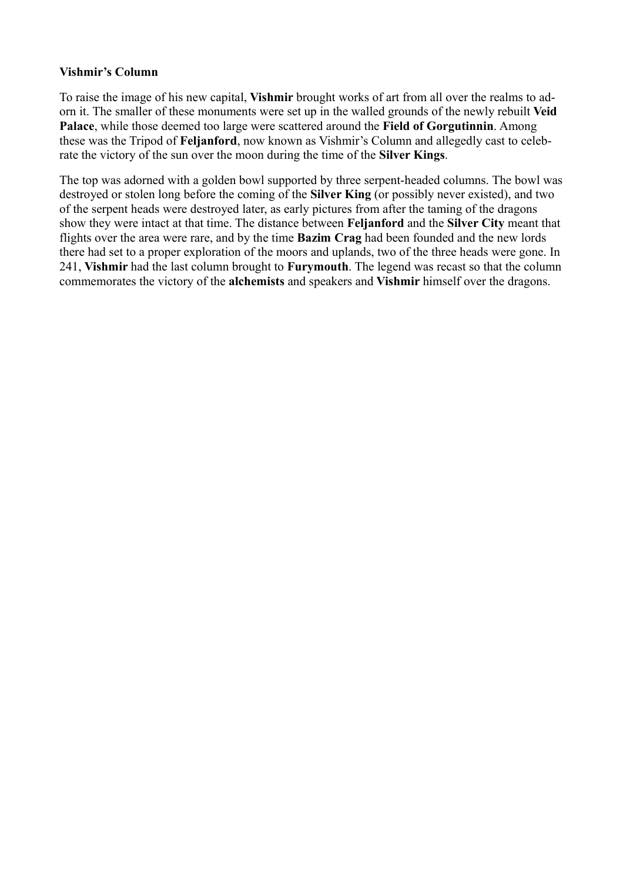### **Vishmir's Column**

To raise the image of his new capital, **Vishmir** brought works of art from all over the realms to adorn it. The smaller of these monuments were set up in the walled grounds of the newly rebuilt **Veid Palace**, while those deemed too large were scattered around the **Field of Gorgutinnin**. Among these was the Tripod of **Feljanford**, now known as Vishmir's Column and allegedly cast to celebrate the victory of the sun over the moon during the time of the **Silver Kings**.

The top was adorned with a golden bowl supported by three serpent-headed columns. The bowl was destroyed or stolen long before the coming of the **Silver King** (or possibly never existed), and two of the serpent heads were destroyed later, as early pictures from after the taming of the dragons show they were intact at that time. The distance between **Feljanford** and the **Silver City** meant that flights over the area were rare, and by the time **Bazim Crag** had been founded and the new lords there had set to a proper exploration of the moors and uplands, two of the three heads were gone. In 241, **Vishmir** had the last column brought to **Furymouth**. The legend was recast so that the column commemorates the victory of the **alchemists** and speakers and **Vishmir** himself over the dragons.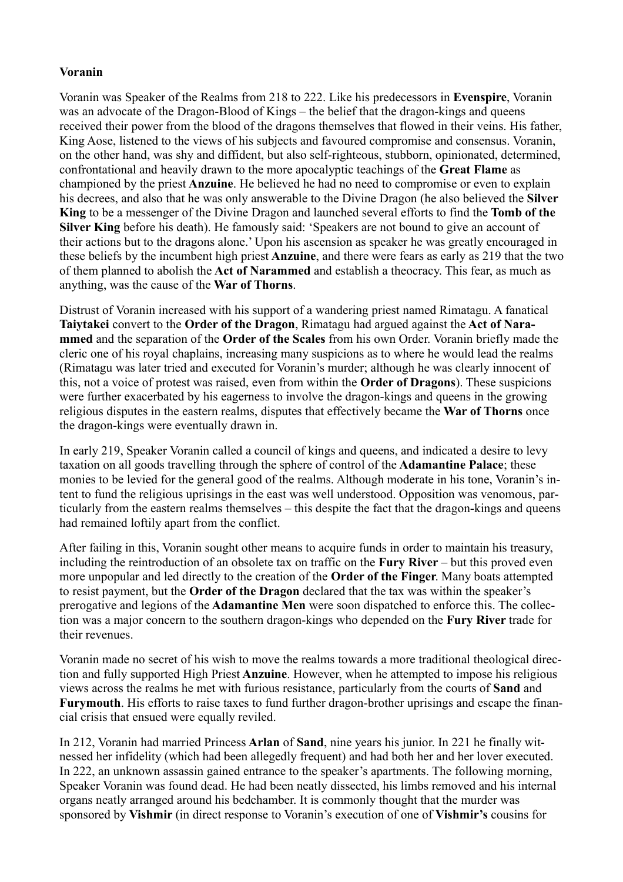# **Voranin**

Voranin was Speaker of the Realms from 218 to 222. Like his predecessors in **Evenspire**, Voranin was an advocate of the Dragon-Blood of Kings – the belief that the dragon-kings and queens received their power from the blood of the dragons themselves that flowed in their veins. His father, King Aose, listened to the views of his subjects and favoured compromise and consensus. Voranin, on the other hand, was shy and diffident, but also self-righteous, stubborn, opinionated, determined, confrontational and heavily drawn to the more apocalyptic teachings of the **Great Flame** as championed by the priest **Anzuine**. He believed he had no need to compromise or even to explain his decrees, and also that he was only answerable to the Divine Dragon (he also believed the **Silver King** to be a messenger of the Divine Dragon and launched several efforts to find the **Tomb of the Silver King** before his death). He famously said: 'Speakers are not bound to give an account of their actions but to the dragons alone.' Upon his ascension as speaker he was greatly encouraged in these beliefs by the incumbent high priest **Anzuine**, and there were fears as early as 219 that the two of them planned to abolish the **Act of Narammed** and establish a theocracy. This fear, as much as anything, was the cause of the **War of Thorns**.

Distrust of Voranin increased with his support of a wandering priest named Rimatagu. A fanatical **Taiytakei** convert to the **Order of the Dragon**, Rimatagu had argued against the **Act of Narammed** and the separation of the **Order of the Scales** from his own Order. Voranin briefly made the cleric one of his royal chaplains, increasing many suspicions as to where he would lead the realms (Rimatagu was later tried and executed for Voranin's murder; although he was clearly innocent of this, not a voice of protest was raised, even from within the **Order of Dragons**). These suspicions were further exacerbated by his eagerness to involve the dragon-kings and queens in the growing religious disputes in the eastern realms, disputes that effectively became the **War of Thorns** once the dragon-kings were eventually drawn in.

In early 219, Speaker Voranin called a council of kings and queens, and indicated a desire to levy taxation on all goods travelling through the sphere of control of the **Adamantine Palace**; these monies to be levied for the general good of the realms. Although moderate in his tone, Voranin's intent to fund the religious uprisings in the east was well understood. Opposition was venomous, particularly from the eastern realms themselves – this despite the fact that the dragon-kings and queens had remained loftily apart from the conflict.

After failing in this, Voranin sought other means to acquire funds in order to maintain his treasury, including the reintroduction of an obsolete tax on traffic on the **Fury River** – but this proved even more unpopular and led directly to the creation of the **Order of the Finger**. Many boats attempted to resist payment, but the **Order of the Dragon** declared that the tax was within the speaker's prerogative and legions of the **Adamantine Men** were soon dispatched to enforce this. The collection was a major concern to the southern dragon-kings who depended on the **Fury River** trade for their revenues.

Voranin made no secret of his wish to move the realms towards a more traditional theological direction and fully supported High Priest **Anzuine**. However, when he attempted to impose his religious views across the realms he met with furious resistance, particularly from the courts of **Sand** and **Furymouth**. His efforts to raise taxes to fund further dragon-brother uprisings and escape the financial crisis that ensued were equally reviled.

In 212, Voranin had married Princess **Arlan** of **Sand**, nine years his junior. In 221 he finally witnessed her infidelity (which had been allegedly frequent) and had both her and her lover executed. In 222, an unknown assassin gained entrance to the speaker's apartments. The following morning, Speaker Voranin was found dead. He had been neatly dissected, his limbs removed and his internal organs neatly arranged around his bedchamber. It is commonly thought that the murder was sponsored by **Vishmir** (in direct response to Voranin's execution of one of **Vishmir's** cousins for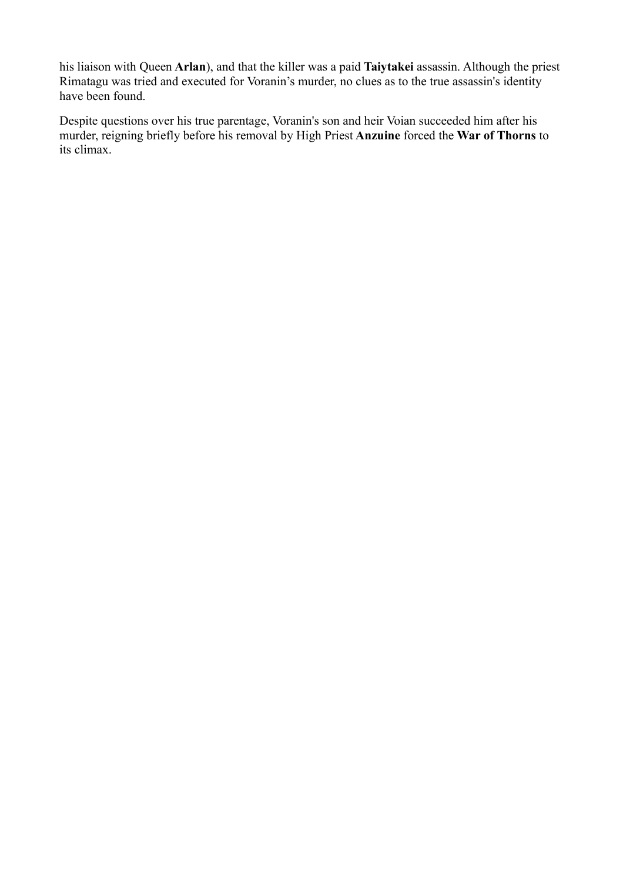his liaison with Queen **Arlan**), and that the killer was a paid **Taiytakei** assassin. Although the priest Rimatagu was tried and executed for Voranin's murder, no clues as to the true assassin's identity have been found.

Despite questions over his true parentage, Voranin's son and heir Voian succeeded him after his murder, reigning briefly before his removal by High Priest **Anzuine** forced the **War of Thorns** to its climax.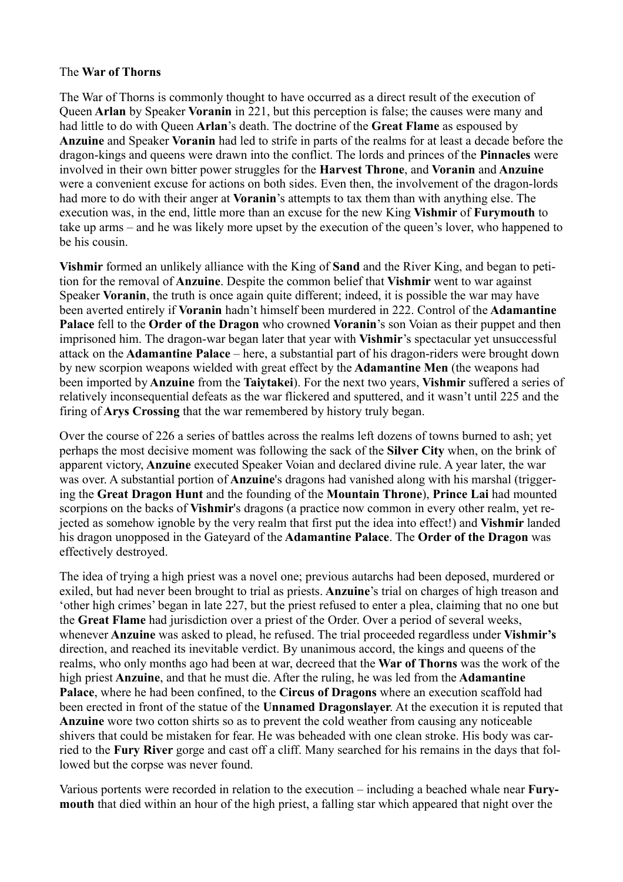#### The **War of Thorns**

The War of Thorns is commonly thought to have occurred as a direct result of the execution of Queen **Arlan** by Speaker **Voranin** in 221, but this perception is false; the causes were many and had little to do with Queen **Arlan**'s death. The doctrine of the **Great Flame** as espoused by **Anzuine** and Speaker **Voranin** had led to strife in parts of the realms for at least a decade before the dragon-kings and queens were drawn into the conflict. The lords and princes of the **Pinnacles** were involved in their own bitter power struggles for the **Harvest Throne**, and **Voranin** and **Anzuine** were a convenient excuse for actions on both sides. Even then, the involvement of the dragon-lords had more to do with their anger at **Voranin**'s attempts to tax them than with anything else. The execution was, in the end, little more than an excuse for the new King **Vishmir** of **Furymouth** to take up arms – and he was likely more upset by the execution of the queen's lover, who happened to be his cousin.

**Vishmir** formed an unlikely alliance with the King of **Sand** and the River King, and began to petition for the removal of **Anzuine**. Despite the common belief that **Vishmir** went to war against Speaker **Voranin**, the truth is once again quite different; indeed, it is possible the war may have been averted entirely if **Voranin** hadn't himself been murdered in 222. Control of the **Adamantine Palace** fell to the **Order of the Dragon** who crowned **Voranin**'s son Voian as their puppet and then imprisoned him. The dragon-war began later that year with **Vishmir**'s spectacular yet unsuccessful attack on the **Adamantine Palace** – here, a substantial part of his dragon-riders were brought down by new scorpion weapons wielded with great effect by the **Adamantine Men** (the weapons had been imported by **Anzuine** from the **Taiytakei**). For the next two years, **Vishmir** suffered a series of relatively inconsequential defeats as the war flickered and sputtered, and it wasn't until 225 and the firing of **Arys Crossing** that the war remembered by history truly began.

Over the course of 226 a series of battles across the realms left dozens of towns burned to ash; yet perhaps the most decisive moment was following the sack of the **Silver City** when, on the brink of apparent victory, **Anzuine** executed Speaker Voian and declared divine rule. A year later, the war was over. A substantial portion of **Anzuine**'s dragons had vanished along with his marshal (triggering the **Great Dragon Hunt** and the founding of the **Mountain Throne**), **Prince Lai** had mounted scorpions on the backs of **Vishmir**'s dragons (a practice now common in every other realm, yet rejected as somehow ignoble by the very realm that first put the idea into effect!) and **Vishmir** landed his dragon unopposed in the Gateyard of the **Adamantine Palace**. The **Order of the Dragon** was effectively destroyed.

The idea of trying a high priest was a novel one; previous autarchs had been deposed, murdered or exiled, but had never been brought to trial as priests. **Anzuine**'s trial on charges of high treason and 'other high crimes' began in late 227, but the priest refused to enter a plea, claiming that no one but the **Great Flame** had jurisdiction over a priest of the Order. Over a period of several weeks, whenever **Anzuine** was asked to plead, he refused. The trial proceeded regardless under **Vishmir's** direction, and reached its inevitable verdict. By unanimous accord, the kings and queens of the realms, who only months ago had been at war, decreed that the **War of Thorns** was the work of the high priest **Anzuine**, and that he must die. After the ruling, he was led from the **Adamantine Palace**, where he had been confined, to the **Circus of Dragons** where an execution scaffold had been erected in front of the statue of the **Unnamed Dragonslayer**. At the execution it is reputed that **Anzuine** wore two cotton shirts so as to prevent the cold weather from causing any noticeable shivers that could be mistaken for fear. He was beheaded with one clean stroke. His body was carried to the **Fury River** gorge and cast off a cliff. Many searched for his remains in the days that followed but the corpse was never found.

Various portents were recorded in relation to the execution – including a beached whale near **Furymouth** that died within an hour of the high priest, a falling star which appeared that night over the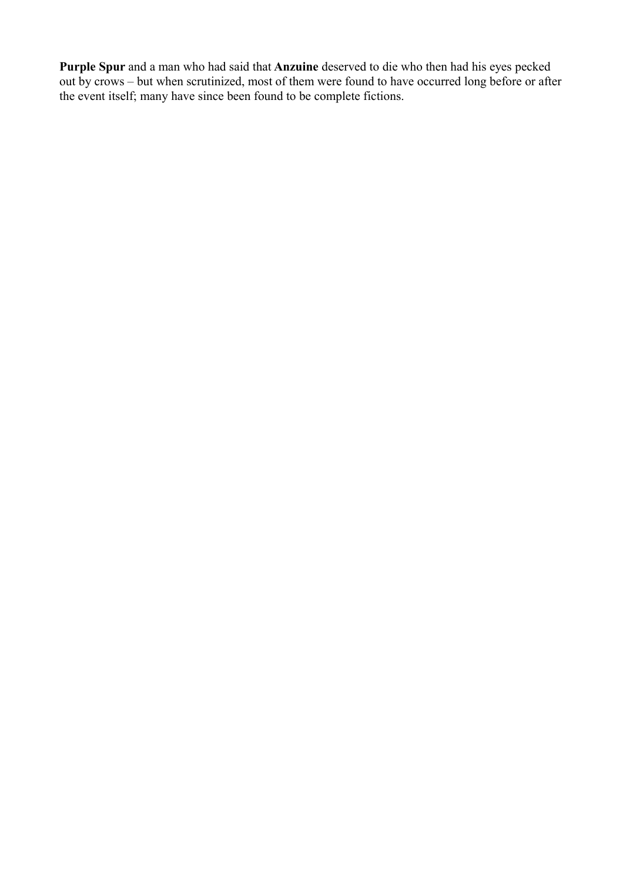**Purple Spur** and a man who had said that **Anzuine** deserved to die who then had his eyes pecked out by crows – but when scrutinized, most of them were found to have occurred long before or after the event itself; many have since been found to be complete fictions.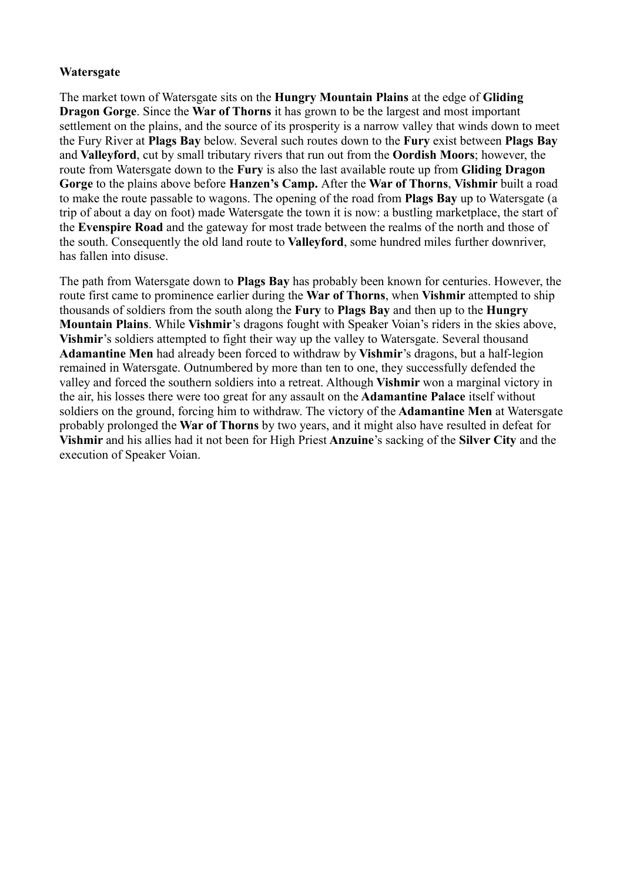# **Watersgate**

The market town of Watersgate sits on the **Hungry Mountain Plains** at the edge of **Gliding Dragon Gorge**. Since the **War of Thorns** it has grown to be the largest and most important settlement on the plains, and the source of its prosperity is a narrow valley that winds down to meet the Fury River at **Plags Bay** below. Several such routes down to the **Fury** exist between **Plags Bay** and **Valleyford**, cut by small tributary rivers that run out from the **Oordish Moors**; however, the route from Watersgate down to the **Fury** is also the last available route up from **Gliding Dragon Gorge** to the plains above before **Hanzen's Camp.** After the **War of Thorns**, **Vishmir** built a road to make the route passable to wagons. The opening of the road from **Plags Bay** up to Watersgate (a trip of about a day on foot) made Watersgate the town it is now: a bustling marketplace, the start of the **Evenspire Road** and the gateway for most trade between the realms of the north and those of the south. Consequently the old land route to **Valleyford**, some hundred miles further downriver, has fallen into disuse.

The path from Watersgate down to **Plags Bay** has probably been known for centuries. However, the route first came to prominence earlier during the **War of Thorns**, when **Vishmir** attempted to ship thousands of soldiers from the south along the **Fury** to **Plags Bay** and then up to the **Hungry Mountain Plains**. While **Vishmir**'s dragons fought with Speaker Voian's riders in the skies above, **Vishmir**'s soldiers attempted to fight their way up the valley to Watersgate. Several thousand **Adamantine Men** had already been forced to withdraw by **Vishmir**'s dragons, but a half-legion remained in Watersgate. Outnumbered by more than ten to one, they successfully defended the valley and forced the southern soldiers into a retreat. Although **Vishmir** won a marginal victory in the air, his losses there were too great for any assault on the **Adamantine Palace** itself without soldiers on the ground, forcing him to withdraw. The victory of the **Adamantine Men** at Watersgate probably prolonged the **War of Thorns** by two years, and it might also have resulted in defeat for **Vishmir** and his allies had it not been for High Priest **Anzuine**'s sacking of the **Silver City** and the execution of Speaker Voian.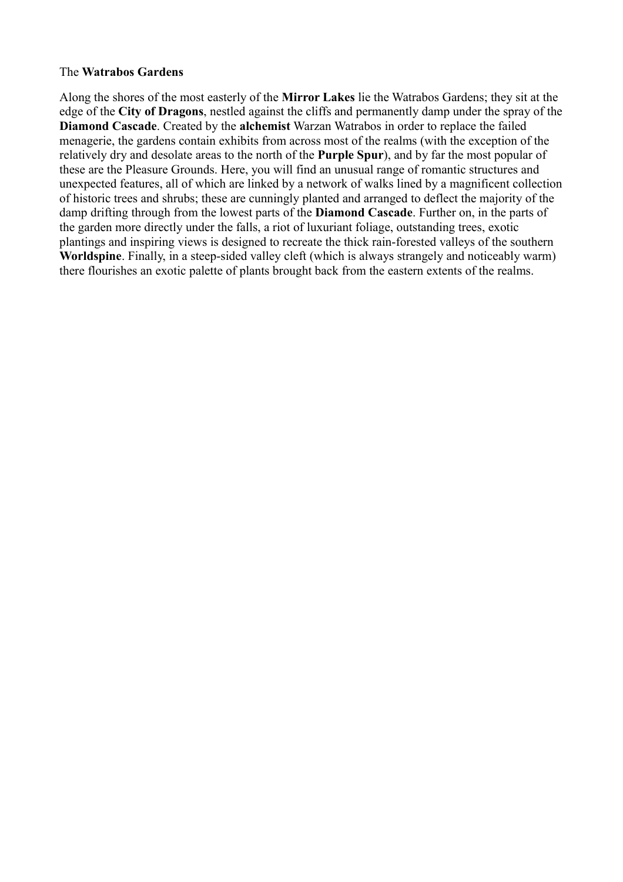#### The **Watrabos Gardens**

Along the shores of the most easterly of the **Mirror Lakes** lie the Watrabos Gardens; they sit at the edge of the **City of Dragons**, nestled against the cliffs and permanently damp under the spray of the **Diamond Cascade**. Created by the **alchemist** Warzan Watrabos in order to replace the failed menagerie, the gardens contain exhibits from across most of the realms (with the exception of the relatively dry and desolate areas to the north of the **Purple Spur**), and by far the most popular of these are the Pleasure Grounds. Here, you will find an unusual range of romantic structures and unexpected features, all of which are linked by a network of walks lined by a magnificent collection of historic trees and shrubs; these are cunningly planted and arranged to deflect the majority of the damp drifting through from the lowest parts of the **Diamond Cascade**. Further on, in the parts of the garden more directly under the falls, a riot of luxuriant foliage, outstanding trees, exotic plantings and inspiring views is designed to recreate the thick rain-forested valleys of the southern **Worldspine**. Finally, in a steep-sided valley cleft (which is always strangely and noticeably warm) there flourishes an exotic palette of plants brought back from the eastern extents of the realms.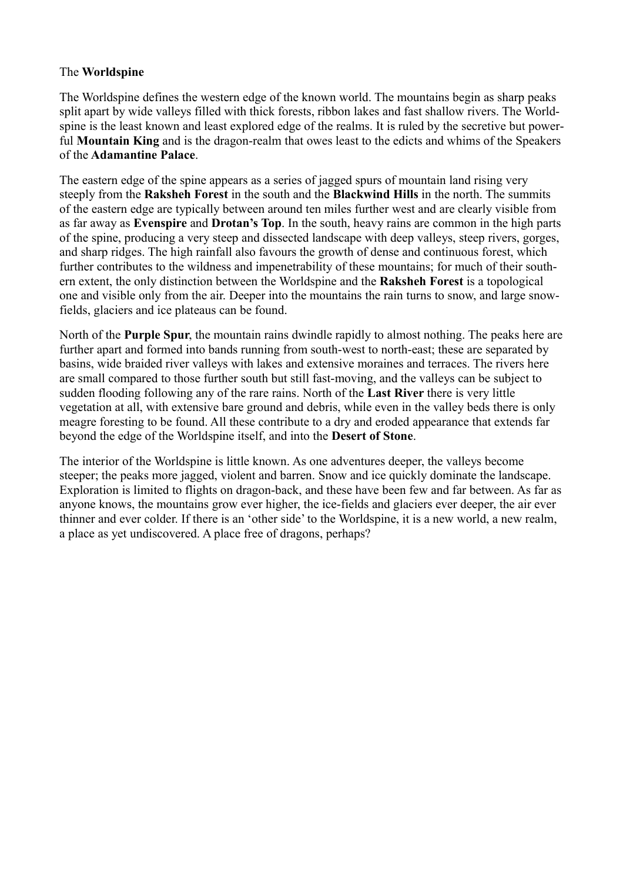# The **Worldspine**

The Worldspine defines the western edge of the known world. The mountains begin as sharp peaks split apart by wide valleys filled with thick forests, ribbon lakes and fast shallow rivers. The Worldspine is the least known and least explored edge of the realms. It is ruled by the secretive but powerful **Mountain King** and is the dragon-realm that owes least to the edicts and whims of the Speakers of the **Adamantine Palace**.

The eastern edge of the spine appears as a series of jagged spurs of mountain land rising very steeply from the **Raksheh Forest** in the south and the **Blackwind Hills** in the north. The summits of the eastern edge are typically between around ten miles further west and are clearly visible from as far away as **Evenspire** and **Drotan's Top**. In the south, heavy rains are common in the high parts of the spine, producing a very steep and dissected landscape with deep valleys, steep rivers, gorges, and sharp ridges. The high rainfall also favours the growth of dense and continuous forest, which further contributes to the wildness and impenetrability of these mountains; for much of their southern extent, the only distinction between the Worldspine and the **Raksheh Forest** is a topological one and visible only from the air. Deeper into the mountains the rain turns to snow, and large snowfields, glaciers and ice plateaus can be found.

North of the **Purple Spur**, the mountain rains dwindle rapidly to almost nothing. The peaks here are further apart and formed into bands running from south-west to north-east; these are separated by basins, wide braided river valleys with lakes and extensive moraines and terraces. The rivers here are small compared to those further south but still fast-moving, and the valleys can be subject to sudden flooding following any of the rare rains. North of the **Last River** there is very little vegetation at all, with extensive bare ground and debris, while even in the valley beds there is only meagre foresting to be found. All these contribute to a dry and eroded appearance that extends far beyond the edge of the Worldspine itself, and into the **Desert of Stone**.

The interior of the Worldspine is little known. As one adventures deeper, the valleys become steeper; the peaks more jagged, violent and barren. Snow and ice quickly dominate the landscape. Exploration is limited to flights on dragon-back, and these have been few and far between. As far as anyone knows, the mountains grow ever higher, the ice-fields and glaciers ever deeper, the air ever thinner and ever colder. If there is an 'other side' to the Worldspine, it is a new world, a new realm, a place as yet undiscovered. A place free of dragons, perhaps?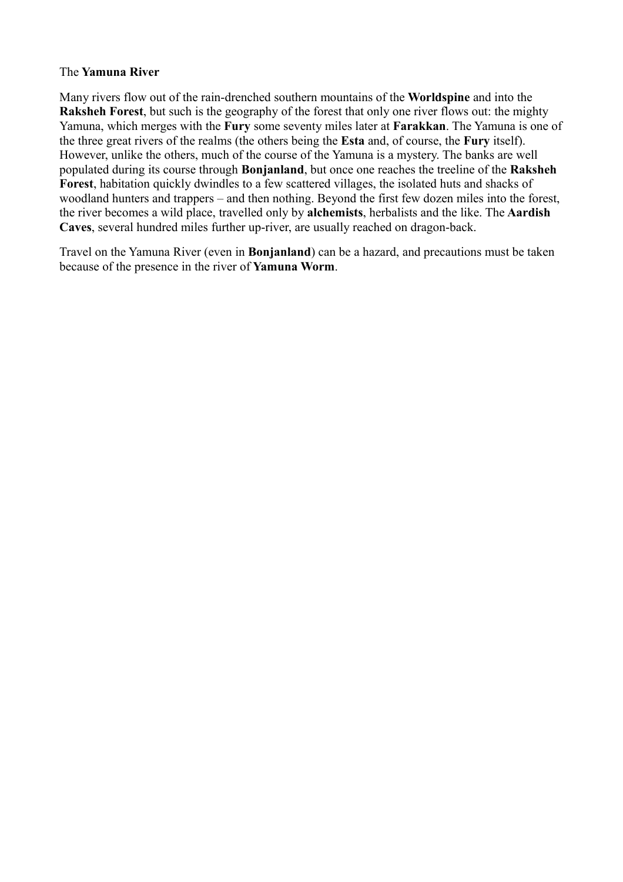### The **Yamuna River**

Many rivers flow out of the rain-drenched southern mountains of the **Worldspine** and into the **Raksheh Forest**, but such is the geography of the forest that only one river flows out: the mighty Yamuna, which merges with the **Fury** some seventy miles later at **Farakkan**. The Yamuna is one of the three great rivers of the realms (the others being the **Esta** and, of course, the **Fury** itself). However, unlike the others, much of the course of the Yamuna is a mystery. The banks are well populated during its course through **Bonjanland**, but once one reaches the treeline of the **Raksheh Forest**, habitation quickly dwindles to a few scattered villages, the isolated huts and shacks of woodland hunters and trappers – and then nothing. Beyond the first few dozen miles into the forest, the river becomes a wild place, travelled only by **alchemists**, herbalists and the like. The **Aardish Caves**, several hundred miles further up-river, are usually reached on dragon-back.

Travel on the Yamuna River (even in **Bonjanland**) can be a hazard, and precautions must be taken because of the presence in the river of **Yamuna Worm**.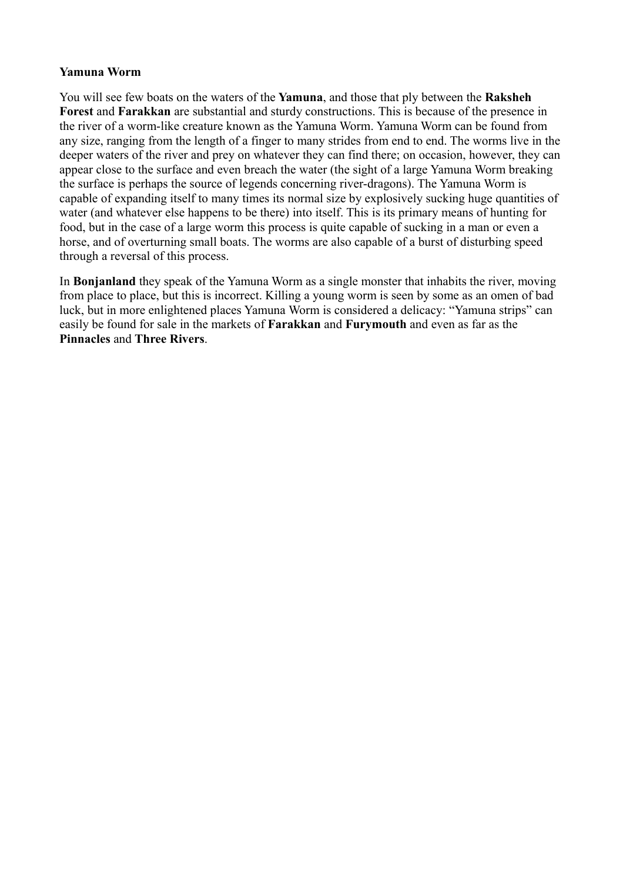#### **Yamuna Worm**

You will see few boats on the waters of the **Yamuna**, and those that ply between the **Raksheh Forest** and **Farakkan** are substantial and sturdy constructions. This is because of the presence in the river of a worm-like creature known as the Yamuna Worm. Yamuna Worm can be found from any size, ranging from the length of a finger to many strides from end to end. The worms live in the deeper waters of the river and prey on whatever they can find there; on occasion, however, they can appear close to the surface and even breach the water (the sight of a large Yamuna Worm breaking the surface is perhaps the source of legends concerning river-dragons). The Yamuna Worm is capable of expanding itself to many times its normal size by explosively sucking huge quantities of water (and whatever else happens to be there) into itself. This is its primary means of hunting for food, but in the case of a large worm this process is quite capable of sucking in a man or even a horse, and of overturning small boats. The worms are also capable of a burst of disturbing speed through a reversal of this process.

In **Bonjanland** they speak of the Yamuna Worm as a single monster that inhabits the river, moving from place to place, but this is incorrect. Killing a young worm is seen by some as an omen of bad luck, but in more enlightened places Yamuna Worm is considered a delicacy: "Yamuna strips" can easily be found for sale in the markets of **Farakkan** and **Furymouth** and even as far as the **Pinnacles** and **Three Rivers**.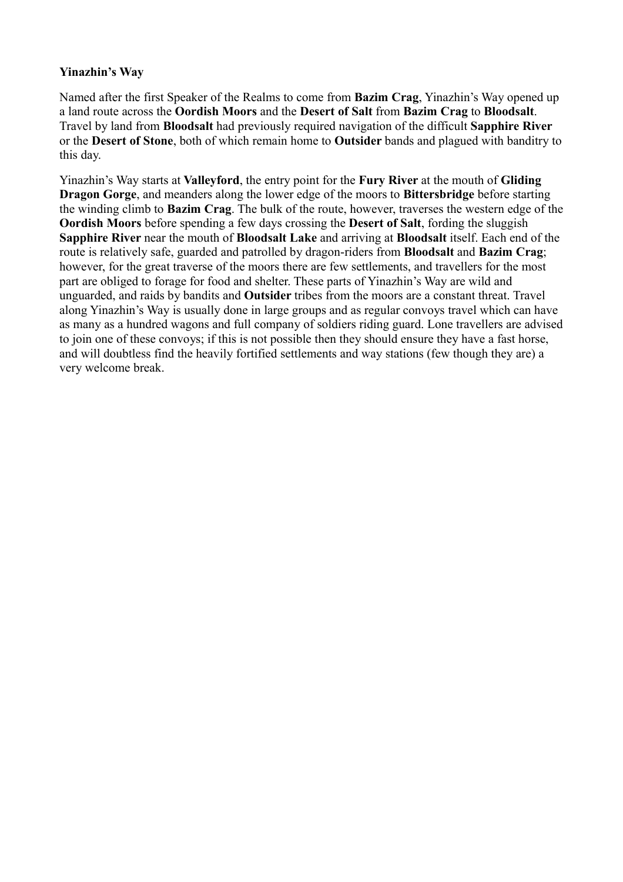# **Yinazhin's Way**

Named after the first Speaker of the Realms to come from **Bazim Crag**, Yinazhin's Way opened up a land route across the **Oordish Moors** and the **Desert of Salt** from **Bazim Crag** to **Bloodsalt**. Travel by land from **Bloodsalt** had previously required navigation of the difficult **Sapphire River** or the **Desert of Stone**, both of which remain home to **Outsider** bands and plagued with banditry to this day.

Yinazhin's Way starts at **Valleyford**, the entry point for the **Fury River** at the mouth of **Gliding Dragon Gorge**, and meanders along the lower edge of the moors to **Bittersbridge** before starting the winding climb to **Bazim Crag**. The bulk of the route, however, traverses the western edge of the **Oordish Moors** before spending a few days crossing the **Desert of Salt**, fording the sluggish **Sapphire River** near the mouth of **Bloodsalt Lake** and arriving at **Bloodsalt** itself. Each end of the route is relatively safe, guarded and patrolled by dragon-riders from **Bloodsalt** and **Bazim Crag**; however, for the great traverse of the moors there are few settlements, and travellers for the most part are obliged to forage for food and shelter. These parts of Yinazhin's Way are wild and unguarded, and raids by bandits and **Outsider** tribes from the moors are a constant threat. Travel along Yinazhin's Way is usually done in large groups and as regular convoys travel which can have as many as a hundred wagons and full company of soldiers riding guard. Lone travellers are advised to join one of these convoys; if this is not possible then they should ensure they have a fast horse, and will doubtless find the heavily fortified settlements and way stations (few though they are) a very welcome break.